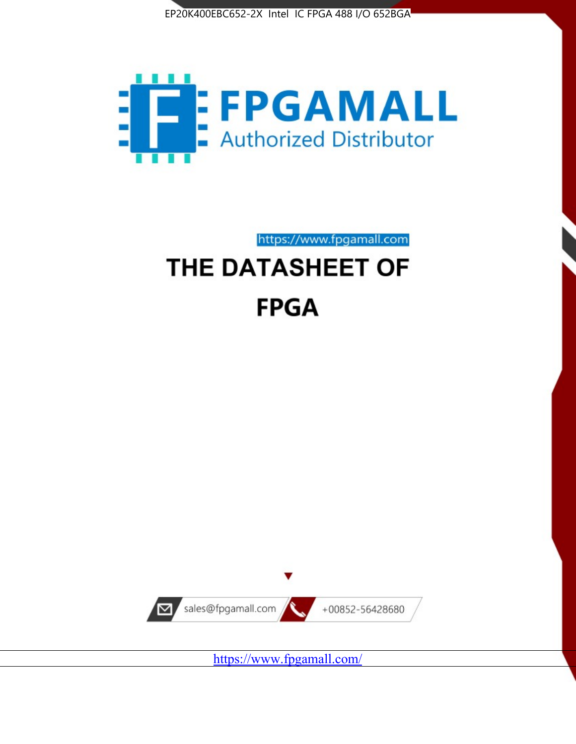



https://www.fpgamall.com

# THE DATASHEET OF **FPGA**



<https://www.fpgamall.com/>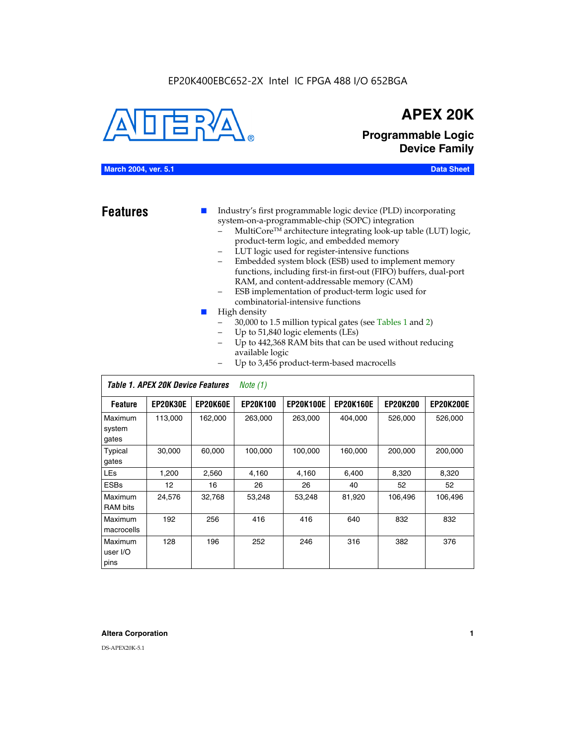#### EP20K400EBC652-2X Intel IC FPGA 488 I/O 652BGA



## **APEX 20K**

**Programmable Logic Device Family**

#### **March 2004, ver. 5.1 Data Sheet**

**Features ■** Industry's first programmable logic device (PLD) incorporating system-on-a-programmable-chip (SOPC) integration

- MultiCore™ architecture integrating look-up table (LUT) logic, product-term logic, and embedded memory
- LUT logic used for register-intensive functions
- Embedded system block (ESB) used to implement memory functions, including first-in first-out (FIFO) buffers, dual-port RAM, and content-addressable memory (CAM)
- ESB implementation of product-term logic used for combinatorial-intensive functions
- High density
	- 30,000 to 1.5 million typical gates (see Tables 1 and 2)
	- Up to 51,840 logic elements (LEs)
	- Up to 442,368 RAM bits that can be used without reducing available logic
	- Up to 3,456 product-term-based macrocells

|                             | Table 1. APEX 20K Device Features<br>Note $(1)$ |                 |                 |                  |                  |                 |                  |  |  |
|-----------------------------|-------------------------------------------------|-----------------|-----------------|------------------|------------------|-----------------|------------------|--|--|
| <b>Feature</b>              | <b>EP20K30E</b>                                 | <b>EP20K60E</b> | <b>EP20K100</b> | <b>EP20K100E</b> | <b>EP20K160E</b> | <b>EP20K200</b> | <b>EP20K200E</b> |  |  |
| Maximum<br>system<br>gates  | 113,000                                         | 162,000         | 263.000         | 263,000          | 404.000          | 526,000         | 526,000          |  |  |
| Typical<br>gates            | 30,000                                          | 60,000          | 100,000         | 100,000          | 160,000          | 200,000         | 200,000          |  |  |
| <b>LEs</b>                  | 1,200                                           | 2,560           | 4,160           | 4,160            | 6.400            | 8,320           | 8,320            |  |  |
| <b>ESBs</b>                 | 12                                              | 16              | 26              | 26               | 40               | 52              | 52               |  |  |
| Maximum<br><b>RAM</b> bits  | 24,576                                          | 32,768          | 53,248          | 53,248           | 81,920           | 106,496         | 106,496          |  |  |
| Maximum<br>macrocells       | 192                                             | 256             | 416             | 416              | 640              | 832             | 832              |  |  |
| Maximum<br>user I/O<br>pins | 128                                             | 196             | 252             | 246              | 316              | 382             | 376              |  |  |

#### **Altera Corporation 1**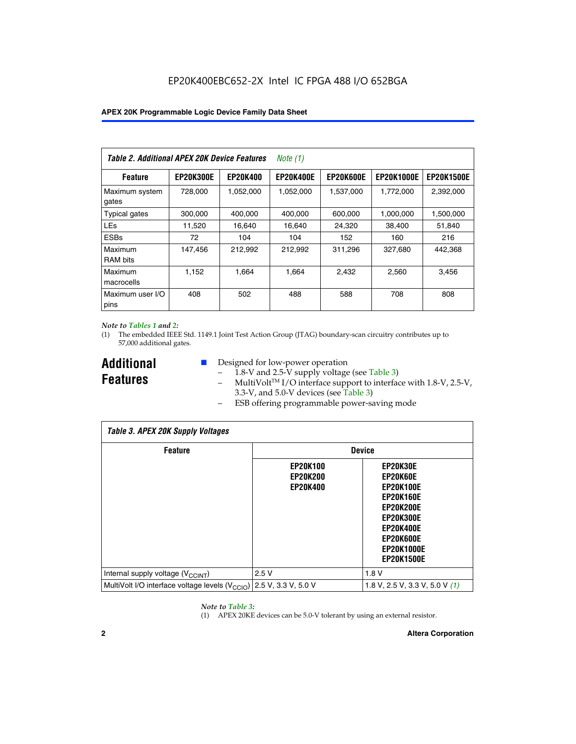| Table 2. Additional APEX 20K Device Features |                  |                 | Note $(1)$       |                  |                   |                   |
|----------------------------------------------|------------------|-----------------|------------------|------------------|-------------------|-------------------|
| <b>Feature</b>                               | <b>EP20K300E</b> | <b>EP20K400</b> | <b>EP20K400E</b> | <b>EP20K600E</b> | <b>EP20K1000E</b> | <b>EP20K1500E</b> |
| Maximum system<br>gates                      | 728,000          | 1,052,000       | 1,052,000        | 1,537,000        | 1,772,000         | 2,392,000         |
| <b>Typical gates</b>                         | 300,000          | 400,000         | 400,000          | 600,000          | 1,000,000         | 1,500,000         |
| <b>LEs</b>                                   | 11,520           | 16.640          | 16.640           | 24,320           | 38,400            | 51,840            |
| <b>ESBs</b>                                  | 72               | 104             | 104              | 152              | 160               | 216               |
| Maximum<br><b>RAM bits</b>                   | 147,456          | 212,992         | 212,992          | 311,296          | 327,680           | 442.368           |
| Maximum<br>macrocells                        | 1,152            | 1,664           | 1,664            | 2.432            | 2,560             | 3,456             |
| Maximum user I/O<br>pins                     | 408              | 502             | 488              | 588              | 708               | 808               |

#### *Note to Tables 1 and 2:*

(1) The embedded IEEE Std. 1149.1 Joint Test Action Group (JTAG) boundary-scan circuitry contributes up to 57,000 additional gates.

**Additional Features**

- Designed for low-power operation
	- 1.8-V and 2.5-V supply voltage (see Table 3)
	- $-$  MultiVolt<sup>TM</sup> I/O interface support to interface with 1.8-V, 2.5-V, 3.3-V, and 5.0-V devices (see Table 3)
	- ESB offering programmable power-saving mode

| <b>Table 3. APEX 20K Supply Voltages</b>                                       |                                                       |                                                                                                                                                                          |  |  |  |  |  |
|--------------------------------------------------------------------------------|-------------------------------------------------------|--------------------------------------------------------------------------------------------------------------------------------------------------------------------------|--|--|--|--|--|
| <b>Feature</b>                                                                 |                                                       | <b>Device</b>                                                                                                                                                            |  |  |  |  |  |
|                                                                                | <b>EP20K100</b><br><b>EP20K200</b><br><b>EP20K400</b> | EP20K30E<br>EP20K60E<br><b>EP20K100E</b><br><b>EP20K160E</b><br>EP20K200E<br><b>EP20K300E</b><br><b>EP20K400E</b><br>EP20K600E<br><b>EP20K1000E</b><br><b>EP20K1500E</b> |  |  |  |  |  |
| Internal supply voltage (V <sub>CCINT</sub> )                                  | 2.5V                                                  | 1.8V                                                                                                                                                                     |  |  |  |  |  |
| MultiVolt I/O interface voltage levels $(V_{\text{CCIO}})$ 2.5 V, 3.3 V, 5.0 V |                                                       | 1.8 V, 2.5 V, 3.3 V, 5.0 V $(1)$                                                                                                                                         |  |  |  |  |  |

#### *Note to Table 3:*

(1) APEX 20KE devices can be 5.0-V tolerant by using an external resistor.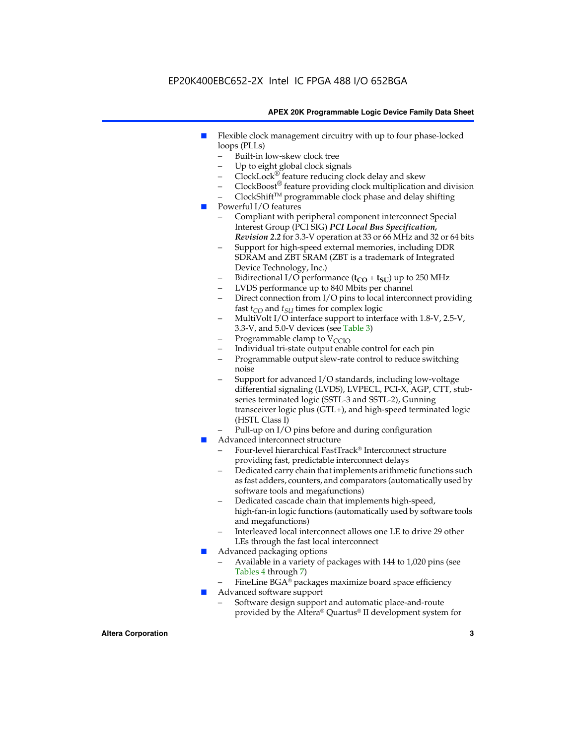### EP20K400EBC652-2X Intel IC FPGA 488 I/O 652BGA

#### **APEX 20K Programmable Logic Device Family Data Sheet**

- Flexible clock management circuitry with up to four phase-locked loops (PLLs)
	- Built-in low-skew clock tree
	- Up to eight global clock signals
	- $ClockLock^{\circledR}$  feature reducing clock delay and skew
	- $ClockBoost^{\circledR}$  feature providing clock multiplication and division
	- ClockShiftTM programmable clock phase and delay shifting
- Powerful I/O features
	- Compliant with peripheral component interconnect Special Interest Group (PCI SIG) *PCI Local Bus Specification, Revision 2.2* for 3.3-V operation at 33 or 66 MHz and 32 or 64 bits
	- Support for high-speed external memories, including DDR SDRAM and ZBT SRAM (ZBT is a trademark of Integrated Device Technology, Inc.)
	- Bidirectional I/O performance  $(t_{CO} + t_{SU})$  up to 250 MHz
	- LVDS performance up to 840 Mbits per channel
	- Direct connection from I/O pins to local interconnect providing fast  $t_{CO}$  and  $t_{SU}$  times for complex logic
	- MultiVolt I/O interface support to interface with 1.8-V, 2.5-V, 3.3-V, and 5.0-V devices (see Table 3)
	- Programmable clamp to  $V_{\text{C}CD}$
	- Individual tri-state output enable control for each pin
	- Programmable output slew-rate control to reduce switching noise
	- Support for advanced I/O standards, including low-voltage differential signaling (LVDS), LVPECL, PCI-X, AGP, CTT, stubseries terminated logic (SSTL-3 and SSTL-2), Gunning transceiver logic plus (GTL+), and high-speed terminated logic (HSTL Class I)
	- Pull-up on I/O pins before and during configuration
- Advanced interconnect structure
	- Four-level hierarchical FastTrack® Interconnect structure providing fast, predictable interconnect delays
	- Dedicated carry chain that implements arithmetic functions such as fast adders, counters, and comparators (automatically used by software tools and megafunctions)
	- Dedicated cascade chain that implements high-speed, high-fan-in logic functions (automatically used by software tools and megafunctions)
	- Interleaved local interconnect allows one LE to drive 29 other LEs through the fast local interconnect
- Advanced packaging options
	- Available in a variety of packages with 144 to 1,020 pins (see Tables 4 through 7)
	- FineLine BGA® packages maximize board space efficiency
- Advanced software support
	- Software design support and automatic place-and-route provided by the Altera® Quartus® II development system for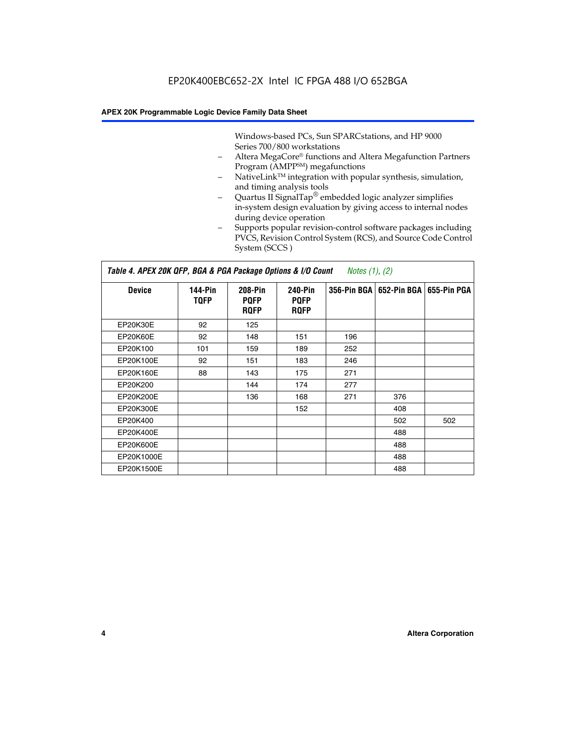Windows-based PCs, Sun SPARCstations, and HP 9000 Series 700/800 workstations

- Altera MegaCore® functions and Altera Megafunction Partners Program (AMPP<sup>SM</sup>) megafunctions
- NativeLink<sup>™</sup> integration with popular synthesis, simulation, and timing analysis tools
- Quartus II SignalTap® embedded logic analyzer simplifies in-system design evaluation by giving access to internal nodes during device operation
- Supports popular revision-control software packages including PVCS, Revision Control System (RCS), and Source Code Control System (SCCS )

#### *Table 4. APEX 20K QFP, BGA & PGA Package Options & I/O Count Notes (1), (2)*

| <b>Device</b>   | 144-Pin<br><b>TQFP</b> | 208-Pin<br><b>PQFP</b><br><b>ROFP</b> | 240-Pin<br><b>PQFP</b><br><b>ROFP</b> |     | 356-Pin BGA   652-Pin BGA | 655-Pin PGA |
|-----------------|------------------------|---------------------------------------|---------------------------------------|-----|---------------------------|-------------|
| EP20K30E        | 92                     | 125                                   |                                       |     |                           |             |
| <b>EP20K60E</b> | 92                     | 148                                   | 151                                   | 196 |                           |             |
| EP20K100        | 101                    | 159                                   | 189                                   | 252 |                           |             |
| EP20K100E       | 92                     | 151                                   | 183                                   | 246 |                           |             |
| EP20K160E       | 88                     | 143                                   | 175                                   | 271 |                           |             |
| EP20K200        |                        | 144                                   | 174                                   | 277 |                           |             |
| EP20K200E       |                        | 136                                   | 168                                   | 271 | 376                       |             |
| EP20K300E       |                        |                                       | 152                                   |     | 408                       |             |
| EP20K400        |                        |                                       |                                       |     | 502                       | 502         |
| EP20K400E       |                        |                                       |                                       |     | 488                       |             |
| EP20K600E       |                        |                                       |                                       |     | 488                       |             |
| EP20K1000E      |                        |                                       |                                       |     | 488                       |             |
| EP20K1500E      |                        |                                       |                                       |     | 488                       |             |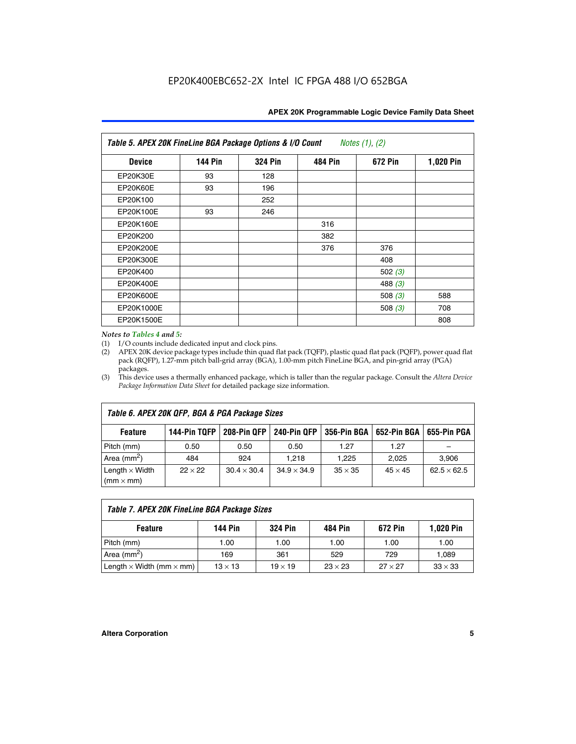| APEX 20K Programmable Logic Device Family Data Sheet |  |  |  |
|------------------------------------------------------|--|--|--|
|------------------------------------------------------|--|--|--|

| Table 5. APEX 20K FineLine BGA Package Options & I/O Count<br>Notes $(1)$ , $(2)$ |                |                |                |           |           |  |  |  |
|-----------------------------------------------------------------------------------|----------------|----------------|----------------|-----------|-----------|--|--|--|
| <b>Device</b>                                                                     | <b>144 Pin</b> | <b>324 Pin</b> | <b>484 Pin</b> | 672 Pin   | 1,020 Pin |  |  |  |
| EP20K30E                                                                          | 93             | 128            |                |           |           |  |  |  |
| <b>EP20K60E</b>                                                                   | 93             | 196            |                |           |           |  |  |  |
| EP20K100                                                                          |                | 252            |                |           |           |  |  |  |
| EP20K100E                                                                         | 93             | 246            |                |           |           |  |  |  |
| EP20K160E                                                                         |                |                | 316            |           |           |  |  |  |
| EP20K200                                                                          |                |                | 382            |           |           |  |  |  |
| EP20K200E                                                                         |                |                | 376            | 376       |           |  |  |  |
| EP20K300E                                                                         |                |                |                | 408       |           |  |  |  |
| EP20K400                                                                          |                |                |                | 502 $(3)$ |           |  |  |  |
| EP20K400E                                                                         |                |                |                | 488 $(3)$ |           |  |  |  |
| EP20K600E                                                                         |                |                |                | 508 $(3)$ | 588       |  |  |  |
| EP20K1000E                                                                        |                |                |                | 508 $(3)$ | 708       |  |  |  |
| EP20K1500E                                                                        |                |                |                |           | 808       |  |  |  |

#### *Notes to Tables 4 and 5:*

(1) I/O counts include dedicated input and clock pins.

(2) APEX 20K device package types include thin quad flat pack (TQFP), plastic quad flat pack (PQFP), power quad flat pack (RQFP), 1.27-mm pitch ball-grid array (BGA), 1.00-mm pitch FineLine BGA, and pin-grid array (PGA) packages.

(3) This device uses a thermally enhanced package, which is taller than the regular package. Consult the *Altera Device Package Information Data Sheet* for detailed package size information.

| Table 6. APEX 20K QFP, BGA & PGA Package Sizes |                |                    |                    |                |                |                    |  |  |
|------------------------------------------------|----------------|--------------------|--------------------|----------------|----------------|--------------------|--|--|
| <b>Feature</b>                                 | 144-Pin TQFP   | 208-Pin QFP        | 240-Pin QFP        | 356-Pin BGA    | 652-Pin BGA    | 655-Pin PGA        |  |  |
| Pitch (mm)                                     | 0.50           | 0.50               | 0.50               | 1.27           | 1.27           |                    |  |  |
| Area ( $mm2$ )                                 | 484            | 924                | 1.218              | 1.225          | 2.025          | 3,906              |  |  |
| Length $\times$ Width<br>$(mm \times mm)$      | $22 \times 22$ | $30.4 \times 30.4$ | $34.9 \times 34.9$ | $35 \times 35$ | $45 \times 45$ | $62.5 \times 62.5$ |  |  |

| Table 7. APEX 20K FineLine BGA Package Sizes |                |                |                |                |                |  |  |  |
|----------------------------------------------|----------------|----------------|----------------|----------------|----------------|--|--|--|
| <b>Feature</b>                               | <b>144 Pin</b> | <b>324 Pin</b> | 484 Pin        | 672 Pin        | 1,020 Pin      |  |  |  |
| Pitch (mm)                                   | 1.00           | 1.00           | 1.00           | 1.00           | 1.00           |  |  |  |
| Area ( $mm2$ )                               | 169            | 361            | 529            | 729            | 1,089          |  |  |  |
| Length $\times$ Width (mm $\times$ mm)       | $13 \times 13$ | $19 \times 19$ | $23 \times 23$ | $27 \times 27$ | $33 \times 33$ |  |  |  |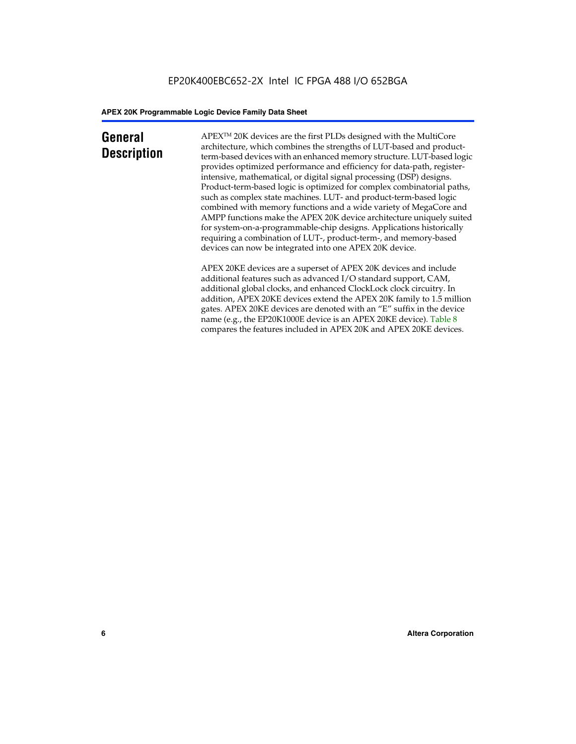### **General Description**

APEXTM 20K devices are the first PLDs designed with the MultiCore architecture, which combines the strengths of LUT-based and productterm-based devices with an enhanced memory structure. LUT-based logic provides optimized performance and efficiency for data-path, registerintensive, mathematical, or digital signal processing (DSP) designs. Product-term-based logic is optimized for complex combinatorial paths, such as complex state machines. LUT- and product-term-based logic combined with memory functions and a wide variety of MegaCore and AMPP functions make the APEX 20K device architecture uniquely suited for system-on-a-programmable-chip designs. Applications historically requiring a combination of LUT-, product-term-, and memory-based devices can now be integrated into one APEX 20K device.

APEX 20KE devices are a superset of APEX 20K devices and include additional features such as advanced I/O standard support, CAM, additional global clocks, and enhanced ClockLock clock circuitry. In addition, APEX 20KE devices extend the APEX 20K family to 1.5 million gates. APEX 20KE devices are denoted with an "E" suffix in the device name (e.g., the EP20K1000E device is an APEX 20KE device). Table 8 compares the features included in APEX 20K and APEX 20KE devices.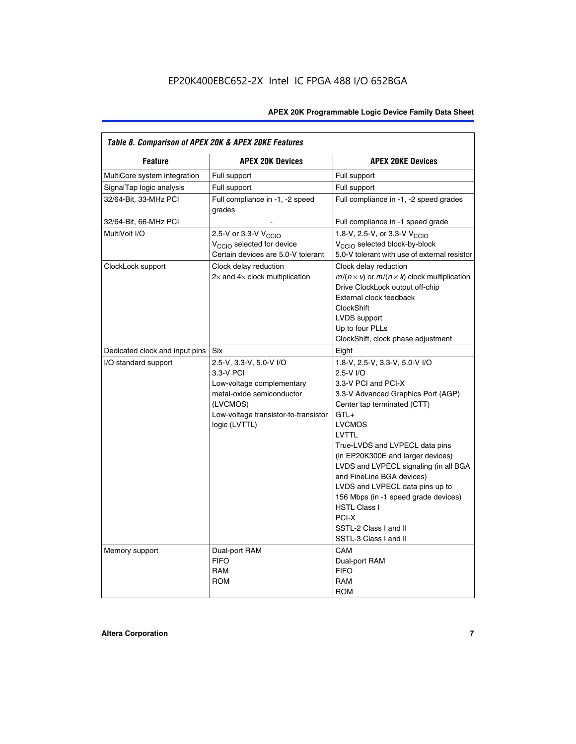| Table 8. Comparison of APEX 20K & APEX 20KE Features |                                                                                                                                                                     |                                                                                                                                                                                                                                                                                                                                                                                                                                                                                       |  |  |  |  |
|------------------------------------------------------|---------------------------------------------------------------------------------------------------------------------------------------------------------------------|---------------------------------------------------------------------------------------------------------------------------------------------------------------------------------------------------------------------------------------------------------------------------------------------------------------------------------------------------------------------------------------------------------------------------------------------------------------------------------------|--|--|--|--|
| <b>Feature</b>                                       | <b>APEX 20K Devices</b>                                                                                                                                             | <b>APEX 20KE Devices</b>                                                                                                                                                                                                                                                                                                                                                                                                                                                              |  |  |  |  |
| MultiCore system integration                         | Full support                                                                                                                                                        | Full support                                                                                                                                                                                                                                                                                                                                                                                                                                                                          |  |  |  |  |
| SignalTap logic analysis                             | Full support                                                                                                                                                        | Full support                                                                                                                                                                                                                                                                                                                                                                                                                                                                          |  |  |  |  |
| 32/64-Bit, 33-MHz PCI                                | Full compliance in -1, -2 speed<br>grades                                                                                                                           | Full compliance in -1, -2 speed grades                                                                                                                                                                                                                                                                                                                                                                                                                                                |  |  |  |  |
| 32/64-Bit, 66-MHz PCI                                |                                                                                                                                                                     | Full compliance in -1 speed grade                                                                                                                                                                                                                                                                                                                                                                                                                                                     |  |  |  |  |
| MultiVolt I/O                                        | 2.5-V or 3.3-V V <sub>CCIO</sub><br>V <sub>CCIO</sub> selected for device<br>Certain devices are 5.0-V tolerant                                                     | 1.8-V, 2.5-V, or 3.3-V V <sub>CCIO</sub><br>V <sub>CCIO</sub> selected block-by-block<br>5.0-V tolerant with use of external resistor                                                                                                                                                                                                                                                                                                                                                 |  |  |  |  |
| ClockLock support                                    | Clock delay reduction<br>$2\times$ and $4\times$ clock multiplication                                                                                               | Clock delay reduction<br>$m/(n \times v)$ or $m/(n \times k)$ clock multiplication<br>Drive ClockLock output off-chip<br>External clock feedback<br><b>ClockShift</b><br>LVDS support<br>Up to four PLLs<br>ClockShift, clock phase adjustment                                                                                                                                                                                                                                        |  |  |  |  |
| Dedicated clock and input pins                       | <b>Six</b>                                                                                                                                                          | Eight                                                                                                                                                                                                                                                                                                                                                                                                                                                                                 |  |  |  |  |
| I/O standard support                                 | 2.5-V, 3.3-V, 5.0-V I/O<br>3.3-V PCI<br>Low-voltage complementary<br>metal-oxide semiconductor<br>(LVCMOS)<br>Low-voltage transistor-to-transistor<br>logic (LVTTL) | 1.8-V, 2.5-V, 3.3-V, 5.0-V I/O<br>2.5-V I/O<br>3.3-V PCI and PCI-X<br>3.3-V Advanced Graphics Port (AGP)<br>Center tap terminated (CTT)<br>$GTL+$<br><b>LVCMOS</b><br>LVTTL<br>True-LVDS and LVPECL data pins<br>(in EP20K300E and larger devices)<br>LVDS and LVPECL signaling (in all BGA<br>and FineLine BGA devices)<br>LVDS and LVPECL data pins up to<br>156 Mbps (in -1 speed grade devices)<br><b>HSTL Class I</b><br>PCI-X<br>SSTL-2 Class I and II<br>SSTL-3 Class I and II |  |  |  |  |
| Memory support                                       | Dual-port RAM<br><b>FIFO</b><br><b>RAM</b><br><b>ROM</b>                                                                                                            | CAM<br>Dual-port RAM<br><b>FIFO</b><br>RAM<br><b>ROM</b>                                                                                                                                                                                                                                                                                                                                                                                                                              |  |  |  |  |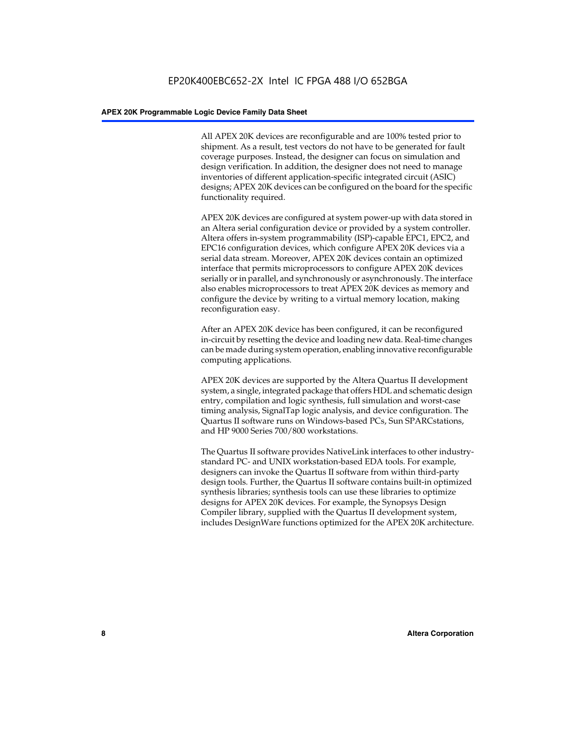All APEX 20K devices are reconfigurable and are 100% tested prior to shipment. As a result, test vectors do not have to be generated for fault coverage purposes. Instead, the designer can focus on simulation and design verification. In addition, the designer does not need to manage inventories of different application-specific integrated circuit (ASIC) designs; APEX 20K devices can be configured on the board for the specific functionality required.

APEX 20K devices are configured at system power-up with data stored in an Altera serial configuration device or provided by a system controller. Altera offers in-system programmability (ISP)-capable EPC1, EPC2, and EPC16 configuration devices, which configure APEX 20K devices via a serial data stream. Moreover, APEX 20K devices contain an optimized interface that permits microprocessors to configure APEX 20K devices serially or in parallel, and synchronously or asynchronously. The interface also enables microprocessors to treat APEX 20K devices as memory and configure the device by writing to a virtual memory location, making reconfiguration easy.

After an APEX 20K device has been configured, it can be reconfigured in-circuit by resetting the device and loading new data. Real-time changes can be made during system operation, enabling innovative reconfigurable computing applications.

APEX 20K devices are supported by the Altera Quartus II development system, a single, integrated package that offers HDL and schematic design entry, compilation and logic synthesis, full simulation and worst-case timing analysis, SignalTap logic analysis, and device configuration. The Quartus II software runs on Windows-based PCs, Sun SPARCstations, and HP 9000 Series 700/800 workstations.

The Quartus II software provides NativeLink interfaces to other industrystandard PC- and UNIX workstation-based EDA tools. For example, designers can invoke the Quartus II software from within third-party design tools. Further, the Quartus II software contains built-in optimized synthesis libraries; synthesis tools can use these libraries to optimize designs for APEX 20K devices. For example, the Synopsys Design Compiler library, supplied with the Quartus II development system, includes DesignWare functions optimized for the APEX 20K architecture.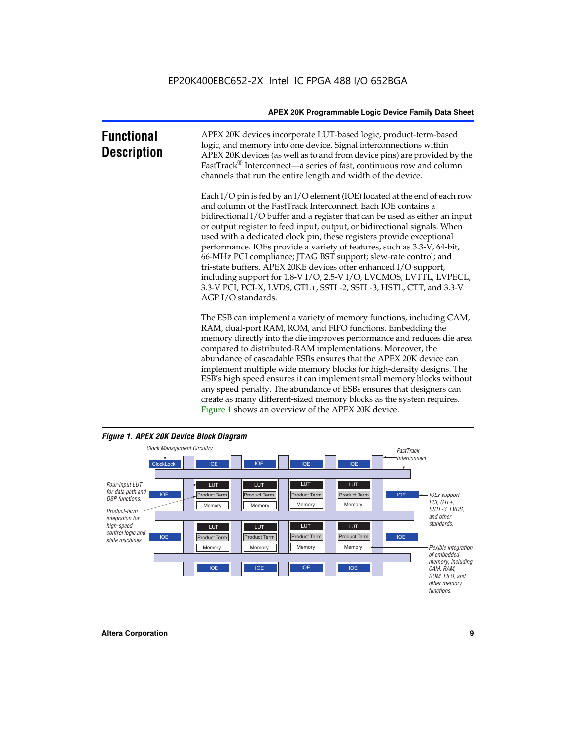| <b>Functional</b><br><b>Description</b> | APEX 20K devices incorporate LUT-based logic, product-term-based<br>logic, and memory into one device. Signal interconnections within<br>APEX 20K devices (as well as to and from device pins) are provided by the<br>FastTrack <sup>®</sup> Interconnect—a series of fast, continuous row and column<br>channels that run the entire length and width of the device.                                                                                                                                                                                                                                                                                                                                                                                              |
|-----------------------------------------|--------------------------------------------------------------------------------------------------------------------------------------------------------------------------------------------------------------------------------------------------------------------------------------------------------------------------------------------------------------------------------------------------------------------------------------------------------------------------------------------------------------------------------------------------------------------------------------------------------------------------------------------------------------------------------------------------------------------------------------------------------------------|
|                                         | Each I/O pin is fed by an I/O element (IOE) located at the end of each row<br>and column of the FastTrack Interconnect. Each IOE contains a<br>bidirectional I/O buffer and a register that can be used as either an input<br>or output register to feed input, output, or bidirectional signals. When<br>used with a dedicated clock pin, these registers provide exceptional<br>performance. IOEs provide a variety of features, such as 3.3-V, 64-bit,<br>66-MHz PCI compliance; JTAG BST support; slew-rate control; and<br>tri-state buffers. APEX 20KE devices offer enhanced I/O support,<br>including support for 1.8-V I/O, 2.5-V I/O, LVCMOS, LVTTL, LVPECL,<br>3.3-V PCI, PCI-X, LVDS, GTL+, SSTL-2, SSTL-3, HSTL, CTT, and 3.3-V<br>AGP I/O standards. |
|                                         | The ESB can implement a variety of memory functions, including CAM,<br>RAM, dual-port RAM, ROM, and FIFO functions. Embedding the<br>memory directly into the die improves performance and reduces die area<br>compared to distributed-RAM implementations. Moreover, the<br>abundance of cascadable ESBs ensures that the APEX 20K device can<br>implement multiple wide memory blocks for high-density designs. The<br>ESB's high speed ensures it can implement small memory blocks without<br>any speed penalty. The abundance of ESBs ensures that designers can                                                                                                                                                                                              |



create as many different-sized memory blocks as the system requires.

Figure 1 shows an overview of the APEX 20K device.

#### *Figure 1. APEX 20K Device Block Diagram*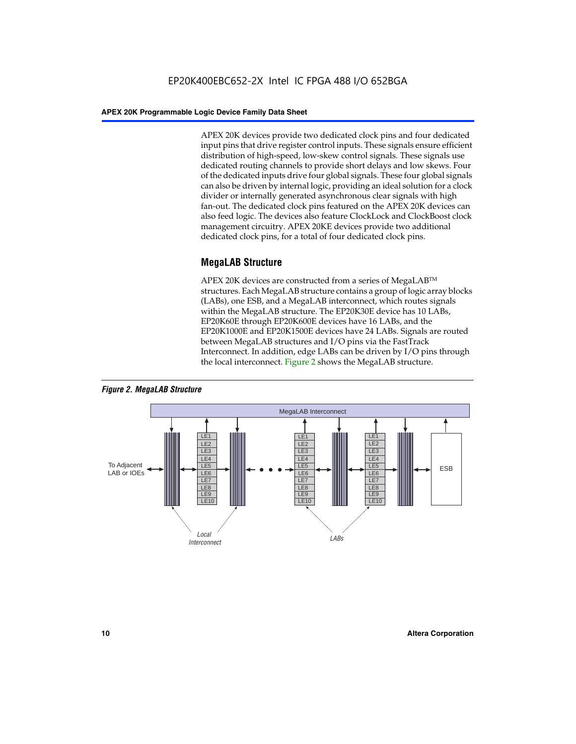APEX 20K devices provide two dedicated clock pins and four dedicated input pins that drive register control inputs. These signals ensure efficient distribution of high-speed, low-skew control signals. These signals use dedicated routing channels to provide short delays and low skews. Four of the dedicated inputs drive four global signals. These four global signals can also be driven by internal logic, providing an ideal solution for a clock divider or internally generated asynchronous clear signals with high fan-out. The dedicated clock pins featured on the APEX 20K devices can also feed logic. The devices also feature ClockLock and ClockBoost clock management circuitry. APEX 20KE devices provide two additional dedicated clock pins, for a total of four dedicated clock pins.

#### **MegaLAB Structure**

APEX 20K devices are constructed from a series of MegaLAB<sup>™</sup> structures. Each MegaLAB structure contains a group of logic array blocks (LABs), one ESB, and a MegaLAB interconnect, which routes signals within the MegaLAB structure. The EP20K30E device has 10 LABs, EP20K60E through EP20K600E devices have 16 LABs, and the EP20K1000E and EP20K1500E devices have 24 LABs. Signals are routed between MegaLAB structures and I/O pins via the FastTrack Interconnect. In addition, edge LABs can be driven by I/O pins through the local interconnect. Figure 2 shows the MegaLAB structure.



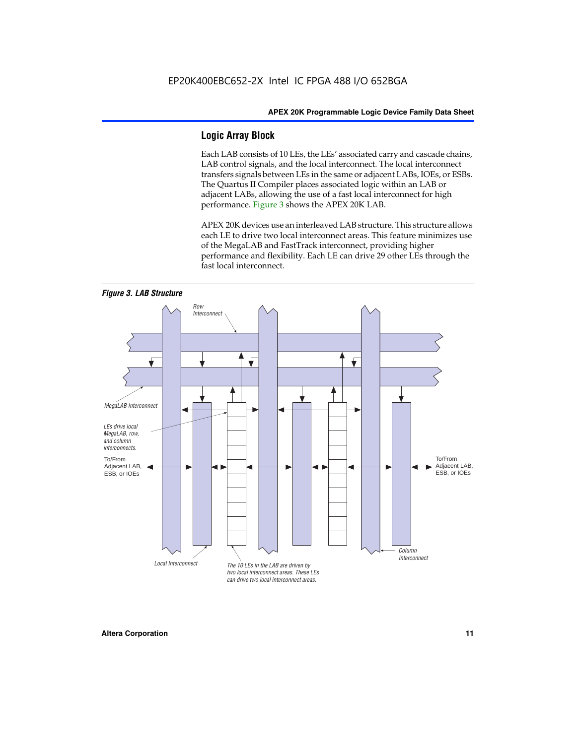#### **Logic Array Block**

Each LAB consists of 10 LEs, the LEs' associated carry and cascade chains, LAB control signals, and the local interconnect. The local interconnect transfers signals between LEs in the same or adjacent LABs, IOEs, or ESBs. The Quartus II Compiler places associated logic within an LAB or adjacent LABs, allowing the use of a fast local interconnect for high performance. Figure 3 shows the APEX 20K LAB.

APEX 20K devices use an interleaved LAB structure. This structure allows each LE to drive two local interconnect areas. This feature minimizes use of the MegaLAB and FastTrack interconnect, providing higher performance and flexibility. Each LE can drive 29 other LEs through the fast local interconnect.

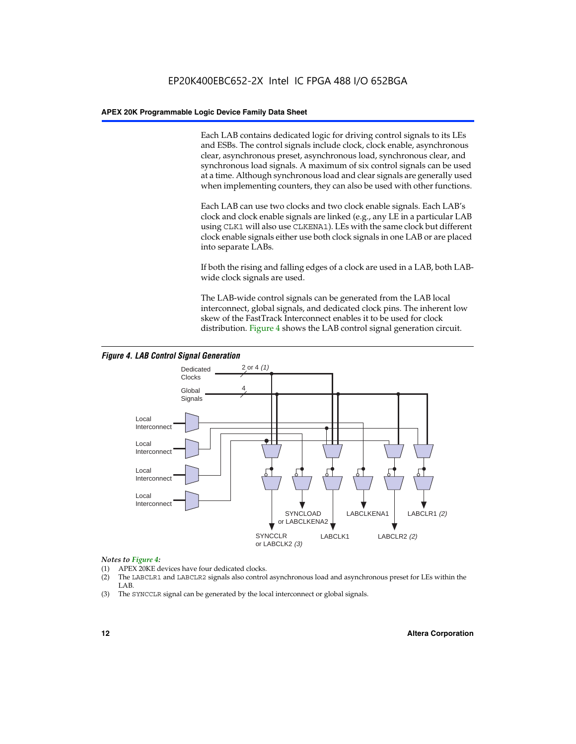Each LAB contains dedicated logic for driving control signals to its LEs and ESBs. The control signals include clock, clock enable, asynchronous clear, asynchronous preset, asynchronous load, synchronous clear, and synchronous load signals. A maximum of six control signals can be used at a time. Although synchronous load and clear signals are generally used when implementing counters, they can also be used with other functions.

Each LAB can use two clocks and two clock enable signals. Each LAB's clock and clock enable signals are linked (e.g., any LE in a particular LAB using CLK1 will also use CLKENA1). LEs with the same clock but different clock enable signals either use both clock signals in one LAB or are placed into separate LABs.

If both the rising and falling edges of a clock are used in a LAB, both LABwide clock signals are used.

The LAB-wide control signals can be generated from the LAB local interconnect, global signals, and dedicated clock pins. The inherent low skew of the FastTrack Interconnect enables it to be used for clock distribution. Figure 4 shows the LAB control signal generation circuit.



#### *Figure 4. LAB Control Signal Generation*

#### *Notes to Figure 4:*

- (1) APEX 20KE devices have four dedicated clocks.
- (2) The LABCLR1 and LABCLR2 signals also control asynchronous load and asynchronous preset for LEs within the LAB.
- (3) The SYNCCLR signal can be generated by the local interconnect or global signals.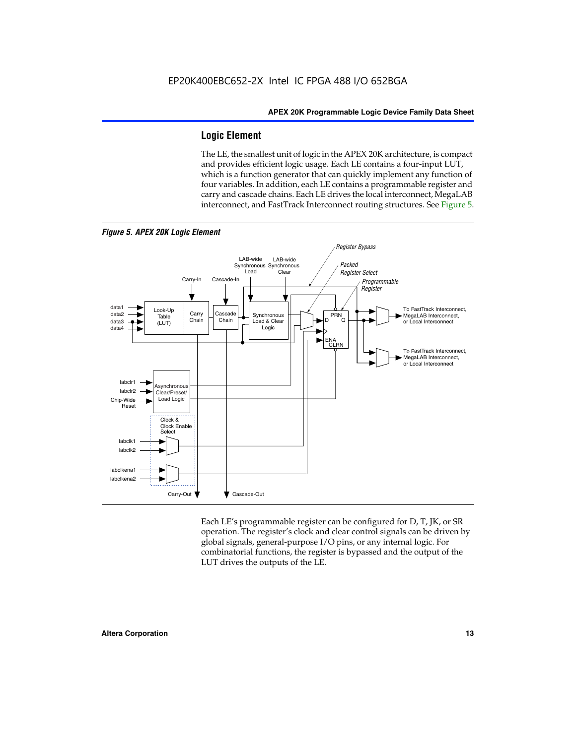#### **Logic Element**

The LE, the smallest unit of logic in the APEX 20K architecture, is compact and provides efficient logic usage. Each LE contains a four-input LUT, which is a function generator that can quickly implement any function of four variables. In addition, each LE contains a programmable register and carry and cascade chains. Each LE drives the local interconnect, MegaLAB interconnect, and FastTrack Interconnect routing structures. See Figure 5.



*Figure 5. APEX 20K Logic Element*

Each LE's programmable register can be configured for D, T, JK, or SR operation. The register's clock and clear control signals can be driven by global signals, general-purpose I/O pins, or any internal logic. For combinatorial functions, the register is bypassed and the output of the LUT drives the outputs of the LE.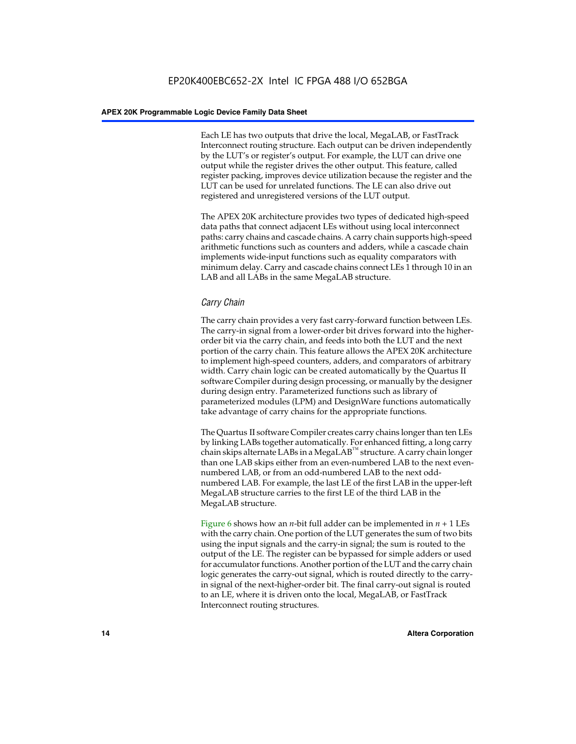Each LE has two outputs that drive the local, MegaLAB, or FastTrack Interconnect routing structure. Each output can be driven independently by the LUT's or register's output. For example, the LUT can drive one output while the register drives the other output. This feature, called register packing, improves device utilization because the register and the LUT can be used for unrelated functions. The LE can also drive out registered and unregistered versions of the LUT output.

The APEX 20K architecture provides two types of dedicated high-speed data paths that connect adjacent LEs without using local interconnect paths: carry chains and cascade chains. A carry chain supports high-speed arithmetic functions such as counters and adders, while a cascade chain implements wide-input functions such as equality comparators with minimum delay. Carry and cascade chains connect LEs 1 through 10 in an LAB and all LABs in the same MegaLAB structure.

#### *Carry Chain*

The carry chain provides a very fast carry-forward function between LEs. The carry-in signal from a lower-order bit drives forward into the higherorder bit via the carry chain, and feeds into both the LUT and the next portion of the carry chain. This feature allows the APEX 20K architecture to implement high-speed counters, adders, and comparators of arbitrary width. Carry chain logic can be created automatically by the Quartus II software Compiler during design processing, or manually by the designer during design entry. Parameterized functions such as library of parameterized modules (LPM) and DesignWare functions automatically take advantage of carry chains for the appropriate functions.

The Quartus II software Compiler creates carry chains longer than ten LEs by linking LABs together automatically. For enhanced fitting, a long carry chain skips alternate LABs in a MegaLAB<sup>™</sup> structure. A carry chain longer than one LAB skips either from an even-numbered LAB to the next evennumbered LAB, or from an odd-numbered LAB to the next oddnumbered LAB. For example, the last LE of the first LAB in the upper-left MegaLAB structure carries to the first LE of the third LAB in the MegaLAB structure.

Figure 6 shows how an *n*-bit full adder can be implemented in *n* + 1 LEs with the carry chain. One portion of the LUT generates the sum of two bits using the input signals and the carry-in signal; the sum is routed to the output of the LE. The register can be bypassed for simple adders or used for accumulator functions. Another portion of the LUT and the carry chain logic generates the carry-out signal, which is routed directly to the carryin signal of the next-higher-order bit. The final carry-out signal is routed to an LE, where it is driven onto the local, MegaLAB, or FastTrack Interconnect routing structures.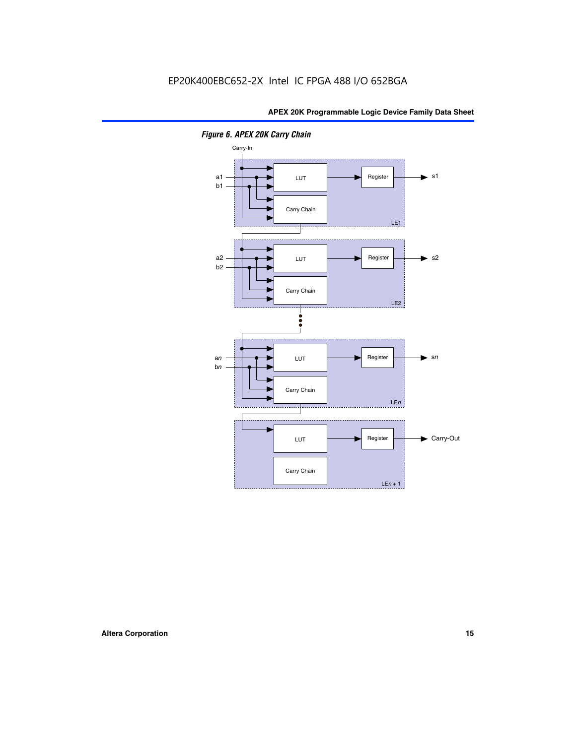

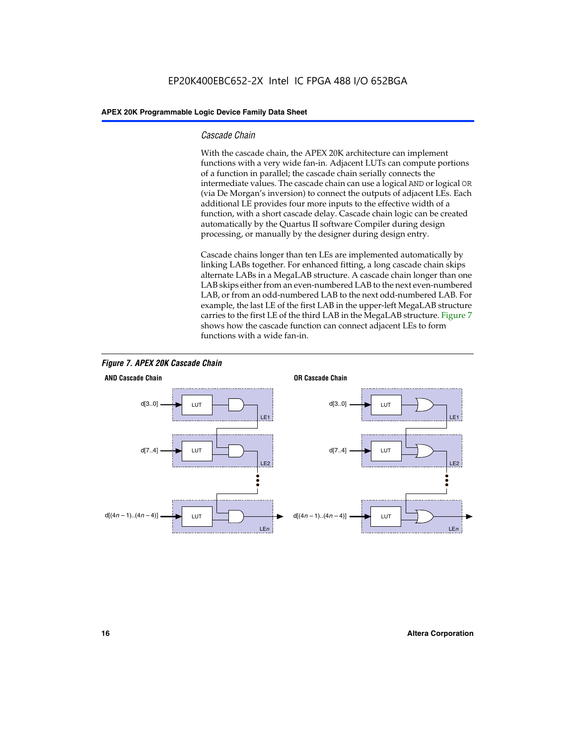#### *Cascade Chain*

With the cascade chain, the APEX 20K architecture can implement functions with a very wide fan-in. Adjacent LUTs can compute portions of a function in parallel; the cascade chain serially connects the intermediate values. The cascade chain can use a logical AND or logical OR (via De Morgan's inversion) to connect the outputs of adjacent LEs. Each additional LE provides four more inputs to the effective width of a function, with a short cascade delay. Cascade chain logic can be created automatically by the Quartus II software Compiler during design processing, or manually by the designer during design entry.

Cascade chains longer than ten LEs are implemented automatically by linking LABs together. For enhanced fitting, a long cascade chain skips alternate LABs in a MegaLAB structure. A cascade chain longer than one LAB skips either from an even-numbered LAB to the next even-numbered LAB, or from an odd-numbered LAB to the next odd-numbered LAB. For example, the last LE of the first LAB in the upper-left MegaLAB structure carries to the first LE of the third LAB in the MegaLAB structure. Figure 7 shows how the cascade function can connect adjacent LEs to form functions with a wide fan-in.



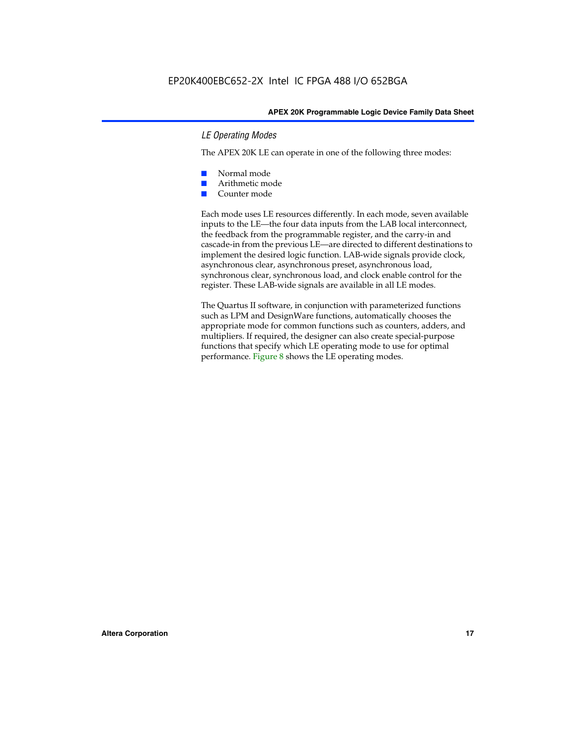#### *LE Operating Modes*

The APEX 20K LE can operate in one of the following three modes:

- Normal mode
- Arithmetic mode
- Counter mode

Each mode uses LE resources differently. In each mode, seven available inputs to the LE—the four data inputs from the LAB local interconnect, the feedback from the programmable register, and the carry-in and cascade-in from the previous LE—are directed to different destinations to implement the desired logic function. LAB-wide signals provide clock, asynchronous clear, asynchronous preset, asynchronous load, synchronous clear, synchronous load, and clock enable control for the register. These LAB-wide signals are available in all LE modes.

The Quartus II software, in conjunction with parameterized functions such as LPM and DesignWare functions, automatically chooses the appropriate mode for common functions such as counters, adders, and multipliers. If required, the designer can also create special-purpose functions that specify which LE operating mode to use for optimal performance. Figure 8 shows the LE operating modes.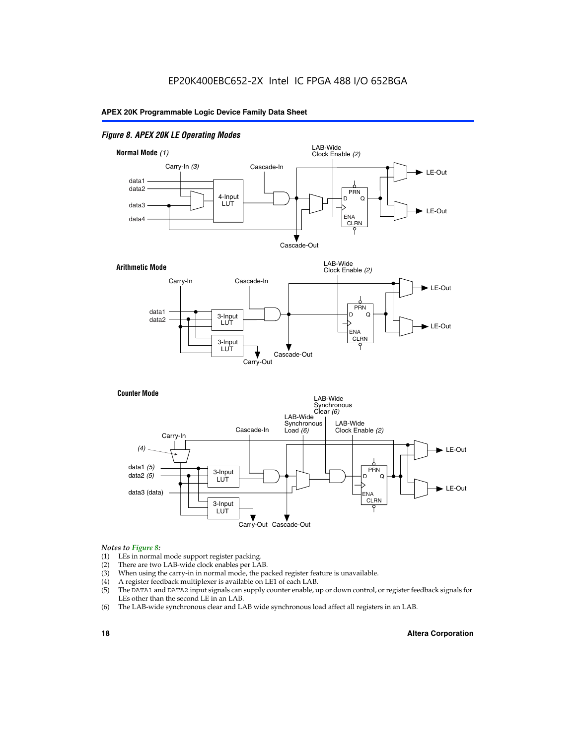#### *Figure 8. APEX 20K LE Operating Modes*



#### *Notes to Figure 8:*

- (1) LEs in normal mode support register packing.
- (2) There are two LAB-wide clock enables per LAB.
- (3) When using the carry-in in normal mode, the packed register feature is unavailable.
- (4) A register feedback multiplexer is available on LE1 of each LAB.
- (5) The DATA1 and DATA2 input signals can supply counter enable, up or down control, or register feedback signals for LEs other than the second LE in an LAB.
- (6) The LAB-wide synchronous clear and LAB wide synchronous load affect all registers in an LAB.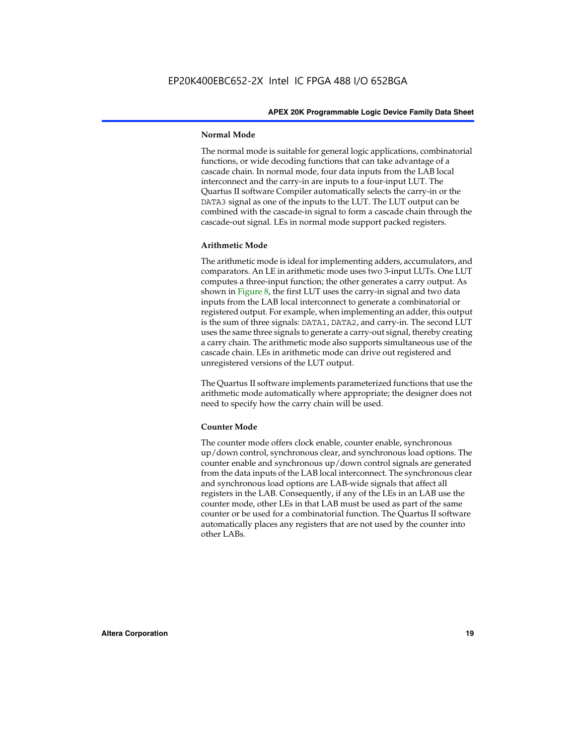#### **Normal Mode**

The normal mode is suitable for general logic applications, combinatorial functions, or wide decoding functions that can take advantage of a cascade chain. In normal mode, four data inputs from the LAB local interconnect and the carry-in are inputs to a four-input LUT. The Quartus II software Compiler automatically selects the carry-in or the DATA3 signal as one of the inputs to the LUT. The LUT output can be combined with the cascade-in signal to form a cascade chain through the cascade-out signal. LEs in normal mode support packed registers.

#### **Arithmetic Mode**

The arithmetic mode is ideal for implementing adders, accumulators, and comparators. An LE in arithmetic mode uses two 3-input LUTs. One LUT computes a three-input function; the other generates a carry output. As shown in Figure 8, the first LUT uses the carry-in signal and two data inputs from the LAB local interconnect to generate a combinatorial or registered output. For example, when implementing an adder, this output is the sum of three signals: DATA1, DATA2, and carry-in. The second LUT uses the same three signals to generate a carry-out signal, thereby creating a carry chain. The arithmetic mode also supports simultaneous use of the cascade chain. LEs in arithmetic mode can drive out registered and unregistered versions of the LUT output.

The Quartus II software implements parameterized functions that use the arithmetic mode automatically where appropriate; the designer does not need to specify how the carry chain will be used.

#### **Counter Mode**

The counter mode offers clock enable, counter enable, synchronous up/down control, synchronous clear, and synchronous load options. The counter enable and synchronous up/down control signals are generated from the data inputs of the LAB local interconnect. The synchronous clear and synchronous load options are LAB-wide signals that affect all registers in the LAB. Consequently, if any of the LEs in an LAB use the counter mode, other LEs in that LAB must be used as part of the same counter or be used for a combinatorial function. The Quartus II software automatically places any registers that are not used by the counter into other LABs.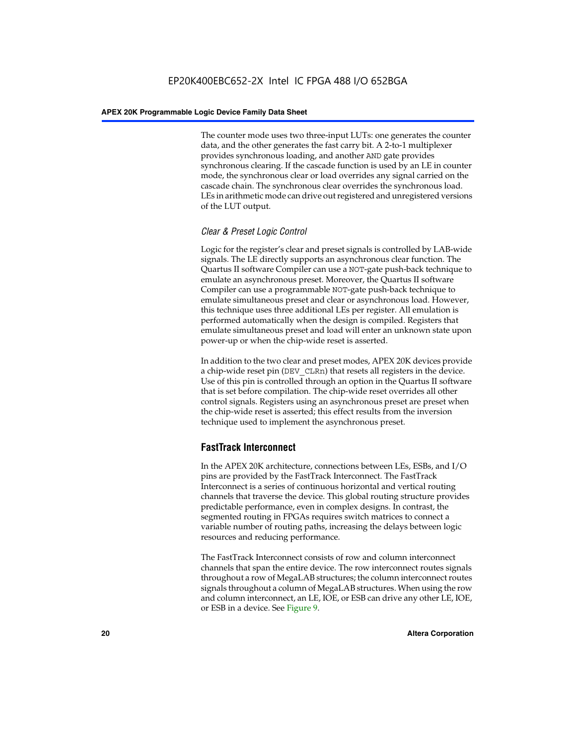The counter mode uses two three-input LUTs: one generates the counter data, and the other generates the fast carry bit. A 2-to-1 multiplexer provides synchronous loading, and another AND gate provides synchronous clearing. If the cascade function is used by an LE in counter mode, the synchronous clear or load overrides any signal carried on the cascade chain. The synchronous clear overrides the synchronous load. LEs in arithmetic mode can drive out registered and unregistered versions of the LUT output.

#### *Clear & Preset Logic Control*

Logic for the register's clear and preset signals is controlled by LAB-wide signals. The LE directly supports an asynchronous clear function. The Quartus II software Compiler can use a NOT-gate push-back technique to emulate an asynchronous preset. Moreover, the Quartus II software Compiler can use a programmable NOT-gate push-back technique to emulate simultaneous preset and clear or asynchronous load. However, this technique uses three additional LEs per register. All emulation is performed automatically when the design is compiled. Registers that emulate simultaneous preset and load will enter an unknown state upon power-up or when the chip-wide reset is asserted.

In addition to the two clear and preset modes, APEX 20K devices provide a chip-wide reset pin (DEV\_CLRn) that resets all registers in the device. Use of this pin is controlled through an option in the Quartus II software that is set before compilation. The chip-wide reset overrides all other control signals. Registers using an asynchronous preset are preset when the chip-wide reset is asserted; this effect results from the inversion technique used to implement the asynchronous preset.

#### **FastTrack Interconnect**

In the APEX 20K architecture, connections between LEs, ESBs, and I/O pins are provided by the FastTrack Interconnect. The FastTrack Interconnect is a series of continuous horizontal and vertical routing channels that traverse the device. This global routing structure provides predictable performance, even in complex designs. In contrast, the segmented routing in FPGAs requires switch matrices to connect a variable number of routing paths, increasing the delays between logic resources and reducing performance.

The FastTrack Interconnect consists of row and column interconnect channels that span the entire device. The row interconnect routes signals throughout a row of MegaLAB structures; the column interconnect routes signals throughout a column of MegaLAB structures. When using the row and column interconnect, an LE, IOE, or ESB can drive any other LE, IOE, or ESB in a device. See Figure 9.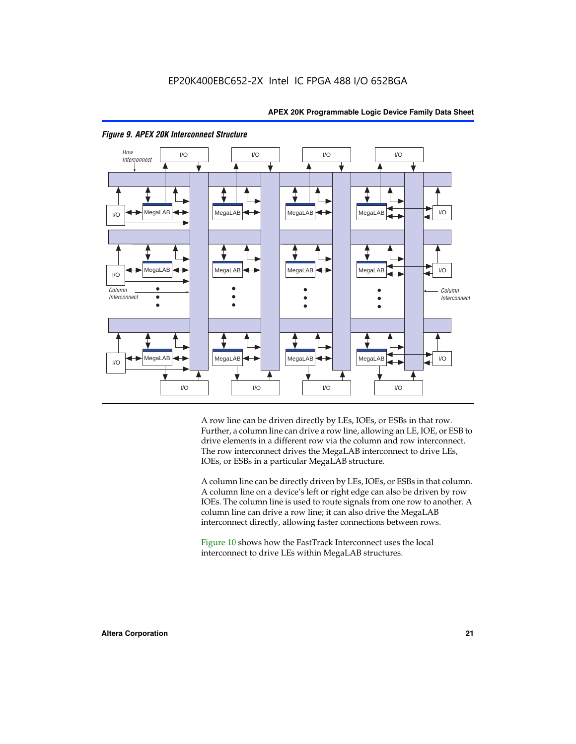



#### *Figure 9. APEX 20K Interconnect Structure*

A row line can be driven directly by LEs, IOEs, or ESBs in that row. Further, a column line can drive a row line, allowing an LE, IOE, or ESB to drive elements in a different row via the column and row interconnect. The row interconnect drives the MegaLAB interconnect to drive LEs, IOEs, or ESBs in a particular MegaLAB structure.

A column line can be directly driven by LEs, IOEs, or ESBs in that column. A column line on a device's left or right edge can also be driven by row IOEs. The column line is used to route signals from one row to another. A column line can drive a row line; it can also drive the MegaLAB interconnect directly, allowing faster connections between rows.

Figure 10 shows how the FastTrack Interconnect uses the local interconnect to drive LEs within MegaLAB structures.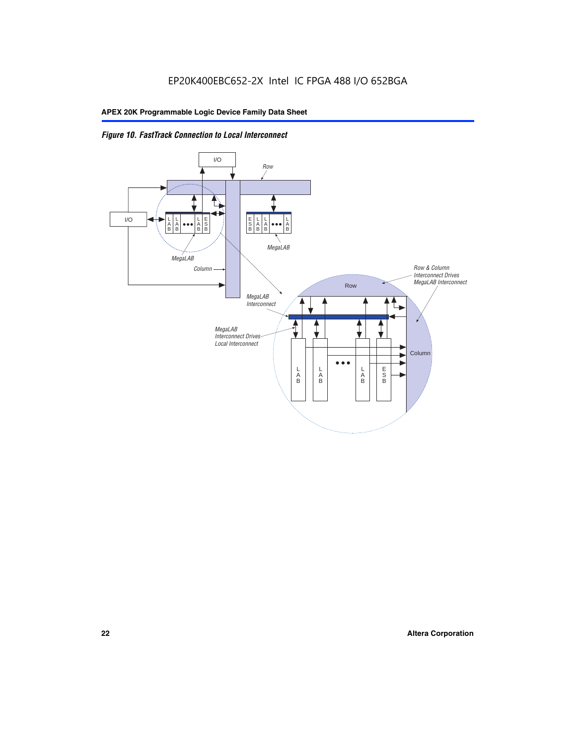

*Figure 10. FastTrack Connection to Local Interconnect*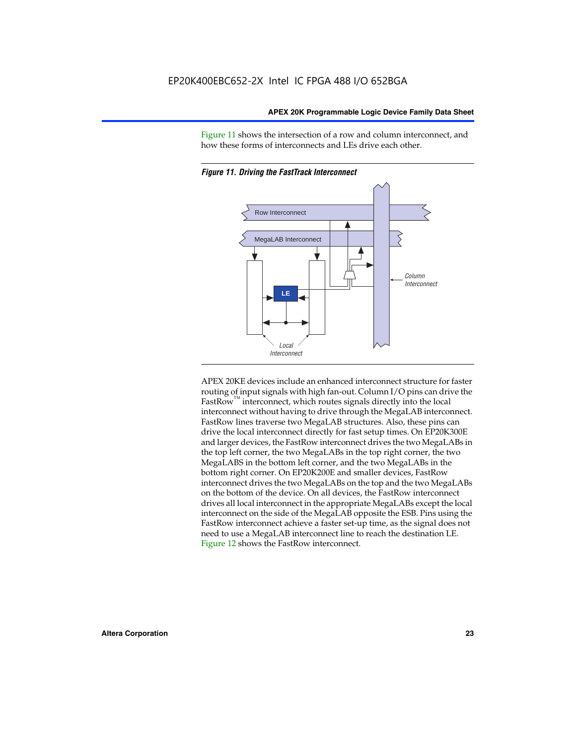Figure 11 shows the intersection of a row and column interconnect, and how these forms of interconnects and LEs drive each other.





APEX 20KE devices include an enhanced interconnect structure for faster routing of input signals with high fan-out. Column I/O pins can drive the FastRow<sup>™</sup> interconnect, which routes signals directly into the local interconnect without having to drive through the MegaLAB interconnect. FastRow lines traverse two MegaLAB structures. Also, these pins can drive the local interconnect directly for fast setup times. On EP20K300E and larger devices, the FastRow interconnect drives the two MegaLABs in the top left corner, the two MegaLABs in the top right corner, the two MegaLABS in the bottom left corner, and the two MegaLABs in the bottom right corner. On EP20K200E and smaller devices, FastRow interconnect drives the two MegaLABs on the top and the two MegaLABs on the bottom of the device. On all devices, the FastRow interconnect drives all local interconnect in the appropriate MegaLABs except the local interconnect on the side of the MegaLAB opposite the ESB. Pins using the FastRow interconnect achieve a faster set-up time, as the signal does not need to use a MegaLAB interconnect line to reach the destination LE. Figure 12 shows the FastRow interconnect.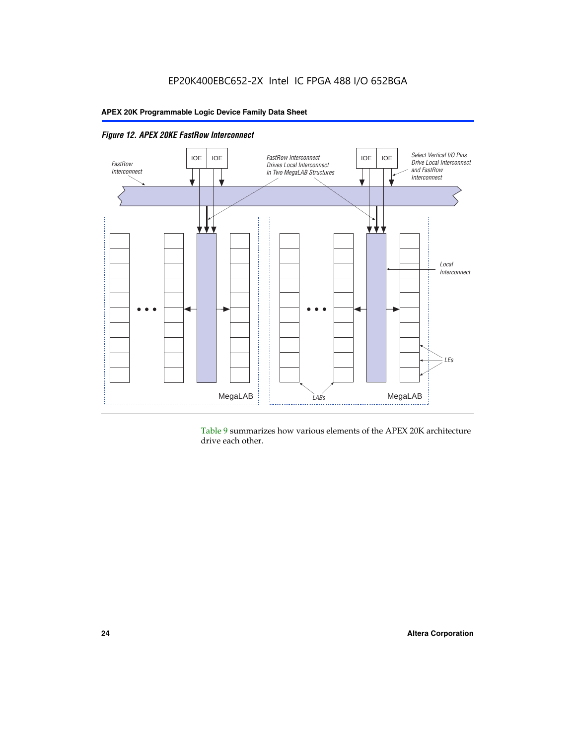

Table 9 summarizes how various elements of the APEX 20K architecture drive each other.

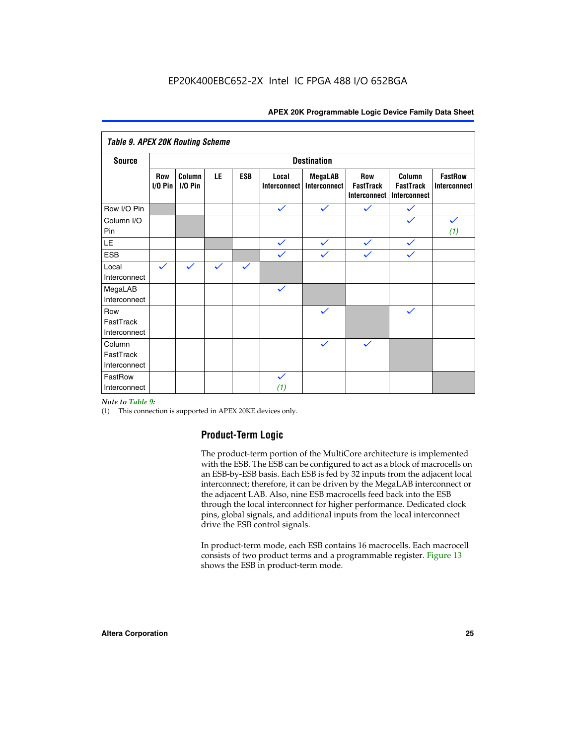| <b>Table 9. APEX 20K Routing Scheme</b> |                  |                      |              |              |                              |                                |                                                |                                            |                                       |
|-----------------------------------------|------------------|----------------------|--------------|--------------|------------------------------|--------------------------------|------------------------------------------------|--------------------------------------------|---------------------------------------|
| <b>Source</b>                           |                  |                      |              |              |                              | <b>Destination</b>             |                                                |                                            |                                       |
|                                         | Row<br>$1/0$ Pin | Column<br>$I/O P$ in | LE           | <b>ESB</b>   | Local<br><b>Interconnect</b> | <b>MegaLAB</b><br>Interconnect | Row<br><b>FastTrack</b><br><b>Interconnect</b> | Column<br><b>FastTrack</b><br>Interconnect | <b>FastRow</b><br><b>Interconnect</b> |
| Row I/O Pin                             |                  |                      |              |              | $\checkmark$                 | $\checkmark$                   | $\checkmark$                                   | $\checkmark$                               |                                       |
| Column I/O<br>Pin                       |                  |                      |              |              |                              |                                |                                                | $\checkmark$                               | $\checkmark$<br>(1)                   |
| LE                                      |                  |                      |              |              | $\checkmark$                 | $\checkmark$                   | $\checkmark$                                   | $\checkmark$                               |                                       |
| <b>ESB</b>                              |                  |                      |              |              | $\checkmark$                 | $\checkmark$                   | $\checkmark$                                   | $\checkmark$                               |                                       |
| Local<br>Interconnect                   | $\checkmark$     | $\checkmark$         | $\checkmark$ | $\checkmark$ |                              |                                |                                                |                                            |                                       |
| MegaLAB<br>Interconnect                 |                  |                      |              |              | $\checkmark$                 |                                |                                                |                                            |                                       |
| Row<br>FastTrack<br>Interconnect        |                  |                      |              |              |                              | $\checkmark$                   |                                                | $\checkmark$                               |                                       |
| Column<br>FastTrack<br>Interconnect     |                  |                      |              |              |                              | $\checkmark$                   | $\checkmark$                                   |                                            |                                       |
| FastRow<br>Interconnect                 |                  |                      |              |              | $\checkmark$<br>(1)          |                                |                                                |                                            |                                       |

#### *Note to Table 9:*

(1) This connection is supported in APEX 20KE devices only.

#### **Product-Term Logic**

The product-term portion of the MultiCore architecture is implemented with the ESB. The ESB can be configured to act as a block of macrocells on an ESB-by-ESB basis. Each ESB is fed by 32 inputs from the adjacent local interconnect; therefore, it can be driven by the MegaLAB interconnect or the adjacent LAB. Also, nine ESB macrocells feed back into the ESB through the local interconnect for higher performance. Dedicated clock pins, global signals, and additional inputs from the local interconnect drive the ESB control signals.

In product-term mode, each ESB contains 16 macrocells. Each macrocell consists of two product terms and a programmable register. Figure 13 shows the ESB in product-term mode.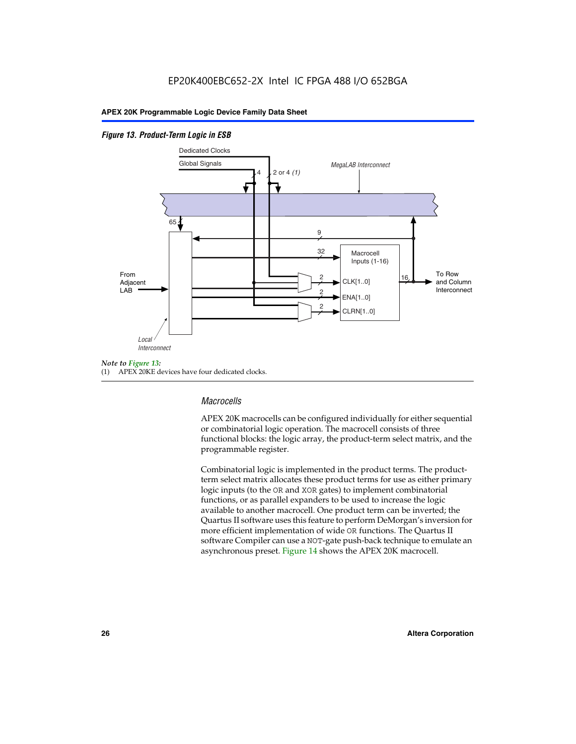#### *Figure 13. Product-Term Logic in ESB*



(1) APEX 20KE devices have four dedicated clocks.

#### *Macrocells*

APEX 20K macrocells can be configured individually for either sequential or combinatorial logic operation. The macrocell consists of three functional blocks: the logic array, the product-term select matrix, and the programmable register.

Combinatorial logic is implemented in the product terms. The productterm select matrix allocates these product terms for use as either primary logic inputs (to the OR and XOR gates) to implement combinatorial functions, or as parallel expanders to be used to increase the logic available to another macrocell. One product term can be inverted; the Quartus II software uses this feature to perform DeMorgan's inversion for more efficient implementation of wide OR functions. The Quartus II software Compiler can use a NOT-gate push-back technique to emulate an asynchronous preset. Figure 14 shows the APEX 20K macrocell.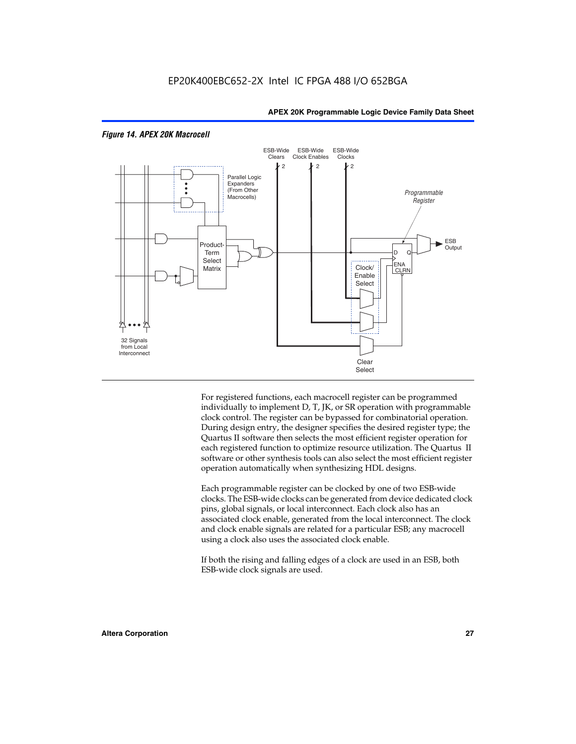

#### *Figure 14. APEX 20K Macrocell*

For registered functions, each macrocell register can be programmed individually to implement D, T, JK, or SR operation with programmable clock control. The register can be bypassed for combinatorial operation. During design entry, the designer specifies the desired register type; the Quartus II software then selects the most efficient register operation for each registered function to optimize resource utilization. The Quartus II software or other synthesis tools can also select the most efficient register operation automatically when synthesizing HDL designs.

Each programmable register can be clocked by one of two ESB-wide clocks. The ESB-wide clocks can be generated from device dedicated clock pins, global signals, or local interconnect. Each clock also has an associated clock enable, generated from the local interconnect. The clock and clock enable signals are related for a particular ESB; any macrocell using a clock also uses the associated clock enable.

If both the rising and falling edges of a clock are used in an ESB, both ESB-wide clock signals are used.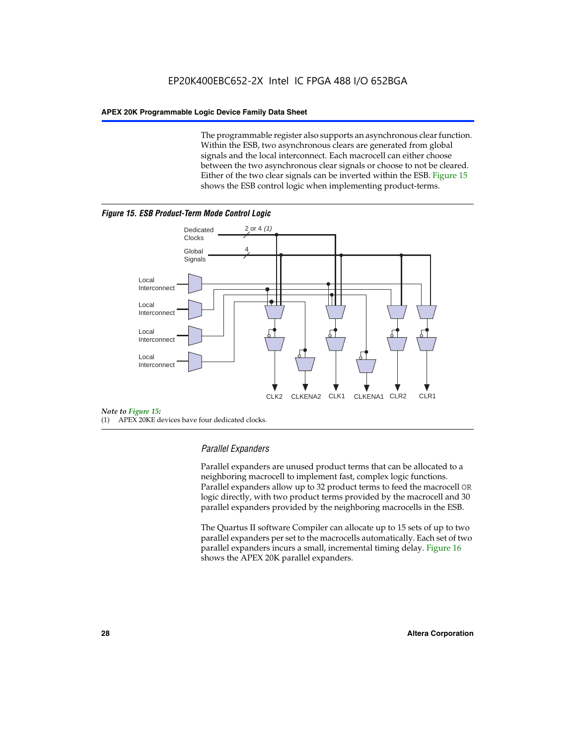The programmable register also supports an asynchronous clear function. Within the ESB, two asynchronous clears are generated from global signals and the local interconnect. Each macrocell can either choose between the two asynchronous clear signals or choose to not be cleared. Either of the two clear signals can be inverted within the ESB. Figure 15 shows the ESB control logic when implementing product-terms.





(1) APEX 20KE devices have four dedicated clocks.

#### *Parallel Expanders*

Parallel expanders are unused product terms that can be allocated to a neighboring macrocell to implement fast, complex logic functions. Parallel expanders allow up to 32 product terms to feed the macrocell OR logic directly, with two product terms provided by the macrocell and 30 parallel expanders provided by the neighboring macrocells in the ESB.

The Quartus II software Compiler can allocate up to 15 sets of up to two parallel expanders per set to the macrocells automatically. Each set of two parallel expanders incurs a small, incremental timing delay. Figure 16 shows the APEX 20K parallel expanders.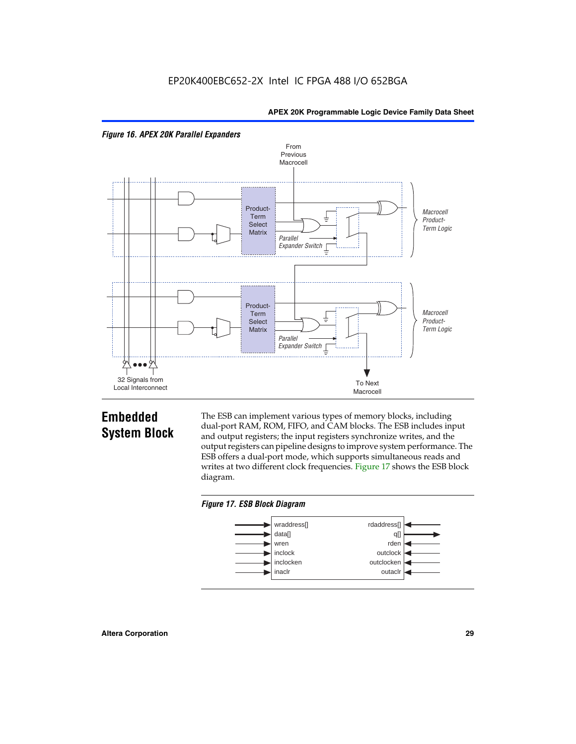



## **Embedded System Block**

The ESB can implement various types of memory blocks, including dual-port RAM, ROM, FIFO, and CAM blocks. The ESB includes input and output registers; the input registers synchronize writes, and the output registers can pipeline designs to improve system performance. The ESB offers a dual-port mode, which supports simultaneous reads and writes at two different clock frequencies. Figure 17 shows the ESB block diagram.



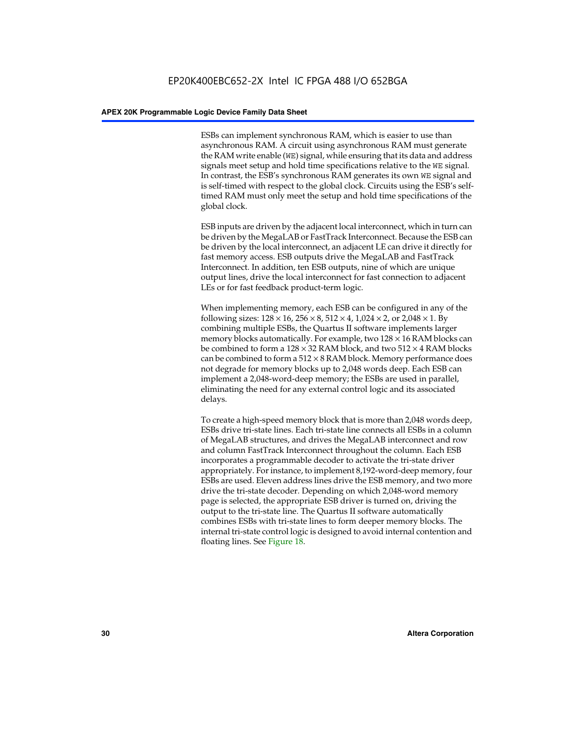ESBs can implement synchronous RAM, which is easier to use than asynchronous RAM. A circuit using asynchronous RAM must generate the RAM write enable (WE) signal, while ensuring that its data and address signals meet setup and hold time specifications relative to the WE signal. In contrast, the ESB's synchronous RAM generates its own WE signal and is self-timed with respect to the global clock. Circuits using the ESB's selftimed RAM must only meet the setup and hold time specifications of the global clock.

ESB inputs are driven by the adjacent local interconnect, which in turn can be driven by the MegaLAB or FastTrack Interconnect. Because the ESB can be driven by the local interconnect, an adjacent LE can drive it directly for fast memory access. ESB outputs drive the MegaLAB and FastTrack Interconnect. In addition, ten ESB outputs, nine of which are unique output lines, drive the local interconnect for fast connection to adjacent LEs or for fast feedback product-term logic.

When implementing memory, each ESB can be configured in any of the following sizes:  $128 \times 16$ ,  $256 \times 8$ ,  $512 \times 4$ ,  $1,024 \times 2$ , or  $2,048 \times 1$ . By combining multiple ESBs, the Quartus II software implements larger memory blocks automatically. For example, two  $128 \times 16$  RAM blocks can be combined to form a  $128 \times 32$  RAM block, and two  $512 \times 4$  RAM blocks can be combined to form a  $512 \times 8$  RAM block. Memory performance does not degrade for memory blocks up to 2,048 words deep. Each ESB can implement a 2,048-word-deep memory; the ESBs are used in parallel, eliminating the need for any external control logic and its associated delays.

To create a high-speed memory block that is more than 2,048 words deep, ESBs drive tri-state lines. Each tri-state line connects all ESBs in a column of MegaLAB structures, and drives the MegaLAB interconnect and row and column FastTrack Interconnect throughout the column. Each ESB incorporates a programmable decoder to activate the tri-state driver appropriately. For instance, to implement 8,192-word-deep memory, four ESBs are used. Eleven address lines drive the ESB memory, and two more drive the tri-state decoder. Depending on which 2,048-word memory page is selected, the appropriate ESB driver is turned on, driving the output to the tri-state line. The Quartus II software automatically combines ESBs with tri-state lines to form deeper memory blocks. The internal tri-state control logic is designed to avoid internal contention and floating lines. See Figure 18.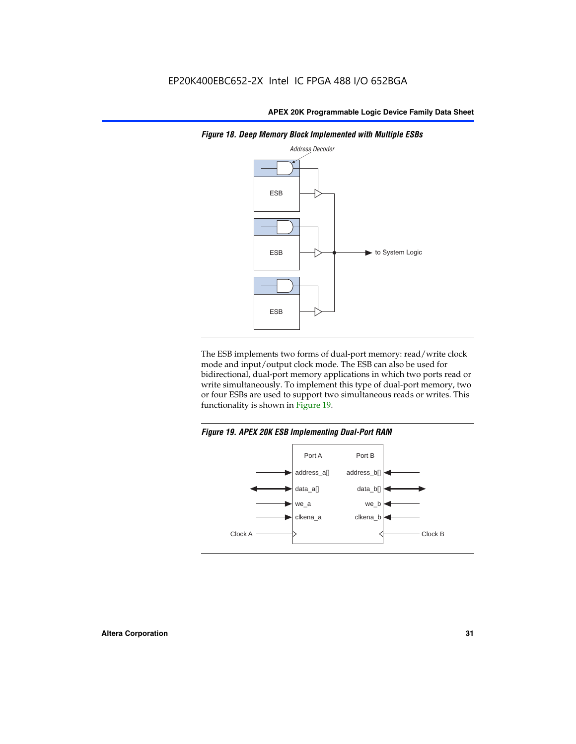

*Figure 18. Deep Memory Block Implemented with Multiple ESBs*

The ESB implements two forms of dual-port memory: read/write clock mode and input/output clock mode. The ESB can also be used for bidirectional, dual-port memory applications in which two ports read or write simultaneously. To implement this type of dual-port memory, two or four ESBs are used to support two simultaneous reads or writes. This functionality is shown in Figure 19.

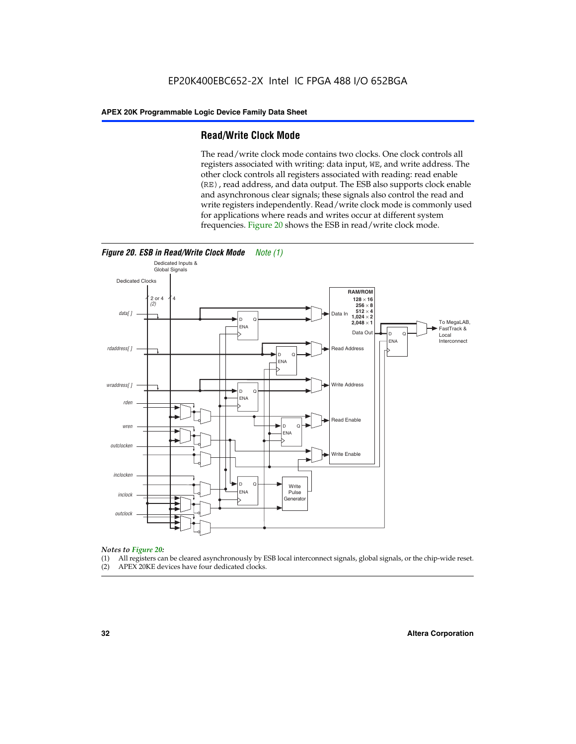#### **Read/Write Clock Mode**

The read/write clock mode contains two clocks. One clock controls all registers associated with writing: data input, WE, and write address. The other clock controls all registers associated with reading: read enable (RE), read address, and data output. The ESB also supports clock enable and asynchronous clear signals; these signals also control the read and write registers independently. Read/write clock mode is commonly used for applications where reads and writes occur at different system frequencies. Figure 20 shows the ESB in read/write clock mode.



## *Notes to Figure 20:*

- (1) All registers can be cleared asynchronously by ESB local interconnect signals, global signals, or the chip-wide reset.
- (2) APEX 20KE devices have four dedicated clocks.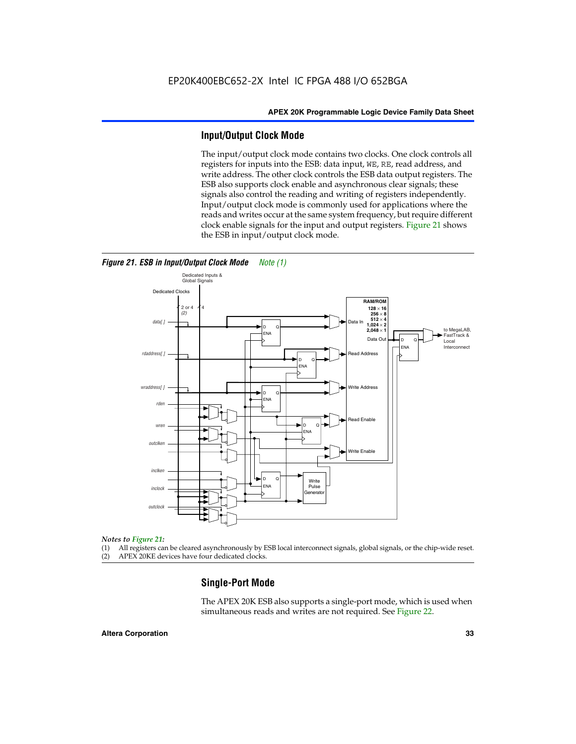#### **Input/Output Clock Mode**

The input/output clock mode contains two clocks. One clock controls all registers for inputs into the ESB: data input, WE, RE, read address, and write address. The other clock controls the ESB data output registers. The ESB also supports clock enable and asynchronous clear signals; these signals also control the reading and writing of registers independently. Input/output clock mode is commonly used for applications where the reads and writes occur at the same system frequency, but require different clock enable signals for the input and output registers. Figure 21 shows the ESB in input/output clock mode.



#### *Figure 21. ESB in Input/Output Clock Mode Note (1)*

#### *Notes to Figure 21:*

(1) All registers can be cleared asynchronously by ESB local interconnect signals, global signals, or the chip-wide reset.

(2) APEX 20KE devices have four dedicated clocks.

#### **Single-Port Mode**

The APEX 20K ESB also supports a single-port mode, which is used when simultaneous reads and writes are not required. See Figure 22.

#### **Altera Corporation 33**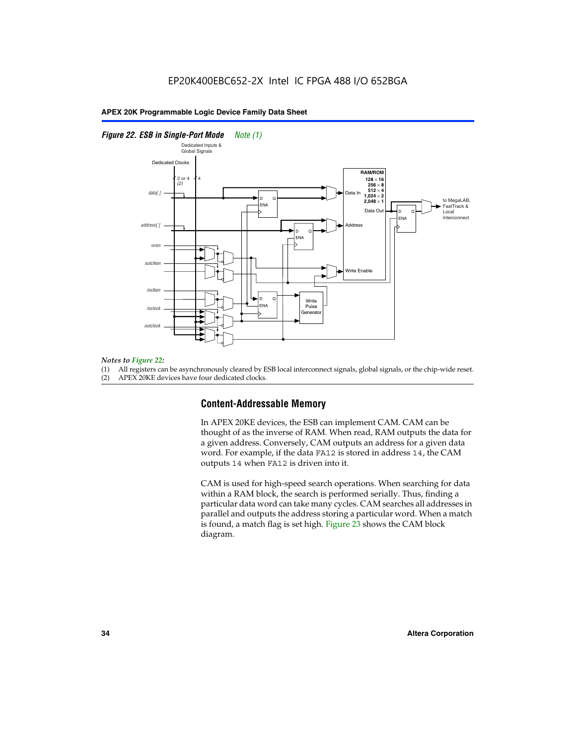#### *Figure 22. ESB in Single-Port Mode Note (1)*



#### *Notes to Figure 22:*

(1) All registers can be asynchronously cleared by ESB local interconnect signals, global signals, or the chip-wide reset.

(2) APEX 20KE devices have four dedicated clocks.

#### **Content-Addressable Memory**

In APEX 20KE devices, the ESB can implement CAM. CAM can be thought of as the inverse of RAM. When read, RAM outputs the data for a given address. Conversely, CAM outputs an address for a given data word. For example, if the data FA12 is stored in address 14, the CAM outputs 14 when FA12 is driven into it.

CAM is used for high-speed search operations. When searching for data within a RAM block, the search is performed serially. Thus, finding a particular data word can take many cycles. CAM searches all addresses in parallel and outputs the address storing a particular word. When a match is found, a match flag is set high. Figure 23 shows the CAM block diagram.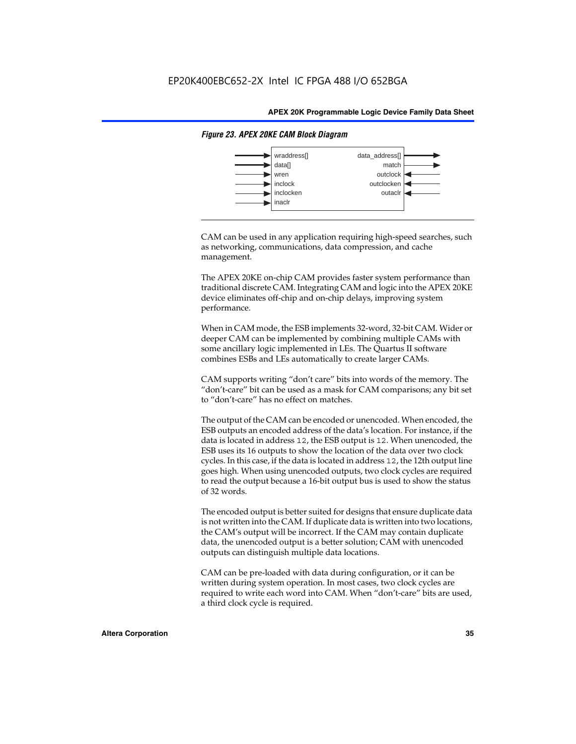

#### *Figure 23. APEX 20KE CAM Block Diagram*

CAM can be used in any application requiring high-speed searches, such as networking, communications, data compression, and cache management.

The APEX 20KE on-chip CAM provides faster system performance than traditional discrete CAM. Integrating CAM and logic into the APEX 20KE device eliminates off-chip and on-chip delays, improving system performance.

When in CAM mode, the ESB implements 32-word, 32-bit CAM. Wider or deeper CAM can be implemented by combining multiple CAMs with some ancillary logic implemented in LEs. The Quartus II software combines ESBs and LEs automatically to create larger CAMs.

CAM supports writing "don't care" bits into words of the memory. The "don't-care" bit can be used as a mask for CAM comparisons; any bit set to "don't-care" has no effect on matches.

The output of the CAM can be encoded or unencoded. When encoded, the ESB outputs an encoded address of the data's location. For instance, if the data is located in address 12, the ESB output is 12. When unencoded, the ESB uses its 16 outputs to show the location of the data over two clock cycles. In this case, if the data is located in address 12, the 12th output line goes high. When using unencoded outputs, two clock cycles are required to read the output because a 16-bit output bus is used to show the status of 32 words.

The encoded output is better suited for designs that ensure duplicate data is not written into the CAM. If duplicate data is written into two locations, the CAM's output will be incorrect. If the CAM may contain duplicate data, the unencoded output is a better solution; CAM with unencoded outputs can distinguish multiple data locations.

CAM can be pre-loaded with data during configuration, or it can be written during system operation. In most cases, two clock cycles are required to write each word into CAM. When "don't-care" bits are used, a third clock cycle is required.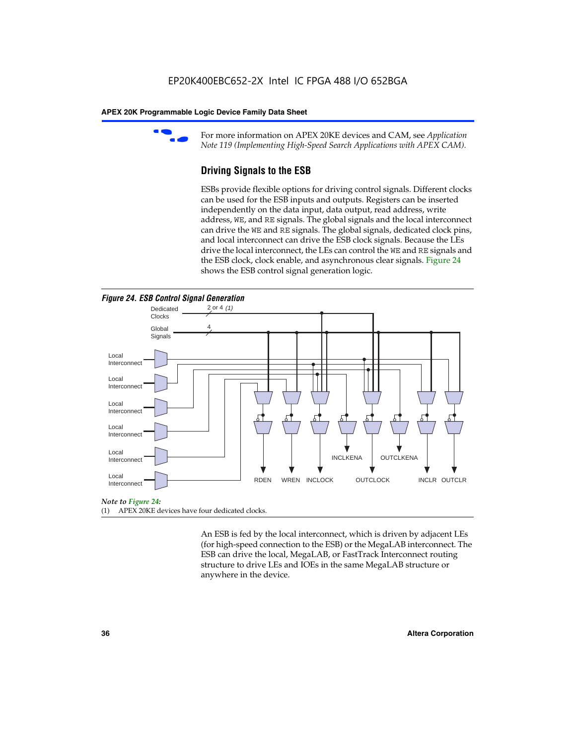

For more information on APEX 20KE devices and CAM, see *Application Note 119 (Implementing High-Speed Search Applications with APEX CAM).*

# **Driving Signals to the ESB**

ESBs provide flexible options for driving control signals. Different clocks can be used for the ESB inputs and outputs. Registers can be inserted independently on the data input, data output, read address, write address, WE, and RE signals. The global signals and the local interconnect can drive the WE and RE signals. The global signals, dedicated clock pins, and local interconnect can drive the ESB clock signals. Because the LEs drive the local interconnect, the LEs can control the WE and RE signals and the ESB clock, clock enable, and asynchronous clear signals. Figure 24 shows the ESB control signal generation logic.





#### *Note to Figure 24:*

(1) APEX 20KE devices have four dedicated clocks.

An ESB is fed by the local interconnect, which is driven by adjacent LEs (for high-speed connection to the ESB) or the MegaLAB interconnect. The ESB can drive the local, MegaLAB, or FastTrack Interconnect routing structure to drive LEs and IOEs in the same MegaLAB structure or anywhere in the device.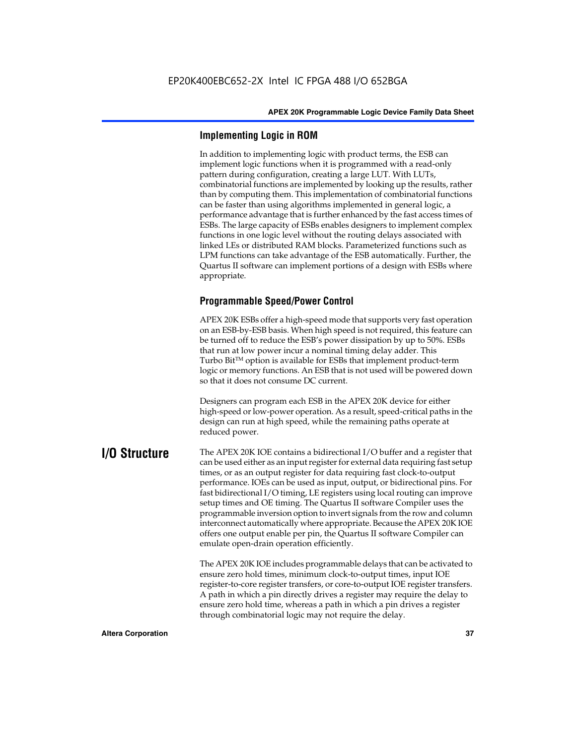# **Implementing Logic in ROM**

In addition to implementing logic with product terms, the ESB can implement logic functions when it is programmed with a read-only pattern during configuration, creating a large LUT. With LUTs, combinatorial functions are implemented by looking up the results, rather than by computing them. This implementation of combinatorial functions can be faster than using algorithms implemented in general logic, a performance advantage that is further enhanced by the fast access times of ESBs. The large capacity of ESBs enables designers to implement complex functions in one logic level without the routing delays associated with linked LEs or distributed RAM blocks. Parameterized functions such as LPM functions can take advantage of the ESB automatically. Further, the Quartus II software can implement portions of a design with ESBs where appropriate.

# **Programmable Speed/Power Control**

APEX 20K ESBs offer a high-speed mode that supports very fast operation on an ESB-by-ESB basis. When high speed is not required, this feature can be turned off to reduce the ESB's power dissipation by up to 50%. ESBs that run at low power incur a nominal timing delay adder. This Turbo  $Bit^{TM}$  option is available for ESBs that implement product-term logic or memory functions. An ESB that is not used will be powered down so that it does not consume DC current.

Designers can program each ESB in the APEX 20K device for either high-speed or low-power operation. As a result, speed-critical paths in the design can run at high speed, while the remaining paths operate at reduced power.

**I/O Structure** The APEX 20K IOE contains a bidirectional I/O buffer and a register that can be used either as an input register for external data requiring fast setup times, or as an output register for data requiring fast clock-to-output performance. IOEs can be used as input, output, or bidirectional pins. For fast bidirectional I/O timing, LE registers using local routing can improve setup times and OE timing. The Quartus II software Compiler uses the programmable inversion option to invert signals from the row and column interconnect automatically where appropriate. Because the APEX 20K IOE offers one output enable per pin, the Quartus II software Compiler can emulate open-drain operation efficiently.

> The APEX 20K IOE includes programmable delays that can be activated to ensure zero hold times, minimum clock-to-output times, input IOE register-to-core register transfers, or core-to-output IOE register transfers. A path in which a pin directly drives a register may require the delay to ensure zero hold time, whereas a path in which a pin drives a register through combinatorial logic may not require the delay.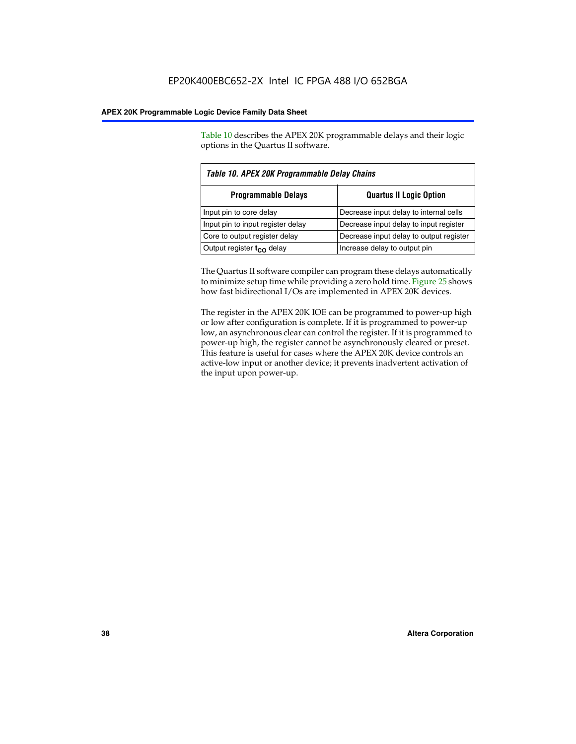Table 10 describes the APEX 20K programmable delays and their logic options in the Quartus II software.

| Table 10. APEX 20K Programmable Delay Chains                 |                                         |  |  |  |  |
|--------------------------------------------------------------|-----------------------------------------|--|--|--|--|
| <b>Programmable Delays</b><br><b>Quartus II Logic Option</b> |                                         |  |  |  |  |
| Input pin to core delay                                      | Decrease input delay to internal cells  |  |  |  |  |
| Input pin to input register delay                            | Decrease input delay to input register  |  |  |  |  |
| Core to output register delay                                | Decrease input delay to output register |  |  |  |  |
| Output register $t_{\rm CO}$ delay                           | Increase delay to output pin            |  |  |  |  |

The Quartus II software compiler can program these delays automatically to minimize setup time while providing a zero hold time. Figure 25 shows how fast bidirectional I/Os are implemented in APEX 20K devices.

The register in the APEX 20K IOE can be programmed to power-up high or low after configuration is complete. If it is programmed to power-up low, an asynchronous clear can control the register. If it is programmed to power-up high, the register cannot be asynchronously cleared or preset. This feature is useful for cases where the APEX 20K device controls an active-low input or another device; it prevents inadvertent activation of the input upon power-up.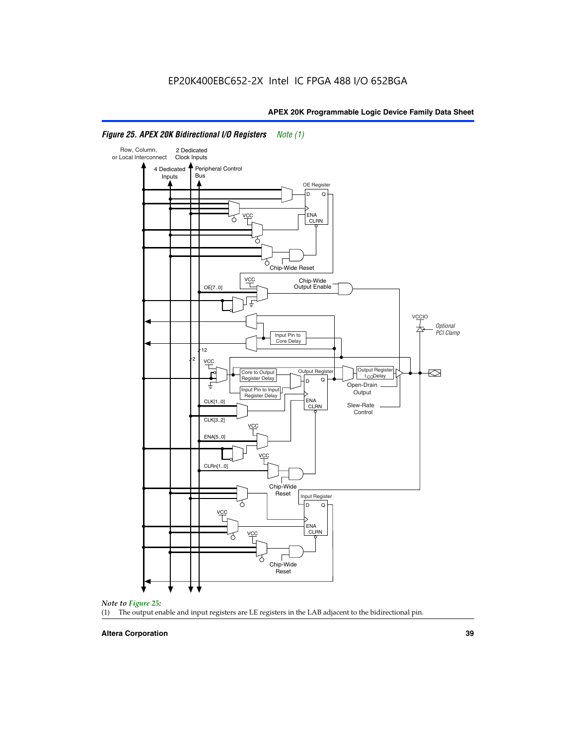

# *Figure 25. APEX 20K Bidirectional I/O Registers Note (1)*



#### **Altera Corporation 39**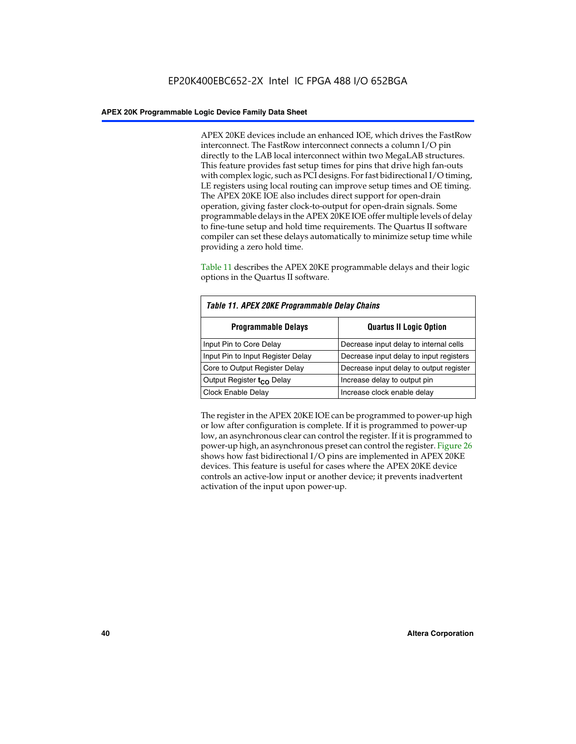APEX 20KE devices include an enhanced IOE, which drives the FastRow interconnect. The FastRow interconnect connects a column I/O pin directly to the LAB local interconnect within two MegaLAB structures. This feature provides fast setup times for pins that drive high fan-outs with complex logic, such as PCI designs. For fast bidirectional I/O timing, LE registers using local routing can improve setup times and OE timing. The APEX 20KE IOE also includes direct support for open-drain operation, giving faster clock-to-output for open-drain signals. Some programmable delays in the APEX 20KE IOE offer multiple levels of delay to fine-tune setup and hold time requirements. The Quartus II software compiler can set these delays automatically to minimize setup time while providing a zero hold time.

Table 11 describes the APEX 20KE programmable delays and their logic options in the Quartus II software.

| Table 11. APEX 20KE Programmable Delay Chains |                                         |  |  |  |  |
|-----------------------------------------------|-----------------------------------------|--|--|--|--|
| <b>Programmable Delays</b>                    | <b>Quartus II Logic Option</b>          |  |  |  |  |
| Input Pin to Core Delay                       | Decrease input delay to internal cells  |  |  |  |  |
| Input Pin to Input Register Delay             | Decrease input delay to input registers |  |  |  |  |
| Core to Output Register Delay                 | Decrease input delay to output register |  |  |  |  |
| Output Register t <sub>CO</sub> Delay         | Increase delay to output pin            |  |  |  |  |
| <b>Clock Enable Delay</b>                     | Increase clock enable delay             |  |  |  |  |

The register in the APEX 20KE IOE can be programmed to power-up high or low after configuration is complete. If it is programmed to power-up low, an asynchronous clear can control the register. If it is programmed to power-up high, an asynchronous preset can control the register. Figure 26 shows how fast bidirectional I/O pins are implemented in APEX 20KE devices. This feature is useful for cases where the APEX 20KE device controls an active-low input or another device; it prevents inadvertent activation of the input upon power-up.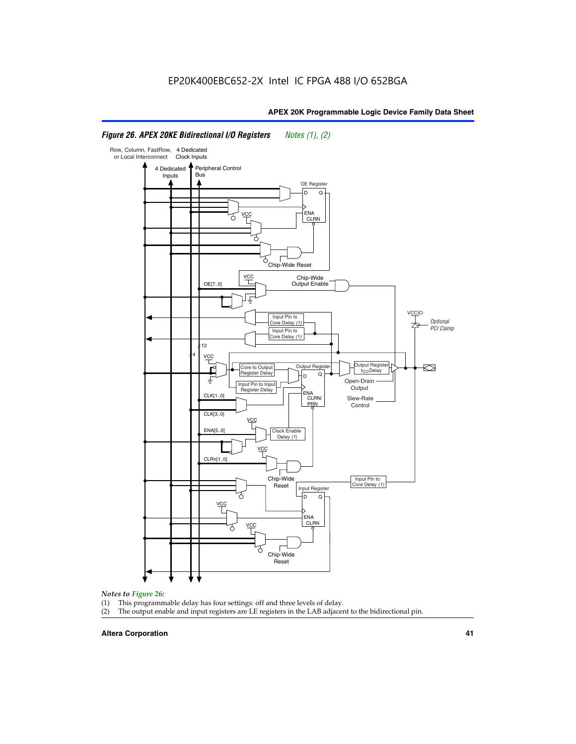#### Row, Column, FastRow, 4 Dedicated or Local Interconnect Clock Inputs Peripheral Control 4 Dedicated **Bus** Inputs OE Register D Q ENA VCC CLRN 7 Chip-Wide Reset vcc Chip-Wide Output Enable OE[7..0] VC Input Pin to **Optional** Core Delay (1) PCI Clamp Input Pin to Core Delay (1) 12 4 **VCC** Output Register **Output Registe**  $\approx$ Core to Output | Output Hegister | Durbut Tropieding | Contput Tropieding | Durbut Tropieding | Output Tropied<br>Register Delay | Durbut Tropieding | Contput Tropieding | Contput Tropieding | O t<sub>CO</sub>Delay  $D$  Q ŧ Open-Drain Input Pin to Input **Output** Register Delay ENA CLK[1..0] CLRN/ Slew-Rate PR<sub>N</sub> Control CLK[3..0] VCC ENA[5..0] Clock Enable Delay (1) VCC CLRn[1..0] Chip-Wide Input Pin to Core Delay (1) Reset Input Register D Q <u>vcc</u> .<br>ENA CLRN **VCC** Chip-Wide Reset

# *Figure 26. APEX 20KE Bidirectional I/O Registers Notes (1), (2)*

#### *Notes to Figure 26:*

- (1) This programmable delay has four settings: off and three levels of delay.<br>(2) The output enable and input registers are LE registers in the LAB adjacer
- The output enable and input registers are LE registers in the LAB adjacent to the bidirectional pin.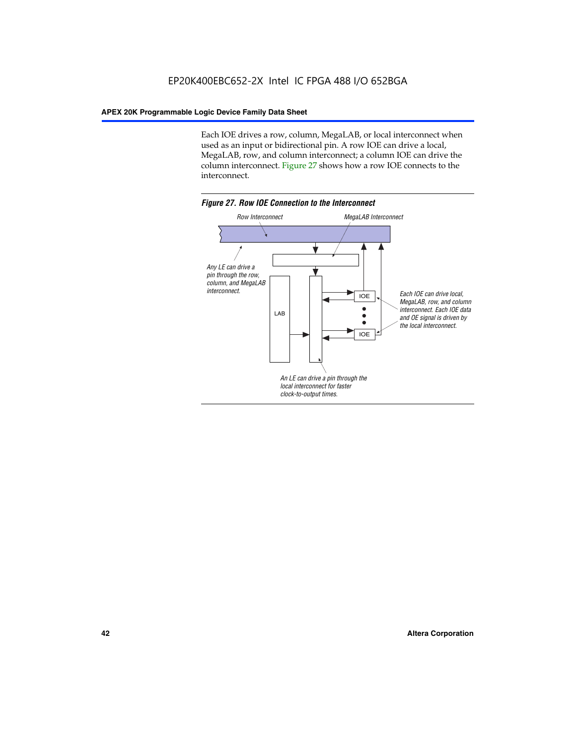Each IOE drives a row, column, MegaLAB, or local interconnect when used as an input or bidirectional pin. A row IOE can drive a local, MegaLAB, row, and column interconnect; a column IOE can drive the column interconnect. Figure 27 shows how a row IOE connects to the interconnect.

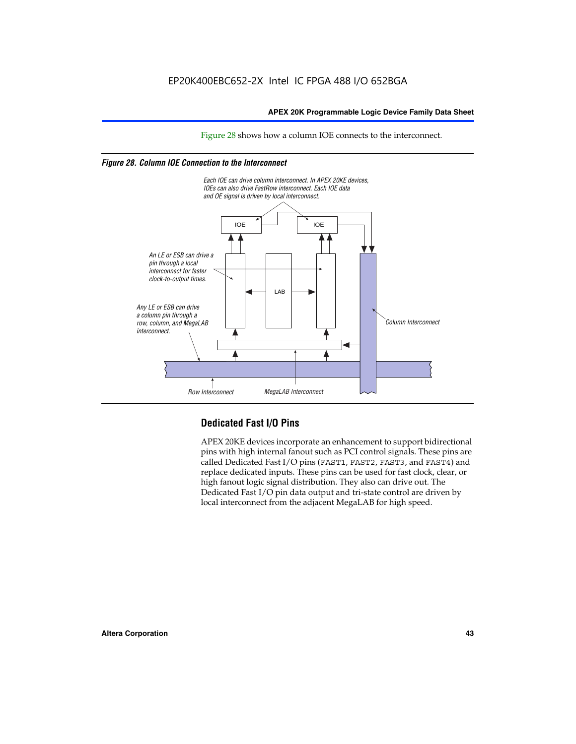Figure 28 shows how a column IOE connects to the interconnect.

# *Figure 28. Column IOE Connection to the Interconnect*



# **Dedicated Fast I/O Pins**

APEX 20KE devices incorporate an enhancement to support bidirectional pins with high internal fanout such as PCI control signals. These pins are called Dedicated Fast I/O pins (FAST1, FAST2, FAST3, and FAST4) and replace dedicated inputs. These pins can be used for fast clock, clear, or high fanout logic signal distribution. They also can drive out. The Dedicated Fast I/O pin data output and tri-state control are driven by local interconnect from the adjacent MegaLAB for high speed.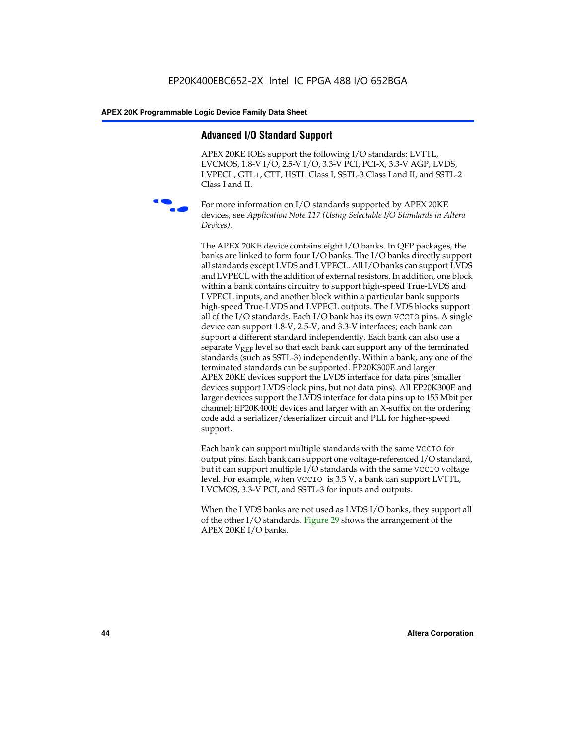# **Advanced I/O Standard Support**

APEX 20KE IOEs support the following I/O standards: LVTTL, LVCMOS, 1.8-V I/O, 2.5-V I/O, 3.3-V PCI, PCI-X, 3.3-V AGP, LVDS, LVPECL, GTL+, CTT, HSTL Class I, SSTL-3 Class I and II, and SSTL-2 Class I and II.



For more information on I/O standards supported by APEX 20KE devices, see *Application Note 117 (Using Selectable I/O Standards in Altera Devices)*.

The APEX 20KE device contains eight I/O banks. In QFP packages, the banks are linked to form four I/O banks. The I/O banks directly support all standards except LVDS and LVPECL. All I/O banks can support LVDS and LVPECL with the addition of external resistors. In addition, one block within a bank contains circuitry to support high-speed True-LVDS and LVPECL inputs, and another block within a particular bank supports high-speed True-LVDS and LVPECL outputs. The LVDS blocks support all of the I/O standards. Each I/O bank has its own VCCIO pins. A single device can support 1.8-V, 2.5-V, and 3.3-V interfaces; each bank can support a different standard independently. Each bank can also use a separate  $V_{\text{REF}}$  level so that each bank can support any of the terminated standards (such as SSTL-3) independently. Within a bank, any one of the terminated standards can be supported. EP20K300E and larger APEX 20KE devices support the LVDS interface for data pins (smaller devices support LVDS clock pins, but not data pins). All EP20K300E and larger devices support the LVDS interface for data pins up to 155 Mbit per channel; EP20K400E devices and larger with an X-suffix on the ordering code add a serializer/deserializer circuit and PLL for higher-speed support.

Each bank can support multiple standards with the same VCCIO for output pins. Each bank can support one voltage-referenced I/O standard, but it can support multiple I/O standards with the same VCCIO voltage level. For example, when VCCIO is 3.3 V, a bank can support LVTTL, LVCMOS, 3.3-V PCI, and SSTL-3 for inputs and outputs.

When the LVDS banks are not used as LVDS I/O banks, they support all of the other I/O standards. Figure 29 shows the arrangement of the APEX 20KE I/O banks.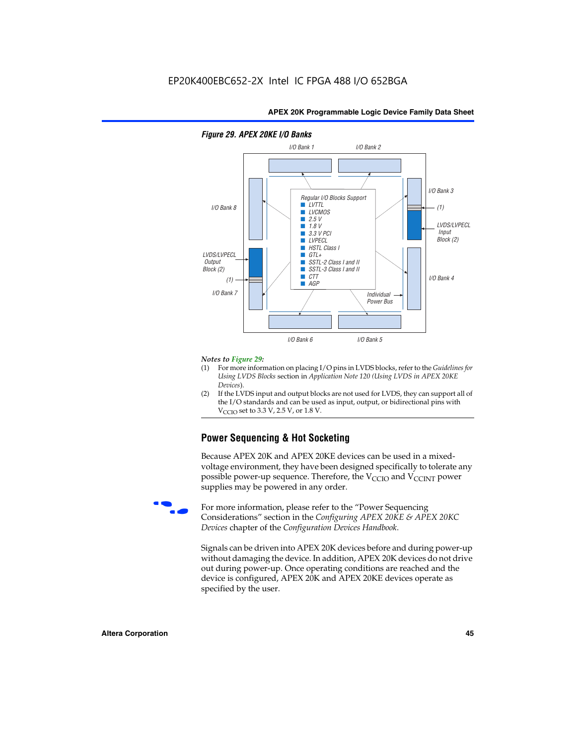

#### *Notes to Figure 29:*

- (1) For more information on placing I/O pins in LVDS blocks, refer to the *Guidelines for Using LVDS Blocks* section in *Application Note 120 (Using LVDS in APEX 20KE Devices*).
- (2) If the LVDS input and output blocks are not used for LVDS, they can support all of the I/O standards and can be used as input, output, or bidirectional pins with  $V_{\text{C} \cap \text{O}}$  set to 3.3 V, 2.5 V, or 1.8 V.

# **Power Sequencing & Hot Socketing**

Because APEX 20K and APEX 20KE devices can be used in a mixedvoltage environment, they have been designed specifically to tolerate any possible power-up sequence. Therefore, the  $V_{\text{CCIO}}$  and  $V_{\text{CCINT}}$  power supplies may be powered in any order.

For more information, please refer to the "Power Sequencing Considerations" section in the *Configuring APEX 20KE & APEX 20KC Devices* chapter of the *Configuration Devices Handbook*.

Signals can be driven into APEX 20K devices before and during power-up without damaging the device. In addition, APEX 20K devices do not drive out during power-up. Once operating conditions are reached and the device is configured, APEX 20K and APEX 20KE devices operate as specified by the user.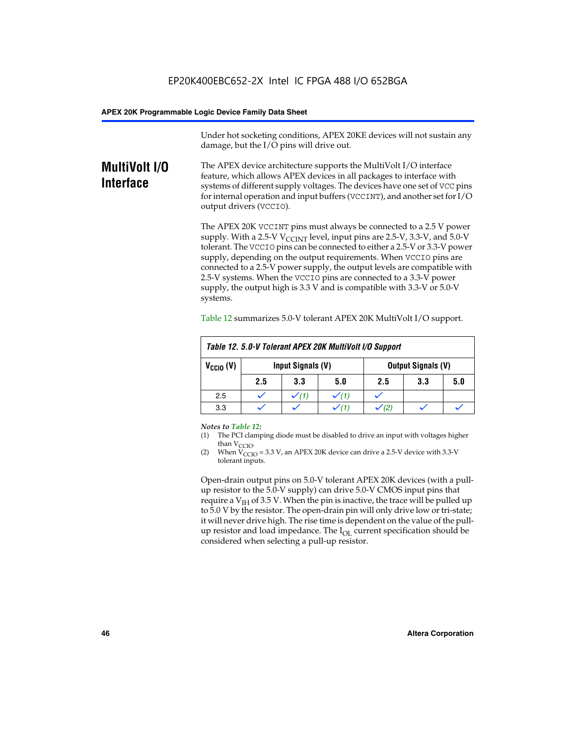Under hot socketing conditions, APEX 20KE devices will not sustain any damage, but the I/O pins will drive out.

# **MultiVolt I/O Interface**

The APEX device architecture supports the MultiVolt I/O interface feature, which allows APEX devices in all packages to interface with systems of different supply voltages. The devices have one set of VCC pins for internal operation and input buffers (VCCINT), and another set for I/O output drivers (VCCIO).

The APEX 20K VCCINT pins must always be connected to a 2.5 V power supply. With a 2.5-V  $V_{\text{CCMT}}$  level, input pins are 2.5-V, 3.3-V, and 5.0-V tolerant. The VCCIO pins can be connected to either a 2.5-V or 3.3-V power supply, depending on the output requirements. When VCCIO pins are connected to a 2.5-V power supply, the output levels are compatible with 2.5-V systems. When the VCCIO pins are connected to a 3.3-V power supply, the output high is 3.3 V and is compatible with 3.3-V or 5.0-V systems.

| Table 12. 5.0-V Tolerant APEX 20K MultiVolt I/O Support |                                                |     |     |     |     |     |  |
|---------------------------------------------------------|------------------------------------------------|-----|-----|-----|-----|-----|--|
| $V_{\text{CCIO}}(V)$                                    | Input Signals (V)<br><b>Output Signals (V)</b> |     |     |     |     |     |  |
|                                                         | 2.5                                            | 3.3 | 5.0 | 2.5 | 3.3 | 5.0 |  |
| 2.5                                                     |                                                |     |     |     |     |     |  |
| 3.3                                                     |                                                |     |     |     |     |     |  |

Table 12 summarizes 5.0-V tolerant APEX 20K MultiVolt I/O support.

#### *Notes to Table 12:*

- (1) The PCI clamping diode must be disabled to drive an input with voltages higher than  $V_{CCIO}$ .
- (2) When  $V_{CCIO} = 3.3 V$ , an APEX 20K device can drive a 2.5-V device with 3.3-V tolerant inputs.

Open-drain output pins on 5.0-V tolerant APEX 20K devices (with a pullup resistor to the 5.0-V supply) can drive 5.0-V CMOS input pins that require a  $V_{IH}$  of 3.5 V. When the pin is inactive, the trace will be pulled up to 5.0 V by the resistor. The open-drain pin will only drive low or tri-state; it will never drive high. The rise time is dependent on the value of the pullup resistor and load impedance. The  $I_{OI}$  current specification should be considered when selecting a pull-up resistor.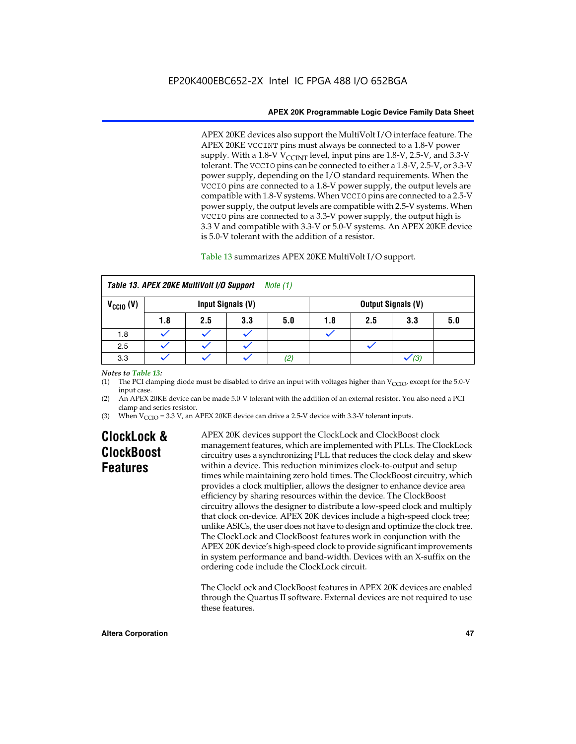APEX 20KE devices also support the MultiVolt I/O interface feature. The APEX 20KE VCCINT pins must always be connected to a 1.8-V power supply. With a 1.8-V  $V_{\text{CCINT}}$  level, input pins are 1.8-V, 2.5-V, and 3.3-V tolerant. The VCCIO pins can be connected to either a 1.8-V, 2.5-V, or 3.3-V power supply, depending on the I/O standard requirements. When the VCCIO pins are connected to a 1.8-V power supply, the output levels are compatible with 1.8-V systems. When VCCIO pins are connected to a 2.5-V power supply, the output levels are compatible with 2.5-V systems. When VCCIO pins are connected to a 3.3-V power supply, the output high is 3.3 V and compatible with 3.3-V or 5.0-V systems. An APEX 20KE device is 5.0-V tolerant with the addition of a resistor.

# Table 13 summarizes APEX 20KE MultiVolt I/O support.

| Table 13. APEX 20KE MultiVolt I/O Support<br>Note $(1)$ |     |     |                   |          |     |     |                           |     |
|---------------------------------------------------------|-----|-----|-------------------|----------|-----|-----|---------------------------|-----|
| $V_{\text{CCIO}}(V)$                                    |     |     | Input Signals (V) |          |     |     | <b>Output Signals (V)</b> |     |
|                                                         | 1.8 | 2.5 | 3.3               | 5.0      | 1.8 | 2.5 | 3.3                       | 5.0 |
| 1.8                                                     |     |     |                   |          |     |     |                           |     |
| 2.5                                                     |     |     |                   |          |     |     |                           |     |
| 3.3                                                     |     |     |                   | $^{(2)}$ |     |     | (3)                       |     |

## *Notes to Table 13:*

(1) The PCI clamping diode must be disabled to drive an input with voltages higher than  $V_{CCIO}$ , except for the 5.0-V input case.

(2) An APEX 20KE device can be made 5.0-V tolerant with the addition of an external resistor. You also need a PCI clamp and series resistor.

(3) When  $V_{\text{CCIO}} = 3.3$  V, an APEX 20KE device can drive a 2.5-V device with 3.3-V tolerant inputs.

# **ClockLock & ClockBoost Features**

APEX 20K devices support the ClockLock and ClockBoost clock management features, which are implemented with PLLs. The ClockLock circuitry uses a synchronizing PLL that reduces the clock delay and skew within a device. This reduction minimizes clock-to-output and setup times while maintaining zero hold times. The ClockBoost circuitry, which provides a clock multiplier, allows the designer to enhance device area efficiency by sharing resources within the device. The ClockBoost circuitry allows the designer to distribute a low-speed clock and multiply that clock on-device. APEX 20K devices include a high-speed clock tree; unlike ASICs, the user does not have to design and optimize the clock tree. The ClockLock and ClockBoost features work in conjunction with the APEX 20K device's high-speed clock to provide significant improvements in system performance and band-width. Devices with an X-suffix on the ordering code include the ClockLock circuit.

The ClockLock and ClockBoost features in APEX 20K devices are enabled through the Quartus II software. External devices are not required to use these features.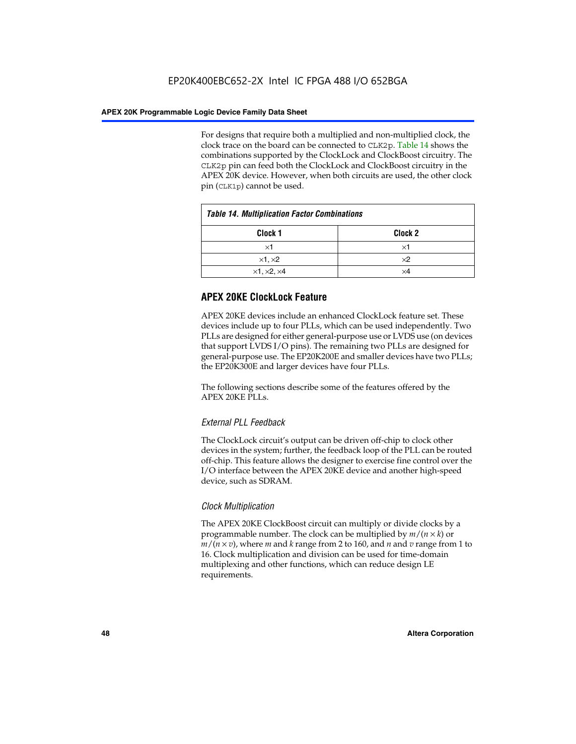For designs that require both a multiplied and non-multiplied clock, the clock trace on the board can be connected to CLK2p. Table 14 shows the combinations supported by the ClockLock and ClockBoost circuitry. The CLK2p pin can feed both the ClockLock and ClockBoost circuitry in the APEX 20K device. However, when both circuits are used, the other clock pin (CLK1p) cannot be used.

| <b>Table 14. Multiplication Factor Combinations</b> |            |  |  |  |
|-----------------------------------------------------|------------|--|--|--|
| Clock <sub>2</sub><br>Clock 1                       |            |  |  |  |
| ×1                                                  | ×1         |  |  |  |
| $\times$ 1, $\times$ 2                              | $\times 2$ |  |  |  |
| $\times$ 1, $\times$ 2, $\times$ 4                  | ×4         |  |  |  |

# **APEX 20KE ClockLock Feature**

APEX 20KE devices include an enhanced ClockLock feature set. These devices include up to four PLLs, which can be used independently. Two PLLs are designed for either general-purpose use or LVDS use (on devices that support LVDS I/O pins). The remaining two PLLs are designed for general-purpose use. The EP20K200E and smaller devices have two PLLs; the EP20K300E and larger devices have four PLLs.

The following sections describe some of the features offered by the APEX 20KE PLLs.

# *External PLL Feedback*

The ClockLock circuit's output can be driven off-chip to clock other devices in the system; further, the feedback loop of the PLL can be routed off-chip. This feature allows the designer to exercise fine control over the I/O interface between the APEX 20KE device and another high-speed device, such as SDRAM.

# *Clock Multiplication*

The APEX 20KE ClockBoost circuit can multiply or divide clocks by a programmable number. The clock can be multiplied by *m*/(*n* × *k*) or  $m/(n \times v)$ , where *m* and *k* range from 2 to 160, and *n* and *v* range from 1 to 16. Clock multiplication and division can be used for time-domain multiplexing and other functions, which can reduce design LE requirements.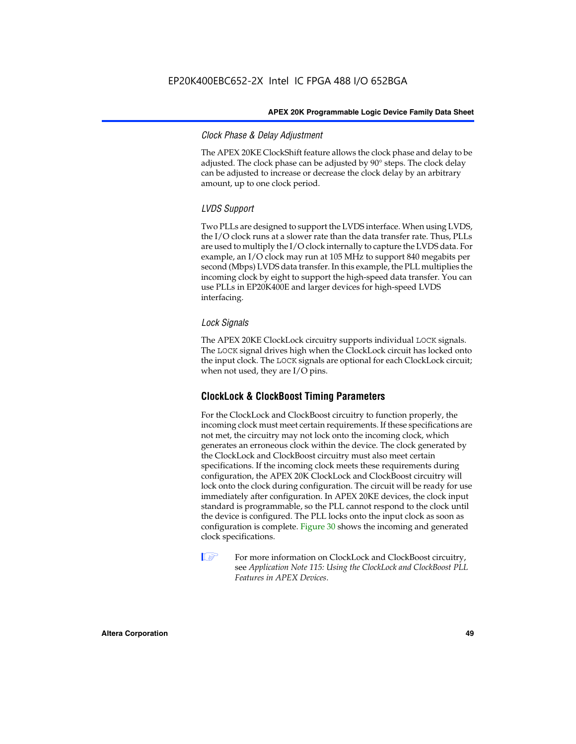# *Clock Phase & Delay Adjustment*

The APEX 20KE ClockShift feature allows the clock phase and delay to be adjusted. The clock phase can be adjusted by 90° steps. The clock delay can be adjusted to increase or decrease the clock delay by an arbitrary amount, up to one clock period.

# *LVDS Support*

Two PLLs are designed to support the LVDS interface. When using LVDS, the I/O clock runs at a slower rate than the data transfer rate. Thus, PLLs are used to multiply the I/O clock internally to capture the LVDS data. For example, an I/O clock may run at 105 MHz to support 840 megabits per second (Mbps) LVDS data transfer. In this example, the PLL multiplies the incoming clock by eight to support the high-speed data transfer. You can use PLLs in EP20K400E and larger devices for high-speed LVDS interfacing.

# *Lock Signals*

The APEX 20KE ClockLock circuitry supports individual LOCK signals. The LOCK signal drives high when the ClockLock circuit has locked onto the input clock. The LOCK signals are optional for each ClockLock circuit; when not used, they are I/O pins.

# **ClockLock & ClockBoost Timing Parameters**

For the ClockLock and ClockBoost circuitry to function properly, the incoming clock must meet certain requirements. If these specifications are not met, the circuitry may not lock onto the incoming clock, which generates an erroneous clock within the device. The clock generated by the ClockLock and ClockBoost circuitry must also meet certain specifications. If the incoming clock meets these requirements during configuration, the APEX 20K ClockLock and ClockBoost circuitry will lock onto the clock during configuration. The circuit will be ready for use immediately after configuration. In APEX 20KE devices, the clock input standard is programmable, so the PLL cannot respond to the clock until the device is configured. The PLL locks onto the input clock as soon as configuration is complete. Figure 30 shows the incoming and generated clock specifications.

 $\mathbb{I} \mathcal{F}$  For more information on ClockLock and ClockBoost circuitry, see *Application Note 115: Using the ClockLock and ClockBoost PLL Features in APEX Devices*.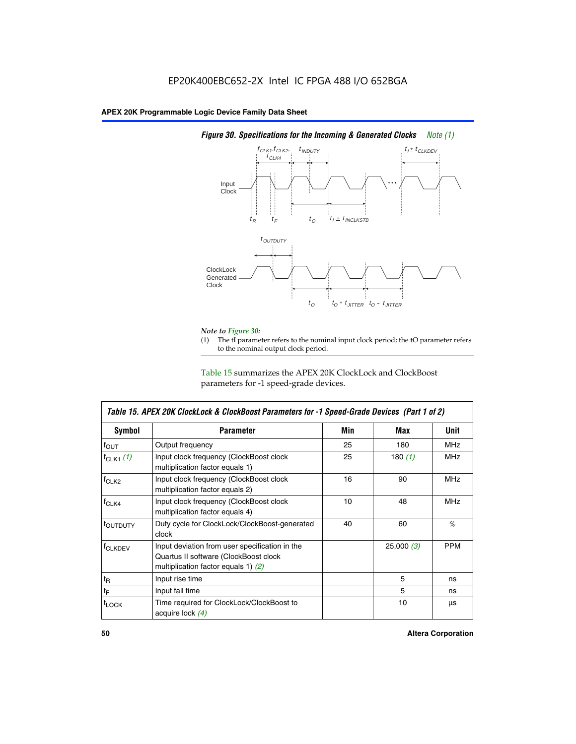

# *Figure 30. Specifications for the Incoming & Generated Clocks Note (1)*

# *Note to Figure 30:*

The tI parameter refers to the nominal input clock period; the tO parameter refers to the nominal output clock period.

Table 15 summarizes the APEX 20K ClockLock and ClockBoost parameters for -1 speed-grade devices.

| Table 15. APEX 20K ClockLock & ClockBoost Parameters for -1 Speed-Grade Devices (Part 1 of 2) |                                                                                                                                  |     |           |            |  |
|-----------------------------------------------------------------------------------------------|----------------------------------------------------------------------------------------------------------------------------------|-----|-----------|------------|--|
| <b>Symbol</b>                                                                                 | <b>Parameter</b>                                                                                                                 | Min | Max       | Unit       |  |
| $f_{\text{OUT}}$                                                                              | Output frequency                                                                                                                 | 25  | 180       | <b>MHz</b> |  |
| $f_{CLK1}$ $(1)$                                                                              | Input clock frequency (ClockBoost clock<br>multiplication factor equals 1)                                                       | 25  | 180 $(1)$ | <b>MHz</b> |  |
| $f_{CLK2}$                                                                                    | Input clock frequency (ClockBoost clock<br>multiplication factor equals 2)                                                       | 16  | 90        | <b>MHz</b> |  |
| $f_{CLK4}$                                                                                    | Input clock frequency (ClockBoost clock<br>multiplication factor equals 4)                                                       | 10  | 48        | <b>MHz</b> |  |
| toutputy                                                                                      | Duty cycle for ClockLock/ClockBoost-generated<br>clock                                                                           | 40  | 60        | $\%$       |  |
| <b>f</b> CLKDEV                                                                               | Input deviation from user specification in the<br>Quartus II software (ClockBoost clock<br>multiplication factor equals 1) $(2)$ |     | 25,000(3) | <b>PPM</b> |  |
| $t_{\mathsf{R}}$                                                                              | Input rise time                                                                                                                  |     | 5         | ns         |  |
| $t_{\mathsf{F}}$                                                                              | Input fall time                                                                                                                  |     | 5         | ns         |  |
| <sup>t</sup> LOCK                                                                             | Time required for ClockLock/ClockBoost to<br>acquire lock (4)                                                                    |     | 10        | μs         |  |

 $\mathsf I$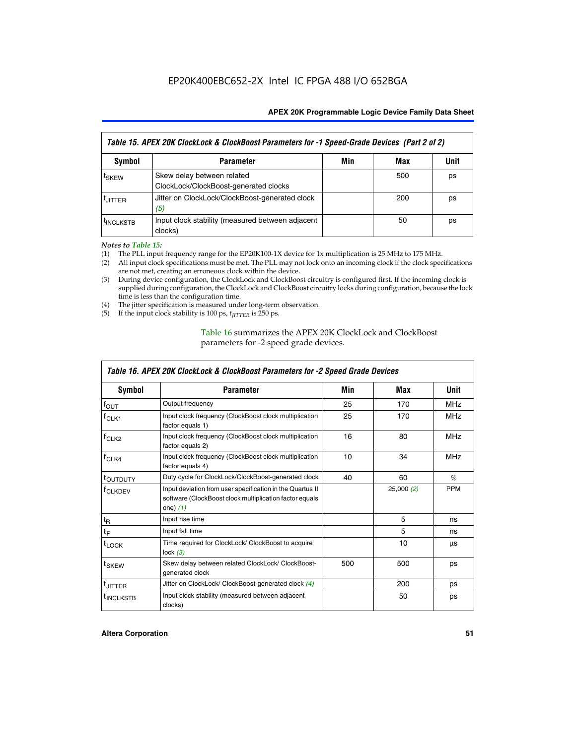| Table 15. APEX 20K ClockLock & ClockBoost Parameters for -1 Speed-Grade Devices (Part 2 of 2) |                                                                     |     |     |      |  |
|-----------------------------------------------------------------------------------------------|---------------------------------------------------------------------|-----|-----|------|--|
| <b>Symbol</b>                                                                                 | <b>Parameter</b>                                                    | Min | Max | Unit |  |
| t <sub>SKEW</sub>                                                                             | Skew delay between related<br>ClockLock/ClockBoost-generated clocks |     | 500 | ps   |  |
| <b>UITTER</b>                                                                                 | Jitter on ClockLock/ClockBoost-generated clock<br>(5)               |     | 200 | ps   |  |
| <b>INCLKSTB</b>                                                                               | Input clock stability (measured between adjacent<br>clocks)         |     | 50  | ps   |  |

*Notes to Table 15:*

- (1) The PLL input frequency range for the EP20K100-1X device for 1x multiplication is 25 MHz to 175 MHz.
- (2) All input clock specifications must be met. The PLL may not lock onto an incoming clock if the clock specifications are not met, creating an erroneous clock within the device.
- (3) During device configuration, the ClockLock and ClockBoost circuitry is configured first. If the incoming clock is supplied during configuration, the ClockLock and ClockBoost circuitry locks during configuration, because the lock time is less than the configuration time.
- (4) The jitter specification is measured under long-term observation.
- (5) If the input clock stability is 100 ps,  $t_{\text{JITTER}}$  is 250 ps.

# Table 16 summarizes the APEX 20K ClockLock and ClockBoost parameters for -2 speed grade devices.

| Symbol                | <b>Parameter</b>                                                                                                                   | Min | Max       | Unit       |
|-----------------------|------------------------------------------------------------------------------------------------------------------------------------|-----|-----------|------------|
| $f_{\text{OUT}}$      | Output frequency                                                                                                                   | 25  | 170       | <b>MHz</b> |
| <sup>T</sup> CLK1     | Input clock frequency (ClockBoost clock multiplication<br>factor equals 1)                                                         | 25  | 170       | <b>MHz</b> |
| $f_{CLK2}$            | Input clock frequency (ClockBoost clock multiplication<br>factor equals 2)                                                         | 16  | 80        | <b>MHz</b> |
| $tCLK4$               | Input clock frequency (ClockBoost clock multiplication<br>factor equals 4)                                                         | 10  | 34        | <b>MHz</b> |
| <sup>t</sup> OUTDUTY  | Duty cycle for ClockLock/ClockBoost-generated clock                                                                                | 40  | 60        | $\%$       |
| <sup>T</sup> CLKDEV   | Input deviation from user specification in the Quartus II<br>software (ClockBoost clock multiplication factor equals<br>one) $(1)$ |     | 25,000(2) | <b>PPM</b> |
| $t_{\mathsf{R}}$      | Input rise time                                                                                                                    |     | 5         | ns         |
| $t_F$                 | Input fall time                                                                                                                    |     | 5         | ns         |
| $t_{\text{LOCK}}$     | Time required for ClockLock/ ClockBoost to acquire<br>lock $(3)$                                                                   |     | 10        | μs         |
| t <sub>SKEW</sub>     | Skew delay between related ClockLock/ ClockBoost-<br>generated clock                                                               | 500 | 500       | ps         |
| t <sub>JITTER</sub>   | Jitter on ClockLock/ ClockBoost-generated clock (4)                                                                                |     | 200       | ps         |
| <sup>I</sup> INCLKSTB | Input clock stability (measured between adjacent<br>clocks)                                                                        |     | 50        | ps         |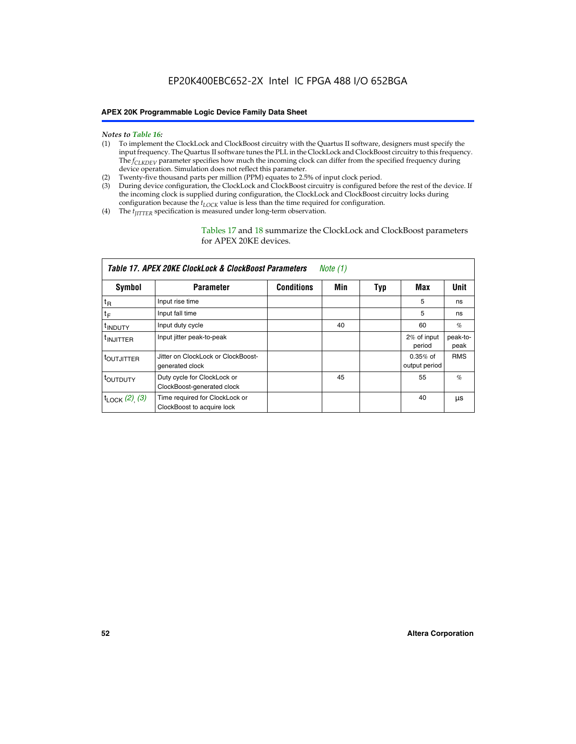- *Notes to Table 16:* (1) To implement the ClockLock and ClockBoost circuitry with the Quartus II software, designers must specify the input frequency. The Quartus II software tunes the PLL in the ClockLock and ClockBoost circuitry to this frequency. The *f<sub>CLKDEV</sub>* parameter specifies how much the incoming clock can differ from the specified frequency during device operation. Simulation does not reflect this parameter.
- (2) Twenty-five thousand parts per million (PPM) equates to 2.5% of input clock period.
- (3) During device configuration, the ClockLock and ClockBoost circuitry is configured before the rest of the device. If the incoming clock is supplied during configuration, the ClockLock and ClockBoost circuitry locks during configuration because the  $t_{LOCK}$  value is less than the time required for configuration.
- (4) The  $t_{\text{ITTTER}}$  specification is measured under long-term observation.

Tables 17 and 18 summarize the ClockLock and ClockBoost parameters for APEX 20KE devices.

| Table 17. APEX 20KE ClockLock & ClockBoost Parameters<br>Note (1) |                                                              |                   |     |     |                             |                  |  |  |
|-------------------------------------------------------------------|--------------------------------------------------------------|-------------------|-----|-----|-----------------------------|------------------|--|--|
| Symbol                                                            | <b>Parameter</b>                                             | <b>Conditions</b> | Min | Typ | Max                         | <b>Unit</b>      |  |  |
| $t_{R}$                                                           | Input rise time                                              |                   |     |     | 5                           | ns               |  |  |
| tF                                                                | Input fall time                                              |                   |     |     | 5                           | ns               |  |  |
| <sup>t</sup> INDUTY                                               | Input duty cycle                                             |                   | 40  |     | 60                          | %                |  |  |
| <sup>t</sup> INJITTER                                             | Input jitter peak-to-peak                                    |                   |     |     | 2% of input<br>period       | peak-to-<br>peak |  |  |
| <sup>t</sup> OUTJITTER                                            | Jitter on ClockLock or ClockBoost-<br>generated clock        |                   |     |     | $0.35%$ of<br>output period | <b>RMS</b>       |  |  |
| t <sub>outputy</sub>                                              | Duty cycle for ClockLock or<br>ClockBoost-generated clock    |                   | 45  |     | 55                          | $\%$             |  |  |
| $t_{\text{LOCK}}$ (2), (3)                                        | Time required for ClockLock or<br>ClockBoost to acquire lock |                   |     |     | 40                          | μs               |  |  |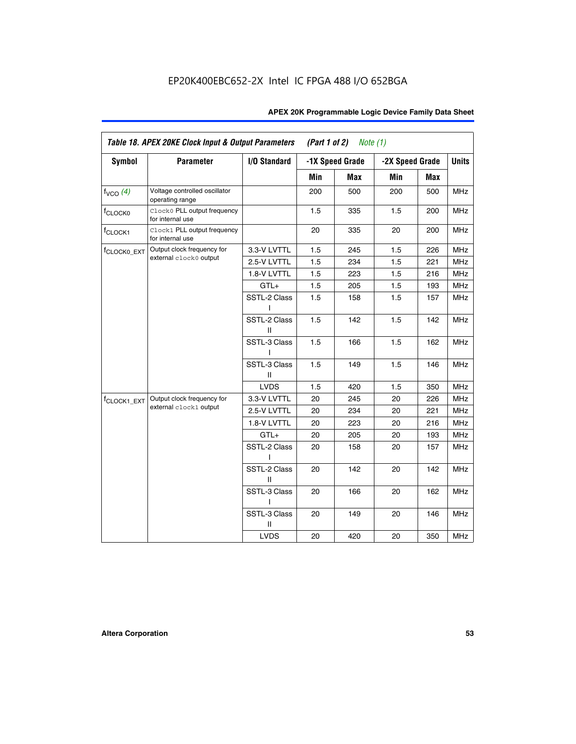| APEX 20K Programmable Logic Device Family Data Sheet |  |  |
|------------------------------------------------------|--|--|
|------------------------------------------------------|--|--|

|                         | Table 18. APEX 20KE Clock Input & Output Parameters<br>(Part 1 of 2)<br>Note $(1)$ |                   |     |                 |     |                 |              |
|-------------------------|------------------------------------------------------------------------------------|-------------------|-----|-----------------|-----|-----------------|--------------|
| <b>Symbol</b>           | <b>Parameter</b>                                                                   | I/O Standard      |     | -1X Speed Grade |     | -2X Speed Grade | <b>Units</b> |
|                         |                                                                                    |                   | Min | Max             | Min | Max             |              |
| f <sub>VCO</sub> (4)    | Voltage controlled oscillator<br>operating range                                   |                   | 200 | 500             | 200 | 500             | <b>MHz</b>   |
| f <sub>CLOCK0</sub>     | Clock0 PLL output frequency<br>for internal use                                    |                   | 1.5 | 335             | 1.5 | 200             | <b>MHz</b>   |
| f <sub>CLOCK1</sub>     | Clock1 PLL output frequency<br>for internal use                                    |                   | 20  | 335             | 20  | 200             | <b>MHz</b>   |
| f <sub>CLOCK0_EXT</sub> | Output clock frequency for                                                         | 3.3-V LVTTL       | 1.5 | 245             | 1.5 | 226             | <b>MHz</b>   |
|                         | external clock0 output                                                             | 2.5-V LVTTL       | 1.5 | 234             | 1.5 | 221             | <b>MHz</b>   |
|                         |                                                                                    | 1.8-V LVTTL       | 1.5 | 223             | 1.5 | 216             | <b>MHz</b>   |
|                         |                                                                                    | $GTL+$            | 1.5 | 205             | 1.5 | 193             | <b>MHz</b>   |
|                         |                                                                                    | SSTL-2 Class      | 1.5 | 158             | 1.5 | 157             | MHz          |
|                         |                                                                                    | SSTL-2 Class<br>Ш | 1.5 | 142             | 1.5 | 142             | MHz          |
|                         |                                                                                    | SSTL-3 Class      | 1.5 | 166             | 1.5 | 162             | MHz          |
|                         |                                                                                    | SSTL-3 Class<br>Ш | 1.5 | 149             | 1.5 | 146             | <b>MHz</b>   |
|                         |                                                                                    | <b>LVDS</b>       | 1.5 | 420             | 1.5 | 350             | <b>MHz</b>   |
| f <sub>CLOCK1_EXT</sub> | Output clock frequency for                                                         | 3.3-V LVTTL       | 20  | 245             | 20  | 226             | <b>MHz</b>   |
|                         | external clock1 output                                                             | 2.5-V LVTTL       | 20  | 234             | 20  | 221             | <b>MHz</b>   |
|                         |                                                                                    | 1.8-V LVTTL       | 20  | 223             | 20  | 216             | <b>MHz</b>   |
|                         |                                                                                    | GTL+              | 20  | 205             | 20  | 193             | <b>MHz</b>   |
|                         |                                                                                    | SSTL-2 Class      | 20  | 158             | 20  | 157             | <b>MHz</b>   |
|                         |                                                                                    | SSTL-2 Class<br>Ш | 20  | 142             | 20  | 142             | <b>MHz</b>   |
|                         |                                                                                    | SSTL-3 Class      | 20  | 166             | 20  | 162             | <b>MHz</b>   |
|                         |                                                                                    | SSTL-3 Class<br>Ш | 20  | 149             | 20  | 146             | <b>MHz</b>   |
|                         |                                                                                    | <b>LVDS</b>       | 20  | 420             | 20  | 350             | <b>MHz</b>   |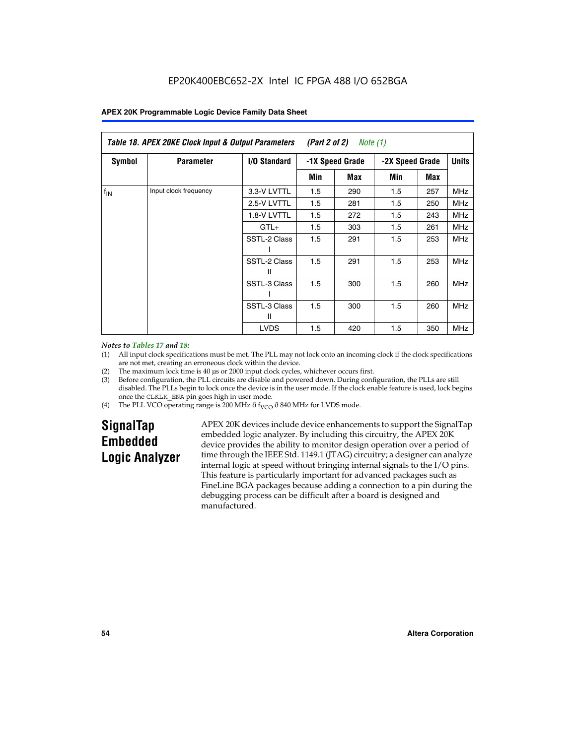|                 | Table 18. APEX 20KE Clock Input & Output Parameters<br>(Part 2 of 2)<br>Note (1) |                     |                 |     |                 |     |              |  |  |
|-----------------|----------------------------------------------------------------------------------|---------------------|-----------------|-----|-----------------|-----|--------------|--|--|
| Symbol          | <b>Parameter</b>                                                                 | <b>I/O Standard</b> | -1X Speed Grade |     | -2X Speed Grade |     | <b>Units</b> |  |  |
|                 |                                                                                  |                     | Min             | Max | Min             | Max |              |  |  |
| $f_{\text{IN}}$ | Input clock frequency                                                            | 3.3-V LVTTL         | 1.5             | 290 | 1.5             | 257 | MHz          |  |  |
|                 |                                                                                  | 2.5-V LVTTL         | 1.5             | 281 | 1.5             | 250 | <b>MHz</b>   |  |  |
|                 |                                                                                  | 1.8-V LVTTL         | 1.5             | 272 | 1.5             | 243 | <b>MHz</b>   |  |  |
|                 |                                                                                  | $GTL+$              | 1.5             | 303 | 1.5             | 261 | <b>MHz</b>   |  |  |
|                 |                                                                                  | SSTL-2 Class        | 1.5             | 291 | 1.5             | 253 | <b>MHz</b>   |  |  |
|                 |                                                                                  | SSTL-2 Class<br>Ш   | 1.5             | 291 | 1.5             | 253 | <b>MHz</b>   |  |  |
|                 |                                                                                  | SSTL-3 Class        | 1.5             | 300 | 1.5             | 260 | <b>MHz</b>   |  |  |
|                 |                                                                                  | SSTL-3 Class<br>Ш   | 1.5             | 300 | 1.5             | 260 | <b>MHz</b>   |  |  |
|                 |                                                                                  | <b>LVDS</b>         | 1.5             | 420 | 1.5             | 350 | <b>MHz</b>   |  |  |

#### *Notes to Tables 17 and 18:*

(1) All input clock specifications must be met. The PLL may not lock onto an incoming clock if the clock specifications are not met, creating an erroneous clock within the device.

- (2) The maximum lock time is 40 µs or 2000 input clock cycles, whichever occurs first.
- (3) Before configuration, the PLL circuits are disable and powered down. During configuration, the PLLs are still disabled. The PLLs begin to lock once the device is in the user mode. If the clock enable feature is used, lock begins once the CLKLK\_ENA pin goes high in user mode.
- (4) The PLL VCO operating range is 200 MHz  $\eth$  f<sub>VCO</sub>  $\eth$  840 MHz for LVDS mode.

# **SignalTap Embedded Logic Analyzer**

APEX 20K devices include device enhancements to support the SignalTap embedded logic analyzer. By including this circuitry, the APEX 20K device provides the ability to monitor design operation over a period of time through the IEEE Std. 1149.1 (JTAG) circuitry; a designer can analyze internal logic at speed without bringing internal signals to the I/O pins. This feature is particularly important for advanced packages such as FineLine BGA packages because adding a connection to a pin during the debugging process can be difficult after a board is designed and manufactured.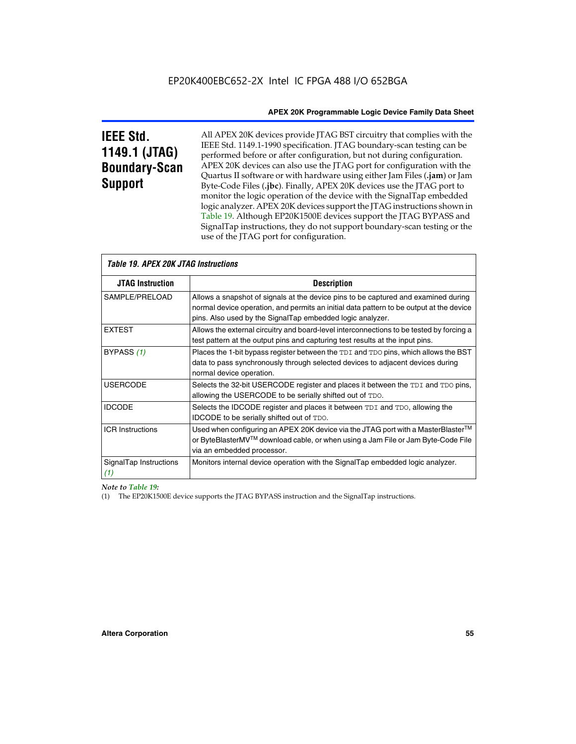# **IEEE Std. 1149.1 (JTAG) Boundary-Scan Support**

All APEX 20K devices provide JTAG BST circuitry that complies with the IEEE Std. 1149.1-1990 specification. JTAG boundary-scan testing can be performed before or after configuration, but not during configuration. APEX 20K devices can also use the JTAG port for configuration with the Quartus II software or with hardware using either Jam Files (**.jam**) or Jam Byte-Code Files (**.jbc**). Finally, APEX 20K devices use the JTAG port to monitor the logic operation of the device with the SignalTap embedded logic analyzer. APEX 20K devices support the JTAG instructions shown in Table 19. Although EP20K1500E devices support the JTAG BYPASS and SignalTap instructions, they do not support boundary-scan testing or the use of the JTAG port for configuration.

| <i><b>Table 19. APEX 20K JTAG Instructions</b></i> |                                                                                                                                                                                                                                            |  |  |  |
|----------------------------------------------------|--------------------------------------------------------------------------------------------------------------------------------------------------------------------------------------------------------------------------------------------|--|--|--|
| <b>JTAG Instruction</b>                            | <b>Description</b>                                                                                                                                                                                                                         |  |  |  |
| SAMPLE/PRELOAD                                     | Allows a snapshot of signals at the device pins to be captured and examined during<br>normal device operation, and permits an initial data pattern to be output at the device<br>pins. Also used by the SignalTap embedded logic analyzer. |  |  |  |
| <b>EXTEST</b>                                      | Allows the external circuitry and board-level interconnections to be tested by forcing a<br>test pattern at the output pins and capturing test results at the input pins.                                                                  |  |  |  |
| BYPASS (1)                                         | Places the 1-bit bypass register between the TDI and TDO pins, which allows the BST<br>data to pass synchronously through selected devices to adjacent devices during<br>normal device operation.                                          |  |  |  |
| <b>USERCODE</b>                                    | Selects the 32-bit USERCODE register and places it between the TDI and TDO pins,<br>allowing the USERCODE to be serially shifted out of TDO.                                                                                               |  |  |  |
| <b>IDCODE</b>                                      | Selects the IDCODE register and places it between TDI and TDO, allowing the<br>IDCODE to be serially shifted out of TDO.                                                                                                                   |  |  |  |
| <b>ICR Instructions</b>                            | Used when configuring an APEX 20K device via the JTAG port with a MasterBlaster™<br>or ByteBlasterMV™ download cable, or when using a Jam File or Jam Byte-Code File<br>via an embedded processor.                                         |  |  |  |
| SignalTap Instructions<br>(1)                      | Monitors internal device operation with the SignalTap embedded logic analyzer.                                                                                                                                                             |  |  |  |

 $\overline{\phantom{a}}$ 

# *Note to Table 19:*

(1) The EP20K1500E device supports the JTAG BYPASS instruction and the SignalTap instructions.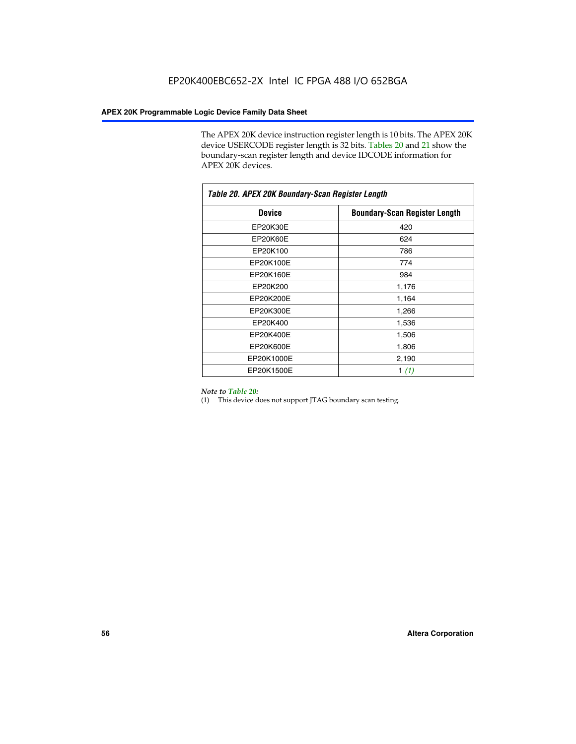The APEX 20K device instruction register length is 10 bits. The APEX 20K device USERCODE register length is 32 bits. Tables 20 and 21 show the boundary-scan register length and device IDCODE information for APEX 20K devices.

| Table 20. APEX 20K Boundary-Scan Register Length |                                      |
|--------------------------------------------------|--------------------------------------|
| <b>Device</b>                                    | <b>Boundary-Scan Register Length</b> |
| EP20K30E                                         | 420                                  |
| EP20K60E                                         | 624                                  |
| EP20K100                                         | 786                                  |
| EP20K100E                                        | 774                                  |
| EP20K160E                                        | 984                                  |
| EP20K200                                         | 1,176                                |
| EP20K200E                                        | 1,164                                |
| EP20K300E                                        | 1,266                                |
| EP20K400                                         | 1,536                                |
| EP20K400E                                        | 1,506                                |
| EP20K600E                                        | 1,806                                |
| EP20K1000E                                       | 2,190                                |
| EP20K1500E                                       | 1 $(1)$                              |

#### *Note to Table 20:*

(1) This device does not support JTAG boundary scan testing.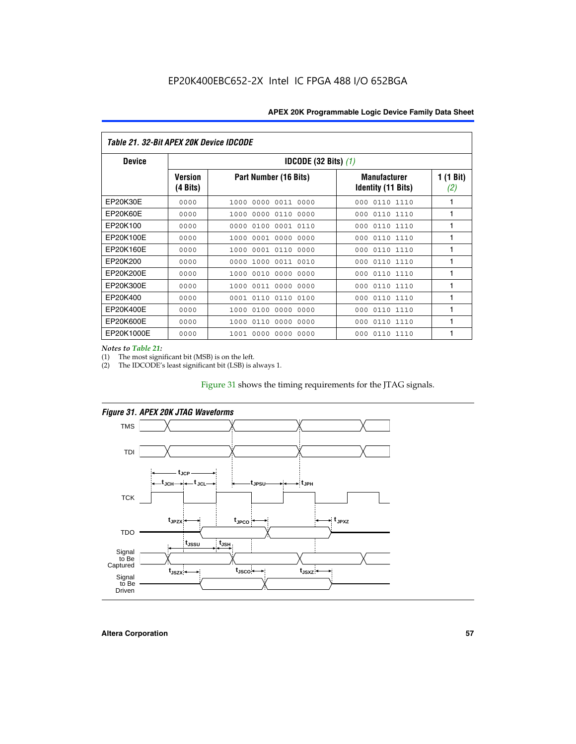| Table 21. 32-Bit APEX 20K Device IDCODE |                            |                                          |                                           |                  |  |
|-----------------------------------------|----------------------------|------------------------------------------|-------------------------------------------|------------------|--|
| <b>Device</b>                           |                            | <b>IDCODE (32 Bits) <math>(1)</math></b> |                                           |                  |  |
|                                         | <b>Version</b><br>(4 Bits) | Part Number (16 Bits)                    | <b>Manufacturer</b><br>Identity (11 Bits) | 1 (1 Bit)<br>(2) |  |
| EP20K30E                                | 0000                       | 0000 0011 0000<br>1000                   | 0110 1110<br>000                          | 1                |  |
| EP20K60E                                | 0000                       | 0000<br>0110<br>0000<br>1000             | 0110 1110<br>000                          | 1                |  |
| EP20K100                                | 0000                       | 0000<br>0100<br>0001 0110                | 000<br>0110 1110                          | 1                |  |
| EP20K100E                               | 0000                       | 0001 0000<br>0000<br>1000                | 0110 1110<br>000                          | 1                |  |
| EP20K160E                               | 0000                       | 0001 0110<br>0000<br>1000                | 0110 1110<br>000                          | 1                |  |
| EP20K200                                | 0000                       | 0000<br>1000<br>0011 0010                | 0110 1110<br>000                          | 1                |  |
| EP20K200E                               | 0000                       | 0010<br>0000<br>0000<br>1000             | 0110 1110<br>000                          | 1                |  |
| EP20K300E                               | 0000                       | 0011 0000 0000<br>1000                   | 0110 1110<br>000                          | 1                |  |
| EP20K400                                | 0000                       | 0110<br>0110<br>0100<br>0001             | 0110 1110<br>000                          | 1                |  |
| EP20K400E                               | 0000                       | 0100<br>0000<br>0000<br>1000             | 0110 1110<br>000                          | 1                |  |
| EP20K600E                               | 0000                       | 0110<br>0000<br>0000<br>1000             | 0110 1110<br>000                          | 1                |  |
| EP20K1000E                              | 0000                       | 0000<br>0000<br>0000<br>1001             | 000<br>0110 1110                          | 1                |  |

*Notes to Table 21:*

The most significant bit (MSB) is on the left.

(2) The IDCODE's least significant bit (LSB) is always 1.

# Figure 31 shows the timing requirements for the JTAG signals.



*Figure 31. APEX 20K JTAG Waveforms*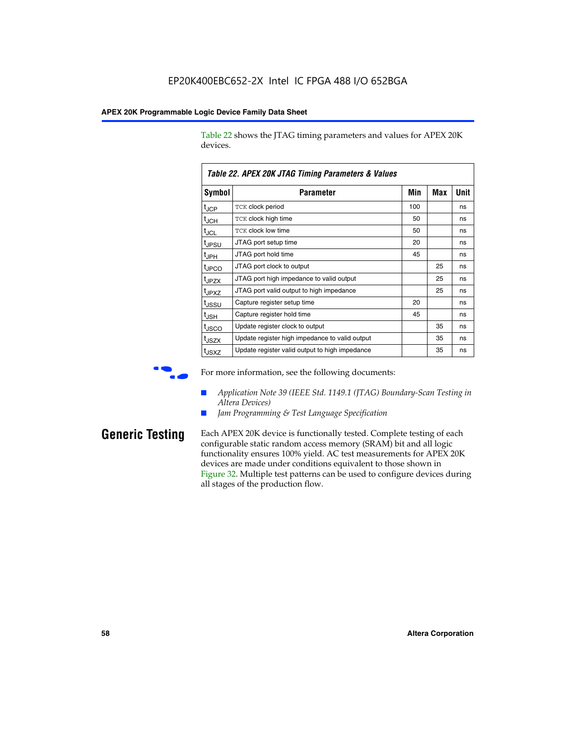Table 22 shows the JTAG timing parameters and values for APEX 20K devices.

|                   | TADIG LL. AF LA LUN JTAU THIIHIY FAIAHIGIGIS & VAIUGS |     |     |      |  |  |  |
|-------------------|-------------------------------------------------------|-----|-----|------|--|--|--|
| Symbol            | Parameter                                             | Min | Max | Unit |  |  |  |
| $t_{JCP}$         | <b>TCK clock period</b>                               | 100 |     | ns   |  |  |  |
| $t_{\text{JCH}}$  | TCK clock high time                                   | 50  |     | ns   |  |  |  |
| $t_{JCL}$         | TCK clock low time                                    | 50  |     | ns   |  |  |  |
| t <sub>JPSU</sub> | JTAG port setup time                                  | 20  |     | ns   |  |  |  |
| $t_{\rm JPH}$     | JTAG port hold time                                   | 45  |     | ns   |  |  |  |
| <sup>t</sup> JPCO | JTAG port clock to output                             |     | 25  | ns   |  |  |  |
| t <sub>JPZX</sub> | JTAG port high impedance to valid output              |     | 25  | ns   |  |  |  |
| t <sub>JPXZ</sub> | JTAG port valid output to high impedance              |     | 25  | ns   |  |  |  |
| tussu             | Capture register setup time                           | 20  |     | ns   |  |  |  |
| $t_{\rm JSH}$     | Capture register hold time                            | 45  |     | ns   |  |  |  |
| t <sub>JSCO</sub> | Update register clock to output                       |     | 35  | ns   |  |  |  |
| t <sub>JSZX</sub> | Update register high impedance to valid output        |     | 35  | ns   |  |  |  |
| t <sub>JSXZ</sub> | Update register valid output to high impedance        |     | 35  | ns   |  |  |  |

*Table 22. APEX 20K JTAG Timing Parameters & Values*

For more information, see the following documents:

- *Application Note 39 (IEEE Std. 1149.1 (JTAG) Boundary-Scan Testing in Altera Devices)*
- Jam Programming & Test Language Specification

**Generic Testing** Each APEX 20K device is functionally tested. Complete testing of each configurable static random access memory (SRAM) bit and all logic functionality ensures 100% yield. AC test measurements for APEX 20K devices are made under conditions equivalent to those shown in Figure 32. Multiple test patterns can be used to configure devices during all stages of the production flow.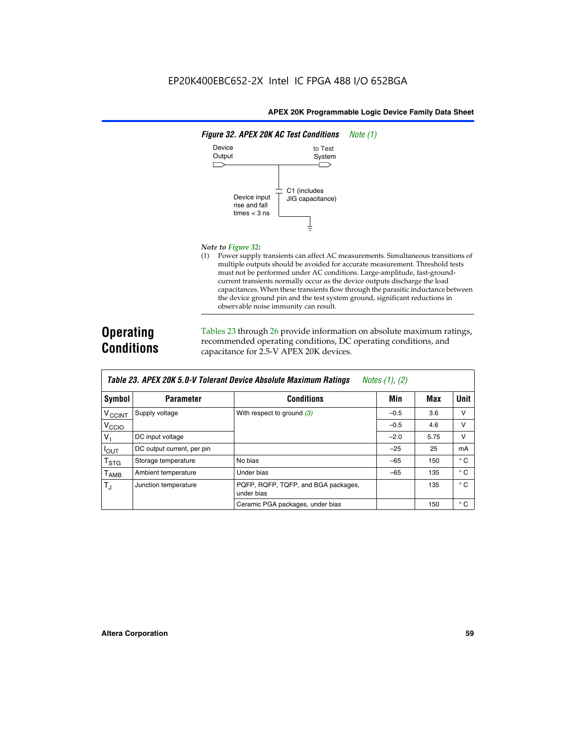

#### *Note to Figure 32:*

(1) Power supply transients can affect AC measurements. Simultaneous transitions of multiple outputs should be avoided for accurate measurement. Threshold tests must not be performed under AC conditions. Large-amplitude, fast-groundcurrent transients normally occur as the device outputs discharge the load capacitances. When these transients flow through the parasitic inductance between the device ground pin and the test system ground, significant reductions in observable noise immunity can result.

# **Operating Conditions**

Tables 23 through 26 provide information on absolute maximum ratings, recommended operating conditions, DC operating conditions, and capacitance for 2.5-V APEX 20K devices.

|                             | Table Lo. At LA Lon 0.0 V Toletant Device Absolute maximum hathlys<br>110100 (11, 14) |                                                   |        |      |              |  |  |  |
|-----------------------------|---------------------------------------------------------------------------------------|---------------------------------------------------|--------|------|--------------|--|--|--|
| Symbol                      | <b>Parameter</b>                                                                      | <b>Conditions</b>                                 | Min    | Max  | <b>Unit</b>  |  |  |  |
| <b>V<sub>CCINT</sub></b>    | Supply voltage                                                                        | With respect to ground $(3)$                      | $-0.5$ | 3.6  | v            |  |  |  |
| V <sub>CCIO</sub>           |                                                                                       |                                                   | $-0.5$ | 4.6  | v            |  |  |  |
| $V_{\parallel}$             | DC input voltage                                                                      |                                                   | $-2.0$ | 5.75 | v            |  |  |  |
| $I_{\text{OUT}}$            | DC output current, per pin                                                            |                                                   | $-25$  | 25   | mA           |  |  |  |
| $\mathsf{T}_{\textsf{STG}}$ | Storage temperature                                                                   | No bias                                           | $-65$  | 150  | $^{\circ}$ C |  |  |  |
| Т <sub>АМВ</sub>            | Ambient temperature                                                                   | Under bias                                        | $-65$  | 135  | $^{\circ}$ C |  |  |  |
| $T_{\rm J}$                 | Junction temperature                                                                  | PQFP, RQFP, TQFP, and BGA packages,<br>under bias |        | 135  | $^{\circ}$ C |  |  |  |
|                             |                                                                                       | Ceramic PGA packages, under bias                  |        | 150  | $^{\circ}$ C |  |  |  |

| Table 23. APEX 20K 5.0-V Tolerant Device Absolute Maximum Ratings $Notes (1), (2)$ |  |
|------------------------------------------------------------------------------------|--|
|------------------------------------------------------------------------------------|--|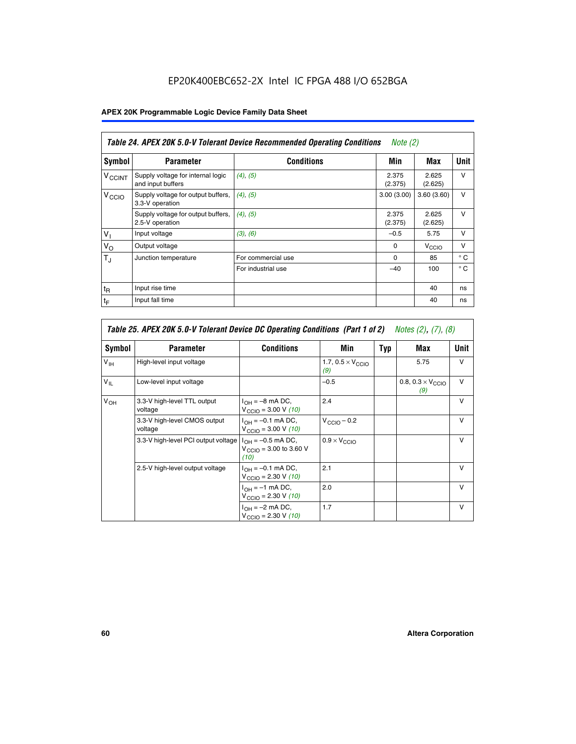# EP20K400EBC652-2X Intel IC FPGA 488 I/O 652BGA

# **APEX 20K Programmable Logic Device Family Data Sheet**

| Table 24. APEX 20K 5.0-V Tolerant Device Recommended Operating Conditions<br><i>Note</i> $(2)$ |                                                        |                    |                  |                  |              |
|------------------------------------------------------------------------------------------------|--------------------------------------------------------|--------------------|------------------|------------------|--------------|
| Symbol                                                                                         | <b>Parameter</b>                                       | <b>Conditions</b>  | Min              | Max              | <b>Unit</b>  |
| <b>V<sub>CCINT</sub></b>                                                                       | Supply voltage for internal logic<br>and input buffers | (4), (5)           | 2.375<br>(2.375) | 2.625<br>(2.625) | v            |
| V <sub>CCIO</sub>                                                                              | Supply voltage for output buffers,<br>3.3-V operation  | (4), (5)           | 3.00(3.00)       | 3.60(3.60)       | v            |
|                                                                                                | Supply voltage for output buffers,<br>2.5-V operation  | (4), (5)           | 2.375<br>(2.375) | 2.625<br>(2.625) | v            |
| $V_1$                                                                                          | Input voltage                                          | (3), (6)           | $-0.5$           | 5.75             | v            |
| $V_{\rm O}$                                                                                    | Output voltage                                         |                    | $\Omega$         | V <sub>CCO</sub> | v            |
| $T_{\rm J}$                                                                                    | Junction temperature                                   | For commercial use | $\Omega$         | 85               | $^{\circ}$ C |
|                                                                                                |                                                        | For industrial use | $-40$            | 100              | $^{\circ}$ C |
| $t_{R}$                                                                                        | Input rise time                                        |                    |                  | 40               | ns           |
| $t_{\mathsf{F}}$                                                                               | Input fall time                                        |                    |                  | 40               | ns           |

| Table 25. APEX 20K 5.0-V Tolerant Device DC Operating Conditions (Part 1 of 2) Notes (2), (7), (8) |                                         |                                                                      |                                          |     |                                          |              |  |
|----------------------------------------------------------------------------------------------------|-----------------------------------------|----------------------------------------------------------------------|------------------------------------------|-----|------------------------------------------|--------------|--|
| Symbol                                                                                             | <b>Parameter</b>                        | <b>Conditions</b>                                                    | Min                                      | Typ | Max                                      | Unit         |  |
| $V_{\text{IH}}$                                                                                    | High-level input voltage                |                                                                      | 1.7, $0.5 \times V_{\text{CCIO}}$<br>(9) |     | 5.75                                     | $\vee$       |  |
| $V_{IL}$                                                                                           | Low-level input voltage                 |                                                                      | $-0.5$                                   |     | 0.8, $0.3 \times V_{\text{CCIO}}$<br>(9) | v            |  |
| $V_{OH}$                                                                                           | 3.3-V high-level TTL output<br>voltage  | $I_{OH} = -8$ mA DC,<br>$V_{\text{CCIO}} = 3.00 V (10)$              | 2.4                                      |     |                                          | $\mathsf{v}$ |  |
|                                                                                                    | 3.3-V high-level CMOS output<br>voltage | $I_{OH} = -0.1$ mA DC,<br>$V_{\text{CCIO}} = 3.00 \text{ V} (10)$    | $V_{\text{CCIO}} - 0.2$                  |     |                                          | $\mathsf{V}$ |  |
|                                                                                                    | 3.3-V high-level PCI output voltage     | $I_{OH} = -0.5$ mA DC,<br>$V_{\text{CCIO}} = 3.00$ to 3.60 V<br>(10) | $0.9 \times V_{\text{CCIO}}$             |     |                                          | v            |  |
|                                                                                                    | 2.5-V high-level output voltage         | $I_{OH} = -0.1$ mA DC,<br>$V_{\text{CCIO}} = 2.30 V (10)$            | 2.1                                      |     |                                          | $\mathsf{V}$ |  |
|                                                                                                    |                                         | $I_{OH} = -1$ mA DC,<br>$V_{\text{CCIO}} = 2.30 V (10)$              | 2.0                                      |     |                                          | $\vee$       |  |
|                                                                                                    |                                         | $I_{OH} = -2$ mA DC,<br>$V_{\text{CCIO}} = 2.30 V (10)$              | 1.7                                      |     |                                          | $\vee$       |  |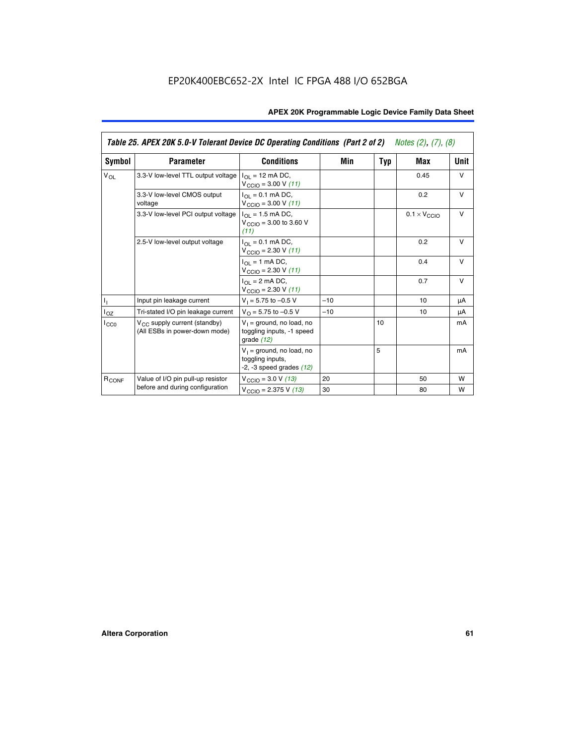|                   | Table 25. APEX 20K 5.0-V Tolerant Device DC Operating Conditions (Part 2 of 2) Notes (2), (7), (8) |                                                                                    |       |     |                              |        |  |  |
|-------------------|----------------------------------------------------------------------------------------------------|------------------------------------------------------------------------------------|-------|-----|------------------------------|--------|--|--|
| Symbol            | <b>Parameter</b>                                                                                   | <b>Conditions</b>                                                                  | Min   | Typ | Max                          | Unit   |  |  |
| $V_{OL}$          | 3.3-V low-level TTL output voltage                                                                 | $I_{\Omega}$ = 12 mA DC,<br>$V_{\text{CCIO}} = 3.00 V (11)$                        |       |     | 0.45                         | $\vee$ |  |  |
|                   | 3.3-V low-level CMOS output<br>voltage                                                             | $I_{\Omega} = 0.1$ mA DC,<br>$V_{\text{CCIO}} = 3.00 V (11)$                       |       |     | 0.2                          | $\vee$ |  |  |
|                   | 3.3-V low-level PCI output voltage                                                                 | $I_{\Omega I}$ = 1.5 mA DC,<br>$V_{\text{CGIO}} = 3.00$ to 3.60 V<br>(11)          |       |     | $0.1 \times V_{\text{CCLO}}$ | $\vee$ |  |  |
|                   | 2.5-V low-level output voltage                                                                     | $I_{\Omega} = 0.1$ mA DC,<br>$V_{\text{CCIO}} = 2.30 V (11)$                       |       |     | 0.2                          | $\vee$ |  |  |
|                   |                                                                                                    | $I_{\Omega}$ = 1 mA DC,<br>$V_{\text{CCIO}} = 2.30 V (11)$                         |       |     | 0.4                          | $\vee$ |  |  |
|                   |                                                                                                    | $I_{\Omega}$ = 2 mA DC,<br>$V_{\text{CCIO}} = 2.30 V (11)$                         |       |     | 0.7                          | v      |  |  |
| h,                | Input pin leakage current                                                                          | $V_1 = 5.75$ to $-0.5$ V                                                           | $-10$ |     | 10                           | μA     |  |  |
| $I_{OZ}$          | Tri-stated I/O pin leakage current                                                                 | $V_O = 5.75$ to $-0.5$ V                                                           | $-10$ |     | 10                           | μA     |  |  |
| ICCO              | $V_{CC}$ supply current (standby)<br>(All ESBs in power-down mode)                                 | $V_1$ = ground, no load, no<br>toggling inputs, -1 speed<br>grade $(12)$           |       | 10  |                              | mA     |  |  |
|                   |                                                                                                    | $V_1$ = ground, no load, no<br>toggling inputs,<br>$-2$ , $-3$ speed grades $(12)$ |       | 5   |                              | mA     |  |  |
| R <sub>CONF</sub> | Value of I/O pin pull-up resistor                                                                  | $V_{\text{CClO}} = 3.0 V (13)$                                                     | 20    |     | 50                           | W      |  |  |
|                   | before and during configuration                                                                    | $V_{\text{CCIO}} = 2.375 V (13)$                                                   | 30    |     | 80                           | w      |  |  |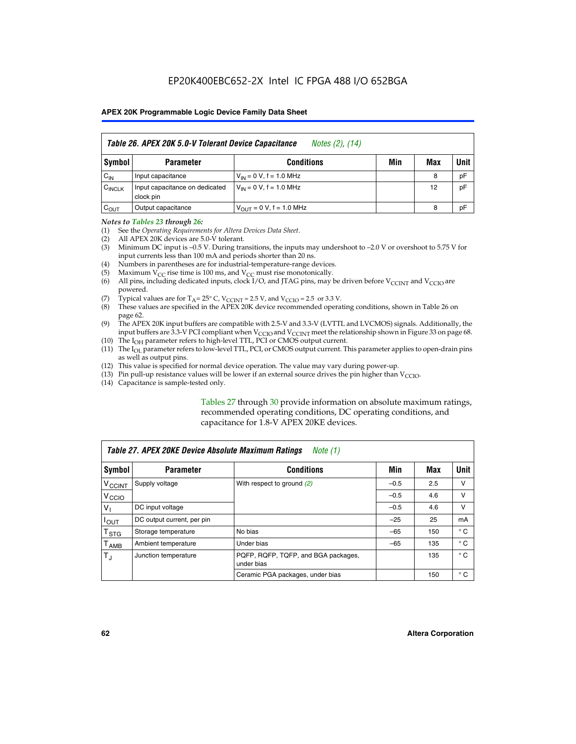| Table 26. APEX 20K 5.0-V Tolerant Device Capacitance<br>Notes (2), (14) |                                             |                                     |     |     |      |  |
|-------------------------------------------------------------------------|---------------------------------------------|-------------------------------------|-----|-----|------|--|
| Symbol                                                                  | <b>Parameter</b>                            | <b>Conditions</b>                   | Min | Max | Unit |  |
| $C_{IN}$                                                                | Input capacitance                           | $V_{1N} = 0 V$ , f = 1.0 MHz        |     | 8   | pF   |  |
| $C_{\text{INCLK}}$                                                      | Input capacitance on dedicated<br>clock pin | $V_{IN} = 0 V$ , f = 1.0 MHz        |     | 12  | pF   |  |
| $C_{OUT}$                                                               | Output capacitance                          | $V_{\text{OUT}} = 0 V, f = 1.0 MHz$ |     | 8   | pF   |  |

#### *Notes to Tables 23 through 26:*

- (1) See the *Operating Requirements for Altera Devices Data Sheet*.
- (2) All APEX 20K devices are 5.0-V tolerant.
- (3) Minimum DC input is –0.5 V. During transitions, the inputs may undershoot to –2.0 V or overshoot to 5.75 V for input currents less than 100 mA and periods shorter than 20 ns.
- (4) Numbers in parentheses are for industrial-temperature-range devices.
- (5) Maximum  $V_{CC}$  rise time is 100 ms, and  $V_{CC}$  must rise monotonically.<br>(6) All pins, including dedicated inputs, clock I/O, and JTAG pins, may b
- All pins, including dedicated inputs, clock I/O, and JTAG pins, may be driven before  $V_{\text{CCINT}}$  and  $V_{\text{CCIO}}$  are powered.
- (7) Typical values are for  $T_A = 25^\circ$  C, V<sub>CCINT</sub> = 2.5 V, and V<sub>CCIO</sub> = 2.5 or 3.3 V.<br>(8) These values are specified in the APEX 20K device recommended operat
- These values are specified in the APEX 20K device recommended operating conditions, shown in Table 26 on page 62.
- (9) The APEX 20K input buffers are compatible with 2.5-V and 3.3-V (LVTTL and LVCMOS) signals. Additionally, the input buffers are 3.3-V PCI compliant when  $V_{\text{CCIO}}$  and  $V_{\text{CCINI}}$  meet the relationship shown in Figure 33 on page 68.
- (10) The  $I<sub>OH</sub>$  parameter refers to high-level TTL, PCI or CMOS output current.
- (11) The I<sub>OL</sub> parameter refers to low-level TTL, PCI, or CMOS output current. This parameter applies to open-drain pins as well as output pins.
- (12) This value is specified for normal device operation. The value may vary during power-up.
- (13) Pin pull-up resistance values will be lower if an external source drives the pin higher than  $V_{\text{CCIO}}$ .
- (14) Capacitance is sample-tested only.

Tables 27 through 30 provide information on absolute maximum ratings, recommended operating conditions, DC operating conditions, and capacitance for 1.8-V APEX 20KE devices.

|                             | Table 27. APEX 20KE Device Absolute Maximum Ratings<br>Note (1) |                                                   |        |     |              |  |  |
|-----------------------------|-----------------------------------------------------------------|---------------------------------------------------|--------|-----|--------------|--|--|
| Symbol                      | <b>Parameter</b>                                                | <b>Conditions</b>                                 | Min    | Max | Unit         |  |  |
| $V_{\text{CCINT}}$          | Supply voltage                                                  | With respect to ground (2)                        | $-0.5$ | 2.5 | v            |  |  |
| V <sub>CCIO</sub>           |                                                                 |                                                   | $-0.5$ | 4.6 | v            |  |  |
| $V_{1}$                     | DC input voltage                                                |                                                   | $-0.5$ | 4.6 | $\vee$       |  |  |
| $I_{OUT}$                   | DC output current, per pin                                      |                                                   | $-25$  | 25  | mA           |  |  |
| $\mathsf{T}_{\texttt{STG}}$ | Storage temperature                                             | No bias                                           | $-65$  | 150 | $^{\circ}$ C |  |  |
| Т <sub>АМВ</sub>            | Ambient temperature                                             | Under bias                                        | $-65$  | 135 | $^{\circ}$ C |  |  |
| $\mathsf{T}_{\text{d}}$     | Junction temperature                                            | PQFP, RQFP, TQFP, and BGA packages,<br>under bias |        | 135 | $^{\circ}$ C |  |  |
|                             |                                                                 | Ceramic PGA packages, under bias                  |        | 150 | $^{\circ}$ C |  |  |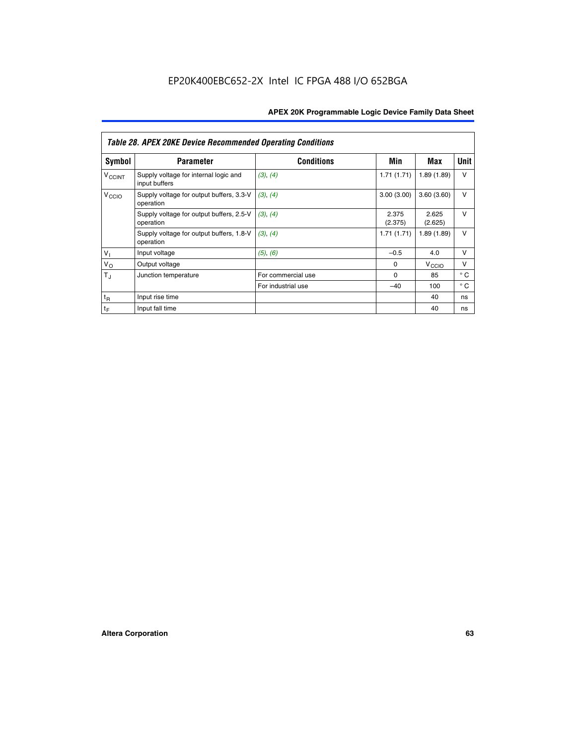|                             | <b>Table 28. APEX 20KE Device Recommended Operating Conditions</b> |                    |                  |                   |              |
|-----------------------------|--------------------------------------------------------------------|--------------------|------------------|-------------------|--------------|
| <b>Symbol</b>               | <b>Parameter</b>                                                   | <b>Conditions</b>  | Min              | Max               | <b>Unit</b>  |
| <b>V<sub>CCINT</sub></b>    | Supply voltage for internal logic and<br>input buffers             | (3), (4)           | 1.71(1.71)       | 1.89(1.89)        | $\vee$       |
| V <sub>CCIO</sub>           | Supply voltage for output buffers, 3.3-V<br>operation              | (3), (4)           | 3.00(3.00)       | 3.60(3.60)        | $\vee$       |
|                             | Supply voltage for output buffers, 2.5-V<br>operation              | (3), (4)           | 2.375<br>(2.375) | 2.625<br>(2.625)  | $\vee$       |
|                             | Supply voltage for output buffers, 1.8-V<br>operation              | (3), (4)           | 1.71(1.71)       | 1.89(1.89)        | $\vee$       |
| $V_1$                       | Input voltage                                                      | (5), (6)           | $-0.5$           | 4.0               | $\vee$       |
| $V_{\rm O}$                 | Output voltage                                                     |                    | $\Omega$         | V <sub>CCIO</sub> | v            |
| $T_{\rm J}$                 | Junction temperature                                               | For commercial use | $\Omega$         | 85                | $^{\circ}$ C |
|                             |                                                                    | For industrial use | $-40$            | 100               | $^{\circ}$ C |
| $t_{R}$                     | Input rise time                                                    |                    |                  | 40                | ns           |
| $\mathfrak{t}_{\mathsf{F}}$ | Input fall time                                                    |                    |                  | 40                | ns           |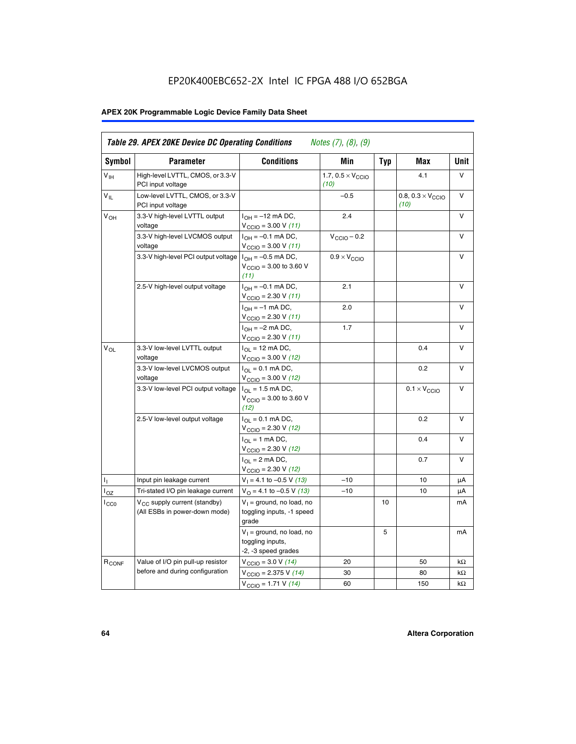# EP20K400EBC652-2X Intel IC FPGA 488 I/O 652BGA

# **APEX 20K Programmable Logic Device Family Data Sheet**

| Symbol                     | <b>Parameter</b>                                                   | <b>Conditions</b>                                                                        | Min                                       | <b>Typ</b> | Max                                       | Unit      |
|----------------------------|--------------------------------------------------------------------|------------------------------------------------------------------------------------------|-------------------------------------------|------------|-------------------------------------------|-----------|
| $V_{\text{IH}}$            | High-level LVTTL, CMOS, or 3.3-V<br>PCI input voltage              |                                                                                          | 1.7, $0.5 \times V_{\text{CCIO}}$<br>(10) |            | 4.1                                       | V         |
| $\mathsf{V}_{\mathsf{IL}}$ | Low-level LVTTL, CMOS, or 3.3-V<br>PCI input voltage               |                                                                                          | $-0.5$                                    |            | 0.8, $0.3 \times V_{\text{CCIO}}$<br>(10) | $\vee$    |
| $V_{OH}$                   | 3.3-V high-level LVTTL output<br>voltage                           | $I_{OH} = -12$ mA DC,<br>$V_{\text{CCIO}} = 3.00 V (11)$                                 | 2.4                                       |            |                                           | v         |
|                            | 3.3-V high-level LVCMOS output<br>voltage                          | $I_{OH} = -0.1$ mA DC,<br>$V_{\text{CCIO}} = 3.00 V (11)$                                | $V_{\text{CCIO}} - 0.2$                   |            |                                           | V         |
|                            | 3.3-V high-level PCI output voltage $ I_{OH} = -0.5$ mA DC,        | $V_{\text{CCIO}} = 3.00$ to 3.60 V<br>(11)                                               | $0.9 \times V_{\text{CCIO}}$              |            |                                           | $\vee$    |
|                            | 2.5-V high-level output voltage                                    | $I_{OH} = -0.1$ mA DC,<br>$V_{\text{CCIO}} = 2.30 V (11)$                                | 2.1                                       |            |                                           | v         |
|                            |                                                                    | $I_{OH} = -1$ mA DC,<br>$V_{\text{CCIO}} = 2.30 V (11)$                                  | 2.0                                       |            |                                           | v         |
|                            |                                                                    | $I_{OH} = -2$ mA DC,<br>$V_{\text{CCIO}}$ = 2.30 V (11)                                  | 1.7                                       |            |                                           | V         |
| $V_{OL}$                   | 3.3-V low-level LVTTL output<br>voltage                            | $I_{\Omega}$ = 12 mA DC,<br>$V_{\text{CCIO}}$ = 3.00 V (12)                              |                                           |            | 0.4                                       | ν         |
|                            | 3.3-V low-level LVCMOS output<br>voltage                           | $I_{\Omega} = 0.1$ mA DC,<br>$V_{\text{CCIO}} = 3.00 V (12)$                             |                                           |            | 0.2                                       | $\vee$    |
|                            | 3.3-V low-level PCI output voltage                                 | $I_{\Omega}$ = 1.5 mA DC,<br>$V_{\text{CGIQ}} = 3.00 \text{ to } 3.60 \text{ V}$<br>(12) |                                           |            | $0.1 \times V_{\text{CCIO}}$              | v         |
|                            | 2.5-V low-level output voltage                                     | $I_{OL} = 0.1$ mA DC,<br>$V_{\text{CCIO}}$ = 2.30 V (12)                                 |                                           |            | 0.2                                       | v         |
|                            |                                                                    | $I_{\Omega}$ = 1 mA DC,<br>$V_{\text{CCIO}} = 2.30 V (12)$                               |                                           |            | 0.4                                       | ν         |
|                            |                                                                    | $I_{OL}$ = 2 mA DC,<br>$V_{\text{CCIO}} = 2.30 V (12)$                                   |                                           |            | 0.7                                       | v         |
| т,                         | Input pin leakage current                                          | $V_1 = 4.1$ to -0.5 V (13)                                                               | $-10$                                     |            | 10                                        | μA        |
| $I_{OZ}$                   | Tri-stated I/O pin leakage current                                 | $V_{\Omega}$ = 4.1 to -0.5 V (13)                                                        | $-10$                                     |            | 10                                        | μA        |
| $I_{CC0}$                  | $V_{CC}$ supply current (standby)<br>(All ESBs in power-down mode) | $V_1$ = ground, no load, no<br>toggling inputs, -1 speed<br>grade                        |                                           | 10         |                                           | mA        |
|                            |                                                                    | $V_1$ = ground, no load, no<br>toggling inputs,<br>-2, -3 speed grades                   |                                           | 5          |                                           | mA        |
| R <sub>CONF</sub>          | Value of I/O pin pull-up resistor                                  | $V_{\text{CCIO}} = 3.0 V (14)$                                                           | 20                                        |            | 50                                        | $k\Omega$ |
|                            | before and during configuration                                    | $V_{\text{CCIO}} = 2.375 V (14)$                                                         | 30                                        |            | 80                                        | kΩ        |
|                            |                                                                    | $V_{\text{CCIO}} = 1.71 V (14)$                                                          | 60                                        |            | 150                                       | kΩ        |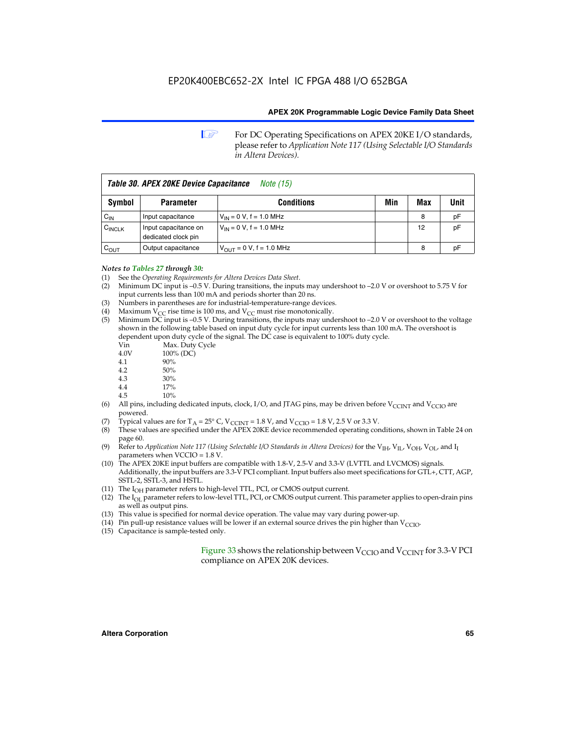**1 For DC Operating Specifications on APEX 20KE I/O standards,** please refer to *Application Note 117 (Using Selectable I/O Standards in Altera Devices).*

| Table 30. APEX 20KE Device Capacitance<br><i>Note</i> (15) |                                             |                                |     |     |      |  |  |
|------------------------------------------------------------|---------------------------------------------|--------------------------------|-----|-----|------|--|--|
| Symbol                                                     | <b>Parameter</b>                            | <b>Conditions</b>              | Min | Max | Unit |  |  |
| $C_{\text{IN}}$                                            | Input capacitance                           | $V_{IN} = 0 V$ , f = 1.0 MHz   |     | 8   | pF   |  |  |
| $C_{\text{INCLK}}$                                         | Input capacitance on<br>dedicated clock pin | $V_{IN} = 0 V$ , f = 1.0 MHz   |     | 12  | pF   |  |  |
| $C_{OUT}$                                                  | Output capacitance                          | $V_{OUIT} = 0 V$ , f = 1.0 MHz |     | 8   | рF   |  |  |

#### *Notes to Tables 27 through 30:*

- (1) See the *Operating Requirements for Altera Devices Data Sheet*.
- (2) Minimum DC input is –0.5 V. During transitions, the inputs may undershoot to –2.0 V or overshoot to 5.75 V for input currents less than 100 mA and periods shorter than 20 ns.
- (3) Numbers in parentheses are for industrial-temperature-range devices.
- (4) Maximum  $V_{CC}$  rise time is 100 ms, and  $V_{CC}$  must rise monotonically.<br>(5) Minimum DC input is -0.5 V. During transitions, the inputs may und
- Minimum DC input is  $-0.5$  V. During transitions, the inputs may undershoot to  $-2.0$  V or overshoot to the voltage shown in the following table based on input duty cycle for input currents less than 100 mA. The overshoot is dependent upon duty cycle of the signal. The DC case is equivalent to 100% duty cycle.

| Vin  | Max. Duty Cycle |
|------|-----------------|
| 4.0V | 100% (DC)       |
| 4.1  | 90%             |
| 4.2  | 50%             |
| 4.3  | 30%             |
|      |                 |

- 4.4  $17\%$ <br>4.5  $10\%$
- 10%
- (6) All pins, including dedicated inputs, clock, I/O, and JTAG pins, may be driven before  $V_{\text{CCINT}}$  and  $V_{\text{CCIO}}$  are powered.
- (7) Typical values are for  $T_A = 25^\circ$  C, V<sub>CCINT</sub> = 1.8 V, and V<sub>CCIO</sub> = 1.8 V, 2.5 V or 3.3 V.
- (8) These values are specified under the APEX 20KE device recommended operating conditions, shown in Table 24 on page 60.
- (9) Refer to *Application Note 117 (Using Selectable I/O Standards in Altera Devices)* for the V<sub>IH</sub>, V<sub>IL</sub>, V<sub>OH</sub>, V<sub>OL</sub>, and I<sub>I</sub> parameters when VCCIO = 1.8 V.
- (10) The APEX 20KE input buffers are compatible with 1.8-V, 2.5-V and 3.3-V (LVTTL and LVCMOS) signals. Additionally, the input buffers are 3.3-V PCI compliant. Input buffers also meet specifications for GTL+, CTT, AGP, SSTL-2, SSTL-3, and HSTL.
- (11) The  $I_{OH}$  parameter refers to high-level TTL, PCI, or CMOS output current.
- (12) The I<sub>OL</sub> parameter refers to low-level TTL, PCI, or CMOS output current. This parameter applies to open-drain pins as well as output pins.
- (13) This value is specified for normal device operation. The value may vary during power-up.
- (14) Pin pull-up resistance values will be lower if an external source drives the pin higher than  $V_{CCIO}$ .
- (15) Capacitance is sample-tested only.

Figure 33 shows the relationship between  $V_{\text{CCIO}}$  and  $V_{\text{CCINT}}$  for 3.3-V PCI compliance on APEX 20K devices.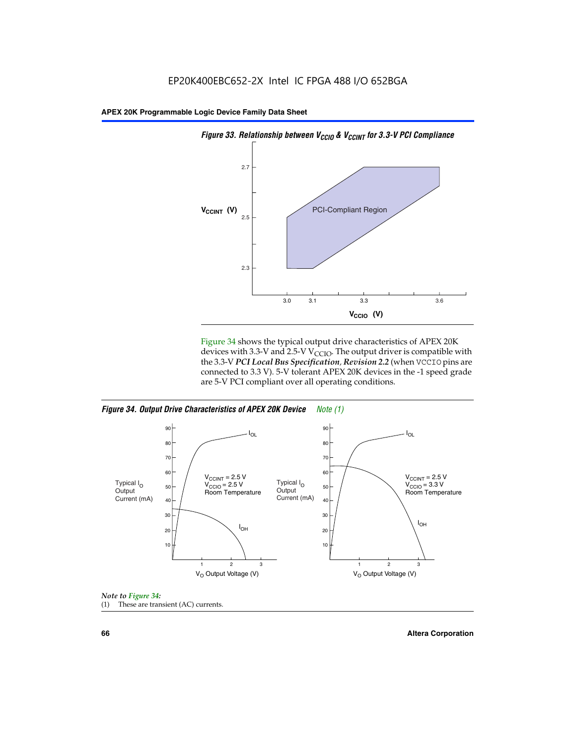



Figure 34 shows the typical output drive characteristics of APEX 20K devices with 3.3-V and 2.5-V V<sub>CCIO</sub>. The output driver is compatible with the 3.3-V *PCI Local Bus Specification, Revision 2.2* (when VCCIO pins are connected to 3.3 V). 5-V tolerant APEX 20K devices in the -1 speed grade are 5-V PCI compliant over all operating conditions.

*Figure 34. Output Drive Characteristics of APEX 20K Device Note (1)*





**66 Altera Corporation**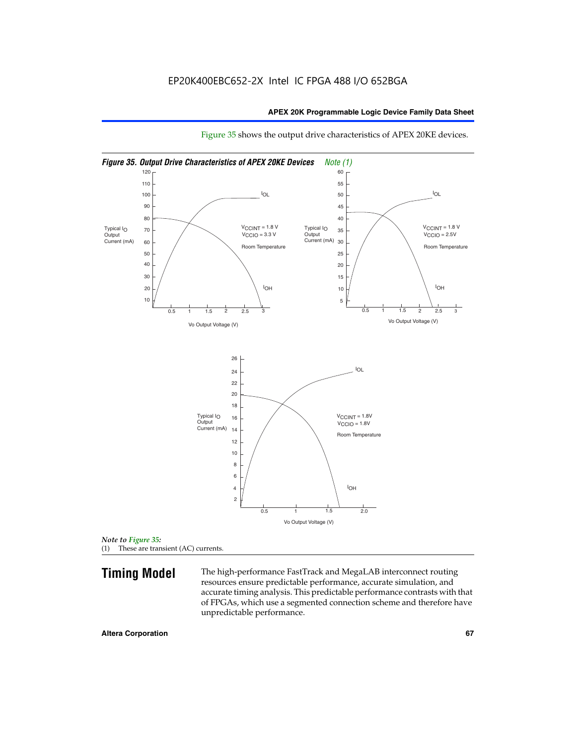

Figure 35 shows the output drive characteristics of APEX 20KE devices.

*Note to Figure 35:* (1) These are transient (AC) currents.

**Timing Model** The high-performance FastTrack and MegaLAB interconnect routing resources ensure predictable performance, accurate simulation, and accurate timing analysis. This predictable performance contrasts with that of FPGAs, which use a segmented connection scheme and therefore have unpredictable performance.

#### **Altera Corporation 67** 67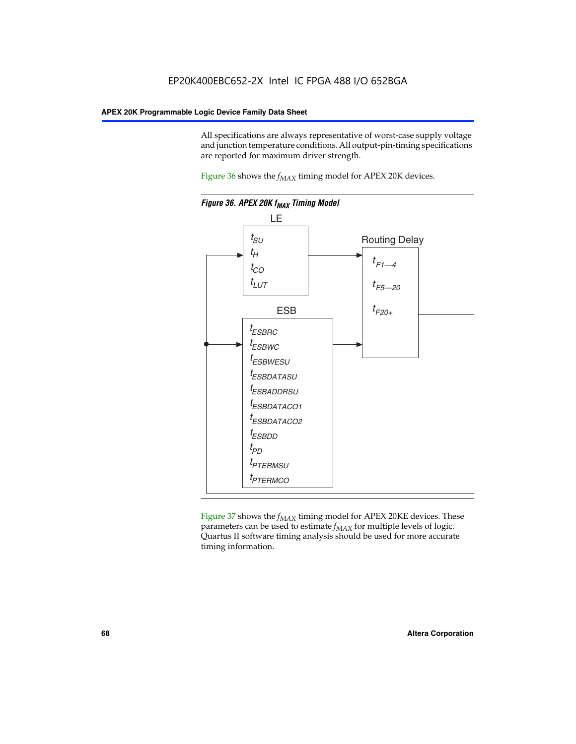All specifications are always representative of worst-case supply voltage and junction temperature conditions. All output-pin-timing specifications are reported for maximum driver strength.

Figure  $36$  shows the  $f_{MAX}$  timing model for APEX 20K devices.



Figure 37 shows the  $f_{MAX}$  timing model for APEX 20KE devices. These parameters can be used to estimate  $f_{MAX}$  for multiple levels of logic. Quartus II software timing analysis should be used for more accurate timing information.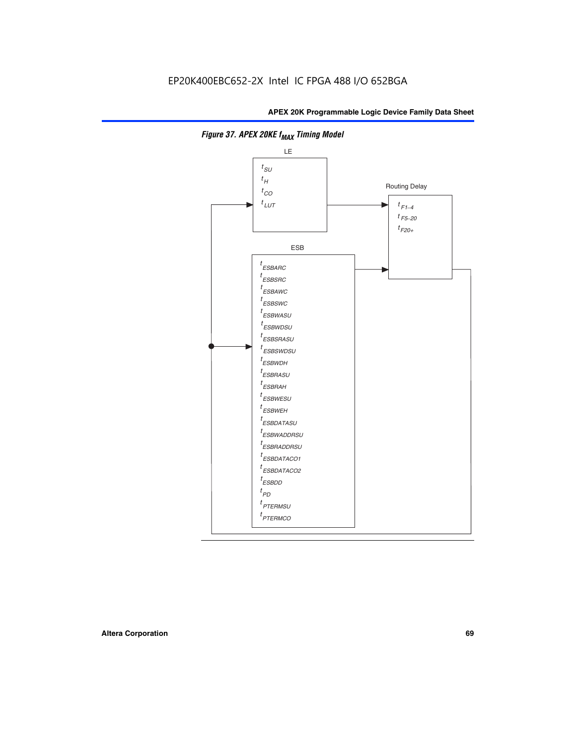

**Figure 37. APEX 20KE f<sub>MAX</sub> Timing Model**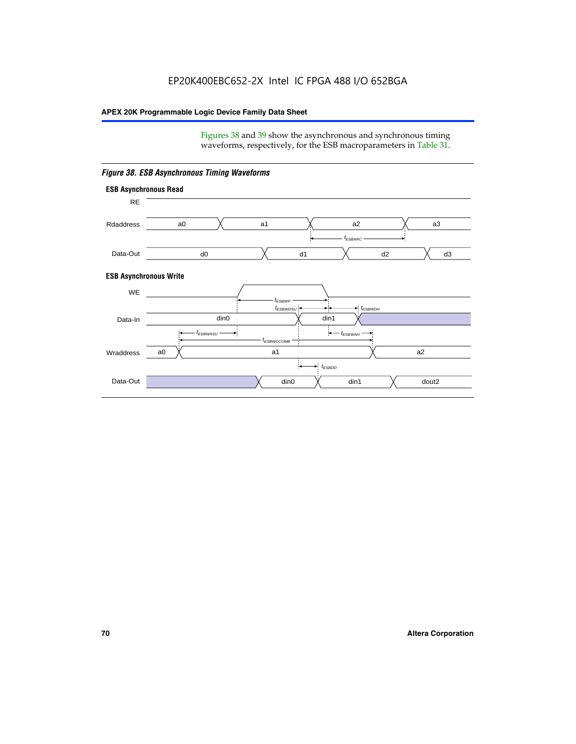Figures 38 and 39 show the asynchronous and synchronous timing waveforms, respectively, for the ESB macroparameters in Table 31.



*Figure 38. ESB Asynchronous Timing Waveforms*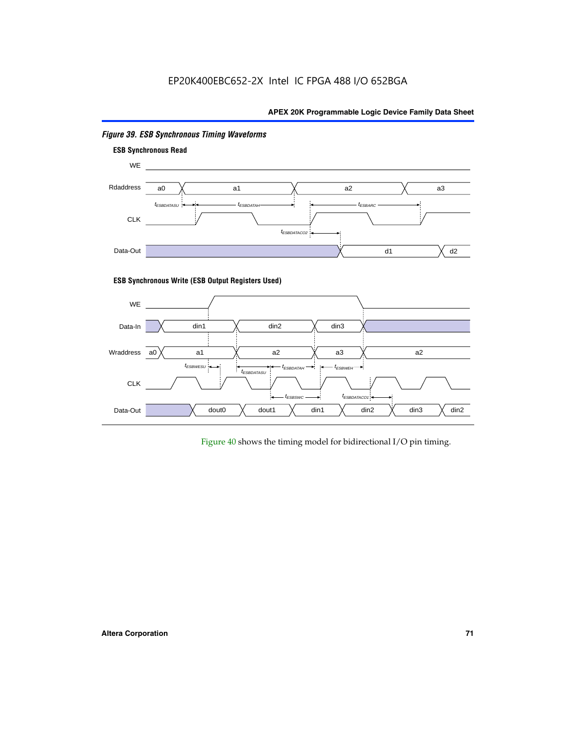

# *Figure 39. ESB Synchronous Timing Waveforms*

# **ESB Synchronous Write (ESB Output Registers Used)**



Figure 40 shows the timing model for bidirectional I/O pin timing.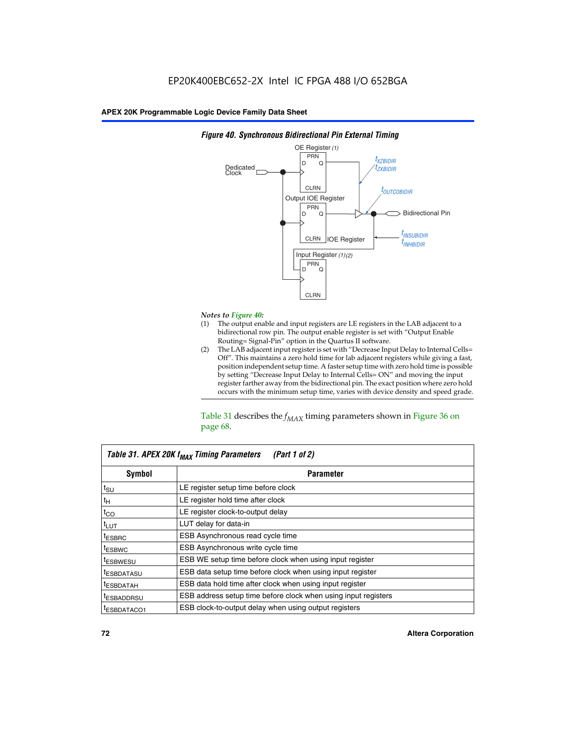

### *Figure 40. Synchronous Bidirectional Pin External Timing*

# *Notes to Figure 40:*

- The output enable and input registers are LE registers in the LAB adjacent to a bidirectional row pin. The output enable register is set with "Output Enable Routing= Signal-Pin" option in the Quartus II software.
- (2) The LAB adjacent input register is set with "Decrease Input Delay to Internal Cells= Off". This maintains a zero hold time for lab adjacent registers while giving a fast, position independent setup time. A faster setup time with zero hold time is possible by setting "Decrease Input Delay to Internal Cells= ON" and moving the input register farther away from the bidirectional pin. The exact position where zero hold occurs with the minimum setup time, varies with device density and speed grade.

Table 31 describes the  $f_{MAX}$  timing parameters shown in Figure 36 on page 68.

| Table 31. APEX 20K f <sub>MAX</sub> Timing Parameters<br>(Part 1 of 2) |                                                                |  |  |  |  |
|------------------------------------------------------------------------|----------------------------------------------------------------|--|--|--|--|
| Symbol                                                                 | <b>Parameter</b>                                               |  |  |  |  |
| $t_{\text{SU}}$                                                        | LE register setup time before clock                            |  |  |  |  |
| $t_H$                                                                  | LE register hold time after clock                              |  |  |  |  |
| $t_{CO}$                                                               | LE register clock-to-output delay                              |  |  |  |  |
| t <sub>LUT</sub>                                                       | LUT delay for data-in                                          |  |  |  |  |
| <sup>t</sup> ESBRC                                                     | ESB Asynchronous read cycle time                               |  |  |  |  |
| <sup>t</sup> ESBWC                                                     | ESB Asynchronous write cycle time                              |  |  |  |  |
| <sup>t</sup> ESBWESU                                                   | ESB WE setup time before clock when using input register       |  |  |  |  |
| <sup>t</sup> ESBDATASU                                                 | ESB data setup time before clock when using input register     |  |  |  |  |
| <sup>t</sup> ESBDATAH                                                  | ESB data hold time after clock when using input register       |  |  |  |  |
| <sup>t</sup> ESBADDRSU                                                 | ESB address setup time before clock when using input registers |  |  |  |  |
| ESBDATACO1                                                             | ESB clock-to-output delay when using output registers          |  |  |  |  |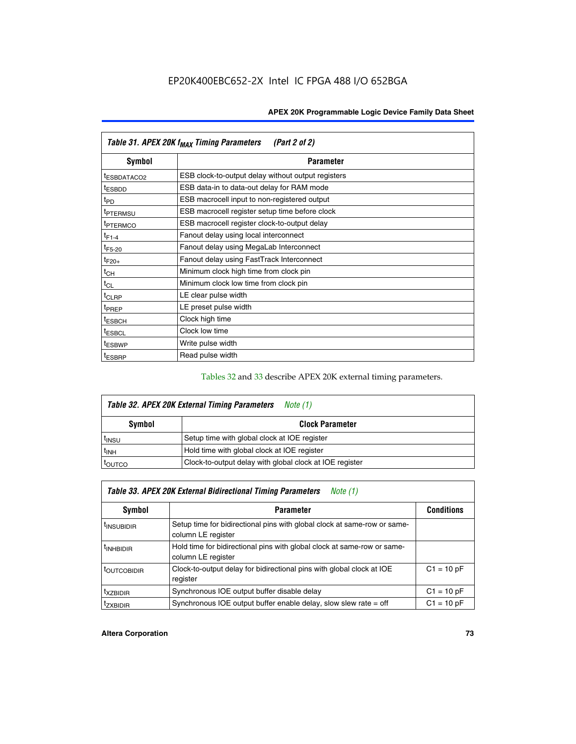| Table 31. APEX 20K f <sub>MAX</sub> Timing Parameters<br>(Part 2 of 2) |                                                    |  |  |  |  |
|------------------------------------------------------------------------|----------------------------------------------------|--|--|--|--|
| Symbol                                                                 | <b>Parameter</b>                                   |  |  |  |  |
| t <sub>ESBDATACO2</sub>                                                | ESB clock-to-output delay without output registers |  |  |  |  |
| <sup>t</sup> ESBDD                                                     | ESB data-in to data-out delay for RAM mode         |  |  |  |  |
| t <sub>PD</sub>                                                        | ESB macrocell input to non-registered output       |  |  |  |  |
| <sup>t</sup> PTERMSU                                                   | ESB macrocell register setup time before clock     |  |  |  |  |
| <sup>t</sup> PTERMCO                                                   | ESB macrocell register clock-to-output delay       |  |  |  |  |
| $t_{F1-4}$                                                             | Fanout delay using local interconnect              |  |  |  |  |
| $t_{F5-20}$                                                            | Fanout delay using MegaLab Interconnect            |  |  |  |  |
| $t_{F20+}$                                                             | Fanout delay using FastTrack Interconnect          |  |  |  |  |
| $t_{CH}$                                                               | Minimum clock high time from clock pin             |  |  |  |  |
| $t_{CL}$                                                               | Minimum clock low time from clock pin              |  |  |  |  |
| t <sub>CLRP</sub>                                                      | LE clear pulse width                               |  |  |  |  |
| t <sub>PREP</sub>                                                      | LE preset pulse width                              |  |  |  |  |
| <sup>t</sup> ESBCH                                                     | Clock high time                                    |  |  |  |  |
| <sup>t</sup> ESBCL                                                     | Clock low time                                     |  |  |  |  |
| <sup>t</sup> ESBWP                                                     | Write pulse width                                  |  |  |  |  |
| <sup>t</sup> ESBRP                                                     | Read pulse width                                   |  |  |  |  |

## Tables 32 and 33 describe APEX 20K external timing parameters.

| Table 32. APEX 20K External Timing Parameters<br>Note (1) |                                                         |  |  |  |  |
|-----------------------------------------------------------|---------------------------------------------------------|--|--|--|--|
| Symbol                                                    | <b>Clock Parameter</b>                                  |  |  |  |  |
| <sup>t</sup> insu                                         | Setup time with global clock at IOE register            |  |  |  |  |
| $t_{\mathsf{INH}}$                                        | Hold time with global clock at IOE register             |  |  |  |  |
| toutco                                                    | Clock-to-output delay with global clock at IOE register |  |  |  |  |

| Table 33. APEX 20K External Bidirectional Timing Parameters<br>Note (1) |                                                                                                |              |  |  |  |  |
|-------------------------------------------------------------------------|------------------------------------------------------------------------------------------------|--------------|--|--|--|--|
| Symbol                                                                  | <b>Conditions</b><br><b>Parameter</b>                                                          |              |  |  |  |  |
| <sup>I</sup> INSUBIDIR                                                  | Setup time for bidirectional pins with global clock at same-row or same-<br>column LE register |              |  |  |  |  |
| <sup>t</sup> INHBIDIR                                                   | Hold time for bidirectional pins with global clock at same-row or same-<br>column LE register  |              |  |  |  |  |
| <sup>t</sup> OUTCOBIDIR                                                 | Clock-to-output delay for bidirectional pins with global clock at IOE<br>register              | $C1 = 10 pF$ |  |  |  |  |
| <sup>T</sup> XZBIDIR                                                    | Synchronous IOE output buffer disable delay                                                    | $C1 = 10 pF$ |  |  |  |  |
| <sup>I</sup> ZXBIDIR                                                    | Synchronous IOE output buffer enable delay, slow slew rate $=$ off                             | $C1 = 10 pF$ |  |  |  |  |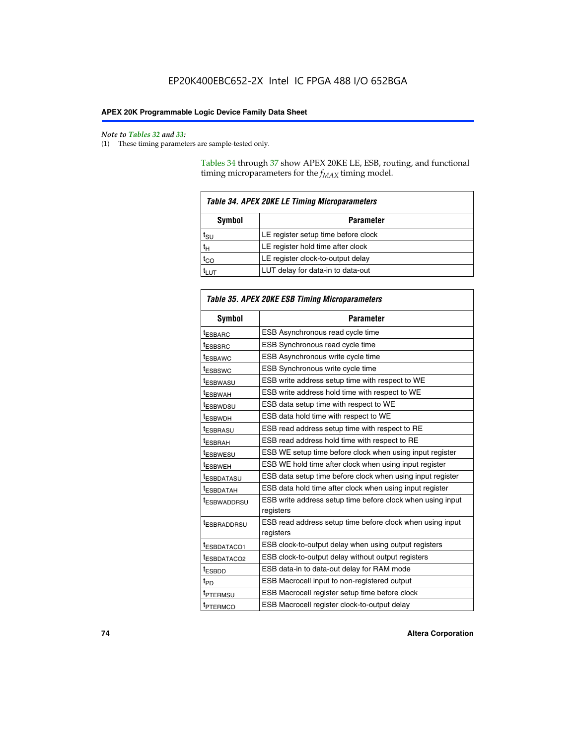$\mathbf{r}$ 

#### *Note to Tables 32 and 33:*

(1) These timing parameters are sample-tested only.

Tables 34 through 37 show APEX 20KE LE, ESB, routing, and functional timing microparameters for the  $f_{MAX}$  timing model.

| <b>Table 34. APEX 20KE LE Timing Microparameters</b> |                                     |  |  |  |
|------------------------------------------------------|-------------------------------------|--|--|--|
| Symbol<br><b>Parameter</b>                           |                                     |  |  |  |
| t <sub>SU</sub>                                      | LE register setup time before clock |  |  |  |
| $t_H$                                                | LE register hold time after clock   |  |  |  |
| $t_{CO}$                                             | LE register clock-to-output delay   |  |  |  |
|                                                      | LUT delay for data-in to data-out   |  |  |  |

| Table 35. APEX 20KE ESB Timing Microparameters |                                                                        |  |  |  |
|------------------------------------------------|------------------------------------------------------------------------|--|--|--|
| Symbol                                         | <b>Parameter</b>                                                       |  |  |  |
| t <sub>ESBARC</sub>                            | ESB Asynchronous read cycle time                                       |  |  |  |
| <sup>t</sup> ESBSRC                            | <b>ESB Synchronous read cycle time</b>                                 |  |  |  |
| t <sub>ESBAWC</sub>                            | ESB Asynchronous write cycle time                                      |  |  |  |
| t <sub>ESBSWC</sub>                            | ESB Synchronous write cycle time                                       |  |  |  |
| tESBWASU                                       | ESB write address setup time with respect to WE                        |  |  |  |
| <sup>t</sup> ESBWAH                            | ESB write address hold time with respect to WE                         |  |  |  |
| t <sub>ESBWDSU</sub>                           | ESB data setup time with respect to WE                                 |  |  |  |
| <sup>t</sup> ESBWDH                            | ESB data hold time with respect to WE                                  |  |  |  |
| tESBRASU                                       | ESB read address setup time with respect to RE                         |  |  |  |
| t <sub>ESBRAH</sub>                            | ESB read address hold time with respect to RE                          |  |  |  |
| <sup>t</sup> ESBWESU                           | ESB WE setup time before clock when using input register               |  |  |  |
| <sup>t</sup> ESBWEH                            | ESB WE hold time after clock when using input register                 |  |  |  |
| <sup>t</sup> ESBDATASU                         | ESB data setup time before clock when using input register             |  |  |  |
| t <sub>ESBDATAH</sub>                          | ESB data hold time after clock when using input register               |  |  |  |
| <sup>t</sup> ESBWADDRSU                        | ESB write address setup time before clock when using input             |  |  |  |
|                                                | registers                                                              |  |  |  |
| tESBRADDRSU                                    | ESB read address setup time before clock when using input<br>registers |  |  |  |
| t <sub>ESBDATACO1</sub>                        | ESB clock-to-output delay when using output registers                  |  |  |  |
| t <sub>ESBDATACO2</sub>                        | ESB clock-to-output delay without output registers                     |  |  |  |
| $t_{ESBDD}$                                    | ESB data-in to data-out delay for RAM mode                             |  |  |  |
| $t_{PD}$                                       | ESB Macrocell input to non-registered output                           |  |  |  |
| t <sub>PTERMSU</sub>                           | ESB Macrocell register setup time before clock                         |  |  |  |
| t <sub>PTERMCO</sub>                           | ESB Macrocell register clock-to-output delay                           |  |  |  |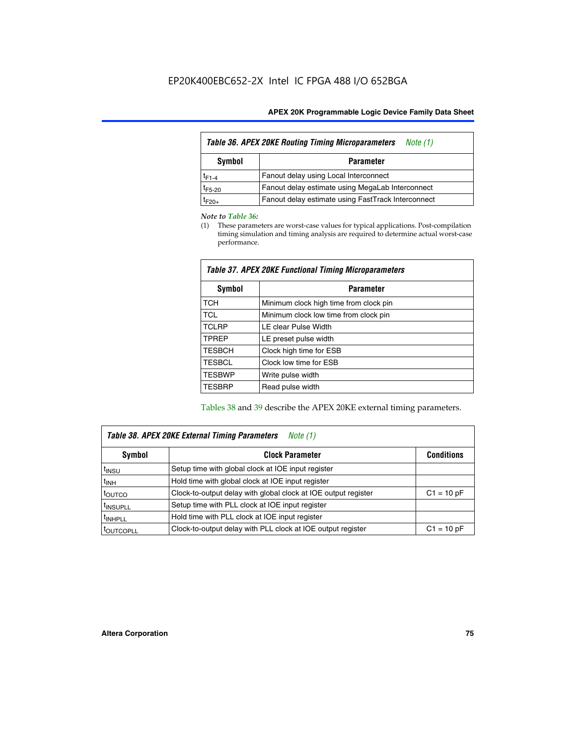| Table 36. APEX 20KE Routing Timing Microparameters<br>Note (1) |                                                    |  |  |  |  |
|----------------------------------------------------------------|----------------------------------------------------|--|--|--|--|
| Symbol<br><b>Parameter</b>                                     |                                                    |  |  |  |  |
| $t_{F1-4}$                                                     | Fanout delay using Local Interconnect              |  |  |  |  |
| $t_{F5-20}$                                                    | Fanout delay estimate using MegaLab Interconnect   |  |  |  |  |
| t <sub>F20+</sub>                                              | Fanout delay estimate using FastTrack Interconnect |  |  |  |  |

#### *Note to Table 36:*

(1) These parameters are worst-case values for typical applications. Post-compilation timing simulation and timing analysis are required to determine actual worst-case performance.

| Symbol        | <b>Parameter</b>                       |
|---------------|----------------------------------------|
| <b>TCH</b>    | Minimum clock high time from clock pin |
| <b>TCL</b>    | Minimum clock low time from clock pin  |
| <b>TCLRP</b>  | LE clear Pulse Width                   |
| <b>TPREP</b>  | LE preset pulse width                  |
| <b>TESBCH</b> | Clock high time for ESB                |
| <b>TESBCL</b> | Clock low time for ESB                 |
| <b>TESBWP</b> | Write pulse width                      |
| <b>TESBRP</b> | Read pulse width                       |

## *Table 37. APEX 20KE Functional Timing Microparameters*

Tables 38 and 39 describe the APEX 20KE external timing parameters.

| Table 38. APEX 20KE External Timing Parameters<br>Note (1) |                                                                |              |  |  |  |
|------------------------------------------------------------|----------------------------------------------------------------|--------------|--|--|--|
| <b>Clock Parameter</b><br>Symbol<br><b>Conditions</b>      |                                                                |              |  |  |  |
| <sup>t</sup> insu                                          | Setup time with global clock at IOE input register             |              |  |  |  |
| $t_{\text{INH}}$                                           | Hold time with global clock at IOE input register              |              |  |  |  |
| toutco                                                     | Clock-to-output delay with global clock at IOE output register | $C1 = 10 pF$ |  |  |  |
| <sup>t</sup> INSUPLL                                       | Setup time with PLL clock at IOE input register                |              |  |  |  |
| <sup>t</sup> INHPLL                                        | Hold time with PLL clock at IOE input register                 |              |  |  |  |
| <sup>I</sup> OUTCOPLL                                      | Clock-to-output delay with PLL clock at IOE output register    | $C1 = 10 pF$ |  |  |  |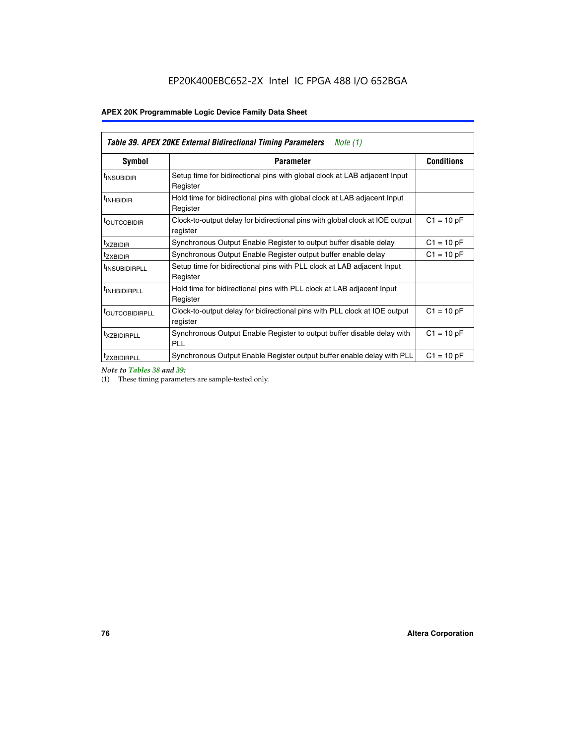| Table 39. APEX 20KE External Bidirectional Timing Parameters<br>Note $(1)$ |                                                                                                          |              |  |  |  |  |  |  |
|----------------------------------------------------------------------------|----------------------------------------------------------------------------------------------------------|--------------|--|--|--|--|--|--|
| <b>Symbol</b>                                                              | <b>Conditions</b><br><b>Parameter</b>                                                                    |              |  |  |  |  |  |  |
| <sup>t</sup> INSUBIDIR                                                     | Setup time for bidirectional pins with global clock at LAB adjacent Input<br>Register                    |              |  |  |  |  |  |  |
| <sup>t</sup> INHBIDIR                                                      | Hold time for bidirectional pins with global clock at LAB adjacent Input<br>Register                     |              |  |  |  |  |  |  |
| <b><i>LOUTCOBIDIR</i></b>                                                  | $C1 = 10 pF$<br>Clock-to-output delay for bidirectional pins with global clock at IOE output<br>register |              |  |  |  |  |  |  |
| t <sub>XZBIDIR</sub>                                                       | $C1 = 10 pF$<br>Synchronous Output Enable Register to output buffer disable delay                        |              |  |  |  |  |  |  |
| <sup>t</sup> zxbidir                                                       | Synchronous Output Enable Register output buffer enable delay                                            | $C1 = 10 pF$ |  |  |  |  |  |  |
| <sup>I</sup> INSUBIDIRPLL                                                  | Setup time for bidirectional pins with PLL clock at LAB adjacent Input<br>Register                       |              |  |  |  |  |  |  |
| <sup>t</sup> INHBIDIRPLL                                                   | Hold time for bidirectional pins with PLL clock at LAB adjacent Input<br>Register                        |              |  |  |  |  |  |  |
| <b><i>LOUTCOBIDIRPLL</i></b>                                               | Clock-to-output delay for bidirectional pins with PLL clock at IOE output<br>register                    | $C1 = 10 pF$ |  |  |  |  |  |  |
| <sup>t</sup> XZBIDIRPLL                                                    | Synchronous Output Enable Register to output buffer disable delay with<br><b>PLL</b>                     | $C1 = 10 pF$ |  |  |  |  |  |  |
| <sup>I</sup> ZXBIDIRPLL                                                    | Synchronous Output Enable Register output buffer enable delay with PLL                                   | $C1 = 10 pF$ |  |  |  |  |  |  |

*Note to Tables 38 and 39:*

(1) These timing parameters are sample-tested only.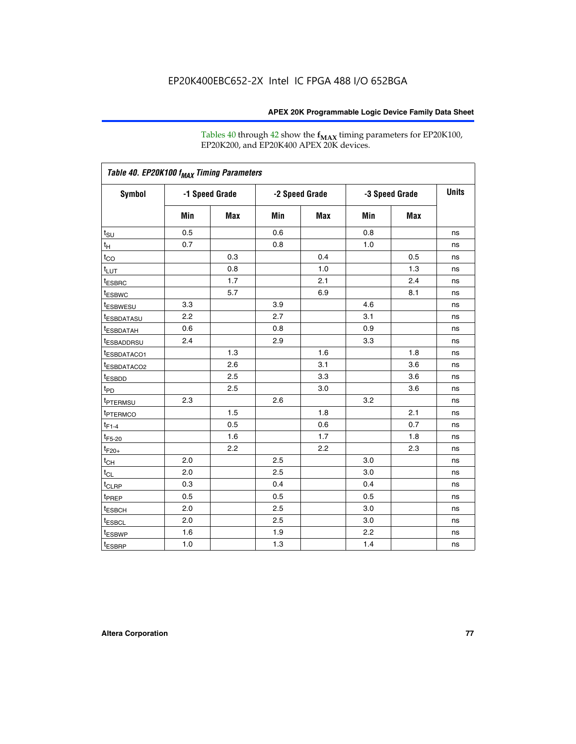Tables 40 through 42 show the **f<sub>MAX</sub>** timing parameters for EP20K100, EP20K200, and EP20K400 APEX 20K devices.

| Table 40. EP20K100 f <sub>MAX</sub> Timing Parameters |                |     |                |     |                |     |              |
|-------------------------------------------------------|----------------|-----|----------------|-----|----------------|-----|--------------|
| <b>Symbol</b>                                         | -1 Speed Grade |     | -2 Speed Grade |     | -3 Speed Grade |     | <b>Units</b> |
|                                                       | Min            | Max | Min            | Max | Min            | Max |              |
| $t_{\text{SU}}$                                       | 0.5            |     | 0.6            |     | 0.8            |     | ns           |
| $t_H$                                                 | 0.7            |     | 0.8            |     | 1.0            |     | ns           |
| $t_{CO}$                                              |                | 0.3 |                | 0.4 |                | 0.5 | ns           |
| $t_{LUT}$                                             |                | 0.8 |                | 1.0 |                | 1.3 | ns           |
| <sup>t</sup> ESBRC                                    |                | 1.7 |                | 2.1 |                | 2.4 | ns           |
| t <sub>ESBWC</sub>                                    |                | 5.7 |                | 6.9 |                | 8.1 | ns           |
| t <sub>ESBWESU</sub>                                  | 3.3            |     | 3.9            |     | 4.6            |     | ns           |
| <sup>t</sup> ESBDATASU                                | 2.2            |     | 2.7            |     | 3.1            |     | ns           |
| t <sub>ESBDATAH</sub>                                 | 0.6            |     | 0.8            |     | 0.9            |     | ns           |
| <sup>t</sup> ESBADDRSU                                | 2.4            |     | 2.9            |     | 3.3            |     | ns           |
| t <sub>ESBDATACO1</sub>                               |                | 1.3 |                | 1.6 |                | 1.8 | ns           |
| t <sub>ESBDATACO2</sub>                               |                | 2.6 |                | 3.1 |                | 3.6 | ns           |
| t <sub>ESBDD</sub>                                    |                | 2.5 |                | 3.3 |                | 3.6 | ns           |
| t <sub>PD</sub>                                       |                | 2.5 |                | 3.0 |                | 3.6 | ns           |
| <sup>t</sup> PTERMSU                                  | 2.3            |     | 2.6            |     | 3.2            |     | ns           |
| t <sub>PTERMCO</sub>                                  |                | 1.5 |                | 1.8 |                | 2.1 | ns           |
| $t_{F1-4}$                                            |                | 0.5 |                | 0.6 |                | 0.7 | ns           |
| $t_{F5-20}$                                           |                | 1.6 |                | 1.7 |                | 1.8 | ns           |
| $t_{F20+}$                                            |                | 2.2 |                | 2.2 |                | 2.3 | ns           |
| $t_{\mathsf{CH}}$                                     | 2.0            |     | 2.5            |     | 3.0            |     | ns           |
| $t_{CL}$                                              | 2.0            |     | 2.5            |     | 3.0            |     | ns           |
| t <sub>CLRP</sub>                                     | 0.3            |     | 0.4            |     | 0.4            |     | ns           |
| t <sub>PREP</sub>                                     | 0.5            |     | 0.5            |     | 0.5            |     | ns           |
| t <sub>ESBCH</sub>                                    | 2.0            |     | 2.5            |     | 3.0            |     | ns           |
| t <sub>ESBCL</sub>                                    | 2.0            |     | 2.5            |     | 3.0            |     | ns           |
| t <sub>ESBWP</sub>                                    | 1.6            |     | 1.9            |     | 2.2            |     | ns           |
| $t_{ESBRP}$                                           | 1.0            |     | 1.3            |     | 1.4            |     | ns           |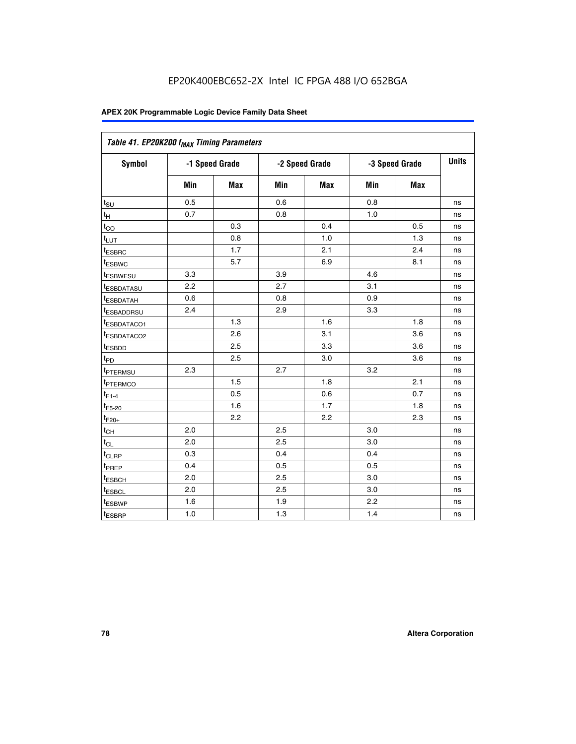| Table 41. EP20K200 f <sub>MAX</sub> Timing Parameters |                |     |     |                |     |                |    |
|-------------------------------------------------------|----------------|-----|-----|----------------|-----|----------------|----|
| Symbol                                                | -1 Speed Grade |     |     | -2 Speed Grade |     | -3 Speed Grade |    |
|                                                       | Min            | Max | Min | <b>Max</b>     | Min | Max            |    |
| $t_{\text{SU}}$                                       | 0.5            |     | 0.6 |                | 0.8 |                | ns |
| $t_H$                                                 | 0.7            |     | 0.8 |                | 1.0 |                | ns |
| $t_{CO}$                                              |                | 0.3 |     | 0.4            |     | 0.5            | ns |
| $t_{LUT}$                                             |                | 0.8 |     | 1.0            |     | 1.3            | ns |
| t <sub>ESBRC</sub>                                    |                | 1.7 |     | 2.1            |     | 2.4            | ns |
| t <sub>ESBWC</sub>                                    |                | 5.7 |     | 6.9            |     | 8.1            | ns |
| t <sub>ESBWESU</sub>                                  | 3.3            |     | 3.9 |                | 4.6 |                | ns |
| <sup>t</sup> ESBDATASU                                | 2.2            |     | 2.7 |                | 3.1 |                | ns |
| t <sub>ESBDATAH</sub>                                 | 0.6            |     | 0.8 |                | 0.9 |                | ns |
| t <sub>ESBADDRSU</sub>                                | 2.4            |     | 2.9 |                | 3.3 |                | ns |
| <u>t<sub>ESBDATACO1</sub></u>                         |                | 1.3 |     | 1.6            |     | 1.8            | ns |
| <sup>t</sup> ESBDATACO2                               |                | 2.6 |     | 3.1            |     | 3.6            | ns |
| t <sub>ESBDD</sub>                                    |                | 2.5 |     | 3.3            |     | 3.6            | ns |
| t <sub>PD</sub>                                       |                | 2.5 |     | 3.0            |     | 3.6            | ns |
| t <sub>ptermsu</sub>                                  | 2.3            |     | 2.7 |                | 3.2 |                | ns |
| t <sub>PTERMCO</sub>                                  |                | 1.5 |     | 1.8            |     | 2.1            | ns |
| $t_{F1-4}$                                            |                | 0.5 |     | 0.6            |     | 0.7            | ns |
| $t_{F5-20}$                                           |                | 1.6 |     | 1.7            |     | 1.8            | ns |
| $t_{F20+}$                                            |                | 2.2 |     | 2.2            |     | 2.3            | ns |
| $\textnormal{t}_{\textnormal{CH}}$                    | 2.0            |     | 2.5 |                | 3.0 |                | ns |
| $t_{CL}$                                              | 2.0            |     | 2.5 |                | 3.0 |                | ns |
| t <sub>CLRP</sub>                                     | 0.3            |     | 0.4 |                | 0.4 |                | ns |
| t <sub>PREP</sub>                                     | 0.4            |     | 0.5 |                | 0.5 |                | ns |
| t <sub>ESBCH</sub>                                    | 2.0            |     | 2.5 |                | 3.0 |                | ns |
| t <sub>ESBCL</sub>                                    | 2.0            |     | 2.5 |                | 3.0 |                | ns |
| t <sub>ESBWP</sub>                                    | 1.6            |     | 1.9 |                | 2.2 |                | ns |
| t <sub>ESBRP</sub>                                    | 1.0            |     | 1.3 |                | 1.4 |                | ns |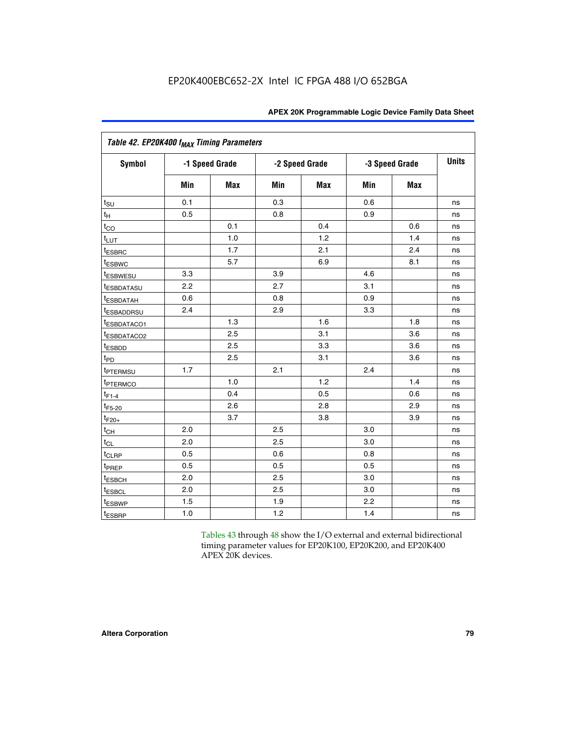| Table 42. EP20K400 f <sub>MAX</sub> Timing Parameters |     |                |     |                |     |                |              |  |  |  |
|-------------------------------------------------------|-----|----------------|-----|----------------|-----|----------------|--------------|--|--|--|
| <b>Symbol</b>                                         |     | -1 Speed Grade |     | -2 Speed Grade |     | -3 Speed Grade | <b>Units</b> |  |  |  |
|                                                       | Min | <b>Max</b>     | Min | Max            | Min | <b>Max</b>     |              |  |  |  |
| $t_{\text{SU}}$                                       | 0.1 |                | 0.3 |                | 0.6 |                | ns           |  |  |  |
| $t_{\mathsf{H}}$                                      | 0.5 |                | 0.8 |                | 0.9 |                | ns           |  |  |  |
| $t_{CO}$                                              |     | 0.1            |     | 0.4            |     | 0.6            | ns           |  |  |  |
| t <sub>LUT</sub>                                      |     | 1.0            |     | 1.2            |     | 1.4            | ns           |  |  |  |
| <sup>t</sup> ESBRC                                    |     | 1.7            |     | 2.1            |     | 2.4            | ns           |  |  |  |
| t <sub>ESBWC</sub>                                    |     | 5.7            |     | 6.9            |     | 8.1            | ns           |  |  |  |
| t <sub>ESBWESU</sub>                                  | 3.3 |                | 3.9 |                | 4.6 |                | ns           |  |  |  |
| <sup>t</sup> ESBDATASU                                | 2.2 |                | 2.7 |                | 3.1 |                | ns           |  |  |  |
| <sup>t</sup> ESBDATAH                                 | 0.6 |                | 0.8 |                | 0.9 |                | ns           |  |  |  |
| <sup>t</sup> ESBADDRSU                                | 2.4 |                | 2.9 |                | 3.3 |                | ns           |  |  |  |
| IESBDATACO1                                           |     | 1.3            |     | 1.6            |     | 1.8            | ns           |  |  |  |
| <sup>t</sup> ESBDATACO2                               |     | 2.5            |     | 3.1            |     | 3.6            | ns           |  |  |  |
| t <sub>ESBDD</sub>                                    |     | 2.5            |     | 3.3            |     | 3.6            | ns           |  |  |  |
| $t_{PD}$                                              |     | 2.5            |     | 3.1            |     | 3.6            | ns           |  |  |  |
| t <sub>PTERMSU</sub>                                  | 1.7 |                | 2.1 |                | 2.4 |                | ns           |  |  |  |
| t <sub>PTERMCO</sub>                                  |     | 1.0            |     | 1.2            |     | 1.4            | ns           |  |  |  |
| $t_{F1-4}$                                            |     | 0.4            |     | 0.5            |     | 0.6            | ns           |  |  |  |
| $t_{F5-20}$                                           |     | 2.6            |     | 2.8            |     | 2.9            | ns           |  |  |  |
| $t_{F20+}$                                            |     | 3.7            |     | 3.8            |     | 3.9            | ns           |  |  |  |
| $t_{CH}$                                              | 2.0 |                | 2.5 |                | 3.0 |                | ns           |  |  |  |
| $t_{CL}$                                              | 2.0 |                | 2.5 |                | 3.0 |                | ns           |  |  |  |
| t <sub>CLRP</sub>                                     | 0.5 |                | 0.6 |                | 0.8 |                | ns           |  |  |  |
| t <sub>PREP</sub>                                     | 0.5 |                | 0.5 |                | 0.5 |                | ns           |  |  |  |
| t <sub>ESBCH</sub>                                    | 2.0 |                | 2.5 |                | 3.0 |                | ns           |  |  |  |
| t <sub>ESBCL</sub>                                    | 2.0 |                | 2.5 |                | 3.0 |                | ns           |  |  |  |
| t <sub>ESBWP</sub>                                    | 1.5 |                | 1.9 |                | 2.2 |                | ns           |  |  |  |
| t <sub>ESBRP</sub>                                    | 1.0 |                | 1.2 |                | 1.4 |                | ns           |  |  |  |

Tables 43 through 48 show the I/O external and external bidirectional timing parameter values for EP20K100, EP20K200, and EP20K400 APEX 20K devices.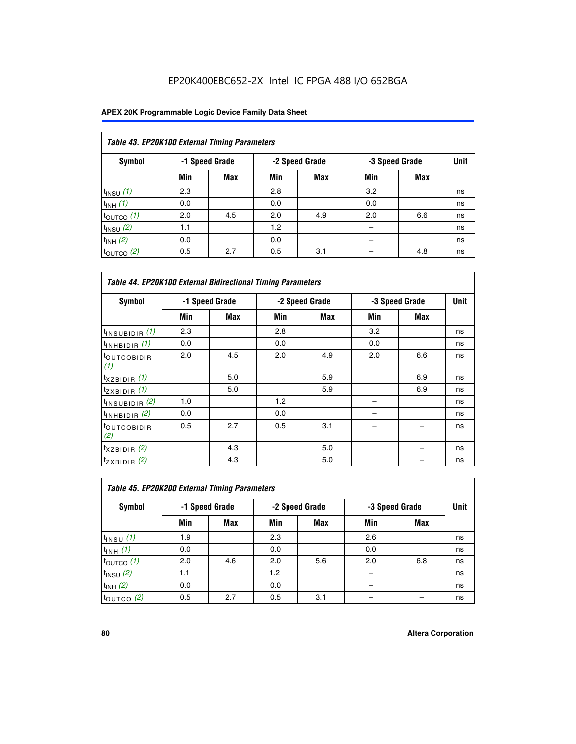## EP20K400EBC652-2X Intel IC FPGA 488 I/O 652BGA

|                       | Table 43. EP20K100 External Timing Parameters |                |     |                |     |                |    |  |  |  |  |
|-----------------------|-----------------------------------------------|----------------|-----|----------------|-----|----------------|----|--|--|--|--|
| Symbol                |                                               | -1 Speed Grade |     | -2 Speed Grade |     | -3 Speed Grade |    |  |  |  |  |
|                       | Min                                           | Max            | Min | <b>Max</b>     | Min | <b>Max</b>     |    |  |  |  |  |
| $t_{INSU}$ (1)        | 2.3                                           |                | 2.8 |                | 3.2 |                | ns |  |  |  |  |
| $t_{INH}$ (1)         | 0.0                                           |                | 0.0 |                | 0.0 |                | ns |  |  |  |  |
| $t_{\text{OUTCO}}(1)$ | 2.0                                           | 4.5            | 2.0 | 4.9            | 2.0 | 6.6            | ns |  |  |  |  |
| $t_{IN}$ su $(2)$     | 1.1                                           |                | 1.2 |                |     |                | ns |  |  |  |  |
| $t_{INH}$ (2)         | 0.0                                           |                | 0.0 |                |     |                | ns |  |  |  |  |
| $t_{\text{OUTCO}}(2)$ | 0.5                                           | 2.7            | 0.5 | 3.1            |     | 4.8            | ns |  |  |  |  |

|                                | <b>Table 44. EP20K100 External Bidirectional Timing Parameters</b> |     |     |                |     |                |    |  |  |  |  |
|--------------------------------|--------------------------------------------------------------------|-----|-----|----------------|-----|----------------|----|--|--|--|--|
| Symbol                         | -1 Speed Grade                                                     |     |     | -2 Speed Grade |     | -3 Speed Grade |    |  |  |  |  |
|                                | Min                                                                | Max | Min | Max            | Min | Max            |    |  |  |  |  |
| $t_{\text{INSUBIDIR}}(1)$      | 2.3                                                                |     | 2.8 |                | 3.2 |                | ns |  |  |  |  |
| $t_{INHBIDIR}$ (1)             | 0.0                                                                |     | 0.0 |                | 0.0 |                | ns |  |  |  |  |
| <sup>t</sup> OUTCOBIDIR<br>(1) | 2.0                                                                | 4.5 | 2.0 | 4.9            | 2.0 | 6.6            | ns |  |  |  |  |
| $t_{XZBIDIR}$ (1)              |                                                                    | 5.0 |     | 5.9            |     | 6.9            | ns |  |  |  |  |
| $t_{ZXBIDIR}$ (1)              |                                                                    | 5.0 |     | 5.9            |     | 6.9            | ns |  |  |  |  |
| $t_{INSUBIDIR}$ (2)            | 1.0                                                                |     | 1.2 |                |     |                | ns |  |  |  |  |
| $t_{INHBIDIR}$ (2)             | 0.0                                                                |     | 0.0 |                |     |                | ns |  |  |  |  |
| <sup>t</sup> OUTCOBIDIR<br>(2) | 0.5                                                                | 2.7 | 0.5 | 3.1            |     |                | ns |  |  |  |  |
| $t_{XZBIDIR}$ (2)              |                                                                    | 4.3 |     | 5.0            |     |                | ns |  |  |  |  |
| $t_{ZXBIDIR}$ (2)              |                                                                    | 4.3 |     | 5.0            |     |                | ns |  |  |  |  |

| Table 45. EP20K200 External Timing Parameters |     |                |     |                |     |                |    |  |  |  |  |
|-----------------------------------------------|-----|----------------|-----|----------------|-----|----------------|----|--|--|--|--|
| Symbol                                        |     | -1 Speed Grade |     | -2 Speed Grade |     | -3 Speed Grade |    |  |  |  |  |
|                                               | Min | Max            | Min | <b>Max</b>     | Min | <b>Max</b>     |    |  |  |  |  |
| $t_{INSU}$ (1)                                | 1.9 |                | 2.3 |                | 2.6 |                | ns |  |  |  |  |
| $t_{INH}$ (1)                                 | 0.0 |                | 0.0 |                | 0.0 |                | ns |  |  |  |  |
| $t_{\text{OUTCO}}(1)$                         | 2.0 | 4.6            | 2.0 | 5.6            | 2.0 | 6.8            | ns |  |  |  |  |
| $t_{INSU}$ (2)                                | 1.1 |                | 1.2 |                |     |                | ns |  |  |  |  |
| $t_{INH}$ (2)                                 | 0.0 |                | 0.0 |                |     |                | ns |  |  |  |  |
| $t_{\text{OUTCO}}$ (2)                        | 0.5 | 2.7            | 0.5 | 3.1            |     |                | ns |  |  |  |  |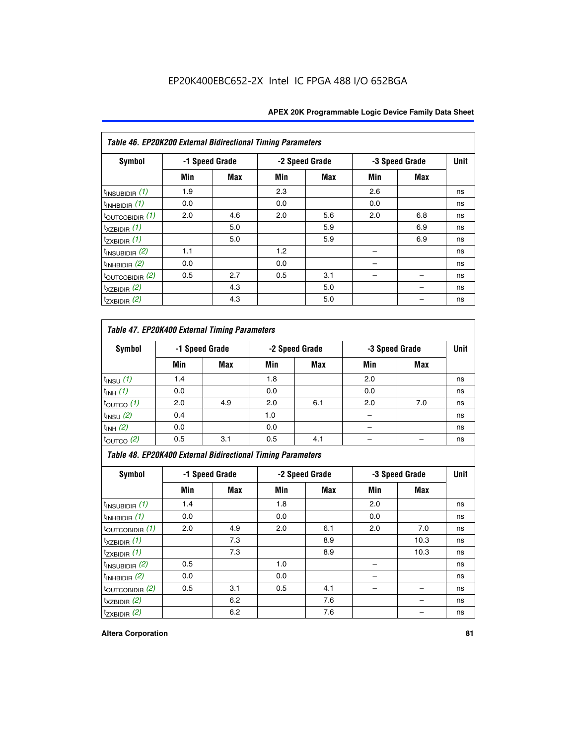|                             | Table 46. EP20K200 External Bidirectional Timing Parameters |                |     |                |     |                |             |  |  |  |  |
|-----------------------------|-------------------------------------------------------------|----------------|-----|----------------|-----|----------------|-------------|--|--|--|--|
| Symbol                      |                                                             | -1 Speed Grade |     | -2 Speed Grade |     | -3 Speed Grade | <b>Unit</b> |  |  |  |  |
|                             | Min                                                         | Max            | Min | <b>Max</b>     | Min | <b>Max</b>     |             |  |  |  |  |
| $t_{INSUBIDIR}$ (1)         | 1.9                                                         |                | 2.3 |                | 2.6 |                | ns          |  |  |  |  |
| $t_{INHBIDIR}$ (1)          | 0.0                                                         |                | 0.0 |                | 0.0 |                | ns          |  |  |  |  |
| $t_{\text{OUTCOBIDIR}}(1)$  | 2.0                                                         | 4.6            | 2.0 | 5.6            | 2.0 | 6.8            | ns          |  |  |  |  |
| $t_{XZBIDIR}$ (1)           |                                                             | 5.0            |     | 5.9            |     | 6.9            | ns          |  |  |  |  |
| $t_{ZXBIDIR}$ (1)           |                                                             | 5.0            |     | 5.9            |     | 6.9            | ns          |  |  |  |  |
| $t_{INSUBIDIR}$ (2)         | 1.1                                                         |                | 1.2 |                |     |                | ns          |  |  |  |  |
| $t_{INHBIDIR}$ (2)          | 0.0                                                         |                | 0.0 |                |     |                | ns          |  |  |  |  |
| $t_{\text{OUTCOBIDIR}}$ (2) | 0.5                                                         | 2.7            | 0.5 | 3.1            |     |                | ns          |  |  |  |  |
| $t_{XZBIDIR}$ (2)           |                                                             | 4.3            |     | 5.0            |     |                | ns          |  |  |  |  |
| $t_{ZXBIDIR}$ (2)           |                                                             | 4.3            |     | 5.0            |     |                | ns          |  |  |  |  |

## *Table 47. EP20K400 External Timing Parameters*

| Symbol                |     | -1 Speed Grade |     | -2 Speed Grade |     | -3 Speed Grade |    |  |
|-----------------------|-----|----------------|-----|----------------|-----|----------------|----|--|
|                       | Min | <b>Max</b>     | Min | <b>Max</b>     | Min | <b>Max</b>     |    |  |
| $t_{INSU}$ (1)        | 1.4 |                | 1.8 |                | 2.0 |                | ns |  |
| $t_{INH}$ (1)         | 0.0 |                | 0.0 |                | 0.0 |                | ns |  |
| $t_{\text{OUTCO}}(1)$ | 2.0 | 4.9            | 2.0 | 6.1            | 2.0 | 7.0            | ns |  |
| $t_{INSU}$ (2)        | 0.4 |                | 1.0 |                |     |                | ns |  |
| $t_{INH}$ (2)         | 0.0 |                | 0.0 |                | -   |                | ns |  |
| $t_{\text{OUTCO}}(2)$ | 0.5 | 3.1            | 0.5 | 4.1            |     |                | ns |  |

*Table 48. EP20K400 External Bidirectional Timing Parameters*

| Symbol                      | -1 Speed Grade |     | -2 Speed Grade |     | -3 Speed Grade |      | <b>Unit</b> |
|-----------------------------|----------------|-----|----------------|-----|----------------|------|-------------|
|                             | Min            | Max | Min            | Max | Min            | Max  |             |
| $t_{\text{INSUBIDIR}}(1)$   | 1.4            |     | 1.8            |     | 2.0            |      | ns          |
| $t_{INHBIDIR}$ (1)          | 0.0            |     | 0.0            |     | 0.0            |      | ns          |
| $t_{\text{OUTCOBIDIR}}(1)$  | 2.0            | 4.9 | 2.0            | 6.1 | 2.0            | 7.0  | ns          |
| $t_{XZBIDIR}$ (1)           |                | 7.3 |                | 8.9 |                | 10.3 | ns          |
| $t_{ZXBIDIR}$ (1)           |                | 7.3 |                | 8.9 |                | 10.3 | ns          |
| $t_{\text{INSUBIDIR}}(2)$   | 0.5            |     | 1.0            |     |                |      | ns          |
| $t_{INHBIDIR}$ (2)          | 0.0            |     | 0.0            |     |                |      | ns          |
| $t_{\text{OUTCOBIDIR}}$ (2) | 0.5            | 3.1 | 0.5            | 4.1 |                |      | ns          |
| $t_{XZBIDIR}$ (2)           |                | 6.2 |                | 7.6 |                |      | ns          |
| $t_{ZXBIDIR}$ $(2)$         |                | 6.2 |                | 7.6 |                |      | ns          |

#### **Altera Corporation 81**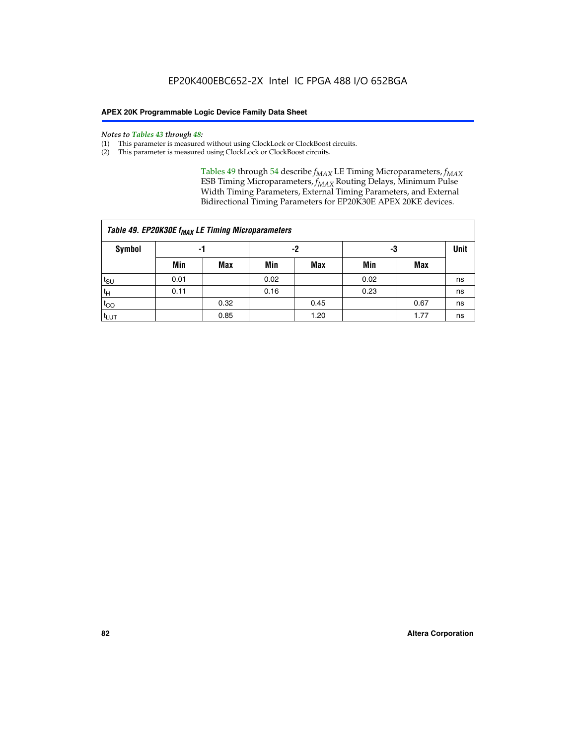#### *Notes to Tables 43 through 48:*

- (1) This parameter is measured without using ClockLock or ClockBoost circuits.
- (2) This parameter is measured using ClockLock or ClockBoost circuits.

Tables 49 through 54 describe  $f_{MAX}$  LE Timing Microparameters,  $f_{MAX}$ ESB Timing Microparameters, *f<sub>MAX</sub>* Routing Delays, Minimum Pulse Width Timing Parameters, External Timing Parameters, and External Bidirectional Timing Parameters for EP20K30E APEX 20KE devices.

|                  | Table 49. EP20K30E f <sub>MAX</sub> LE Timing Microparameters |      |      |            |      |      |    |  |  |  |  |  |
|------------------|---------------------------------------------------------------|------|------|------------|------|------|----|--|--|--|--|--|
| <b>Symbol</b>    | -1                                                            |      |      | -2         |      | -3   |    |  |  |  |  |  |
|                  | Min                                                           | Max  | Min  | <b>Max</b> | Min  | Max  |    |  |  |  |  |  |
| t <sub>SU</sub>  | 0.01                                                          |      | 0.02 |            | 0.02 |      | ns |  |  |  |  |  |
| $t_H$            | 0.11                                                          |      | 0.16 |            | 0.23 |      | ns |  |  |  |  |  |
| $t_{CO}$         |                                                               | 0.32 |      | 0.45       |      | 0.67 | ns |  |  |  |  |  |
| t <sub>LUT</sub> |                                                               | 0.85 |      | 1.20       |      | 1.77 | ns |  |  |  |  |  |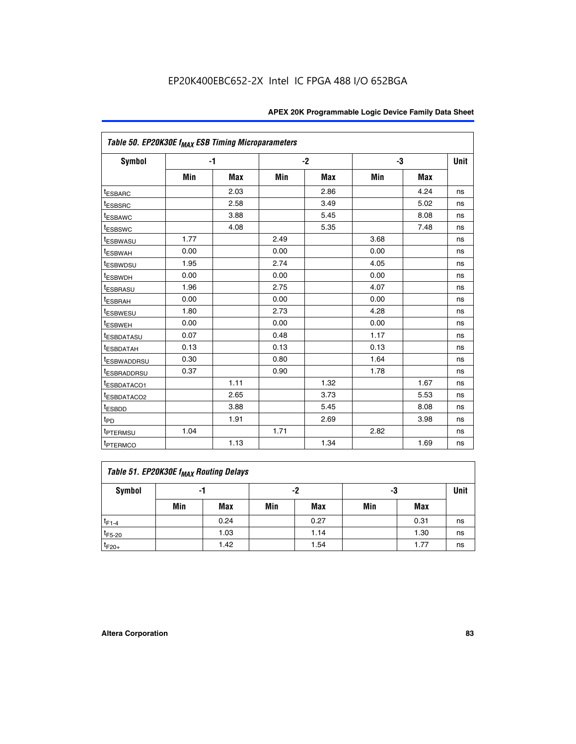|                         | Table 50. EP20K30E f <sub>MAX</sub> ESB Timing Microparameters |      |      |      |      |      |             |  |  |  |  |
|-------------------------|----------------------------------------------------------------|------|------|------|------|------|-------------|--|--|--|--|
| <b>Symbol</b>           |                                                                | $-1$ |      | $-2$ |      | -3   | <b>Unit</b> |  |  |  |  |
|                         | Min                                                            | Max  | Min  | Max  | Min  | Max  |             |  |  |  |  |
| <sup>t</sup> ESBARC     |                                                                | 2.03 |      | 2.86 |      | 4.24 | ns          |  |  |  |  |
| <i><b>LESBSRC</b></i>   |                                                                | 2.58 |      | 3.49 |      | 5.02 | ns          |  |  |  |  |
| <sup>t</sup> ESBAWC     |                                                                | 3.88 |      | 5.45 |      | 8.08 | ns          |  |  |  |  |
| <sup>t</sup> ESBSWC     |                                                                | 4.08 |      | 5.35 |      | 7.48 | ns          |  |  |  |  |
| t <sub>ESBWASU</sub>    | 1.77                                                           |      | 2.49 |      | 3.68 |      | ns          |  |  |  |  |
| <sup>t</sup> ESBWAH     | 0.00                                                           |      | 0.00 |      | 0.00 |      | ns          |  |  |  |  |
| t <sub>ESBWDSU</sub>    | 1.95                                                           |      | 2.74 |      | 4.05 |      | ns          |  |  |  |  |
| <sup>t</sup> ESBWDH     | 0.00                                                           |      | 0.00 |      | 0.00 |      | ns          |  |  |  |  |
| <sup>t</sup> ESBRASU    | 1.96                                                           |      | 2.75 |      | 4.07 |      | ns          |  |  |  |  |
| <sup>t</sup> ESBRAH     | 0.00                                                           |      | 0.00 |      | 0.00 |      | ns          |  |  |  |  |
| <b>ESBWESU</b>          | 1.80                                                           |      | 2.73 |      | 4.28 |      | ns          |  |  |  |  |
| <sup>t</sup> ESBWEH     | 0.00                                                           |      | 0.00 |      | 0.00 |      | ns          |  |  |  |  |
| <sup>I</sup> ESBDATASU  | 0.07                                                           |      | 0.48 |      | 1.17 |      | ns          |  |  |  |  |
| <sup>t</sup> ESBDATAH   | 0.13                                                           |      | 0.13 |      | 0.13 |      | ns          |  |  |  |  |
| <sup>I</sup> ESBWADDRSU | 0.30                                                           |      | 0.80 |      | 1.64 |      | ns          |  |  |  |  |
| <sup>I</sup> ESBRADDRSU | 0.37                                                           |      | 0.90 |      | 1.78 |      | ns          |  |  |  |  |
| ESBDATACO1              |                                                                | 1.11 |      | 1.32 |      | 1.67 | ns          |  |  |  |  |
| <sup>t</sup> ESBDATACO2 |                                                                | 2.65 |      | 3.73 |      | 5.53 | ns          |  |  |  |  |
| t <sub>ESBDD</sub>      |                                                                | 3.88 |      | 5.45 |      | 8.08 | ns          |  |  |  |  |
| t <sub>PD</sub>         |                                                                | 1.91 |      | 2.69 |      | 3.98 | ns          |  |  |  |  |
| <sup>t</sup> PTERMSU    | 1.04                                                           |      | 1.71 |      | 2.82 |      | ns          |  |  |  |  |
| t <sub>PTERMCO</sub>    |                                                                | 1.13 |      | 1.34 |      | 1.69 | ns          |  |  |  |  |

## **Table 51. EP20K30E f<sub>MAX</sub> Routing Delays**

| Symbol      | - 1 |            | -2  |            | -3  |      | Unit |
|-------------|-----|------------|-----|------------|-----|------|------|
|             | Min | <b>Max</b> | Min | <b>Max</b> | Min | Max  |      |
| $t_{F1-4}$  |     | 0.24       |     | 0.27       |     | 0.31 | ns   |
| $t_{F5-20}$ |     | 1.03       |     | 1.14       |     | 1.30 | ns   |
| $t_{F20+}$  |     | 1.42       |     | 1.54       |     | 1.77 | ns   |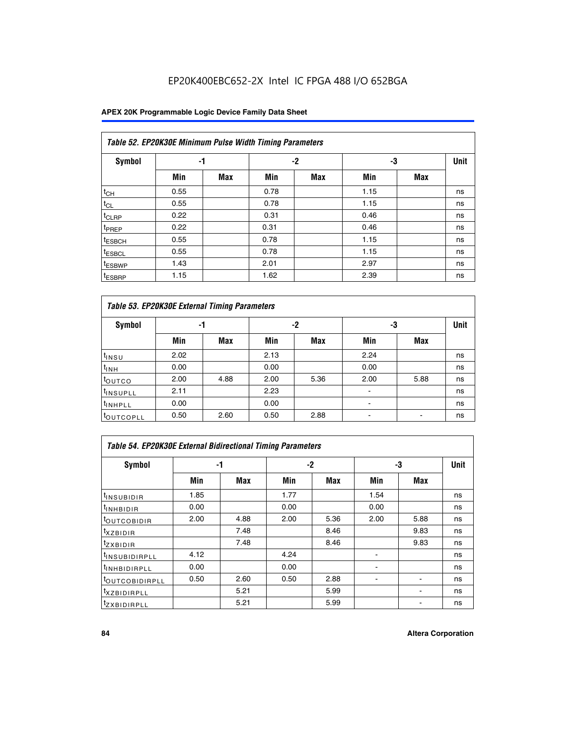## EP20K400EBC652-2X Intel IC FPGA 488 I/O 652BGA

### **APEX 20K Programmable Logic Device Family Data Sheet**

|                    | Table 52. EP20K30E Minimum Pulse Width Timing Parameters |            |      |            |      |            |             |  |  |  |  |  |
|--------------------|----------------------------------------------------------|------------|------|------------|------|------------|-------------|--|--|--|--|--|
| <b>Symbol</b>      | -1                                                       |            |      | $-2$       | -3   |            | <b>Unit</b> |  |  |  |  |  |
|                    | Min                                                      | <b>Max</b> | Min  | <b>Max</b> | Min  | <b>Max</b> |             |  |  |  |  |  |
| $t_{CH}$           | 0.55                                                     |            | 0.78 |            | 1.15 |            | ns          |  |  |  |  |  |
| $t_{CL}$           | 0.55                                                     |            | 0.78 |            | 1.15 |            | ns          |  |  |  |  |  |
| $t_{CLRP}$         | 0.22                                                     |            | 0.31 |            | 0.46 |            | ns          |  |  |  |  |  |
| <sup>t</sup> PREP  | 0.22                                                     |            | 0.31 |            | 0.46 |            | ns          |  |  |  |  |  |
| <sup>t</sup> ESBCH | 0.55                                                     |            | 0.78 |            | 1.15 |            | ns          |  |  |  |  |  |
| <sup>t</sup> ESBCL | 0.55                                                     |            | 0.78 |            | 1.15 |            | ns          |  |  |  |  |  |
| <sup>t</sup> ESBWP | 1.43                                                     |            | 2.01 |            | 2.97 |            | ns          |  |  |  |  |  |
| <sup>t</sup> ESBRP | 1.15                                                     |            | 1.62 |            | 2.39 |            | ns          |  |  |  |  |  |

|                      | Table 53. EP20K30E External Timing Parameters |            |      |            |                |            |             |  |  |  |  |  |  |
|----------------------|-----------------------------------------------|------------|------|------------|----------------|------------|-------------|--|--|--|--|--|--|
| <b>Symbol</b>        | -1                                            |            |      | -2         |                | -3         | <b>Unit</b> |  |  |  |  |  |  |
|                      | Min                                           | <b>Max</b> | Min  | <b>Max</b> | Min            | <b>Max</b> |             |  |  |  |  |  |  |
| $t_{INSU}$           | 2.02                                          |            | 2.13 |            | 2.24           |            | ns          |  |  |  |  |  |  |
| $t_{\rm INH}$        | 0.00                                          |            | 0.00 |            | 0.00           |            | ns          |  |  |  |  |  |  |
| <b>t</b> outco       | 2.00                                          | 4.88       | 2.00 | 5.36       | 2.00           | 5.88       | ns          |  |  |  |  |  |  |
| <sup>t</sup> INSUPLL | 2.11                                          |            | 2.23 |            |                |            | ns          |  |  |  |  |  |  |
| <sup>t</sup> INHPLL  | 0.00                                          |            | 0.00 |            | $\blacksquare$ |            | ns          |  |  |  |  |  |  |
| <b>LOUTCOPLL</b>     | 0.50                                          | 2.60       | 0.50 | 2.88       | -              |            | ns          |  |  |  |  |  |  |

| Table 54. EP20K30E External Bidirectional Timing Parameters |      |      |      |      |                          |      |             |  |  |  |  |
|-------------------------------------------------------------|------|------|------|------|--------------------------|------|-------------|--|--|--|--|
| Symbol                                                      |      | -1   | $-2$ |      |                          | -3   | <b>Unit</b> |  |  |  |  |
|                                                             | Min  | Max  | Min  | Max  | Min                      | Max  |             |  |  |  |  |
| <sup>t</sup> INSUBIDIR                                      | 1.85 |      | 1.77 |      | 1.54                     |      | ns          |  |  |  |  |
| <b>INHBIDIR</b>                                             | 0.00 |      | 0.00 |      | 0.00                     |      | ns          |  |  |  |  |
| <b>LOUTCOBIDIR</b>                                          | 2.00 | 4.88 | 2.00 | 5.36 | 2.00                     | 5.88 | ns          |  |  |  |  |
| <sup>T</sup> XZBIDIR                                        |      | 7.48 |      | 8.46 |                          | 9.83 | ns          |  |  |  |  |
| <sup>t</sup> zxbidir                                        |      | 7.48 |      | 8.46 |                          | 9.83 | ns          |  |  |  |  |
| <sup>I</sup> INSUBIDIRPLL                                   | 4.12 |      | 4.24 |      | $\overline{\phantom{0}}$ |      | ns          |  |  |  |  |
| <b>INHBIDIRPLL</b>                                          | 0.00 |      | 0.00 |      |                          |      | ns          |  |  |  |  |
| <b><i>COUTCOBIDIRPLL</i></b>                                | 0.50 | 2.60 | 0.50 | 2.88 |                          |      | ns          |  |  |  |  |
| <sup>I</sup> XZBIDIRPLL                                     |      | 5.21 |      | 5.99 |                          |      | ns          |  |  |  |  |
| <sup>I</sup> ZXBIDIRPLL                                     |      | 5.21 |      | 5.99 |                          |      | ns          |  |  |  |  |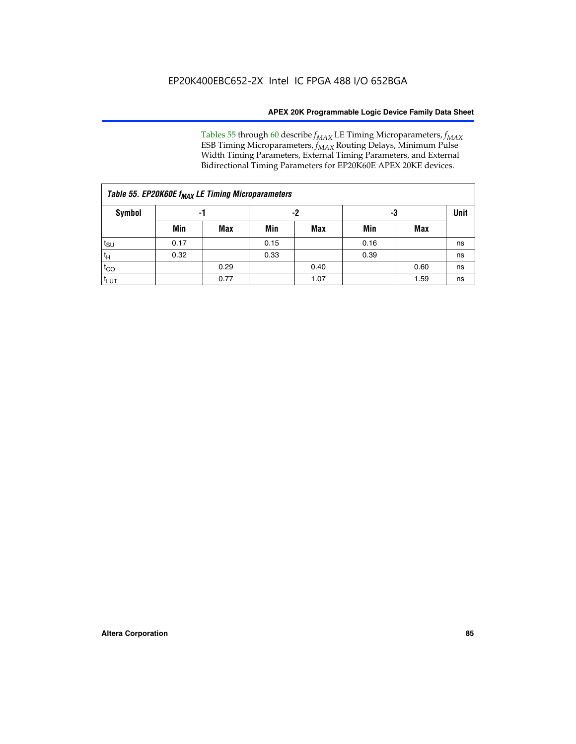Tables 55 through 60 describe *f<sub>MAX</sub>* LE Timing Microparameters, *f<sub>MAX</sub>* ESB Timing Microparameters, *f<sub>MAX</sub>* Routing Delays, Minimum Pulse Width Timing Parameters, External Timing Parameters, and External Bidirectional Timing Parameters for EP20K60E APEX 20KE devices.

| Table 55. EP20K60E f <sub>MAX</sub> LE Timing Microparameters |      |      |      |      |      |      |    |  |  |  |  |
|---------------------------------------------------------------|------|------|------|------|------|------|----|--|--|--|--|
| <b>Symbol</b>                                                 |      | -1   |      | -2   |      | -3   |    |  |  |  |  |
|                                                               | Min  | Max  | Min  | Max  | Min  | Max  |    |  |  |  |  |
| t <sub>SU</sub>                                               | 0.17 |      | 0.15 |      | 0.16 |      | ns |  |  |  |  |
| $t_H$                                                         | 0.32 |      | 0.33 |      | 0.39 |      | ns |  |  |  |  |
| $t_{CO}$                                                      |      | 0.29 |      | 0.40 |      | 0.60 | ns |  |  |  |  |
| $t_{LUT}$                                                     |      | 0.77 |      | 1.07 |      | 1.59 | ns |  |  |  |  |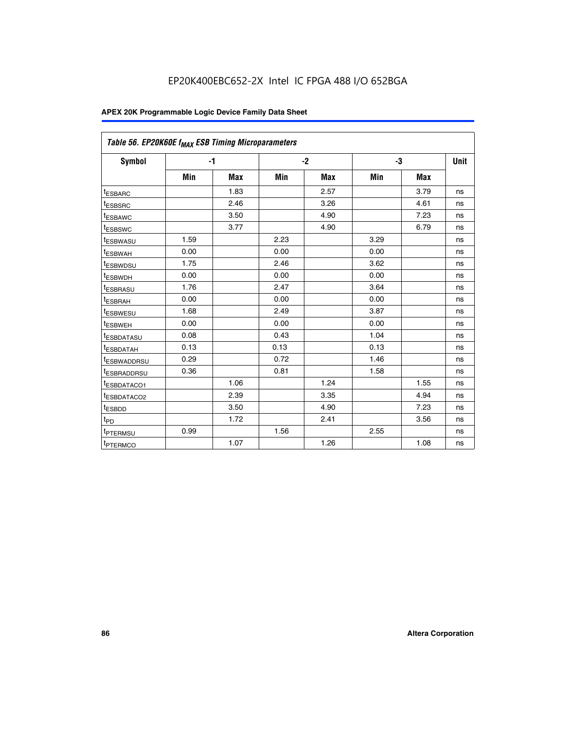| Table 56. EP20K60E f <sub>MAX</sub> ESB Timing Microparameters |      |            |      |            |      |      |             |
|----------------------------------------------------------------|------|------------|------|------------|------|------|-------------|
| <b>Symbol</b>                                                  |      | $-1$       |      | $-2$       |      | -3   | <b>Unit</b> |
|                                                                | Min  | <b>Max</b> | Min  | <b>Max</b> | Min  | Max  |             |
| <sup>t</sup> ESBARC                                            |      | 1.83       |      | 2.57       |      | 3.79 | ns          |
| t <sub>ESBSRC</sub>                                            |      | 2.46       |      | 3.26       |      | 4.61 | ns          |
| t <sub>ESBAWC</sub>                                            |      | 3.50       |      | 4.90       |      | 7.23 | ns          |
| <sup>t</sup> ESBSWC                                            |      | 3.77       |      | 4.90       |      | 6.79 | ns          |
| t <sub>ESBWASU</sub>                                           | 1.59 |            | 2.23 |            | 3.29 |      | ns          |
| <sup>t</sup> ESBWAH                                            | 0.00 |            | 0.00 |            | 0.00 |      | ns          |
| t <sub>ESBWDSU</sub>                                           | 1.75 |            | 2.46 |            | 3.62 |      | ns          |
| t <sub>ESBWDH</sub>                                            | 0.00 |            | 0.00 |            | 0.00 |      | ns          |
| t <sub>ESBRASU</sub>                                           | 1.76 |            | 2.47 |            | 3.64 |      | ns          |
| <sup>t</sup> ESBRAH                                            | 0.00 |            | 0.00 |            | 0.00 |      | ns          |
| t <sub>ESBWESU</sub>                                           | 1.68 |            | 2.49 |            | 3.87 |      | ns          |
| <sup>t</sup> ESBWEH                                            | 0.00 |            | 0.00 |            | 0.00 |      | ns          |
| <sup>t</sup> ESBDATASU                                         | 0.08 |            | 0.43 |            | 1.04 |      | ns          |
| <sup>t</sup> ESBDATAH                                          | 0.13 |            | 0.13 |            | 0.13 |      | ns          |
| <sup>t</sup> ESBWADDRSU                                        | 0.29 |            | 0.72 |            | 1.46 |      | ns          |
| <sup>t</sup> ESBRADDRSU                                        | 0.36 |            | 0.81 |            | 1.58 |      | ns          |
| t <sub>ESBDATACO1</sub>                                        |      | 1.06       |      | 1.24       |      | 1.55 | ns          |
| <sup>t</sup> ESBDATACO2                                        |      | 2.39       |      | 3.35       |      | 4.94 | ns          |
| <sup>t</sup> ESBDD                                             |      | 3.50       |      | 4.90       |      | 7.23 | ns          |
| t <sub>PD</sub>                                                |      | 1.72       |      | 2.41       |      | 3.56 | ns          |
| <sup>t</sup> PTERMSU                                           | 0.99 |            | 1.56 |            | 2.55 |      | ns          |
| t <sub>PTERMCO</sub>                                           |      | 1.07       |      | 1.26       |      | 1.08 | ns          |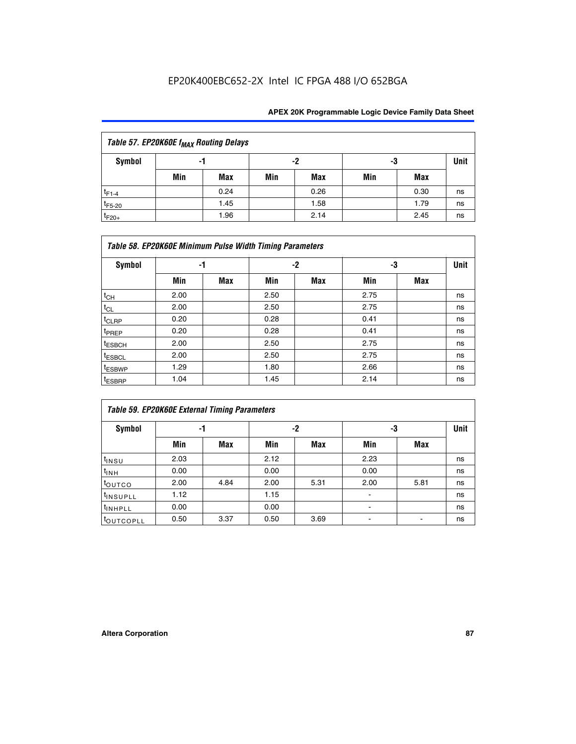## EP20K400EBC652-2X Intel IC FPGA 488 I/O 652BGA

| Table 57. EP20K60E f <sub>MAX</sub> Routing Delays |                |            |     |      |     |      |    |  |  |  |
|----------------------------------------------------|----------------|------------|-----|------|-----|------|----|--|--|--|
| Symbol                                             | -2<br>-3<br>-1 |            |     |      |     |      |    |  |  |  |
|                                                    | Min            | <b>Max</b> | Min | Max  | Min | Max  |    |  |  |  |
| $t_{F1-4}$                                         |                | 0.24       |     | 0.26 |     | 0.30 | ns |  |  |  |
| $t_{F5-20}$                                        |                | 1.45       |     | 1.58 |     | 1.79 | ns |  |  |  |
| $t_{F20+}$                                         |                | 1.96       |     | 2.14 |     | 2.45 | ns |  |  |  |

|                    | Table 58. EP20K60E Minimum Pulse Width Timing Parameters |            |      |     |      |     |             |  |  |  |  |
|--------------------|----------------------------------------------------------|------------|------|-----|------|-----|-------------|--|--|--|--|
| Symbol             |                                                          | -1         |      | -2  |      | -3  | <b>Unit</b> |  |  |  |  |
|                    | Min                                                      | <b>Max</b> | Min  | Max | Min  | Max |             |  |  |  |  |
| $t_{CH}$           | 2.00                                                     |            | 2.50 |     | 2.75 |     | ns          |  |  |  |  |
| $t_{CL}$           | 2.00                                                     |            | 2.50 |     | 2.75 |     | ns          |  |  |  |  |
| $t_{CLRP}$         | 0.20                                                     |            | 0.28 |     | 0.41 |     | ns          |  |  |  |  |
| t <sub>PREP</sub>  | 0.20                                                     |            | 0.28 |     | 0.41 |     | ns          |  |  |  |  |
| <sup>t</sup> ESBCH | 2.00                                                     |            | 2.50 |     | 2.75 |     | ns          |  |  |  |  |
| <sup>t</sup> ESBCL | 2.00                                                     |            | 2.50 |     | 2.75 |     | ns          |  |  |  |  |
| <sup>t</sup> ESBWP | 1.29                                                     |            | 1.80 |     | 2.66 |     | ns          |  |  |  |  |
| <sup>t</sup> ESBRP | 1.04                                                     |            | 1.45 |     | 2.14 |     | ns          |  |  |  |  |

| Table 59. EP20K60E External Timing Parameters |      |      |      |      |      |      |      |  |  |  |  |
|-----------------------------------------------|------|------|------|------|------|------|------|--|--|--|--|
| Symbol                                        | -1   |      |      | -2   | -3   |      | Unit |  |  |  |  |
|                                               | Min  | Max  | Min  | Max  | Min  | Max  |      |  |  |  |  |
| $t_{INSU}$                                    | 2.03 |      | 2.12 |      | 2.23 |      | ns   |  |  |  |  |
| t <sub>INH</sub>                              | 0.00 |      | 0.00 |      | 0.00 |      | ns   |  |  |  |  |
| toutco                                        | 2.00 | 4.84 | 2.00 | 5.31 | 2.00 | 5.81 | ns   |  |  |  |  |
| <sup>t</sup> INSUPLL                          | 1.12 |      | 1.15 |      |      |      | ns   |  |  |  |  |
| <sup>t</sup> INHPLL                           | 0.00 |      | 0.00 |      | ۰    |      | ns   |  |  |  |  |
| toutcopll                                     | 0.50 | 3.37 | 0.50 | 3.69 |      |      | ns   |  |  |  |  |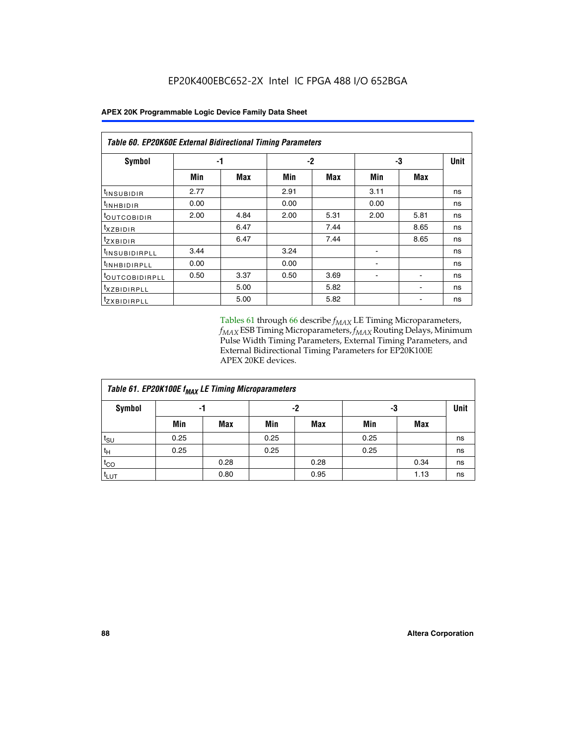| <b>Table 60. EP20K60E External Bidirectional Timing Parameters</b> |      |      |      |      |      |      |             |  |  |  |  |
|--------------------------------------------------------------------|------|------|------|------|------|------|-------------|--|--|--|--|
| Symbol                                                             | -1   |      | $-2$ |      |      | -3   | <b>Unit</b> |  |  |  |  |
|                                                                    | Min  | Max  | Min  | Max  | Min  | Max  |             |  |  |  |  |
| t <sub>INSUBIDIR</sub>                                             | 2.77 |      | 2.91 |      | 3.11 |      | ns          |  |  |  |  |
| <sup>t</sup> inhbidir                                              | 0.00 |      | 0.00 |      | 0.00 |      | ns          |  |  |  |  |
| <sup>t</sup> OUTCOBIDIR                                            | 2.00 | 4.84 | 2.00 | 5.31 | 2.00 | 5.81 | ns          |  |  |  |  |
| $t_{XZBIDIR}$                                                      |      | 6.47 |      | 7.44 |      | 8.65 | ns          |  |  |  |  |
| tzxbidir                                                           |      | 6.47 |      | 7.44 |      | 8.65 | ns          |  |  |  |  |
| <sup>t</sup> INSUBIDIRPLL                                          | 3.44 |      | 3.24 |      |      |      | ns          |  |  |  |  |
| <sup>t</sup> INHBIDIRPLL                                           | 0.00 |      | 0.00 |      |      |      | ns          |  |  |  |  |
| <sup>t</sup> OUTCOBIDIRPLL                                         | 0.50 | 3.37 | 0.50 | 3.69 |      |      | ns          |  |  |  |  |
| <sup>t</sup> xzbidirpll                                            |      | 5.00 |      | 5.82 |      |      | ns          |  |  |  |  |
| <sup>t</sup> zxbidirpll                                            |      | 5.00 |      | 5.82 |      |      | ns          |  |  |  |  |

Tables 61 through 66 describe  $f_{MAX}$  LE Timing Microparameters, *fMAX* ESB Timing Microparameters, *fMAX* Routing Delays, Minimum Pulse Width Timing Parameters, External Timing Parameters, and External Bidirectional Timing Parameters for EP20K100E APEX 20KE devices.

| Table 61. EP20K100E f <sub>MAX</sub> LE Timing Microparameters |      |      |      |            |      |            |             |  |  |  |  |  |
|----------------------------------------------------------------|------|------|------|------------|------|------------|-------------|--|--|--|--|--|
| <b>Symbol</b>                                                  |      | -1   |      | -2         |      | -3         | <b>Unit</b> |  |  |  |  |  |
|                                                                | Min  | Max  | Min  | <b>Max</b> | Min  | <b>Max</b> |             |  |  |  |  |  |
| $t_{\text{SU}}$                                                | 0.25 |      | 0.25 |            | 0.25 |            | ns          |  |  |  |  |  |
| tμ                                                             | 0.25 |      | 0.25 |            | 0.25 |            | ns          |  |  |  |  |  |
| $t_{CO}$                                                       |      | 0.28 |      | 0.28       |      | 0.34       | ns          |  |  |  |  |  |
| t <sub>LUT</sub>                                               |      | 0.80 |      | 0.95       |      | 1.13       | ns          |  |  |  |  |  |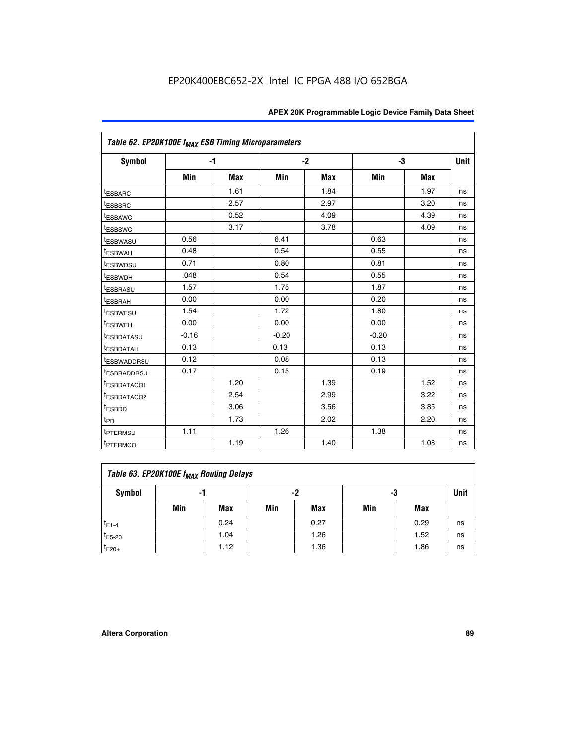| Table 62. EP20K100E f <sub>MAX</sub> ESB Timing Microparameters |         |      |         |            |         |            |             |
|-----------------------------------------------------------------|---------|------|---------|------------|---------|------------|-------------|
| Symbol                                                          |         | $-1$ |         | $-2$       |         | -3         | <b>Unit</b> |
|                                                                 | Min     | Max  | Min     | <b>Max</b> | Min     | <b>Max</b> |             |
| <sup>t</sup> ESBARC                                             |         | 1.61 |         | 1.84       |         | 1.97       | ns          |
| <sup>t</sup> ESBSRC                                             |         | 2.57 |         | 2.97       |         | 3.20       | ns          |
| <sup>t</sup> ESBAWC                                             |         | 0.52 |         | 4.09       |         | 4.39       | ns          |
| <sup>t</sup> ESBSWC                                             |         | 3.17 |         | 3.78       |         | 4.09       | ns          |
| <sup>t</sup> ESBWASU                                            | 0.56    |      | 6.41    |            | 0.63    |            | ns          |
| t <sub>ESBWAH</sub>                                             | 0.48    |      | 0.54    |            | 0.55    |            | ns          |
| <sup>t</sup> ESBWDSU                                            | 0.71    |      | 0.80    |            | 0.81    |            | ns          |
| <sup>t</sup> ESBWDH                                             | .048    |      | 0.54    |            | 0.55    |            | ns          |
| <sup>t</sup> ESBRASU                                            | 1.57    |      | 1.75    |            | 1.87    |            | ns          |
| <sup>t</sup> ESBRAH                                             | 0.00    |      | 0.00    |            | 0.20    |            | ns          |
| <sup>t</sup> ESBWESU                                            | 1.54    |      | 1.72    |            | 1.80    |            | ns          |
| <sup>I</sup> ESBWEH                                             | 0.00    |      | 0.00    |            | 0.00    |            | ns          |
| <sup>t</sup> ESBDATASU                                          | $-0.16$ |      | $-0.20$ |            | $-0.20$ |            | ns          |
| <sup>t</sup> ESBDATAH                                           | 0.13    |      | 0.13    |            | 0.13    |            | ns          |
| <sup>t</sup> ESBWADDRSU                                         | 0.12    |      | 0.08    |            | 0.13    |            | ns          |
| <sup>I</sup> ESBRADDRSU                                         | 0.17    |      | 0.15    |            | 0.19    |            | ns          |
| <sup>I</sup> ESBDATACO1                                         |         | 1.20 |         | 1.39       |         | 1.52       | ns          |
| <sup>t</sup> ESBDATACO2                                         |         | 2.54 |         | 2.99       |         | 3.22       | ns          |
| <sup>t</sup> ESBDD                                              |         | 3.06 |         | 3.56       |         | 3.85       | ns          |
| t <sub>PD</sub>                                                 |         | 1.73 |         | 2.02       |         | 2.20       | ns          |
| <sup>I</sup> PTERMSU                                            | 1.11    |      | 1.26    |            | 1.38    |            | ns          |
| t <sub>PTERMCO</sub>                                            |         | 1.19 |         | 1.40       |         | 1.08       | ns          |

| Table 63. EP20K100E f <sub>MAX</sub> Routing Delays |                |      |     |      |     |      |    |  |  |  |
|-----------------------------------------------------|----------------|------|-----|------|-----|------|----|--|--|--|
| <b>Symbol</b>                                       | -2<br>-3<br>-1 |      |     |      |     |      |    |  |  |  |
|                                                     | Min            | Max  | Min | Max  | Min | Max  |    |  |  |  |
| $t_{F1-4}$                                          |                | 0.24 |     | 0.27 |     | 0.29 | ns |  |  |  |
| $t_{F5-20}$                                         |                | 1.04 |     | 1.26 |     | 1.52 | ns |  |  |  |
| $t_{F20+}$                                          |                | 1.12 |     | 1.36 |     | 1.86 | ns |  |  |  |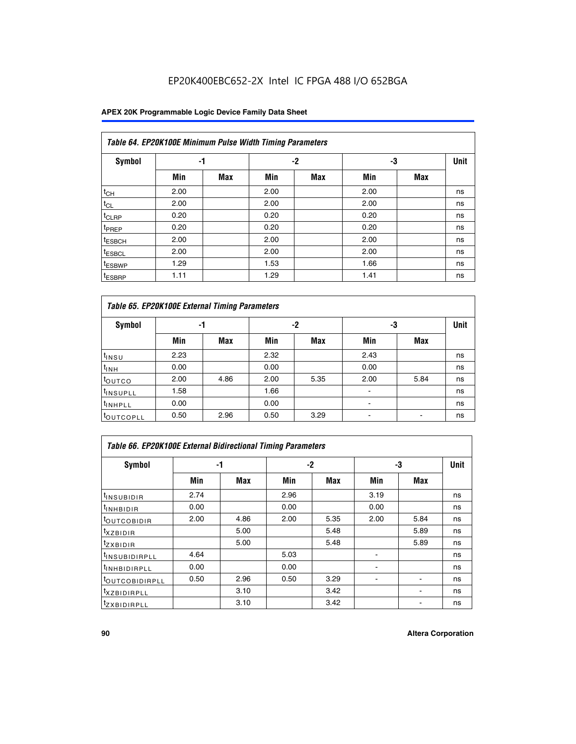## EP20K400EBC652-2X Intel IC FPGA 488 I/O 652BGA

### **APEX 20K Programmable Logic Device Family Data Sheet**

|                    | Table 64. EP20K100E Minimum Pulse Width Timing Parameters |            |      |            |      |            |             |  |  |  |  |  |
|--------------------|-----------------------------------------------------------|------------|------|------------|------|------------|-------------|--|--|--|--|--|
| <b>Symbol</b>      | -1                                                        |            |      | $-2$       |      | -3         | <b>Unit</b> |  |  |  |  |  |
|                    | Min                                                       | <b>Max</b> | Min  | <b>Max</b> | Min  | <b>Max</b> |             |  |  |  |  |  |
| $t_{CH}$           | 2.00                                                      |            | 2.00 |            | 2.00 |            | ns          |  |  |  |  |  |
| $t_{CL}$           | 2.00                                                      |            | 2.00 |            | 2.00 |            | ns          |  |  |  |  |  |
| t <sub>CLRP</sub>  | 0.20                                                      |            | 0.20 |            | 0.20 |            | ns          |  |  |  |  |  |
| t <sub>PREP</sub>  | 0.20                                                      |            | 0.20 |            | 0.20 |            | ns          |  |  |  |  |  |
| <sup>t</sup> ESBCH | 2.00                                                      |            | 2.00 |            | 2.00 |            | ns          |  |  |  |  |  |
| <sup>t</sup> ESBCL | 2.00                                                      |            | 2.00 |            | 2.00 |            | ns          |  |  |  |  |  |
| <sup>t</sup> ESBWP | 1.29                                                      |            | 1.53 |            | 1.66 |            | ns          |  |  |  |  |  |
| <sup>t</sup> ESBRP | 1.11                                                      |            | 1.29 |            | 1.41 |            | ns          |  |  |  |  |  |

|                      | Table 65. EP20K100E External Timing Parameters |            |      |            |                |            |    |  |  |  |  |  |  |
|----------------------|------------------------------------------------|------------|------|------------|----------------|------------|----|--|--|--|--|--|--|
| <b>Symbol</b>        | -1                                             |            |      | -2         |                | -3         |    |  |  |  |  |  |  |
|                      | Min                                            | <b>Max</b> | Min  | <b>Max</b> | Min            | <b>Max</b> |    |  |  |  |  |  |  |
| $t_{INSU}$           | 2.23                                           |            | 2.32 |            | 2.43           |            | ns |  |  |  |  |  |  |
| $t_{\rm INH}$        | 0.00                                           |            | 0.00 |            | 0.00           |            | ns |  |  |  |  |  |  |
| toutco               | 2.00                                           | 4.86       | 2.00 | 5.35       | 2.00           | 5.84       | ns |  |  |  |  |  |  |
| <sup>t</sup> INSUPLL | 1.58                                           |            | 1.66 |            |                |            | ns |  |  |  |  |  |  |
| <sup>t</sup> INHPLL  | 0.00                                           |            | 0.00 |            | $\blacksquare$ |            | ns |  |  |  |  |  |  |
| <b>LOUTCOPLL</b>     | 0.50                                           | 2.96       | 0.50 | 3.29       | -              |            | ns |  |  |  |  |  |  |

|                              | <b>Table 66. EP20K100E External Bidirectional Timing Parameters</b> |      |      |      |                |      |      |  |  |  |  |
|------------------------------|---------------------------------------------------------------------|------|------|------|----------------|------|------|--|--|--|--|
| Symbol                       |                                                                     | -1   |      | $-2$ |                | -3   | Unit |  |  |  |  |
|                              | Min                                                                 | Max  | Min  | Max  | Min            | Max  |      |  |  |  |  |
| <sup>t</sup> INSUBIDIR       | 2.74                                                                |      | 2.96 |      | 3.19           |      | ns   |  |  |  |  |
| <b>TINHBIDIR</b>             | 0.00                                                                |      | 0.00 |      | 0.00           |      | ns   |  |  |  |  |
| <b>LOUTCOBIDIR</b>           | 2.00                                                                | 4.86 | 2.00 | 5.35 | 2.00           | 5.84 | ns   |  |  |  |  |
| <sup>T</sup> XZBIDIR         |                                                                     | 5.00 |      | 5.48 |                | 5.89 | ns   |  |  |  |  |
| <sup>T</sup> ZXBIDIR         |                                                                     | 5.00 |      | 5.48 |                | 5.89 | ns   |  |  |  |  |
| <sup>t</sup> INSUBIDIRPLL    | 4.64                                                                |      | 5.03 |      |                |      | ns   |  |  |  |  |
| <sup>I</sup> INHBIDIRPLL     | 0.00                                                                |      | 0.00 |      | $\blacksquare$ |      | ns   |  |  |  |  |
| <b><i>LOUTCOBIDIRPLL</i></b> | 0.50                                                                | 2.96 | 0.50 | 3.29 |                |      | ns   |  |  |  |  |
| <sup>T</sup> XZBIDIRPLL      |                                                                     | 3.10 |      | 3.42 |                |      | ns   |  |  |  |  |
| <sup>I</sup> ZXBIDIRPLL      |                                                                     | 3.10 |      | 3.42 |                |      | ns   |  |  |  |  |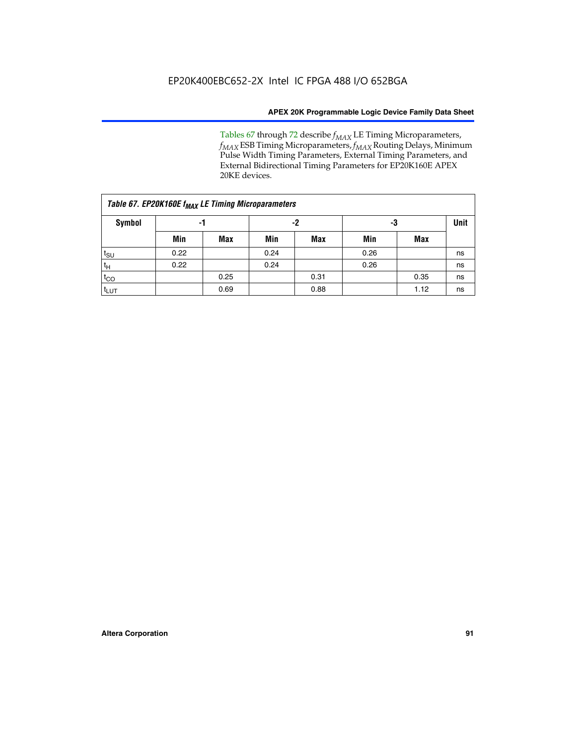Tables 67 through 72 describe *f<sub>MAX</sub>* LE Timing Microparameters, *f<sub>MAX</sub>* ESB Timing Microparameters, *f<sub>MAX</sub>* Routing Delays, Minimum Pulse Width Timing Parameters, External Timing Parameters, and External Bidirectional Timing Parameters for EP20K160E APEX 20KE devices.

|                  | Table 67. EP20K160E f <sub>MAX</sub> LE Timing Microparameters |            |      |            |      |      |             |  |  |  |  |  |
|------------------|----------------------------------------------------------------|------------|------|------------|------|------|-------------|--|--|--|--|--|
| <b>Symbol</b>    | -1                                                             |            |      | -2         |      | -3   | <b>Unit</b> |  |  |  |  |  |
|                  | Min                                                            | <b>Max</b> | Min  | <b>Max</b> | Min  | Max  |             |  |  |  |  |  |
| $t_{\text{SU}}$  | 0.22                                                           |            | 0.24 |            | 0.26 |      | ns          |  |  |  |  |  |
| $t_H$            | 0.22                                                           |            | 0.24 |            | 0.26 |      | ns          |  |  |  |  |  |
| $t_{CO}$         |                                                                | 0.25       |      | 0.31       |      | 0.35 | ns          |  |  |  |  |  |
| t <sub>LUT</sub> |                                                                | 0.69       |      | 0.88       |      | 1.12 | ns          |  |  |  |  |  |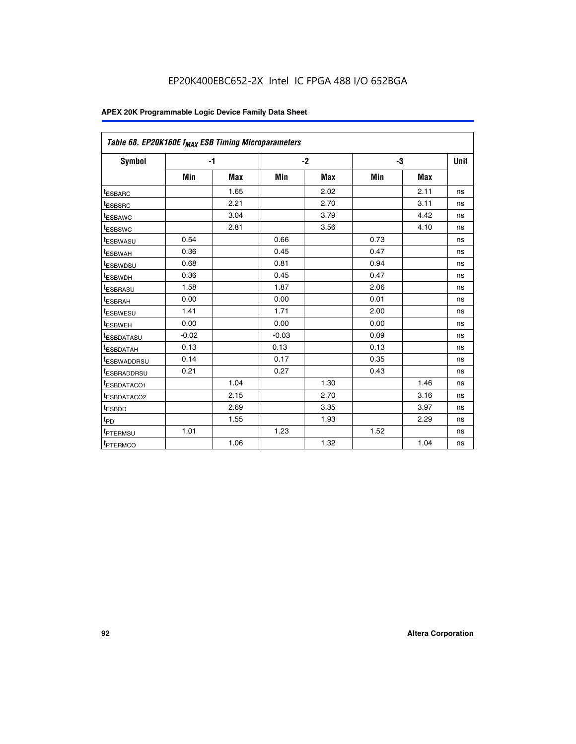| Table 68. EP20K160E f <sub>MAX</sub> ESB Timing Microparameters |         |            |         |            |      |      |             |
|-----------------------------------------------------------------|---------|------------|---------|------------|------|------|-------------|
| <b>Symbol</b>                                                   |         | $-1$       |         | $-2$       |      | -3   | <b>Unit</b> |
|                                                                 | Min     | <b>Max</b> | Min     | <b>Max</b> | Min  | Max  |             |
| <sup>t</sup> ESBARC                                             |         | 1.65       |         | 2.02       |      | 2.11 | ns          |
| t <sub>ESBSRC</sub>                                             |         | 2.21       |         | 2.70       |      | 3.11 | ns          |
| <sup>t</sup> ESBAWC                                             |         | 3.04       |         | 3.79       |      | 4.42 | ns          |
| <sup>t</sup> ESBSWC                                             |         | 2.81       |         | 3.56       |      | 4.10 | ns          |
| t <sub>ESBWASU</sub>                                            | 0.54    |            | 0.66    |            | 0.73 |      | ns          |
| <sup>t</sup> ESBWAH                                             | 0.36    |            | 0.45    |            | 0.47 |      | ns          |
| t <sub>ESBWDSU</sub>                                            | 0.68    |            | 0.81    |            | 0.94 |      | ns          |
| t <sub>ESBWDH</sub>                                             | 0.36    |            | 0.45    |            | 0.47 |      | ns          |
| t <sub>ESBRASU</sub>                                            | 1.58    |            | 1.87    |            | 2.06 |      | ns          |
| <sup>t</sup> ESBRAH                                             | 0.00    |            | 0.00    |            | 0.01 |      | ns          |
| <sup>t</sup> ESBWESU                                            | 1.41    |            | 1.71    |            | 2.00 |      | ns          |
| <sup>t</sup> ESBWEH                                             | 0.00    |            | 0.00    |            | 0.00 |      | ns          |
| <sup>t</sup> ESBDATASU                                          | $-0.02$ |            | $-0.03$ |            | 0.09 |      | ns          |
| t <sub>esbdatah</sub>                                           | 0.13    |            | 0.13    |            | 0.13 |      | ns          |
| t <sub>ESBWADDRSU</sub>                                         | 0.14    |            | 0.17    |            | 0.35 |      | ns          |
| <sup>t</sup> ESBRADDRSU                                         | 0.21    |            | 0.27    |            | 0.43 |      | ns          |
| t <sub>ESBDATACO1</sub>                                         |         | 1.04       |         | 1.30       |      | 1.46 | ns          |
| t <sub>ESBDATACO2</sub>                                         |         | 2.15       |         | 2.70       |      | 3.16 | ns          |
| <sup>t</sup> ESBDD                                              |         | 2.69       |         | 3.35       |      | 3.97 | ns          |
| t <sub>PD</sub>                                                 |         | 1.55       |         | 1.93       |      | 2.29 | ns          |
| t <sub>PTERMSU</sub>                                            | 1.01    |            | 1.23    |            | 1.52 |      | ns          |
| t <sub>PTERMCO</sub>                                            |         | 1.06       |         | 1.32       |      | 1.04 | ns          |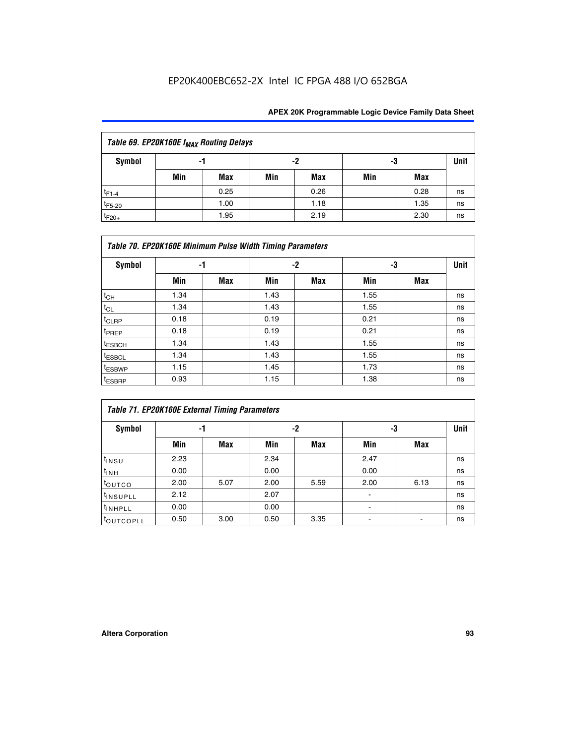## EP20K400EBC652-2X Intel IC FPGA 488 I/O 652BGA

| Table 69. EP20K160E f <sub>MAX</sub> Routing Delays |     |            |     |      |     |      |      |  |  |  |  |
|-----------------------------------------------------|-----|------------|-----|------|-----|------|------|--|--|--|--|
| Symbol                                              |     | -1         |     | -2   | -3  |      | Unit |  |  |  |  |
|                                                     | Min | <b>Max</b> | Min | Max  | Min | Max  |      |  |  |  |  |
| $t_{F1-4}$                                          |     | 0.25       |     | 0.26 |     | 0.28 | ns   |  |  |  |  |
| $t_{F5-20}$                                         |     | 1.00       |     | 1.18 |     | 1.35 | ns   |  |  |  |  |
| $t_{F20+}$                                          |     | 1.95       |     | 2.19 |     | 2.30 | ns   |  |  |  |  |

|                    | Table 70. EP20K160E Minimum Pulse Width Timing Parameters |     |      |      |      |     |             |  |  |  |  |  |
|--------------------|-----------------------------------------------------------|-----|------|------|------|-----|-------------|--|--|--|--|--|
| Symbol             |                                                           | -1  |      | $-2$ |      | -3  | <b>Unit</b> |  |  |  |  |  |
|                    | Min                                                       | Max | Min  | Max  | Min  | Max |             |  |  |  |  |  |
| $t_{CH}$           | 1.34                                                      |     | 1.43 |      | 1.55 |     | ns          |  |  |  |  |  |
| $t_{CL}$           | 1.34                                                      |     | 1.43 |      | 1.55 |     | ns          |  |  |  |  |  |
| $t_{CLRP}$         | 0.18                                                      |     | 0.19 |      | 0.21 |     | ns          |  |  |  |  |  |
| t <sub>PREP</sub>  | 0.18                                                      |     | 0.19 |      | 0.21 |     | ns          |  |  |  |  |  |
| <sup>t</sup> ESBCH | 1.34                                                      |     | 1.43 |      | 1.55 |     | ns          |  |  |  |  |  |
| <sup>t</sup> ESBCL | 1.34                                                      |     | 1.43 |      | 1.55 |     | ns          |  |  |  |  |  |
| <sup>t</sup> ESBWP | 1.15                                                      |     | 1.45 |      | 1.73 |     | ns          |  |  |  |  |  |
| <sup>t</sup> ESBRP | 0.93                                                      |     | 1.15 |      | 1.38 |     | ns          |  |  |  |  |  |

| Table 71. EP20K160E External Timing Parameters |      |      |      |      |                |      |      |  |  |  |  |  |
|------------------------------------------------|------|------|------|------|----------------|------|------|--|--|--|--|--|
| Symbol                                         | -1   |      |      | -2   | -3             |      | Unit |  |  |  |  |  |
|                                                | Min  | Max  | Min  | Max  | Min            | Max  |      |  |  |  |  |  |
| $t_{INSU}$                                     | 2.23 |      | 2.34 |      | 2.47           |      | ns   |  |  |  |  |  |
| $t_{INH}$                                      | 0.00 |      | 0.00 |      | 0.00           |      | ns   |  |  |  |  |  |
| toutco                                         | 2.00 | 5.07 | 2.00 | 5.59 | 2.00           | 6.13 | ns   |  |  |  |  |  |
| <sup>t</sup> INSUPLL                           | 2.12 |      | 2.07 |      | $\blacksquare$ |      | ns   |  |  |  |  |  |
| <sup>t</sup> INHPLL                            | 0.00 |      | 0.00 |      | ۰              |      | ns   |  |  |  |  |  |
| toutcopll                                      | 0.50 | 3.00 | 0.50 | 3.35 |                |      | ns   |  |  |  |  |  |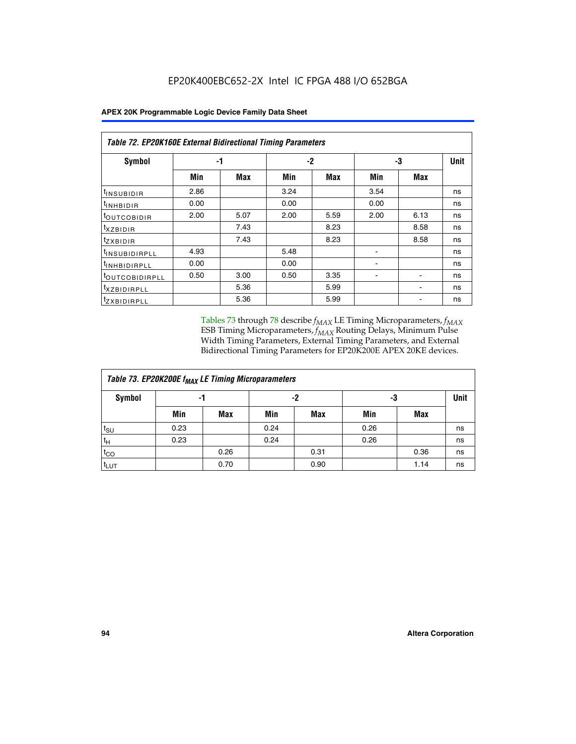|                                | Table 72. EP20K160E External Bidirectional Timing Parameters |      |      |      |      |      |             |  |  |  |  |
|--------------------------------|--------------------------------------------------------------|------|------|------|------|------|-------------|--|--|--|--|
| Symbol                         |                                                              | -1   |      | $-2$ |      | -3   | <b>Unit</b> |  |  |  |  |
|                                | Min                                                          | Max  | Min  | Max  | Min  | Max  |             |  |  |  |  |
| <sup>t</sup> INSUB <u>IDIR</u> | 2.86                                                         |      | 3.24 |      | 3.54 |      | ns          |  |  |  |  |
| <b>UNHBIDIR</b>                | 0.00                                                         |      | 0.00 |      | 0.00 |      | ns          |  |  |  |  |
| <b>LOUTCOBIDIR</b>             | 2.00                                                         | 5.07 | 2.00 | 5.59 | 2.00 | 6.13 | ns          |  |  |  |  |
| KZBIDIR                        |                                                              | 7.43 |      | 8.23 |      | 8.58 | ns          |  |  |  |  |
| <sup>t</sup> zxbidir           |                                                              | 7.43 |      | 8.23 |      | 8.58 | ns          |  |  |  |  |
| <sup>t</sup> INSUBIDIRPLL      | 4.93                                                         |      | 5.48 |      |      |      | ns          |  |  |  |  |
| <sup>I</sup> INHBIDIRPLL       | 0.00                                                         |      | 0.00 |      | ٠    |      | ns          |  |  |  |  |
| <b><i>LOUTCOBIDIRPLL</i></b>   | 0.50                                                         | 3.00 | 0.50 | 3.35 |      |      | ns          |  |  |  |  |
| <sup>T</sup> XZBIDIRPLL        |                                                              | 5.36 |      | 5.99 |      |      | ns          |  |  |  |  |
| <sup>t</sup> ZXBIDIRPLL        |                                                              | 5.36 |      | 5.99 |      |      | ns          |  |  |  |  |

Tables 73 through 78 describe  $f_{MAX}$  LE Timing Microparameters,  $f_{MAX}$ ESB Timing Microparameters, *f<sub>MAX</sub>* Routing Delays, Minimum Pulse Width Timing Parameters, External Timing Parameters, and External Bidirectional Timing Parameters for EP20K200E APEX 20KE devices.

| Table 73. EP20K200E f <sub>MAX</sub> LE Timing Microparameters |      |      |      |            |      |             |    |  |  |  |  |
|----------------------------------------------------------------|------|------|------|------------|------|-------------|----|--|--|--|--|
| <b>Symbol</b>                                                  |      | -1   |      | -2         | -3   | <b>Unit</b> |    |  |  |  |  |
|                                                                | Min  | Max  | Min  | <b>Max</b> | Min  | Max         |    |  |  |  |  |
| $t_{\text{SU}}$                                                | 0.23 |      | 0.24 |            | 0.26 |             | ns |  |  |  |  |
| $t_H$                                                          | 0.23 |      | 0.24 |            | 0.26 |             | ns |  |  |  |  |
| $t_{CO}$                                                       |      | 0.26 |      | 0.31       |      | 0.36        | ns |  |  |  |  |
| t <sub>LUT</sub>                                               |      | 0.70 |      | 0.90       |      | 1.14        | ns |  |  |  |  |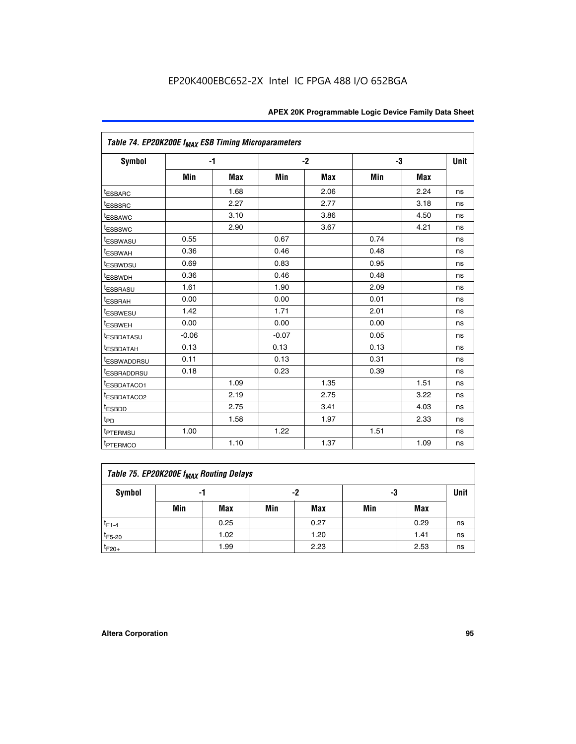|                             | Table 74. EP20K200E f <sub>MAX</sub> ESB Timing Microparameters |      |         |            |      |            |    |  |  |  |  |
|-----------------------------|-----------------------------------------------------------------|------|---------|------------|------|------------|----|--|--|--|--|
| Symbol                      |                                                                 | $-1$ |         | $-2$       |      | -3         |    |  |  |  |  |
|                             | Min                                                             | Max  | Min     | <b>Max</b> | Min  | <b>Max</b> |    |  |  |  |  |
| <sup>t</sup> ESBARC         |                                                                 | 1.68 |         | 2.06       |      | 2.24       | ns |  |  |  |  |
| t <sub>ESBSRC</sub>         |                                                                 | 2.27 |         | 2.77       |      | 3.18       | ns |  |  |  |  |
| <sup>t</sup> ESBAWC         |                                                                 | 3.10 |         | 3.86       |      | 4.50       | ns |  |  |  |  |
| <sup>t</sup> ESBSWC         |                                                                 | 2.90 |         | 3.67       |      | 4.21       | ns |  |  |  |  |
| <sup>t</sup> ESBWASU        | 0.55                                                            |      | 0.67    |            | 0.74 |            | ns |  |  |  |  |
| <b><i>ESBWAH</i></b>        | 0.36                                                            |      | 0.46    |            | 0.48 |            | ns |  |  |  |  |
| <sup>t</sup> ESBWDSU        | 0.69                                                            |      | 0.83    |            | 0.95 |            | ns |  |  |  |  |
| <sup>t</sup> ESBWDH         | 0.36                                                            |      | 0.46    |            | 0.48 |            | ns |  |  |  |  |
| <sup>t</sup> ESBRASU        | 1.61                                                            |      | 1.90    |            | 2.09 |            | ns |  |  |  |  |
| <sup>t</sup> ESBRAH         | 0.00                                                            |      | 0.00    |            | 0.01 |            | ns |  |  |  |  |
| <i>t</i> <sub>ESBWESU</sub> | 1.42                                                            |      | 1.71    |            | 2.01 |            | ns |  |  |  |  |
| <sup>I</sup> ESBWEH         | 0.00                                                            |      | 0.00    |            | 0.00 |            | ns |  |  |  |  |
| t <sub>ESBDATASU</sub>      | $-0.06$                                                         |      | $-0.07$ |            | 0.05 |            | ns |  |  |  |  |
| <sup>t</sup> ESBDATAH       | 0.13                                                            |      | 0.13    |            | 0.13 |            | ns |  |  |  |  |
| <sup>t</sup> ESBWADDRSU     | 0.11                                                            |      | 0.13    |            | 0.31 |            | ns |  |  |  |  |
| <sup>t</sup> ESBRADDRSU     | 0.18                                                            |      | 0.23    |            | 0.39 |            | ns |  |  |  |  |
| ESBDATACO1                  |                                                                 | 1.09 |         | 1.35       |      | 1.51       | ns |  |  |  |  |
| <sup>t</sup> ESBDATACO2     |                                                                 | 2.19 |         | 2.75       |      | 3.22       | ns |  |  |  |  |
| t <sub>ESBDD</sub>          |                                                                 | 2.75 |         | 3.41       |      | 4.03       | ns |  |  |  |  |
| t <sub>PD</sub>             |                                                                 | 1.58 |         | 1.97       |      | 2.33       | ns |  |  |  |  |
| t <sub>PTERMSU</sub>        | 1.00                                                            |      | 1.22    |            | 1.51 |            | ns |  |  |  |  |
| t <sub>PTERMCO</sub>        |                                                                 | 1.10 |         | 1.37       |      | 1.09       | ns |  |  |  |  |

| Table 75. EP20K200E f <sub>MAX</sub> Routing Delays |     |      |     |      |     |      |      |  |  |  |  |
|-----------------------------------------------------|-----|------|-----|------|-----|------|------|--|--|--|--|
| Symbol                                              |     | -1   |     | -2   | -3  |      | Unit |  |  |  |  |
|                                                     | Min | Max  | Min | Max  | Min | Max  |      |  |  |  |  |
| $t_{F1-4}$                                          |     | 0.25 |     | 0.27 |     | 0.29 | ns   |  |  |  |  |
| $t_{F5-20}$                                         |     | 1.02 |     | 1.20 |     | 1.41 | ns   |  |  |  |  |
| $t_{F20+}$                                          |     | 1.99 |     | 2.23 |     | 2.53 | ns   |  |  |  |  |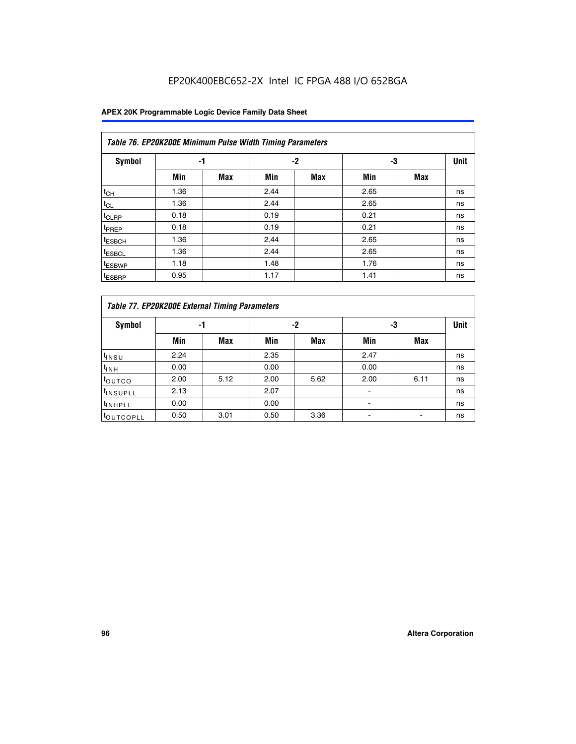## EP20K400EBC652-2X Intel IC FPGA 488 I/O 652BGA

|                    | Table 76. EP20K200E Minimum Pulse Width Timing Parameters |            |      |            |      |            |             |  |  |  |  |  |
|--------------------|-----------------------------------------------------------|------------|------|------------|------|------------|-------------|--|--|--|--|--|
| <b>Symbol</b>      | -1                                                        |            |      | $-2$       | -3   |            | <b>Unit</b> |  |  |  |  |  |
|                    | Min                                                       | <b>Max</b> | Min  | <b>Max</b> | Min  | <b>Max</b> |             |  |  |  |  |  |
| $t_{CH}$           | 1.36                                                      |            | 2.44 |            | 2.65 |            | ns          |  |  |  |  |  |
| $t_{CL}$           | 1.36                                                      |            | 2.44 |            | 2.65 |            | ns          |  |  |  |  |  |
| $t_{CLRP}$         | 0.18                                                      |            | 0.19 |            | 0.21 |            | ns          |  |  |  |  |  |
| t <sub>PREP</sub>  | 0.18                                                      |            | 0.19 |            | 0.21 |            | ns          |  |  |  |  |  |
| <sup>t</sup> ESBCH | 1.36                                                      |            | 2.44 |            | 2.65 |            | ns          |  |  |  |  |  |
| t <sub>ESBCL</sub> | 1.36                                                      |            | 2.44 |            | 2.65 |            | ns          |  |  |  |  |  |
| <sup>t</sup> ESBWP | 1.18                                                      |            | 1.48 |            | 1.76 |            | ns          |  |  |  |  |  |
| <sup>t</sup> ESBRP | 0.95                                                      |            | 1.17 |            | 1.41 |            | ns          |  |  |  |  |  |

| Table 77. EP20K200E External Timing Parameters |      |            |      |            |      |      |             |  |  |  |  |  |
|------------------------------------------------|------|------------|------|------------|------|------|-------------|--|--|--|--|--|
| <b>Symbol</b>                                  |      | -1         |      | -2         |      | -3   | <b>Unit</b> |  |  |  |  |  |
|                                                | Min  | <b>Max</b> | Min  | <b>Max</b> | Min  | Max  |             |  |  |  |  |  |
| t <sub>INSU</sub>                              | 2.24 |            | 2.35 |            | 2.47 |      | ns          |  |  |  |  |  |
| $t_{\text{INH}}$                               | 0.00 |            | 0.00 |            | 0.00 |      | ns          |  |  |  |  |  |
| toutco                                         | 2.00 | 5.12       | 2.00 | 5.62       | 2.00 | 6.11 | ns          |  |  |  |  |  |
| <sup>t</sup> INSUPLL                           | 2.13 |            | 2.07 |            |      |      | ns          |  |  |  |  |  |
| <sup>t</sup> INHPLL                            | 0.00 |            | 0.00 |            |      |      | ns          |  |  |  |  |  |
| <sup>I</sup> OUTCOPLL                          | 0.50 | 3.01       | 0.50 | 3.36       |      |      | ns          |  |  |  |  |  |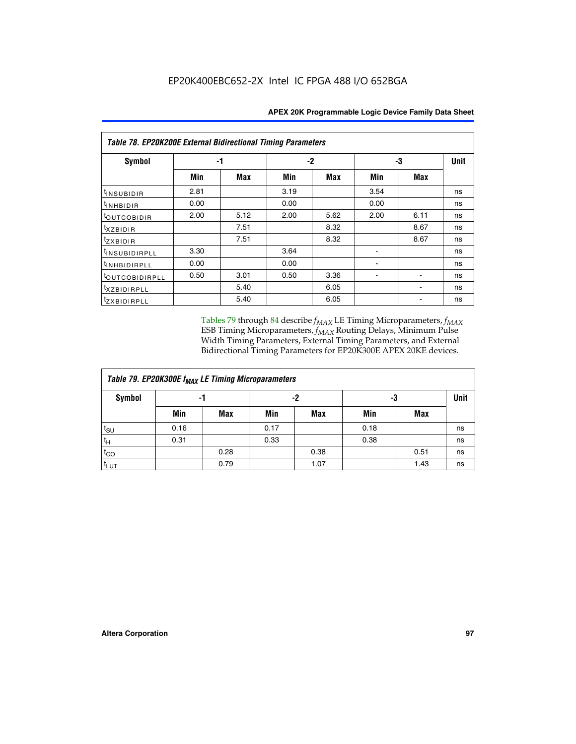| Table 78. EP20K200E External Bidirectional Timing Parameters |      |      |      |      |      |      |             |  |  |  |  |
|--------------------------------------------------------------|------|------|------|------|------|------|-------------|--|--|--|--|
| Symbol                                                       |      | -1   |      | $-2$ |      | -3   | <b>Unit</b> |  |  |  |  |
|                                                              | Min  | Max  | Min  | Max  | Min  | Max  |             |  |  |  |  |
| $t_{INSUBIDIR}$                                              | 2.81 |      | 3.19 |      | 3.54 |      | ns          |  |  |  |  |
| $t_{INHBIDIR}$                                               | 0.00 |      | 0.00 |      | 0.00 |      | ns          |  |  |  |  |
| t <sub>OUTCOBIDIR</sub>                                      | 2.00 | 5.12 | 2.00 | 5.62 | 2.00 | 6.11 | ns          |  |  |  |  |
| <i>txzbidir</i>                                              |      | 7.51 |      | 8.32 |      | 8.67 | ns          |  |  |  |  |
| tzxbidir                                                     |      | 7.51 |      | 8.32 |      | 8.67 | ns          |  |  |  |  |
| <sup>t</sup> INSUBIDIRPLL                                    | 3.30 |      | 3.64 |      |      |      | ns          |  |  |  |  |
| t <sub>INHBIDIRPLL</sub>                                     | 0.00 |      | 0.00 |      |      |      | ns          |  |  |  |  |
| <sup>t</sup> OUTCOBIDIRPLL                                   | 0.50 | 3.01 | 0.50 | 3.36 |      |      | ns          |  |  |  |  |
| <i>txzBIDIRPLL</i>                                           |      | 5.40 |      | 6.05 |      |      | ns          |  |  |  |  |
| tzxBIDIRPLL                                                  |      | 5.40 |      | 6.05 |      |      | ns          |  |  |  |  |

Tables 79 through 84 describe  $f_{MAX}$  LE Timing Microparameters,  $f_{MAX}$ ESB Timing Microparameters, *f<sub>MAX</sub>* Routing Delays, Minimum Pulse Width Timing Parameters, External Timing Parameters, and External Bidirectional Timing Parameters for EP20K300E APEX 20KE devices.

| Table 79. EP20K300E f <sub>MAX</sub> LE Timing Microparameters |      |            |      |            |      |             |    |  |  |  |  |
|----------------------------------------------------------------|------|------------|------|------------|------|-------------|----|--|--|--|--|
| <b>Symbol</b>                                                  |      | -1         |      | -2         | -3   | <b>Unit</b> |    |  |  |  |  |
|                                                                | Min  | <b>Max</b> | Min  | <b>Max</b> | Min  | <b>Max</b>  |    |  |  |  |  |
| $t_{\text{SU}}$                                                | 0.16 |            | 0.17 |            | 0.18 |             | ns |  |  |  |  |
| $t_H$                                                          | 0.31 |            | 0.33 |            | 0.38 |             | ns |  |  |  |  |
| $t_{CO}$                                                       |      | 0.28       |      | 0.38       |      | 0.51        | ns |  |  |  |  |
| $t_{LUT}$                                                      |      | 0.79       |      | 1.07       |      | 1.43        | ns |  |  |  |  |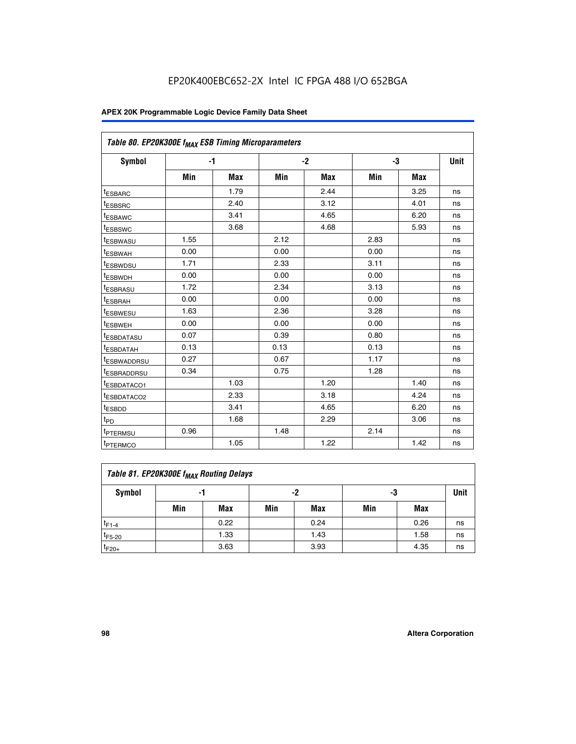| Table 80. EP20K300E f <sub>MAX</sub> ESB Timing Microparameters |      |            |      |            |      |            |      |
|-----------------------------------------------------------------|------|------------|------|------------|------|------------|------|
| Symbol                                                          |      | -1         |      | $-2$       |      | -3         | Unit |
|                                                                 | Min  | <b>Max</b> | Min  | <b>Max</b> | Min  | <b>Max</b> |      |
| t <sub>ESBARC</sub>                                             |      | 1.79       |      | 2.44       |      | 3.25       | ns   |
| t <sub>ESBSRC</sub>                                             |      | 2.40       |      | 3.12       |      | 4.01       | ns   |
| t <sub>ESBAWC</sub>                                             |      | 3.41       |      | 4.65       |      | 6.20       | ns   |
| t <sub>ESBSWC</sub>                                             |      | 3.68       |      | 4.68       |      | 5.93       | ns   |
| <sup>I</sup> ESBWASU                                            | 1.55 |            | 2.12 |            | 2.83 |            | ns   |
| <sup>t</sup> ESBWAH                                             | 0.00 |            | 0.00 |            | 0.00 |            | ns   |
| <sup>I</sup> ESBWDSU                                            | 1.71 |            | 2.33 |            | 3.11 |            | ns   |
| <sup>t</sup> ESBWDH                                             | 0.00 |            | 0.00 |            | 0.00 |            | ns   |
| <sup>t</sup> ESBRASU                                            | 1.72 |            | 2.34 |            | 3.13 |            | ns   |
| t <sub>ESBRAH</sub>                                             | 0.00 |            | 0.00 |            | 0.00 |            | ns   |
| <sup>t</sup> ESBWESU                                            | 1.63 |            | 2.36 |            | 3.28 |            | ns   |
| <sup>t</sup> ESBWEH                                             | 0.00 |            | 0.00 |            | 0.00 |            | ns   |
| t <sub>ESBDATASU</sub>                                          | 0.07 |            | 0.39 |            | 0.80 |            | ns   |
| <sup>t</sup> ESBDATAH                                           | 0.13 |            | 0.13 |            | 0.13 |            | ns   |
| <sup>t</sup> ESBWADDRSU                                         | 0.27 |            | 0.67 |            | 1.17 |            | ns   |
| <sup>t</sup> ESBRADDRSU                                         | 0.34 |            | 0.75 |            | 1.28 |            | ns   |
| <sup>I</sup> ESBDATACO1                                         |      | 1.03       |      | 1.20       |      | 1.40       | ns   |
| <sup>t</sup> ESBDATACO2                                         |      | 2.33       |      | 3.18       |      | 4.24       | ns   |
| <sup>t</sup> ESBDD                                              |      | 3.41       |      | 4.65       |      | 6.20       | ns   |
| t <sub>PD</sub>                                                 |      | 1.68       |      | 2.29       |      | 3.06       | ns   |
| t <sub>PTERMSU</sub>                                            | 0.96 |            | 1.48 |            | 2.14 |            | ns   |
| t <sub>PTERMCO</sub>                                            |      | 1.05       |      | 1.22       |      | 1.42       | ns   |

| Table 81. EP20K300E f <sub>MAX</sub> Routing Delays |                |      |     |      |     |      |    |  |  |  |  |
|-----------------------------------------------------|----------------|------|-----|------|-----|------|----|--|--|--|--|
| Symbol                                              | -2<br>-3<br>-1 |      |     |      |     |      |    |  |  |  |  |
|                                                     | Min            | Max  | Min | Max  | Min | Max  |    |  |  |  |  |
| $t_{F1-4}$                                          |                | 0.22 |     | 0.24 |     | 0.26 | ns |  |  |  |  |
| $t_{F5-20}$                                         |                | 1.33 |     | 1.43 |     | 1.58 | ns |  |  |  |  |
| $t_{F20+}$                                          |                | 3.63 |     | 3.93 |     | 4.35 | ns |  |  |  |  |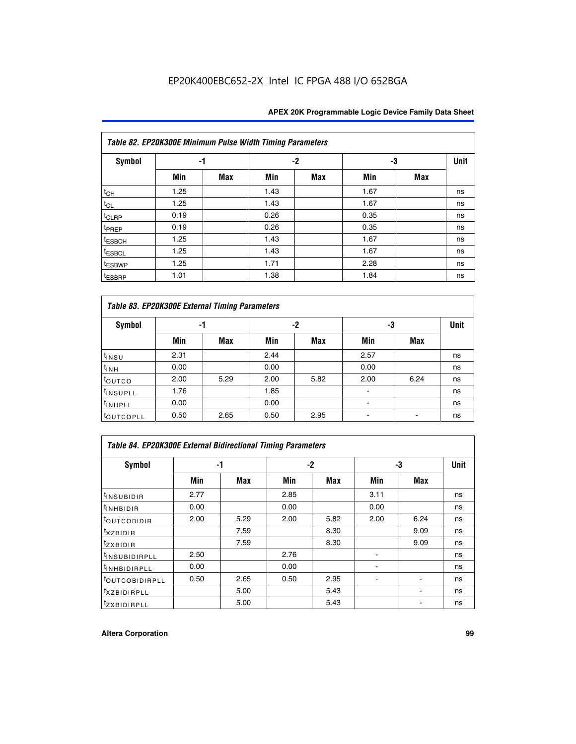|                    | Table 82. EP20K300E Minimum Pulse Width Timing Parameters |            |      |            |      |            |             |  |  |  |  |  |
|--------------------|-----------------------------------------------------------|------------|------|------------|------|------------|-------------|--|--|--|--|--|
| <b>Symbol</b>      | -1                                                        |            |      | $-2$       | -3   |            | <b>Unit</b> |  |  |  |  |  |
|                    | Min                                                       | <b>Max</b> | Min  | <b>Max</b> | Min  | <b>Max</b> |             |  |  |  |  |  |
| $t_{CH}$           | 1.25                                                      |            | 1.43 |            | 1.67 |            | ns          |  |  |  |  |  |
| $t_{CL}$           | 1.25                                                      |            | 1.43 |            | 1.67 |            | ns          |  |  |  |  |  |
| t <sub>CLRP</sub>  | 0.19                                                      |            | 0.26 |            | 0.35 |            | ns          |  |  |  |  |  |
| t <sub>PREP</sub>  | 0.19                                                      |            | 0.26 |            | 0.35 |            | ns          |  |  |  |  |  |
| <sup>t</sup> ESBCH | 1.25                                                      |            | 1.43 |            | 1.67 |            | ns          |  |  |  |  |  |
| <sup>t</sup> ESBCL | 1.25                                                      |            | 1.43 |            | 1.67 |            | ns          |  |  |  |  |  |
| t <sub>ESBWP</sub> | 1.25                                                      |            | 1.71 |            | 2.28 |            | ns          |  |  |  |  |  |
| <sup>t</sup> ESBRP | 1.01                                                      |            | 1.38 |            | 1.84 |            | ns          |  |  |  |  |  |

| Table 83. EP20K300E External Timing Parameters |      |      |      |      |      |            |             |  |  |  |  |  |
|------------------------------------------------|------|------|------|------|------|------------|-------------|--|--|--|--|--|
| Symbol                                         |      | -1   |      | -2   |      | -3         | <b>Unit</b> |  |  |  |  |  |
|                                                | Min  | Max  | Min  | Max  | Min  | <b>Max</b> |             |  |  |  |  |  |
| t <sub>INSU</sub>                              | 2.31 |      | 2.44 |      | 2.57 |            | ns          |  |  |  |  |  |
| $t_{INH}$                                      | 0.00 |      | 0.00 |      | 0.00 |            | ns          |  |  |  |  |  |
| toutco                                         | 2.00 | 5.29 | 2.00 | 5.82 | 2.00 | 6.24       | ns          |  |  |  |  |  |
| <sup>t</sup> INSUPLL                           | 1.76 |      | 1.85 |      |      |            | ns          |  |  |  |  |  |
| <sup>t</sup> INHPLL                            | 0.00 |      | 0.00 |      | -    |            | ns          |  |  |  |  |  |
| <sup>t</sup> OUTCOPLL                          | 0.50 | 2.65 | 0.50 | 2.95 |      |            | ns          |  |  |  |  |  |

| Table 84. EP20K300E External Bidirectional Timing Parameters |      |      |      |      |      |             |    |  |  |  |
|--------------------------------------------------------------|------|------|------|------|------|-------------|----|--|--|--|
| Symbol                                                       |      | -1   | -2   |      | -3   | <b>Unit</b> |    |  |  |  |
|                                                              | Min  | Max  | Min  | Max  | Min  | Max         |    |  |  |  |
| <sup>t</sup> INSUBIDIR                                       | 2.77 |      | 2.85 |      | 3.11 |             | ns |  |  |  |
| <b>TINHBIDIR</b>                                             | 0.00 |      | 0.00 |      | 0.00 |             | ns |  |  |  |
| <sup>t</sup> OUTCOBIDIR                                      | 2.00 | 5.29 | 2.00 | 5.82 | 2.00 | 6.24        | ns |  |  |  |
| KZBIDIR                                                      |      | 7.59 |      | 8.30 |      | 9.09        | ns |  |  |  |
| $t_{Z}$ <i>x</i> BIDIR                                       |      | 7.59 |      | 8.30 |      | 9.09        | ns |  |  |  |
| <sup>I</sup> INSUBIDIRPLL                                    | 2.50 |      | 2.76 |      |      |             | ns |  |  |  |
| <sup>t</sup> INHBIDIRPLL                                     | 0.00 |      | 0.00 |      |      |             | ns |  |  |  |
| <b><i>LOUTCOBIDIRPLL</i></b>                                 | 0.50 | 2.65 | 0.50 | 2.95 |      |             | ns |  |  |  |
| <sup>T</sup> XZBIDIRPLL                                      |      | 5.00 |      | 5.43 |      |             | ns |  |  |  |
| <sup>t</sup> ZXBIDIRPLL                                      |      | 5.00 |      | 5.43 |      |             | ns |  |  |  |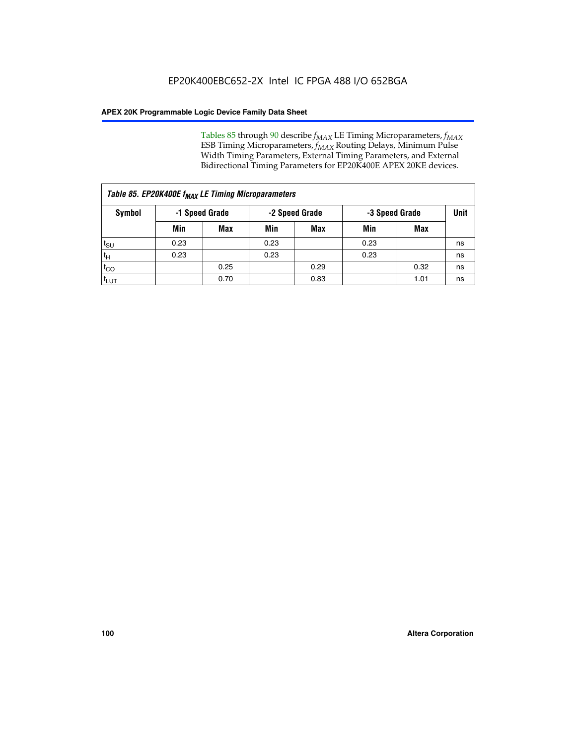Tables 85 through 90 describe  $f_{MAX}$  LE Timing Microparameters,  $f_{MAX}$ ESB Timing Microparameters, *f<sub>MAX</sub>* Routing Delays, Minimum Pulse Width Timing Parameters, External Timing Parameters, and External Bidirectional Timing Parameters for EP20K400E APEX 20KE devices.

| Table 85. EP20K400E f <sub>MAX</sub> LE Timing Microparameters |                |            |                |            |                |      |             |  |  |  |  |
|----------------------------------------------------------------|----------------|------------|----------------|------------|----------------|------|-------------|--|--|--|--|
| Symbol                                                         | -1 Speed Grade |            | -2 Speed Grade |            | -3 Speed Grade |      | <b>Unit</b> |  |  |  |  |
|                                                                | Min            | <b>Max</b> | Min            | <b>Max</b> | Min            | Max  |             |  |  |  |  |
| $t_{\text{SU}}$                                                | 0.23           |            | 0.23           |            | 0.23           |      | ns          |  |  |  |  |
| $t_H$                                                          | 0.23           |            | 0.23           |            | 0.23           |      | ns          |  |  |  |  |
| $t_{CO}$                                                       |                | 0.25       |                | 0.29       |                | 0.32 | ns          |  |  |  |  |
| ι <sup>t</sup> ιυτ                                             |                | 0.70       |                | 0.83       |                | 1.01 | ns          |  |  |  |  |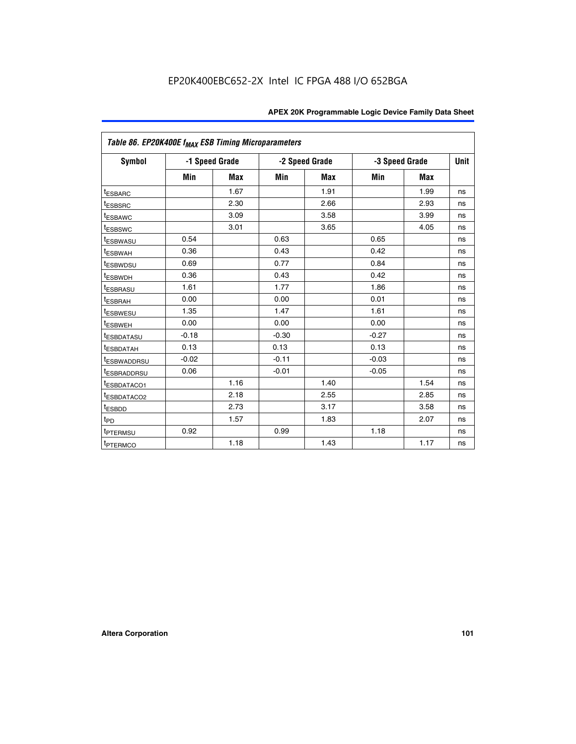|                         | Table 86. EP20K400E f <sub>MAX</sub> ESB Timing Microparameters |                |         |                |         |                |      |  |  |  |  |
|-------------------------|-----------------------------------------------------------------|----------------|---------|----------------|---------|----------------|------|--|--|--|--|
| <b>Symbol</b>           |                                                                 | -1 Speed Grade |         | -2 Speed Grade |         | -3 Speed Grade | Unit |  |  |  |  |
|                         | Min                                                             | <b>Max</b>     | Min     | Max            | Min     | <b>Max</b>     |      |  |  |  |  |
| <b>tESBARC</b>          |                                                                 | 1.67           |         | 1.91           |         | 1.99           | ns   |  |  |  |  |
| <sup>t</sup> ESBSRC     |                                                                 | 2.30           |         | 2.66           |         | 2.93           | ns   |  |  |  |  |
| <sup>t</sup> ESBAWC     |                                                                 | 3.09           |         | 3.58           |         | 3.99           | ns   |  |  |  |  |
| <sup>t</sup> ESBSWC     |                                                                 | 3.01           |         | 3.65           |         | 4.05           | ns   |  |  |  |  |
| <sup>t</sup> ESBWASU    | 0.54                                                            |                | 0.63    |                | 0.65    |                | ns   |  |  |  |  |
| t <sub>ESBWAH</sub>     | 0.36                                                            |                | 0.43    |                | 0.42    |                | ns   |  |  |  |  |
| <sup>t</sup> ESBWDSU    | 0.69                                                            |                | 0.77    |                | 0.84    |                | ns   |  |  |  |  |
| <sup>I</sup> ESBWDH     | 0.36                                                            |                | 0.43    |                | 0.42    |                | ns   |  |  |  |  |
| t <sub>ESBRASU</sub>    | 1.61                                                            |                | 1.77    |                | 1.86    |                | ns   |  |  |  |  |
| t <sub>ESBRAH</sub>     | 0.00                                                            |                | 0.00    |                | 0.01    |                | ns   |  |  |  |  |
| <sup>t</sup> ESBWESU    | 1.35                                                            |                | 1.47    |                | 1.61    |                | ns   |  |  |  |  |
| t <sub>ESBWEH</sub>     | 0.00                                                            |                | 0.00    |                | 0.00    |                | ns   |  |  |  |  |
| <sup>I</sup> ESBDATASU  | $-0.18$                                                         |                | $-0.30$ |                | $-0.27$ |                | ns   |  |  |  |  |
| <b>ESBDATAH</b>         | 0.13                                                            |                | 0.13    |                | 0.13    |                | ns   |  |  |  |  |
| <sup>T</sup> ESBWADDRSU | $-0.02$                                                         |                | $-0.11$ |                | $-0.03$ |                | ns   |  |  |  |  |
| <sup>T</sup> ESBRADDRSU | 0.06                                                            |                | $-0.01$ |                | $-0.05$ |                | ns   |  |  |  |  |
| <sup>t</sup> ESBDATACO1 |                                                                 | 1.16           |         | 1.40           |         | 1.54           | ns   |  |  |  |  |
| <sup>t</sup> ESBDATACO2 |                                                                 | 2.18           |         | 2.55           |         | 2.85           | ns   |  |  |  |  |
| <sup>t</sup> ESBDD      |                                                                 | 2.73           |         | 3.17           |         | 3.58           | ns   |  |  |  |  |
| $t_{P\underline{D}}$    |                                                                 | 1.57           |         | 1.83           |         | 2.07           | ns   |  |  |  |  |
| t <sub>PTERMSU</sub>    | 0.92                                                            |                | 0.99    |                | 1.18    |                | ns   |  |  |  |  |
| <sup>t</sup> PTERMCO    |                                                                 | 1.18           |         | 1.43           |         | 1.17           | ns   |  |  |  |  |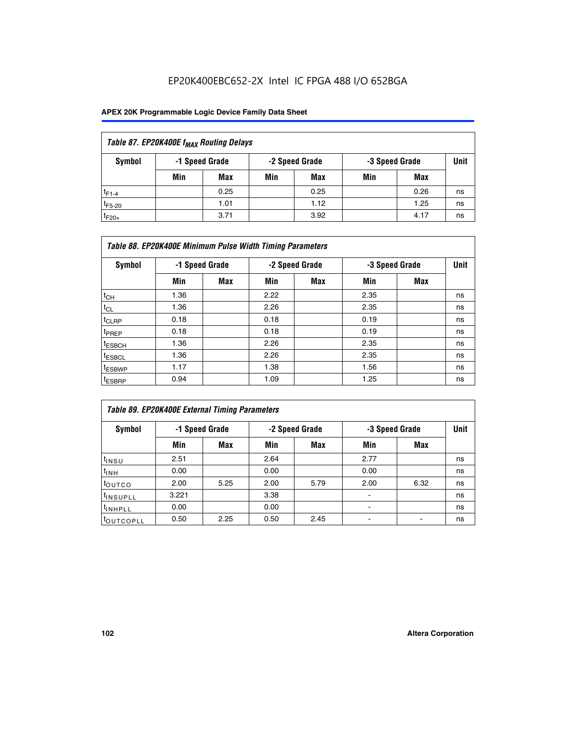## EP20K400EBC652-2X Intel IC FPGA 488 I/O 652BGA

| Table 87. EP20K400E f <sub>MAX</sub> Routing Delays |     |                |     |                |     |                |             |  |  |  |  |
|-----------------------------------------------------|-----|----------------|-----|----------------|-----|----------------|-------------|--|--|--|--|
| Symbol                                              |     | -1 Speed Grade |     | -2 Speed Grade |     | -3 Speed Grade | <b>Unit</b> |  |  |  |  |
|                                                     | Min | <b>Max</b>     | Min | Max            | Min | Max            |             |  |  |  |  |
| $t_{F1-4}$                                          |     | 0.25           |     | 0.25           |     | 0.26           | ns          |  |  |  |  |
| $t_{F5-20}$                                         |     | 1.01           |     | 1.12           |     | 1.25           | ns          |  |  |  |  |
| $t_{F20+}$                                          |     | 3.71           |     | 3.92           |     | 4.17           | ns          |  |  |  |  |

|                    | Table 88. EP20K400E Minimum Pulse Width Timing Parameters |                |      |                |      |                |      |  |  |  |  |  |
|--------------------|-----------------------------------------------------------|----------------|------|----------------|------|----------------|------|--|--|--|--|--|
| Symbol             |                                                           | -1 Speed Grade |      | -2 Speed Grade |      | -3 Speed Grade | Unit |  |  |  |  |  |
|                    | Min                                                       | <b>Max</b>     | Min  | <b>Max</b>     | Min  | Max            |      |  |  |  |  |  |
| $t_{CH}$           | 1.36                                                      |                | 2.22 |                | 2.35 |                | ns   |  |  |  |  |  |
| $t_{\rm CL}$       | 1.36                                                      |                | 2.26 |                | 2.35 |                | ns   |  |  |  |  |  |
| $t_{CLRP}$         | 0.18                                                      |                | 0.18 |                | 0.19 |                | ns   |  |  |  |  |  |
| <sup>t</sup> PREP  | 0.18                                                      |                | 0.18 |                | 0.19 |                | ns   |  |  |  |  |  |
| t <sub>ESBCH</sub> | 1.36                                                      |                | 2.26 |                | 2.35 |                | ns   |  |  |  |  |  |
| <sup>t</sup> ESBCL | 1.36                                                      |                | 2.26 |                | 2.35 |                | ns   |  |  |  |  |  |
| <sup>t</sup> ESBWP | 1.17                                                      |                | 1.38 |                | 1.56 |                | ns   |  |  |  |  |  |
| <sup>t</sup> ESBRP | 0.94                                                      |                | 1.09 |                | 1.25 |                | ns   |  |  |  |  |  |

|                       | Table 89. EP20K400E External Timing Parameters |            |      |                |      |                |    |  |  |  |  |  |
|-----------------------|------------------------------------------------|------------|------|----------------|------|----------------|----|--|--|--|--|--|
| Symbol                | -1 Speed Grade                                 |            |      | -2 Speed Grade |      | -3 Speed Grade |    |  |  |  |  |  |
|                       | Min                                            | <b>Max</b> | Min  | <b>Max</b>     | Min  | Max            |    |  |  |  |  |  |
| t <sub>insu</sub>     | 2.51                                           |            | 2.64 |                | 2.77 |                | ns |  |  |  |  |  |
| $t_{INH}$             | 0.00                                           |            | 0.00 |                | 0.00 |                | ns |  |  |  |  |  |
| toutco                | 2.00                                           | 5.25       | 2.00 | 5.79           | 2.00 | 6.32           | ns |  |  |  |  |  |
| <sup>t</sup> INSUPLL  | 3.221                                          |            | 3.38 |                | -    |                | ns |  |  |  |  |  |
| I <sup>t</sup> INHPLL | 0.00                                           |            | 0.00 |                | -    |                | ns |  |  |  |  |  |
| toutcopll             | 0.50                                           | 2.25       | 0.50 | 2.45           |      |                | ns |  |  |  |  |  |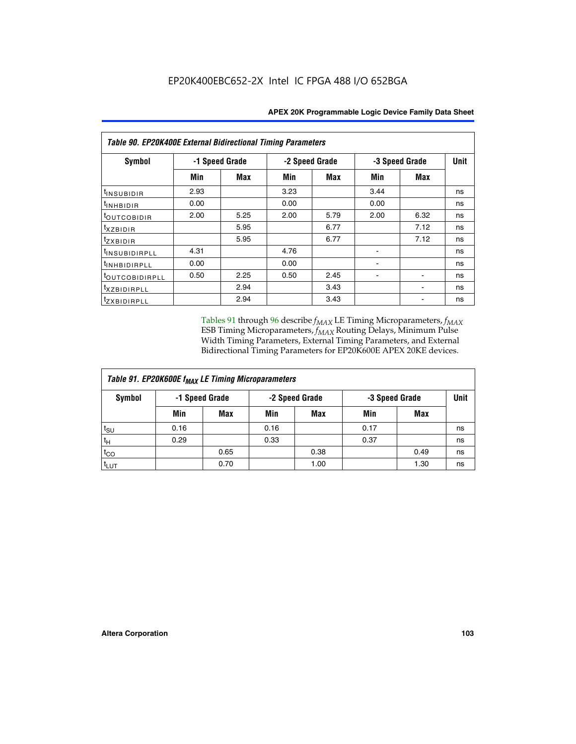|                            | Table 90. EP20K400E External Bidirectional Timing Parameters |                |                |            |                |             |    |  |  |  |  |  |
|----------------------------|--------------------------------------------------------------|----------------|----------------|------------|----------------|-------------|----|--|--|--|--|--|
| Symbol                     |                                                              | -1 Speed Grade | -2 Speed Grade |            | -3 Speed Grade | <b>Unit</b> |    |  |  |  |  |  |
|                            | Min                                                          | Max            | Min            | <b>Max</b> | Min            | Max         |    |  |  |  |  |  |
| <sup>t</sup> INSUBIDIR     | 2.93                                                         |                | 3.23           |            | 3.44           |             | ns |  |  |  |  |  |
| $t_{\rm INHBIDIR}$         | 0.00                                                         |                | 0.00           |            | 0.00           |             | ns |  |  |  |  |  |
| toutcobidir                | 2.00                                                         | 5.25           | 2.00           | 5.79       | 2.00           | 6.32        | ns |  |  |  |  |  |
| $t_{XZBIDIR}$              |                                                              | 5.95           |                | 6.77       |                | 7.12        | ns |  |  |  |  |  |
| tzxbidir                   |                                                              | 5.95           |                | 6.77       |                | 7.12        | ns |  |  |  |  |  |
| <sup>t</sup> INSUBIDIRPLL  | 4.31                                                         |                | 4.76           |            |                |             | ns |  |  |  |  |  |
| <sup>t</sup> INHBIDIRPLL   | 0.00                                                         |                | 0.00           |            |                |             | ns |  |  |  |  |  |
| <sup>t</sup> OUTCOBIDIRPLL | 0.50                                                         | 2.25           | 0.50           | 2.45       |                |             | ns |  |  |  |  |  |
| <sup>t</sup> xzbidirpll    |                                                              | 2.94           |                | 3.43       |                |             | ns |  |  |  |  |  |
| <i>tzxBIDIRPLL</i>         |                                                              | 2.94           |                | 3.43       |                |             | ns |  |  |  |  |  |

Tables 91 through 96 describe  $f_{MAX}$  LE Timing Microparameters,  $f_{MAX}$ ESB Timing Microparameters, *f<sub>MAX</sub>* Routing Delays, Minimum Pulse Width Timing Parameters, External Timing Parameters, and External Bidirectional Timing Parameters for EP20K600E APEX 20KE devices.

| Table 91. EP20K600E f <sub>MAX</sub> LE Timing Microparameters |                |            |      |                |      |                |             |  |  |  |  |
|----------------------------------------------------------------|----------------|------------|------|----------------|------|----------------|-------------|--|--|--|--|
| Symbol                                                         | -1 Speed Grade |            |      | -2 Speed Grade |      | -3 Speed Grade | <b>Unit</b> |  |  |  |  |
|                                                                | Min            | <b>Max</b> | Min  | <b>Max</b>     | Min  | Max            |             |  |  |  |  |
| t <sub>SU</sub>                                                | 0.16           |            | 0.16 |                | 0.17 |                | ns          |  |  |  |  |
| $t_H$                                                          | 0.29           |            | 0.33 |                | 0.37 |                | ns          |  |  |  |  |
| $t_{CO}$                                                       |                | 0.65       |      | 0.38           |      | 0.49           | ns          |  |  |  |  |
| t <sub>LUT</sub>                                               |                | 0.70       |      | 1.00           |      | 1.30           | ns          |  |  |  |  |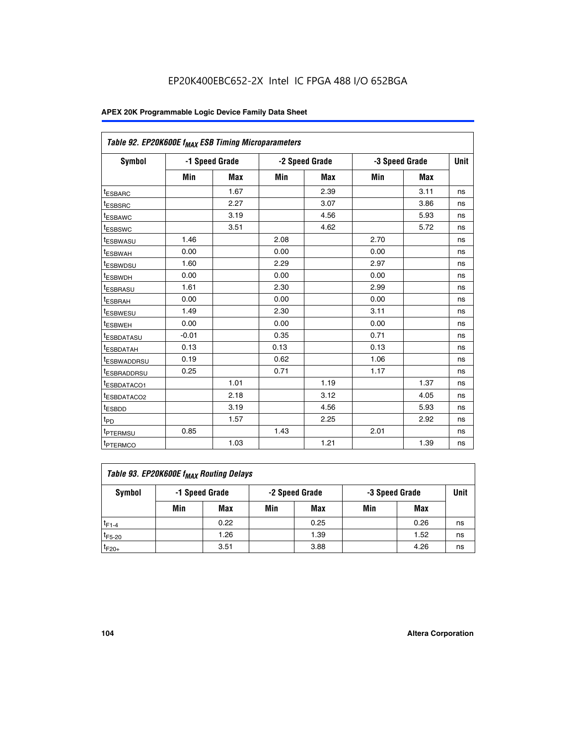| Table 92. EP20K600E f <sub>MAX</sub> ESB Timing Microparameters |         |                |      |                |      |                |             |
|-----------------------------------------------------------------|---------|----------------|------|----------------|------|----------------|-------------|
| <b>Symbol</b>                                                   |         | -1 Speed Grade |      | -2 Speed Grade |      | -3 Speed Grade | <b>Unit</b> |
|                                                                 | Min     | <b>Max</b>     | Min  | <b>Max</b>     | Min  | <b>Max</b>     |             |
| t <sub>ESBARC</sub>                                             |         | 1.67           |      | 2.39           |      | 3.11           | ns          |
| t <sub>ESBSRC</sub>                                             |         | 2.27           |      | 3.07           |      | 3.86           | ns          |
| <sup>t</sup> ESBAWC                                             |         | 3.19           |      | 4.56           |      | 5.93           | ns          |
| t <sub>ESBSWC</sub>                                             |         | 3.51           |      | 4.62           |      | 5.72           | ns          |
| <sup>t</sup> ESBWASU                                            | 1.46    |                | 2.08 |                | 2.70 |                | ns          |
| t <sub>ESBWAH</sub>                                             | 0.00    |                | 0.00 |                | 0.00 |                | ns          |
| t <sub>ESBWDSU</sub>                                            | 1.60    |                | 2.29 |                | 2.97 |                | ns          |
| <sup>t</sup> ESBWDH                                             | 0.00    |                | 0.00 |                | 0.00 |                | ns          |
| <sup>t</sup> ESBRASU                                            | 1.61    |                | 2.30 |                | 2.99 |                | ns          |
| t <sub>ESBRAH</sub>                                             | 0.00    |                | 0.00 |                | 0.00 |                | ns          |
| t <sub>ESBWESU</sub>                                            | 1.49    |                | 2.30 |                | 3.11 |                | ns          |
| <sup>t</sup> ESBWEH                                             | 0.00    |                | 0.00 |                | 0.00 |                | ns          |
| <sup>t</sup> ESBDATASU                                          | $-0.01$ |                | 0.35 |                | 0.71 |                | ns          |
| <sup>t</sup> ESBDATAH                                           | 0.13    |                | 0.13 |                | 0.13 |                | ns          |
| <sup>t</sup> ESBWADDRSU                                         | 0.19    |                | 0.62 |                | 1.06 |                | ns          |
| <sup>t</sup> ESBRADDRSU                                         | 0.25    |                | 0.71 |                | 1.17 |                | ns          |
| <sup>I</sup> ESBDATACO1                                         |         | 1.01           |      | 1.19           |      | 1.37           | ns          |
| <sup>t</sup> ESBDATACO2                                         |         | 2.18           |      | 3.12           |      | 4.05           | ns          |
| <sup>t</sup> ESBDD                                              |         | 3.19           |      | 4.56           |      | 5.93           | ns          |
| t <sub>PD</sub>                                                 |         | 1.57           |      | 2.25           |      | 2.92           | ns          |
| t <sub>PTERMSU</sub>                                            | 0.85    |                | 1.43 |                | 2.01 |                | ns          |
| t <sub>PTERMCO</sub>                                            |         | 1.03           |      | 1.21           |      | 1.39           | ns          |

| Table 93. EP20K600E f <sub>MAX</sub> Routing Delays |     |                |     |                |                |      |             |  |  |  |  |
|-----------------------------------------------------|-----|----------------|-----|----------------|----------------|------|-------------|--|--|--|--|
| Symbol                                              |     | -1 Speed Grade |     | -2 Speed Grade | -3 Speed Grade |      | <b>Unit</b> |  |  |  |  |
|                                                     | Min | Max            | Min | Max            | Min            | Max  |             |  |  |  |  |
| $t_{F1-4}$                                          |     | 0.22           |     | 0.25           |                | 0.26 | ns          |  |  |  |  |
| $t_{F5-20}$                                         |     | 1.26           |     | 1.39           |                | 1.52 | ns          |  |  |  |  |
| $t_{F20+}$                                          |     | 3.51           |     | 3.88           |                | 4.26 | ns          |  |  |  |  |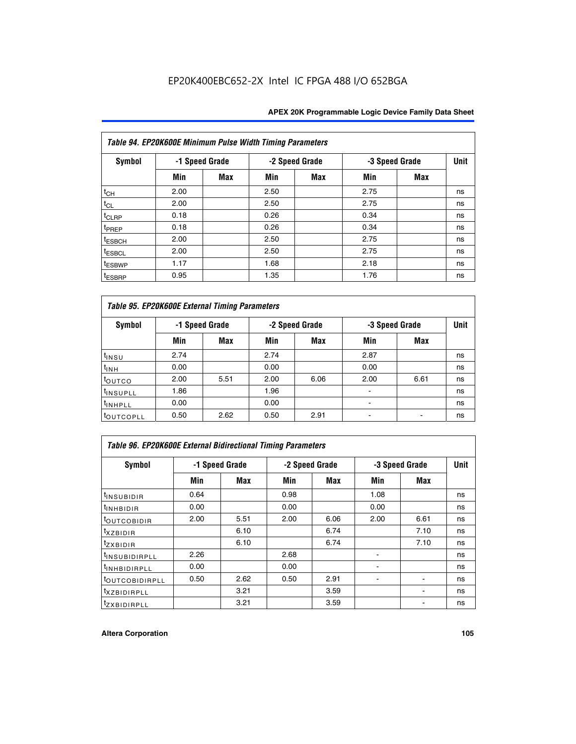|                    | Table 94. EP20K600E Minimum Pulse Width Timing Parameters |                |      |                |                |            |             |  |  |  |  |  |
|--------------------|-----------------------------------------------------------|----------------|------|----------------|----------------|------------|-------------|--|--|--|--|--|
| Symbol             |                                                           | -1 Speed Grade |      | -2 Speed Grade | -3 Speed Grade |            | <b>Unit</b> |  |  |  |  |  |
|                    | Min                                                       | Max            | Min  | Max            | Min            | <b>Max</b> |             |  |  |  |  |  |
| $t_{CH}$           | 2.00                                                      |                | 2.50 |                | 2.75           |            | ns          |  |  |  |  |  |
| $t_{CL}$           | 2.00                                                      |                | 2.50 |                | 2.75           |            | ns          |  |  |  |  |  |
| t <sub>CLRP</sub>  | 0.18                                                      |                | 0.26 |                | 0.34           |            | ns          |  |  |  |  |  |
| t <sub>PREP</sub>  | 0.18                                                      |                | 0.26 |                | 0.34           |            | ns          |  |  |  |  |  |
| <sup>t</sup> ESBCH | 2.00                                                      |                | 2.50 |                | 2.75           |            | ns          |  |  |  |  |  |
| <sup>t</sup> ESBCL | 2.00                                                      |                | 2.50 |                | 2.75           |            | ns          |  |  |  |  |  |
| <sup>t</sup> ESBWP | 1.17                                                      |                | 1.68 |                | 2.18           |            | ns          |  |  |  |  |  |
| <sup>t</sup> ESBRP | 0.95                                                      |                | 1.35 |                | 1.76           |            | ns          |  |  |  |  |  |

|                      | Table 95. EP20K600E External Timing Parameters |                |      |                |                          |                |    |  |  |  |  |  |
|----------------------|------------------------------------------------|----------------|------|----------------|--------------------------|----------------|----|--|--|--|--|--|
| Symbol               |                                                | -1 Speed Grade |      | -2 Speed Grade |                          | -3 Speed Grade |    |  |  |  |  |  |
|                      | Min                                            | Max            | Min  | <b>Max</b>     | Min                      | <b>Max</b>     |    |  |  |  |  |  |
| t <sub>insu</sub>    | 2.74                                           |                | 2.74 |                | 2.87                     |                | ns |  |  |  |  |  |
| $t_{INH}$            | 0.00                                           |                | 0.00 |                | 0.00                     |                | ns |  |  |  |  |  |
| toutco               | 2.00                                           | 5.51           | 2.00 | 6.06           | 2.00                     | 6.61           | ns |  |  |  |  |  |
| <sup>t</sup> INSUPLL | 1.86                                           |                | 1.96 |                |                          |                | ns |  |  |  |  |  |
| <sup>t</sup> INHPLL  | 0.00                                           |                | 0.00 |                | $\overline{\phantom{a}}$ |                | ns |  |  |  |  |  |
| <b>LOUTCOPLL</b>     | 0.50                                           | 2.62           | 0.50 | 2.91           |                          |                | ns |  |  |  |  |  |

|                              | <b>Table 96. EP20K600E External Bidirectional Timing Parameters</b> |            |      |                |                |             |    |  |  |  |  |  |
|------------------------------|---------------------------------------------------------------------|------------|------|----------------|----------------|-------------|----|--|--|--|--|--|
| Symbol                       | -1 Speed Grade                                                      |            |      | -2 Speed Grade | -3 Speed Grade | <b>Unit</b> |    |  |  |  |  |  |
|                              | Min                                                                 | <b>Max</b> | Min  | <b>Max</b>     | Min            | <b>Max</b>  |    |  |  |  |  |  |
| t <sub>insubidir</sub>       | 0.64                                                                |            | 0.98 |                | 1.08           |             | ns |  |  |  |  |  |
| $t_{\rm INHBIDIR}$           | 0.00                                                                |            | 0.00 |                | 0.00           |             | ns |  |  |  |  |  |
| <sup>t</sup> OUTCOBIDIR      | 2.00                                                                | 5.51       | 2.00 | 6.06           | 2.00           | 6.61        | ns |  |  |  |  |  |
| <sup>t</sup> xzbidir         |                                                                     | 6.10       |      | 6.74           |                | 7.10        | ns |  |  |  |  |  |
| $t_{Z}$ <i>x</i> BIDIR       |                                                                     | 6.10       |      | 6.74           |                | 7.10        | ns |  |  |  |  |  |
| <sup>t</sup> INSUBIDIRPLL    | 2.26                                                                |            | 2.68 |                |                |             | ns |  |  |  |  |  |
| <sup>t</sup> INHBIDIRPLL     | 0.00                                                                |            | 0.00 |                |                |             | ns |  |  |  |  |  |
| <b><i>LOUTCOBIDIRPLL</i></b> | 0.50                                                                | 2.62       | 0.50 | 2.91           |                |             | ns |  |  |  |  |  |
| <sup>t</sup> xzbidirpll      |                                                                     | 3.21       |      | 3.59           |                |             | ns |  |  |  |  |  |
| <i>t</i> zxbidirpll          |                                                                     | 3.21       |      | 3.59           |                |             | ns |  |  |  |  |  |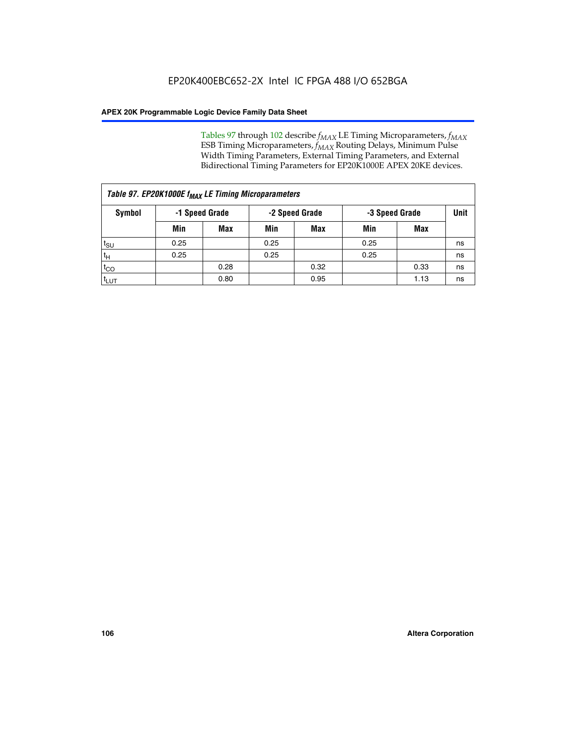Tables 97 through 102 describe  $f_{MAX}$  LE Timing Microparameters,  $f_{MAX}$ ESB Timing Microparameters, *f<sub>MAX</sub>* Routing Delays, Minimum Pulse Width Timing Parameters, External Timing Parameters, and External Bidirectional Timing Parameters for EP20K1000E APEX 20KE devices.

|                  | Table 97. EP20K1000E f <sub>MAX</sub> LE Timing Microparameters |                |      |                |                |      |             |  |  |  |  |  |
|------------------|-----------------------------------------------------------------|----------------|------|----------------|----------------|------|-------------|--|--|--|--|--|
| Symbol           |                                                                 | -1 Speed Grade |      | -2 Speed Grade | -3 Speed Grade |      | <b>Unit</b> |  |  |  |  |  |
|                  | Min                                                             | <b>Max</b>     | Min  | <b>Max</b>     | Min            | Max  |             |  |  |  |  |  |
| $t_{\text{SU}}$  | 0.25                                                            |                | 0.25 |                | 0.25           |      | ns          |  |  |  |  |  |
| $t_H$            | 0.25                                                            |                | 0.25 |                | 0.25           |      | ns          |  |  |  |  |  |
| $t_{CO}$         |                                                                 | 0.28           |      | 0.32           |                | 0.33 | ns          |  |  |  |  |  |
| t <sub>LUT</sub> |                                                                 | 0.80           |      | 0.95           |                | 1.13 | ns          |  |  |  |  |  |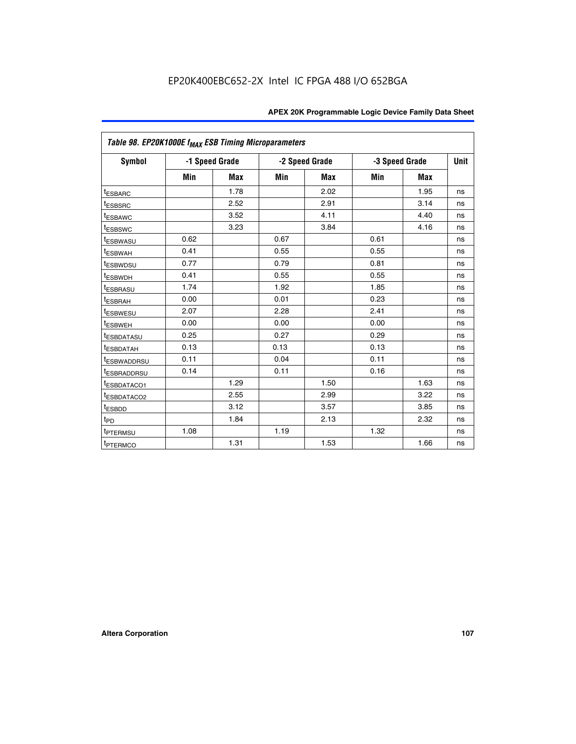|                         | Table 98. EP20K1000E f <sub>MAX</sub> ESB Timing Microparameters |                |      |                |      |                |    |  |  |  |  |
|-------------------------|------------------------------------------------------------------|----------------|------|----------------|------|----------------|----|--|--|--|--|
| <b>Symbol</b>           |                                                                  | -1 Speed Grade |      | -2 Speed Grade |      | -3 Speed Grade |    |  |  |  |  |
|                         | Min                                                              | <b>Max</b>     | Min  | <b>Max</b>     | Min  | <b>Max</b>     |    |  |  |  |  |
| <sup>t</sup> ESBARC     |                                                                  | 1.78           |      | 2.02           |      | 1.95           | ns |  |  |  |  |
| <i><b>LESBSRC</b></i>   |                                                                  | 2.52           |      | 2.91           |      | 3.14           | ns |  |  |  |  |
| <sup>t</sup> ESBAWC     |                                                                  | 3.52           |      | 4.11           |      | 4.40           | ns |  |  |  |  |
| <sup>t</sup> ESBSWC     |                                                                  | 3.23           |      | 3.84           |      | 4.16           | ns |  |  |  |  |
| t <sub>ESBWASU</sub>    | 0.62                                                             |                | 0.67 |                | 0.61 |                | ns |  |  |  |  |
| <sup>t</sup> ESBWAH     | 0.41                                                             |                | 0.55 |                | 0.55 |                | ns |  |  |  |  |
| <sup>t</sup> ESBWDSU    | 0.77                                                             |                | 0.79 |                | 0.81 |                | ns |  |  |  |  |
| <sup>t</sup> ESBWDH     | 0.41                                                             |                | 0.55 |                | 0.55 |                | ns |  |  |  |  |
| <sup>t</sup> ESBRASU    | 1.74                                                             |                | 1.92 |                | 1.85 |                | ns |  |  |  |  |
| t <sub>ESBRAH</sub>     | 0.00                                                             |                | 0.01 |                | 0.23 |                | ns |  |  |  |  |
| <sup>t</sup> ESBWESU    | 2.07                                                             |                | 2.28 |                | 2.41 |                | ns |  |  |  |  |
| <sup>t</sup> ESBWEH     | 0.00                                                             |                | 0.00 |                | 0.00 |                | ns |  |  |  |  |
| <sup>I</sup> ESBDATASU  | 0.25                                                             |                | 0.27 |                | 0.29 |                | ns |  |  |  |  |
| t <sub>ESBDATAH</sub>   | 0.13                                                             |                | 0.13 |                | 0.13 |                | ns |  |  |  |  |
| <sup>T</sup> ESBWADDRSU | 0.11                                                             |                | 0.04 |                | 0.11 |                | ns |  |  |  |  |
| t <sub>ESBRADDRSU</sub> | 0.14                                                             |                | 0.11 |                | 0.16 |                | ns |  |  |  |  |
| <sup>t</sup> ESBDATACO1 |                                                                  | 1.29           |      | 1.50           |      | 1.63           | ns |  |  |  |  |
| <sup>I</sup> ESBDATACO2 |                                                                  | 2.55           |      | 2.99           |      | 3.22           | ns |  |  |  |  |
| <sup>t</sup> ESBDD      |                                                                  | 3.12           |      | 3.57           |      | 3.85           | ns |  |  |  |  |
| $t_{\text{PD}}$         |                                                                  | 1.84           |      | 2.13           |      | 2.32           | ns |  |  |  |  |
| t <sub>PTERMSU</sub>    | 1.08                                                             |                | 1.19 |                | 1.32 |                | ns |  |  |  |  |
| t <sub>PTERMCO</sub>    |                                                                  | 1.31           |      | 1.53           |      | 1.66           | ns |  |  |  |  |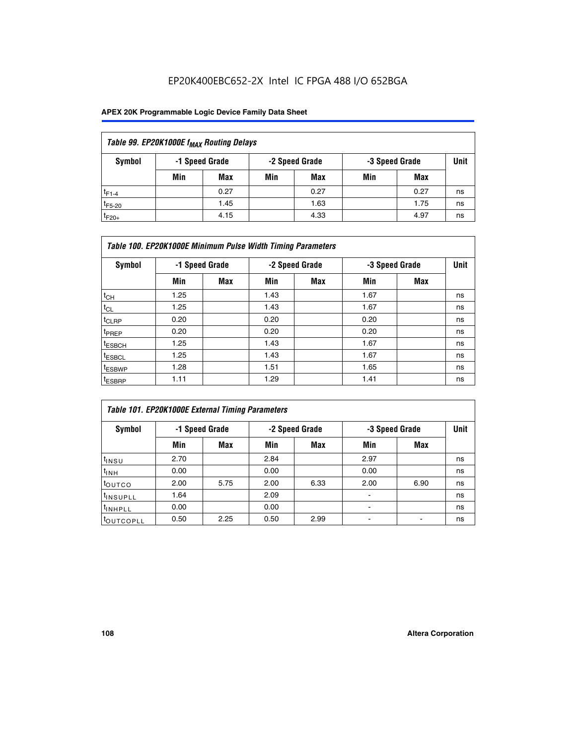## EP20K400EBC652-2X Intel IC FPGA 488 I/O 652BGA

## **APEX 20K Programmable Logic Device Family Data Sheet**

| Table 99. EP20K1000E f <sub>MAX</sub> Routing Delays |                                                    |            |     |      |     |      |    |  |  |  |  |
|------------------------------------------------------|----------------------------------------------------|------------|-----|------|-----|------|----|--|--|--|--|
| Symbol                                               | -1 Speed Grade<br>-2 Speed Grade<br>-3 Speed Grade |            |     |      |     |      |    |  |  |  |  |
|                                                      | Min                                                | <b>Max</b> | Min | Max  | Min | Max  |    |  |  |  |  |
| $t_{F1-4}$                                           |                                                    | 0.27       |     | 0.27 |     | 0.27 | ns |  |  |  |  |
| $t_{F5-20}$                                          |                                                    | 1.45       |     | 1.63 |     | 1.75 | ns |  |  |  |  |
| $t_{F20+}$                                           |                                                    | 4.15       |     | 4.33 |     | 4.97 | ns |  |  |  |  |

|                    | Table 100. EP20K1000E Minimum Pulse Width Timing Parameters |            |      |                |      |                |             |  |  |  |  |  |
|--------------------|-------------------------------------------------------------|------------|------|----------------|------|----------------|-------------|--|--|--|--|--|
| Symbol             | -1 Speed Grade                                              |            |      | -2 Speed Grade |      | -3 Speed Grade | <b>Unit</b> |  |  |  |  |  |
|                    | Min                                                         | <b>Max</b> | Min  | Max            | Min  | Max            |             |  |  |  |  |  |
| $t_{CH}$           | 1.25                                                        |            | 1.43 |                | 1.67 |                | ns          |  |  |  |  |  |
| $t_{CL}$           | 1.25                                                        |            | 1.43 |                | 1.67 |                | ns          |  |  |  |  |  |
| t <sub>CLRP</sub>  | 0.20                                                        |            | 0.20 |                | 0.20 |                | ns          |  |  |  |  |  |
| <sup>t</sup> PREP  | 0.20                                                        |            | 0.20 |                | 0.20 |                | ns          |  |  |  |  |  |
| <sup>t</sup> ESBCH | 1.25                                                        |            | 1.43 |                | 1.67 |                | ns          |  |  |  |  |  |
| <sup>t</sup> ESBCL | 1.25                                                        |            | 1.43 |                | 1.67 |                | ns          |  |  |  |  |  |
| <sup>t</sup> ESBWP | 1.28                                                        |            | 1.51 |                | 1.65 |                | ns          |  |  |  |  |  |
| <sup>t</sup> ESBRP | 1.11                                                        |            | 1.29 |                | 1.41 |                | ns          |  |  |  |  |  |

| Table 101. EP20K1000E External Timing Parameters |                |      |      |                |                          |      |             |  |  |  |  |  |
|--------------------------------------------------|----------------|------|------|----------------|--------------------------|------|-------------|--|--|--|--|--|
| Symbol                                           | -1 Speed Grade |      |      | -2 Speed Grade | -3 Speed Grade           |      | <b>Unit</b> |  |  |  |  |  |
|                                                  | Min            | Max  | Min  | <b>Max</b>     | Min                      | Max  |             |  |  |  |  |  |
| t <sub>INSU</sub>                                | 2.70           |      | 2.84 |                | 2.97                     |      | ns          |  |  |  |  |  |
| $t_{INH}$                                        | 0.00           |      | 0.00 |                | 0.00                     |      | ns          |  |  |  |  |  |
| toutco                                           | 2.00           | 5.75 | 2.00 | 6.33           | 2.00                     | 6.90 | ns          |  |  |  |  |  |
| <sup>t</sup> INSUPLL                             | 1.64           |      | 2.09 |                | ۰                        |      | ns          |  |  |  |  |  |
| I <sup>t</sup> INHPLL                            | 0.00           |      | 0.00 |                | $\overline{\phantom{a}}$ |      | ns          |  |  |  |  |  |
| toutcopll                                        | 0.50           | 2.25 | 0.50 | 2.99           | -                        |      | ns          |  |  |  |  |  |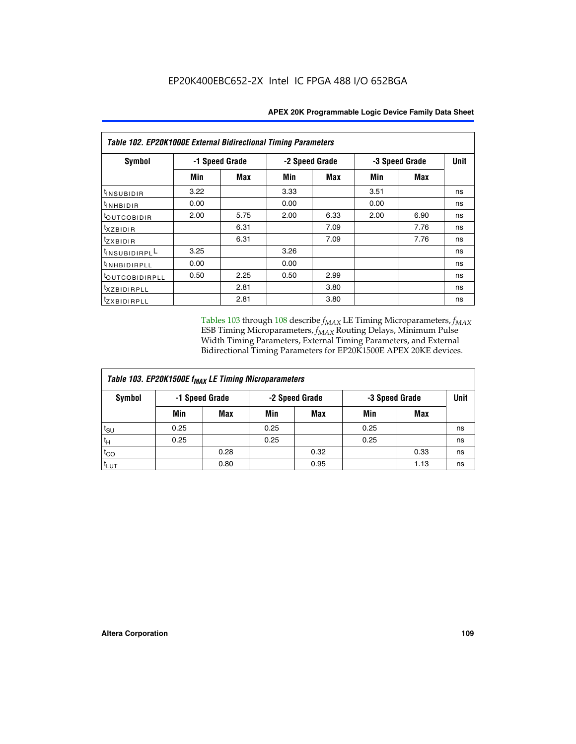| Table 102. EP20K1000E External Bidirectional Timing Parameters |      |                |      |                |      |                |             |  |  |  |
|----------------------------------------------------------------|------|----------------|------|----------------|------|----------------|-------------|--|--|--|
| Symbol                                                         |      | -1 Speed Grade |      | -2 Speed Grade |      | -3 Speed Grade | <b>Unit</b> |  |  |  |
|                                                                | Min  | Max            | Min  | Max            | Min  | <b>Max</b>     |             |  |  |  |
| $t_{INSUBIDIR}$                                                | 3.22 |                | 3.33 |                | 3.51 |                | ns          |  |  |  |
| t <sub>INHBIDIR</sub>                                          | 0.00 |                | 0.00 |                | 0.00 |                | ns          |  |  |  |
| t <sub>OUTCOBIDIR</sub>                                        | 2.00 | 5.75           | 2.00 | 6.33           | 2.00 | 6.90           | ns          |  |  |  |
| <i>txzbidir</i>                                                |      | 6.31           |      | 7.09           |      | 7.76           | ns          |  |  |  |
| tzxbidir                                                       |      | 6.31           |      | 7.09           |      | 7.76           | ns          |  |  |  |
| tINSUBIDIRPLL                                                  | 3.25 |                | 3.26 |                |      |                | ns          |  |  |  |
| tINHBIDIRPLL                                                   | 0.00 |                | 0.00 |                |      |                | ns          |  |  |  |
| tout COBIDIRPLL                                                | 0.50 | 2.25           | 0.50 | 2.99           |      |                | ns          |  |  |  |
| <sup>t</sup> xzbidirpll                                        |      | 2.81           |      | 3.80           |      |                | ns          |  |  |  |
| tzxBIDIRPLL                                                    |      | 2.81           |      | 3.80           |      |                | ns          |  |  |  |

Tables 103 through 108 describe  $f_{MAX}$  LE Timing Microparameters,  $f_{MAX}$ ESB Timing Microparameters, *f<sub>MAX</sub>* Routing Delays, Minimum Pulse Width Timing Parameters, External Timing Parameters, and External Bidirectional Timing Parameters for EP20K1500E APEX 20KE devices.

| Table 103. EP20K1500E f <sub>MAX</sub> LE Timing Microparameters |      |                |                |            |      |                |             |  |  |  |  |
|------------------------------------------------------------------|------|----------------|----------------|------------|------|----------------|-------------|--|--|--|--|
| Symbol                                                           |      | -1 Speed Grade | -2 Speed Grade |            |      | -3 Speed Grade | <b>Unit</b> |  |  |  |  |
|                                                                  | Min  | <b>Max</b>     | Min            | <b>Max</b> | Min  | Max            |             |  |  |  |  |
| $t_{\text{SU}}$                                                  | 0.25 |                | 0.25           |            | 0.25 |                | ns          |  |  |  |  |
| $t_H$                                                            | 0.25 |                | 0.25           |            | 0.25 |                | ns          |  |  |  |  |
| $t_{CO}$                                                         |      | 0.28           |                | 0.32       |      | 0.33           | ns          |  |  |  |  |
| t <sub>lut</sub>                                                 |      | 0.80           |                | 0.95       |      | 1.13           | ns          |  |  |  |  |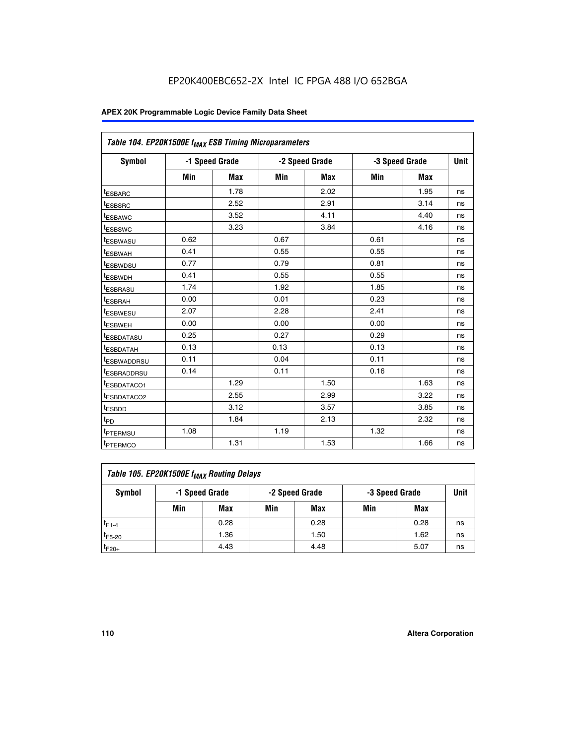| Table 104. EP20K1500E f <sub>MAX</sub> ESB Timing Microparameters |      |                |                |            |                |            |             |
|-------------------------------------------------------------------|------|----------------|----------------|------------|----------------|------------|-------------|
| <b>Symbol</b>                                                     |      | -1 Speed Grade | -2 Speed Grade |            | -3 Speed Grade |            | <b>Unit</b> |
|                                                                   | Min  | Max            | Min            | <b>Max</b> | Min            | <b>Max</b> |             |
| <sup>t</sup> ESBARC                                               |      | 1.78           |                | 2.02       |                | 1.95       | ns          |
| t <sub>ESBSRC</sub>                                               |      | 2.52           |                | 2.91       |                | 3.14       | ns          |
| <sup>t</sup> ESBAWC                                               |      | 3.52           |                | 4.11       |                | 4.40       | ns          |
| <sup>t</sup> ESBSWC                                               |      | 3.23           |                | 3.84       |                | 4.16       | ns          |
| t <sub>ESBWASU</sub>                                              | 0.62 |                | 0.67           |            | 0.61           |            | ns          |
| <sup>t</sup> ESBWAH                                               | 0.41 |                | 0.55           |            | 0.55           |            | ns          |
| <sup>t</sup> ESBWDSU                                              | 0.77 |                | 0.79           |            | 0.81           |            | ns          |
| <sup>t</sup> ESBWDH                                               | 0.41 |                | 0.55           |            | 0.55           |            | ns          |
| <sup>t</sup> ESBRASU                                              | 1.74 |                | 1.92           |            | 1.85           |            | ns          |
| <sup>t</sup> ESBRAH                                               | 0.00 |                | 0.01           |            | 0.23           |            | ns          |
| <sup>t</sup> ESBWESU                                              | 2.07 |                | 2.28           |            | 2.41           |            | ns          |
| <sup>t</sup> ESBWEH                                               | 0.00 |                | 0.00           |            | 0.00           |            | ns          |
| <sup>t</sup> ESBDATASU                                            | 0.25 |                | 0.27           |            | 0.29           |            | ns          |
| <sup>t</sup> ESBDATAH                                             | 0.13 |                | 0.13           |            | 0.13           |            | ns          |
| <sup>t</sup> ESBWADDRSU                                           | 0.11 |                | 0.04           |            | 0.11           |            | ns          |
| <sup>t</sup> ESBRADDRSU                                           | 0.14 |                | 0.11           |            | 0.16           |            | ns          |
| <sup>I</sup> ESBDATACO1                                           |      | 1.29           |                | 1.50       |                | 1.63       | ns          |
| <sup>t</sup> ESBDATACO2                                           |      | 2.55           |                | 2.99       |                | 3.22       | ns          |
| t <sub>ESBDD</sub>                                                |      | 3.12           |                | 3.57       |                | 3.85       | ns          |
| t <sub>PD</sub>                                                   |      | 1.84           |                | 2.13       |                | 2.32       | ns          |
| <sup>t</sup> PTERMSU                                              | 1.08 |                | 1.19           |            | 1.32           |            | ns          |
| t <sub>PTERMCO</sub>                                              |      | 1.31           |                | 1.53       |                | 1.66       | ns          |

| Table 105. EP20K1500E f <sub>MAX</sub> Routing Delays |                                                    |      |     |      |     |      |    |  |  |  |
|-------------------------------------------------------|----------------------------------------------------|------|-----|------|-----|------|----|--|--|--|
| Symbol                                                | -1 Speed Grade<br>-2 Speed Grade<br>-3 Speed Grade |      |     |      |     |      |    |  |  |  |
|                                                       | Min                                                | Max  | Min | Max  | Min | Max  |    |  |  |  |
| $t_{F1-4}$                                            |                                                    | 0.28 |     | 0.28 |     | 0.28 | ns |  |  |  |
| $t_{F5-20}$                                           |                                                    | 1.36 |     | 1.50 |     | 1.62 | ns |  |  |  |
| $t_{F20+}$                                            |                                                    | 4.43 |     | 4.48 |     | 5.07 | ns |  |  |  |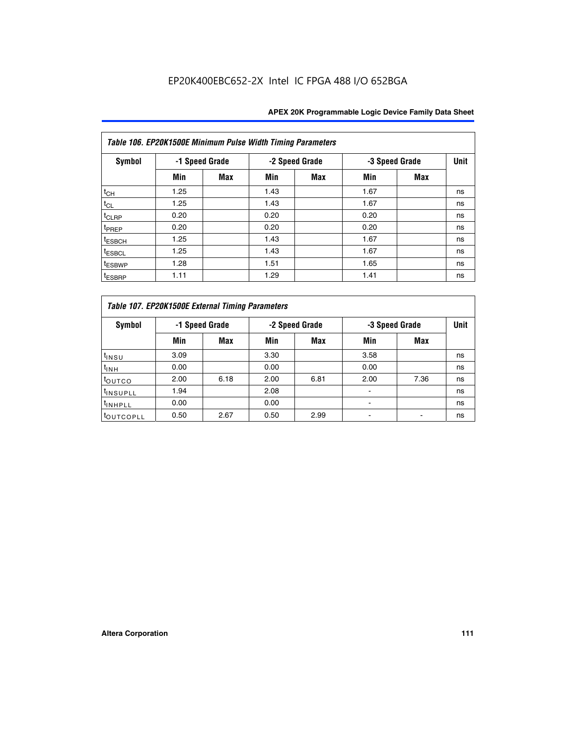|                    | Table 106. EP20K1500E Minimum Pulse Width Timing Parameters |                |      |                |      |                |             |  |  |  |  |  |
|--------------------|-------------------------------------------------------------|----------------|------|----------------|------|----------------|-------------|--|--|--|--|--|
| <b>Symbol</b>      |                                                             | -1 Speed Grade |      | -2 Speed Grade |      | -3 Speed Grade | <b>Unit</b> |  |  |  |  |  |
|                    | Min                                                         | <b>Max</b>     | Min  | Max            | Min  | <b>Max</b>     |             |  |  |  |  |  |
| $t_{CH}$           | 1.25                                                        |                | 1.43 |                | 1.67 |                | ns          |  |  |  |  |  |
| $t_{CL}$           | 1.25                                                        |                | 1.43 |                | 1.67 |                | ns          |  |  |  |  |  |
| $t_{CLRP}$         | 0.20                                                        |                | 0.20 |                | 0.20 |                | ns          |  |  |  |  |  |
| t <sub>PREP</sub>  | 0.20                                                        |                | 0.20 |                | 0.20 |                | ns          |  |  |  |  |  |
| <sup>t</sup> ESBCH | 1.25                                                        |                | 1.43 |                | 1.67 |                | ns          |  |  |  |  |  |
| <sup>t</sup> ESBCL | 1.25                                                        |                | 1.43 |                | 1.67 |                | ns          |  |  |  |  |  |
| <sup>t</sup> ESBWP | 1.28                                                        |                | 1.51 |                | 1.65 |                | ns          |  |  |  |  |  |
| <sup>t</sup> ESBRP | 1.11                                                        |                | 1.29 |                | 1.41 |                | ns          |  |  |  |  |  |

|                      | Table 107. EP20K1500E External Timing Parameters |      |      |                |      |                |             |  |  |  |  |  |  |
|----------------------|--------------------------------------------------|------|------|----------------|------|----------------|-------------|--|--|--|--|--|--|
| Symbol               | -1 Speed Grade                                   |      |      | -2 Speed Grade |      | -3 Speed Grade | <b>Unit</b> |  |  |  |  |  |  |
|                      | Min                                              | Max  | Min  | <b>Max</b>     | Min  | <b>Max</b>     |             |  |  |  |  |  |  |
| t <sub>insu</sub>    | 3.09                                             |      | 3.30 |                | 3.58 |                | ns          |  |  |  |  |  |  |
| $t_{INH}$            | 0.00                                             |      | 0.00 |                | 0.00 |                | ns          |  |  |  |  |  |  |
| toutco               | 2.00                                             | 6.18 | 2.00 | 6.81           | 2.00 | 7.36           | ns          |  |  |  |  |  |  |
| <sup>t</sup> INSUPLL | 1.94                                             |      | 2.08 |                |      |                | ns          |  |  |  |  |  |  |
| <sup>t</sup> INHPLL  | 0.00                                             |      | 0.00 |                |      |                | ns          |  |  |  |  |  |  |
| <b>LOUTCOPLL</b>     | 0.50                                             | 2.67 | 0.50 | 2.99           |      |                | ns          |  |  |  |  |  |  |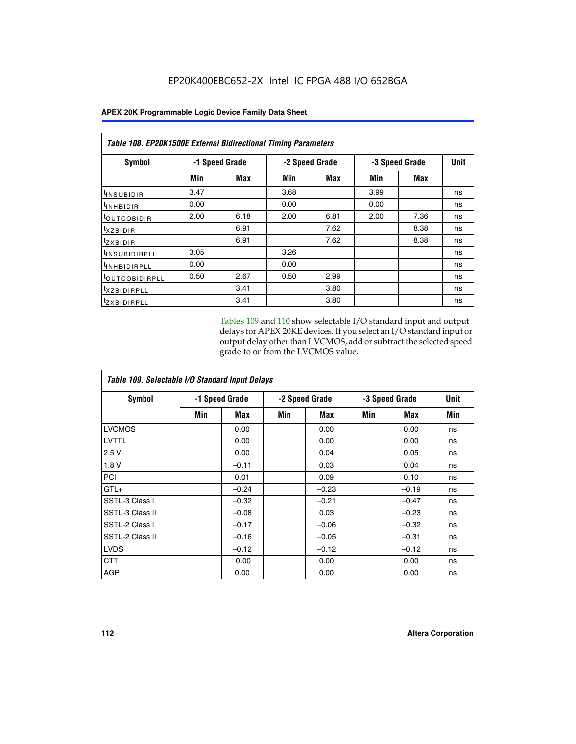| Table 108. EP20K1500E External Bidirectional Timing Parameters |                |      |      |                |      |                |      |
|----------------------------------------------------------------|----------------|------|------|----------------|------|----------------|------|
| Symbol                                                         | -1 Speed Grade |      |      | -2 Speed Grade |      | -3 Speed Grade | Unit |
|                                                                | Min            | Max  | Min  | Max            | Min  | Max            |      |
| <sup>t</sup> INSUBIDIR                                         | 3.47           |      | 3.68 |                | 3.99 |                | ns   |
| $t_{\rm INHBIDIR}$                                             | 0.00           |      | 0.00 |                | 0.00 |                | ns   |
| <sup>t</sup> OUTCOBIDIR                                        | 2.00           | 6.18 | 2.00 | 6.81           | 2.00 | 7.36           | ns   |
| $t_{XZBIDIR}$                                                  |                | 6.91 |      | 7.62           |      | 8.38           | ns   |
| tzxbidir                                                       |                | 6.91 |      | 7.62           |      | 8.38           | ns   |
| <sup>t</sup> INSUBIDIRPLL                                      | 3.05           |      | 3.26 |                |      |                | ns   |
| <sup>t</sup> INHBIDIRPLL                                       | 0.00           |      | 0.00 |                |      |                | ns   |
| <sup>t</sup> OUTCOBIDIRPLL                                     | 0.50           | 2.67 | 0.50 | 2.99           |      |                | ns   |
| <sup>t</sup> XZBIDIRPLL                                        |                | 3.41 |      | 3.80           |      |                | ns   |
| <sup>t</sup> zxbidirpll                                        |                | 3.41 |      | 3.80           |      |                | ns   |

Tables 109 and 110 show selectable I/O standard input and output delays for APEX 20KE devices. If you select an I/O standard input or output delay other than LVCMOS, add or subtract the selected speed grade to or from the LVCMOS value.

| Table 109. Selectable I/O Standard Input Delays |                |         |     |                |     |                |     |  |  |  |
|-------------------------------------------------|----------------|---------|-----|----------------|-----|----------------|-----|--|--|--|
| <b>Symbol</b>                                   | -1 Speed Grade |         |     | -2 Speed Grade |     | -3 Speed Grade |     |  |  |  |
|                                                 | Min            | Max     | Min | Max            | Min | Max            | Min |  |  |  |
| <b>LVCMOS</b>                                   |                | 0.00    |     | 0.00           |     | 0.00           | ns  |  |  |  |
| <b>LVTTL</b>                                    |                | 0.00    |     | 0.00           |     | 0.00           | ns  |  |  |  |
| 2.5V                                            |                | 0.00    |     | 0.04           |     | 0.05           | ns  |  |  |  |
| 1.8V                                            |                | $-0.11$ |     | 0.03           |     | 0.04           | ns  |  |  |  |
| PCI                                             |                | 0.01    |     | 0.09           |     | 0.10           | ns  |  |  |  |
| $GTL+$                                          |                | $-0.24$ |     | $-0.23$        |     | $-0.19$        | ns  |  |  |  |
| SSTL-3 Class I                                  |                | $-0.32$ |     | $-0.21$        |     | $-0.47$        | ns  |  |  |  |
| SSTL-3 Class II                                 |                | $-0.08$ |     | 0.03           |     | $-0.23$        | ns  |  |  |  |
| SSTL-2 Class I                                  |                | $-0.17$ |     | $-0.06$        |     | $-0.32$        | ns  |  |  |  |
| SSTL-2 Class II                                 |                | $-0.16$ |     | $-0.05$        |     | $-0.31$        | ns  |  |  |  |
| <b>LVDS</b>                                     |                | $-0.12$ |     | $-0.12$        |     | $-0.12$        | ns  |  |  |  |
| <b>CTT</b>                                      |                | 0.00    |     | 0.00           |     | 0.00           | ns  |  |  |  |
| <b>AGP</b>                                      |                | 0.00    |     | 0.00           |     | 0.00           | ns  |  |  |  |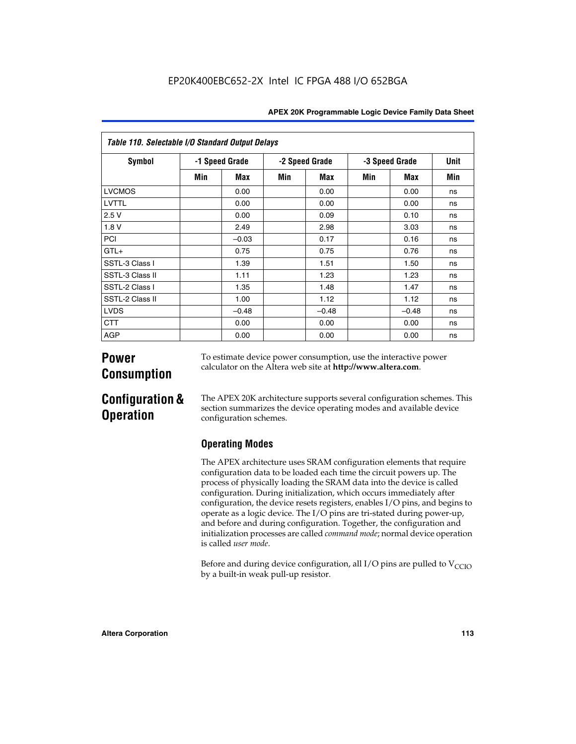| Table 110. Selectable I/O Standard Output Delays |     |                |     |                |     |                |             |  |  |  |  |
|--------------------------------------------------|-----|----------------|-----|----------------|-----|----------------|-------------|--|--|--|--|
| Symbol                                           |     | -1 Speed Grade |     | -2 Speed Grade |     | -3 Speed Grade | <b>Unit</b> |  |  |  |  |
|                                                  | Min | Max            | Min | Max            | Min | Max            | Min         |  |  |  |  |
| <b>LVCMOS</b>                                    |     | 0.00           |     | 0.00           |     | 0.00           | ns          |  |  |  |  |
| LVTTL                                            |     | 0.00           |     | 0.00           |     | 0.00           | ns          |  |  |  |  |
| 2.5V                                             |     | 0.00           |     | 0.09           |     | 0.10           | ns          |  |  |  |  |
| 1.8 V                                            |     | 2.49           |     | 2.98           |     | 3.03           | ns          |  |  |  |  |
| PCI                                              |     | $-0.03$        |     | 0.17           |     | 0.16           | ns          |  |  |  |  |
| $GTL+$                                           |     | 0.75           |     | 0.75           |     | 0.76           | ns          |  |  |  |  |
| SSTL-3 Class I                                   |     | 1.39           |     | 1.51           |     | 1.50           | ns          |  |  |  |  |
| SSTL-3 Class II                                  |     | 1.11           |     | 1.23           |     | 1.23           | ns          |  |  |  |  |
| SSTL-2 Class I                                   |     | 1.35           |     | 1.48           |     | 1.47           | ns          |  |  |  |  |
| SSTL-2 Class II                                  |     | 1.00           |     | 1.12           |     | 1.12           | ns          |  |  |  |  |
| <b>LVDS</b>                                      |     | $-0.48$        |     | $-0.48$        |     | $-0.48$        | ns          |  |  |  |  |
| <b>CTT</b>                                       |     | 0.00           |     | 0.00           |     | 0.00           | ns          |  |  |  |  |
| <b>AGP</b>                                       |     | 0.00           |     | 0.00           |     | 0.00           | ns          |  |  |  |  |

# **Power Consumption**

To estimate device power consumption, use the interactive power calculator on the Altera web site at **http://www.altera.com**.

# **Configuration & Operation**

The APEX 20K architecture supports several configuration schemes. This section summarizes the device operating modes and available device configuration schemes.

## **Operating Modes**

The APEX architecture uses SRAM configuration elements that require configuration data to be loaded each time the circuit powers up. The process of physically loading the SRAM data into the device is called configuration. During initialization, which occurs immediately after configuration, the device resets registers, enables I/O pins, and begins to operate as a logic device. The I/O pins are tri-stated during power-up, and before and during configuration. Together, the configuration and initialization processes are called *command mode*; normal device operation is called *user mode*.

Before and during device configuration, all I/O pins are pulled to  $V_{\text{CCTO}}$ by a built-in weak pull-up resistor.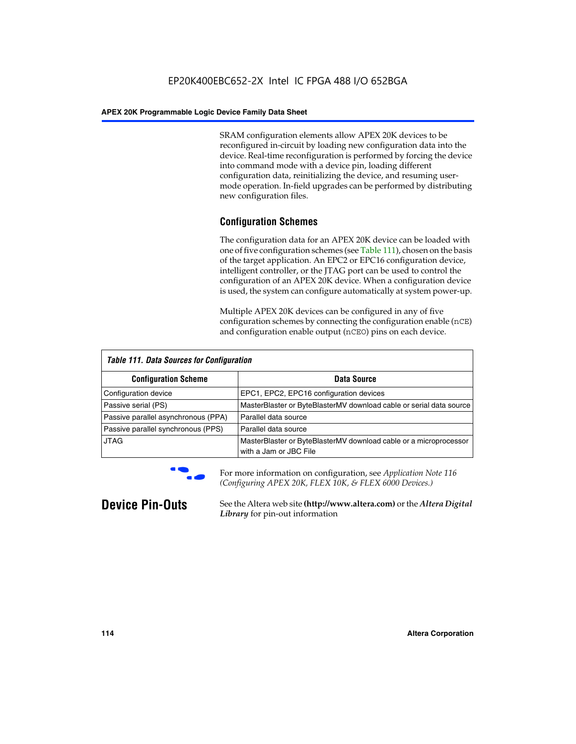SRAM configuration elements allow APEX 20K devices to be reconfigured in-circuit by loading new configuration data into the device. Real-time reconfiguration is performed by forcing the device into command mode with a device pin, loading different configuration data, reinitializing the device, and resuming usermode operation. In-field upgrades can be performed by distributing new configuration files.

## **Configuration Schemes**

The configuration data for an APEX 20K device can be loaded with one of five configuration schemes (see Table 111), chosen on the basis of the target application. An EPC2 or EPC16 configuration device, intelligent controller, or the JTAG port can be used to control the configuration of an APEX 20K device. When a configuration device is used, the system can configure automatically at system power-up.

Multiple APEX 20K devices can be configured in any of five configuration schemes by connecting the configuration enable (nCE) and configuration enable output (nCEO) pins on each device.

| <b>Table 111. Data Sources for Configuration</b> |                                                                                             |
|--------------------------------------------------|---------------------------------------------------------------------------------------------|
| <b>Configuration Scheme</b>                      | Data Source                                                                                 |
| Configuration device                             | EPC1, EPC2, EPC16 configuration devices                                                     |
| Passive serial (PS)                              | MasterBlaster or ByteBlasterMV download cable or serial data source                         |
| Passive parallel asynchronous (PPA)              | Parallel data source                                                                        |
| Passive parallel synchronous (PPS)               | Parallel data source                                                                        |
| <b>JTAG</b>                                      | MasterBlaster or ByteBlasterMV download cable or a microprocessor<br>with a Jam or JBC File |



**For more information on configuration, see Application Note 116** *(Configuring APEX 20K, FLEX 10K, & FLEX 6000 Devices.)*

**Device Pin-Outs** See the Altera web site **(http://www.altera.com)** or the *Altera Digital Library* for pin-out information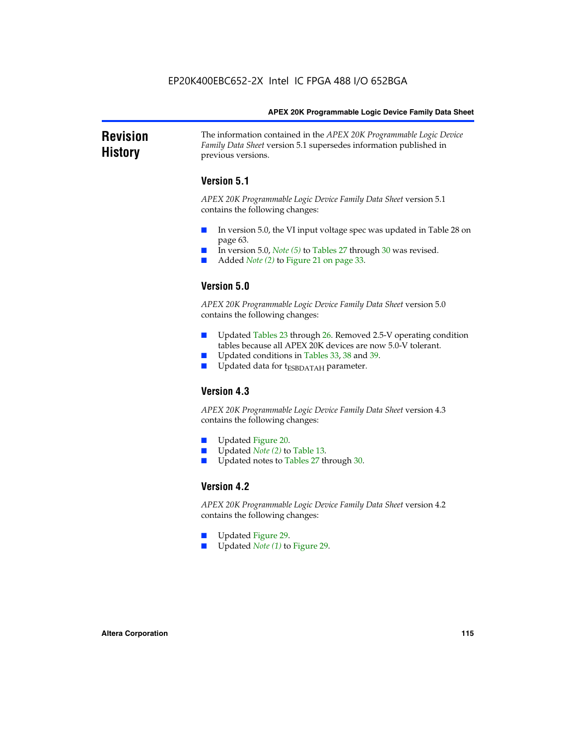### **Revision History** The information contained in the *APEX 20K Programmable Logic Device Family Data Sheet* version 5.1 supersedes information published in previous versions.

## **Version 5.1**

*APEX 20K Programmable Logic Device Family Data Sheet* version 5.1 contains the following changes:

- In version 5.0, the VI input voltage spec was updated in Table 28 on page 63.
- In version 5.0, *Note* (5) to Tables 27 through 30 was revised.
- Added *Note* (2) to Figure 21 on page 33.

## **Version 5.0**

*APEX 20K Programmable Logic Device Family Data Sheet* version 5.0 contains the following changes:

- Updated Tables 23 through 26. Removed 2.5-V operating condition tables because all APEX 20K devices are now 5.0-V tolerant.
- Updated conditions in Tables 33, 38 and 39.
- Updated data for t<sub>ESBDATAH</sub> parameter.

## **Version 4.3**

*APEX 20K Programmable Logic Device Family Data Sheet* version 4.3 contains the following changes:

- Updated Figure 20.
- Updated *Note (2)* to Table 13.
- Updated notes to Tables 27 through 30.

## **Version 4.2**

*APEX 20K Programmable Logic Device Family Data Sheet* version 4.2 contains the following changes:

- Updated Figure 29.
- Updated *Note (1)* to Figure 29.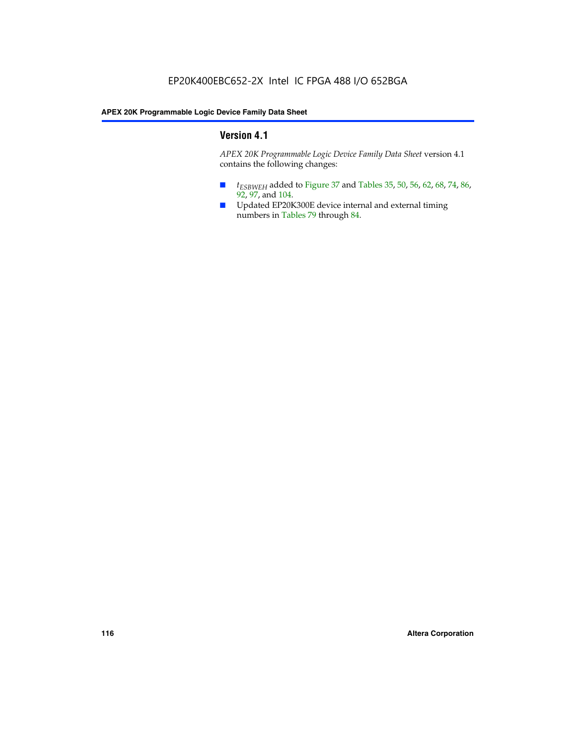## **Version 4.1**

*APEX 20K Programmable Logic Device Family Data Sheet* version 4.1 contains the following changes:

- *t<sub>ESBWEH</sub>* added to Figure 37 and Tables 35, 50, 56, 62, 68, 74, 86, 92, 97, and 104.
- Updated EP20K300E device internal and external timing numbers in Tables 79 through 84.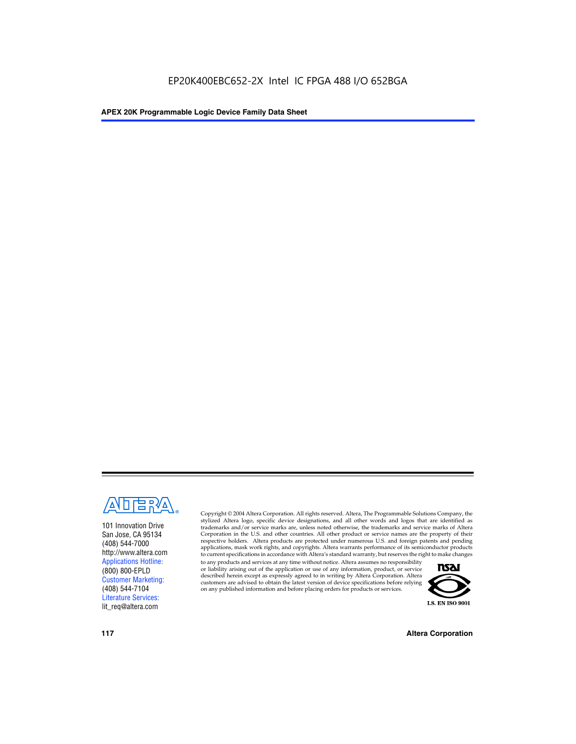

101 Innovation Drive San Jose, CA 95134 (408) 544-7000 http://www.altera.com Applications Hotline: (800) 800-EPLD Customer Marketing: (408) 544-7104 Literature Services: lit\_req@altera.com

Copyright © 2004 Altera Corporation. All rights reserved. Altera, The Programmable Solutions Company, the stylized Altera logo, specific device designations, and all other words and logos that are identified as trademarks and/or service marks are, unless noted otherwise, the trademarks and service marks of Altera Corporation in the U.S. and other countries. All other product or service names are the property of their respective holders. Altera products are protected under numerous U.S. and foreign patents and pending applications, mask work rights, and copyrights. Altera warrants performance of its semiconductor products to current specifications in accordance with Altera's standard warranty, but reserves the right to make changes

to any products and services at any time without notice. Altera assumes no responsibility or liability arising out of the application or use of any information, product, or service described herein except as expressly agreed to in writing by Altera Corporation. Altera customers are advised to obtain the latest version of device specifications before relying on any published information and before placing orders for products or services.



**117 Altera Corporation**